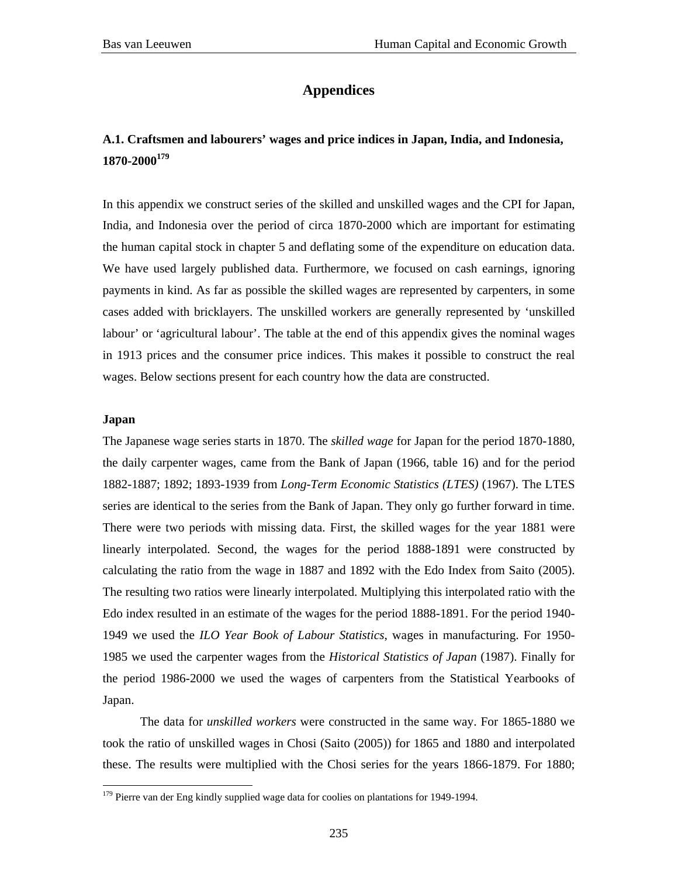## **Appendices**

## **A.1. Craftsmen and labourers' wages and price indices in Japan, India, and Indonesia, 1870-2000179**

In this appendix we construct series of the skilled and unskilled wages and the CPI for Japan, India, and Indonesia over the period of circa 1870-2000 which are important for estimating the human capital stock in chapter 5 and deflating some of the expenditure on education data. We have used largely published data. Furthermore, we focused on cash earnings, ignoring payments in kind. As far as possible the skilled wages are represented by carpenters, in some cases added with bricklayers. The unskilled workers are generally represented by 'unskilled labour' or 'agricultural labour'. The table at the end of this appendix gives the nominal wages in 1913 prices and the consumer price indices. This makes it possible to construct the real wages. Below sections present for each country how the data are constructed.

## **Japan**

 $\overline{a}$ 

The Japanese wage series starts in 1870. The *skilled wage* for Japan for the period 1870-1880, the daily carpenter wages, came from the Bank of Japan (1966, table 16) and for the period 1882-1887; 1892; 1893-1939 from *Long-Term Economic Statistics (LTES)* (1967). The LTES series are identical to the series from the Bank of Japan. They only go further forward in time. There were two periods with missing data. First, the skilled wages for the year 1881 were linearly interpolated. Second, the wages for the period 1888-1891 were constructed by calculating the ratio from the wage in 1887 and 1892 with the Edo Index from Saito (2005). The resulting two ratios were linearly interpolated. Multiplying this interpolated ratio with the Edo index resulted in an estimate of the wages for the period 1888-1891. For the period 1940- 1949 we used the *ILO Year Book of Labour Statistics*, wages in manufacturing. For 1950- 1985 we used the carpenter wages from the *Historical Statistics of Japan* (1987). Finally for the period 1986-2000 we used the wages of carpenters from the Statistical Yearbooks of Japan.

The data for *unskilled workers* were constructed in the same way. For 1865-1880 we took the ratio of unskilled wages in Chosi (Saito (2005)) for 1865 and 1880 and interpolated these. The results were multiplied with the Chosi series for the years 1866-1879. For 1880;

 $179$  Pierre van der Eng kindly supplied wage data for coolies on plantations for 1949-1994.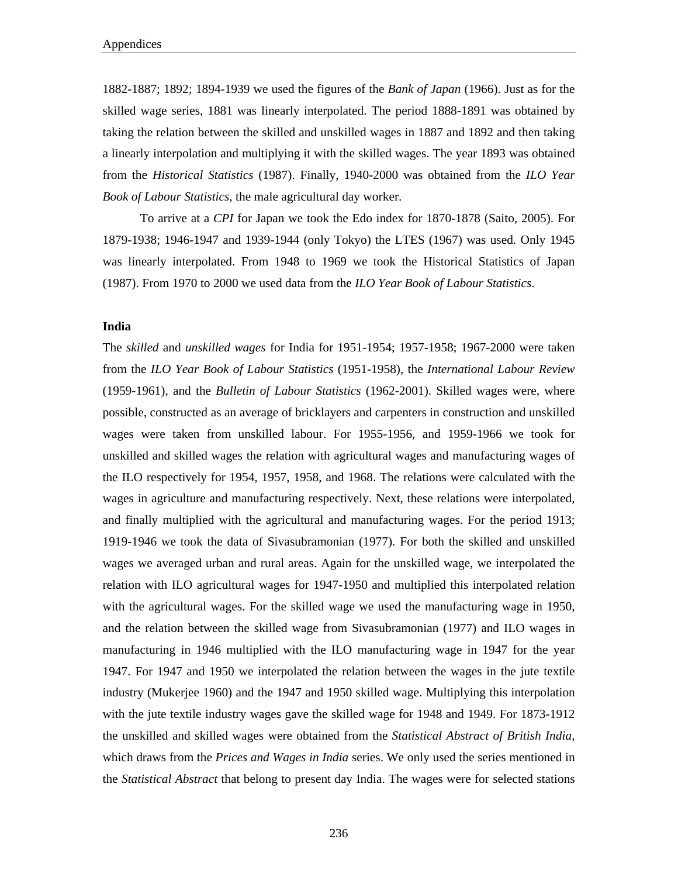1882-1887; 1892; 1894-1939 we used the figures of the *Bank of Japan* (1966). Just as for the skilled wage series, 1881 was linearly interpolated. The period 1888-1891 was obtained by taking the relation between the skilled and unskilled wages in 1887 and 1892 and then taking a linearly interpolation and multiplying it with the skilled wages. The year 1893 was obtained from the *Historical Statistics* (1987). Finally, 1940-2000 was obtained from the *ILO Year Book of Labour Statistics*, the male agricultural day worker.

 To arrive at a *CPI* for Japan we took the Edo index for 1870-1878 (Saito, 2005). For 1879-1938; 1946-1947 and 1939-1944 (only Tokyo) the LTES (1967) was used. Only 1945 was linearly interpolated. From 1948 to 1969 we took the Historical Statistics of Japan (1987). From 1970 to 2000 we used data from the *ILO Year Book of Labour Statistics*.

### **India**

The *skilled* and *unskilled wages* for India for 1951-1954; 1957-1958; 1967-2000 were taken from the *ILO Year Book of Labour Statistics* (1951-1958), the *International Labour Review*  (1959-1961), and the *Bulletin of Labour Statistics* (1962-2001). Skilled wages were, where possible, constructed as an average of bricklayers and carpenters in construction and unskilled wages were taken from unskilled labour. For 1955-1956, and 1959-1966 we took for unskilled and skilled wages the relation with agricultural wages and manufacturing wages of the ILO respectively for 1954, 1957, 1958, and 1968. The relations were calculated with the wages in agriculture and manufacturing respectively. Next, these relations were interpolated, and finally multiplied with the agricultural and manufacturing wages. For the period 1913; 1919-1946 we took the data of Sivasubramonian (1977). For both the skilled and unskilled wages we averaged urban and rural areas. Again for the unskilled wage, we interpolated the relation with ILO agricultural wages for 1947-1950 and multiplied this interpolated relation with the agricultural wages. For the skilled wage we used the manufacturing wage in 1950, and the relation between the skilled wage from Sivasubramonian (1977) and ILO wages in manufacturing in 1946 multiplied with the ILO manufacturing wage in 1947 for the year 1947. For 1947 and 1950 we interpolated the relation between the wages in the jute textile industry (Mukerjee 1960) and the 1947 and 1950 skilled wage. Multiplying this interpolation with the jute textile industry wages gave the skilled wage for 1948 and 1949. For 1873-1912 the unskilled and skilled wages were obtained from the *Statistical Abstract of British India*, which draws from the *Prices and Wages in India* series. We only used the series mentioned in the *Statistical Abstract* that belong to present day India. The wages were for selected stations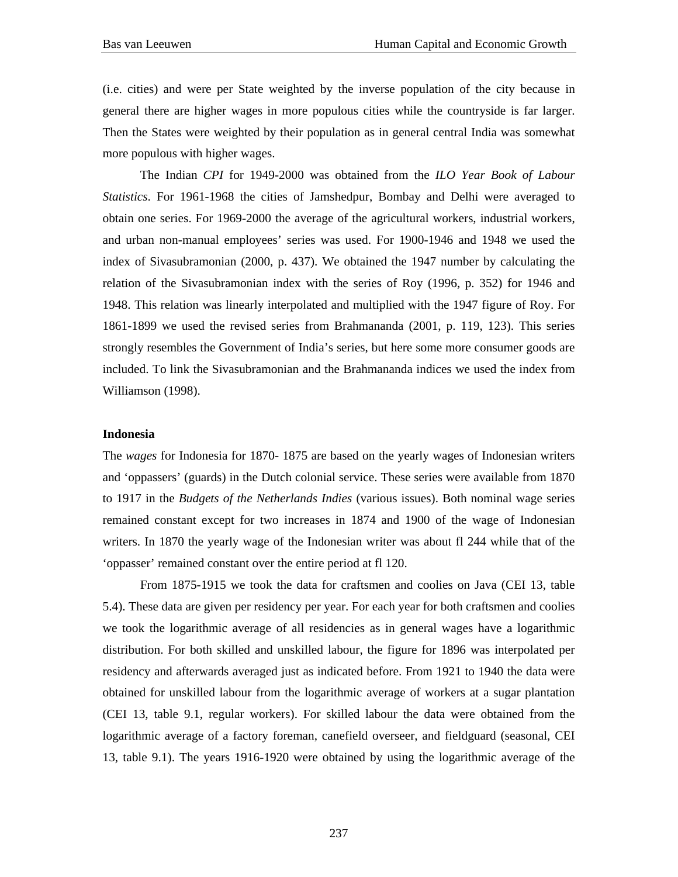(i.e. cities) and were per State weighted by the inverse population of the city because in general there are higher wages in more populous cities while the countryside is far larger. Then the States were weighted by their population as in general central India was somewhat more populous with higher wages.

The Indian *CPI* for 1949-2000 was obtained from the *ILO Year Book of Labour Statistics*. For 1961-1968 the cities of Jamshedpur, Bombay and Delhi were averaged to obtain one series. For 1969-2000 the average of the agricultural workers, industrial workers, and urban non-manual employees' series was used. For 1900-1946 and 1948 we used the index of Sivasubramonian (2000, p. 437). We obtained the 1947 number by calculating the relation of the Sivasubramonian index with the series of Roy (1996, p. 352) for 1946 and 1948. This relation was linearly interpolated and multiplied with the 1947 figure of Roy. For 1861-1899 we used the revised series from Brahmananda (2001, p. 119, 123). This series strongly resembles the Government of India's series, but here some more consumer goods are included. To link the Sivasubramonian and the Brahmananda indices we used the index from Williamson (1998).

### **Indonesia**

The *wages* for Indonesia for 1870- 1875 are based on the yearly wages of Indonesian writers and 'oppassers' (guards) in the Dutch colonial service. These series were available from 1870 to 1917 in the *Budgets of the Netherlands Indies* (various issues). Both nominal wage series remained constant except for two increases in 1874 and 1900 of the wage of Indonesian writers. In 1870 the yearly wage of the Indonesian writer was about fl 244 while that of the 'oppasser' remained constant over the entire period at fl 120.

From 1875-1915 we took the data for craftsmen and coolies on Java (CEI 13, table 5.4). These data are given per residency per year. For each year for both craftsmen and coolies we took the logarithmic average of all residencies as in general wages have a logarithmic distribution. For both skilled and unskilled labour, the figure for 1896 was interpolated per residency and afterwards averaged just as indicated before. From 1921 to 1940 the data were obtained for unskilled labour from the logarithmic average of workers at a sugar plantation (CEI 13, table 9.1, regular workers). For skilled labour the data were obtained from the logarithmic average of a factory foreman, canefield overseer, and fieldguard (seasonal, CEI 13, table 9.1). The years 1916-1920 were obtained by using the logarithmic average of the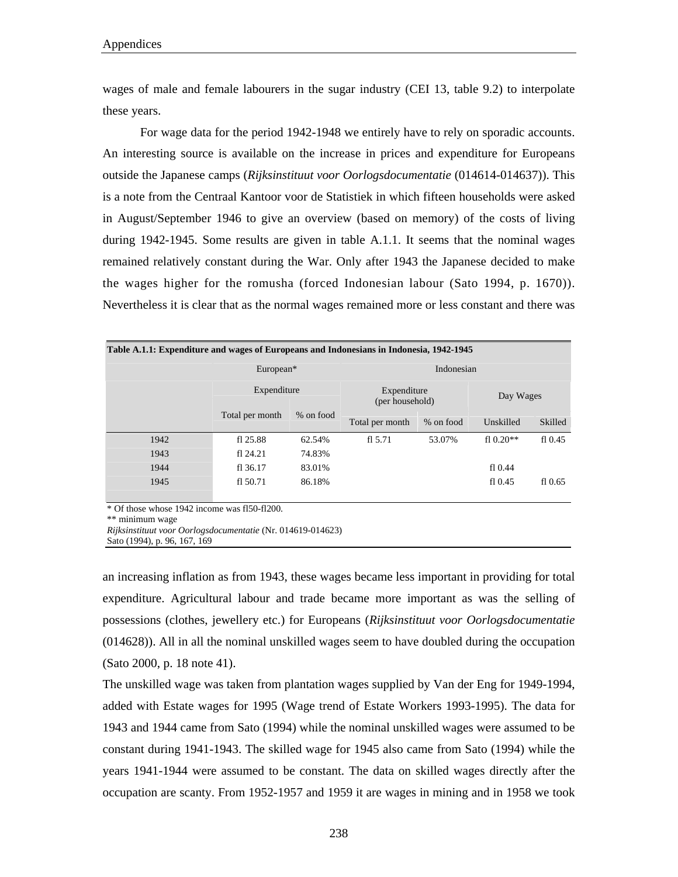wages of male and female labourers in the sugar industry (CEI 13, table 9.2) to interpolate these years.

For wage data for the period 1942-1948 we entirely have to rely on sporadic accounts. An interesting source is available on the increase in prices and expenditure for Europeans outside the Japanese camps (*Rijksinstituut voor Oorlogsdocumentatie* (014614-014637)). This is a note from the Centraal Kantoor voor de Statistiek in which fifteen households were asked in August/September 1946 to give an overview (based on memory) of the costs of living during 1942-1945. Some results are given in table A.1.1. It seems that the nominal wages remained relatively constant during the War. Only after 1943 the Japanese decided to make the wages higher for the romusha (forced Indonesian labour (Sato 1994, p. 1670)). Nevertheless it is clear that as the normal wages remained more or less constant and there was

| Table A.1.1: Expenditure and wages of Europeans and Indonesians in Indonesia, 1942-1945 |                 |           |                                |           |             |           |  |  |  |  |  |
|-----------------------------------------------------------------------------------------|-----------------|-----------|--------------------------------|-----------|-------------|-----------|--|--|--|--|--|
|                                                                                         | Indonesian      |           |                                |           |             |           |  |  |  |  |  |
|                                                                                         | Expenditure     |           | Expenditure<br>(per household) | Day Wages |             |           |  |  |  |  |  |
|                                                                                         | Total per month | % on food |                                | % on food | Unskilled   | Skilled   |  |  |  |  |  |
| 1942                                                                                    | fl 25.88        | 62.54%    | f1 $5.71$                      | 53.07%    | f1 $0.20**$ | fl $0.45$ |  |  |  |  |  |
| 1943                                                                                    | f124.21         | 74.83%    |                                |           |             |           |  |  |  |  |  |
| 1944                                                                                    | fl 36.17        | 83.01%    |                                |           | f10.44      |           |  |  |  |  |  |
| 1945                                                                                    | fl 50.71        | 86.18%    |                                |           | f10.45      | f10.65    |  |  |  |  |  |

\* Of those whose 1942 income was fl50-fl200.

\*\* minimum wage

*Rijksinstituut voor Oorlogsdocumentatie* (Nr. 014619-014623)

Sato (1994), p. 96, 167, 169

an increasing inflation as from 1943, these wages became less important in providing for total expenditure. Agricultural labour and trade became more important as was the selling of possessions (clothes, jewellery etc.) for Europeans (*Rijksinstituut voor Oorlogsdocumentatie* (014628)). All in all the nominal unskilled wages seem to have doubled during the occupation (Sato 2000, p. 18 note 41).

The unskilled wage was taken from plantation wages supplied by Van der Eng for 1949-1994, added with Estate wages for 1995 (Wage trend of Estate Workers 1993-1995). The data for 1943 and 1944 came from Sato (1994) while the nominal unskilled wages were assumed to be constant during 1941-1943. The skilled wage for 1945 also came from Sato (1994) while the years 1941-1944 were assumed to be constant. The data on skilled wages directly after the occupation are scanty. From 1952-1957 and 1959 it are wages in mining and in 1958 we took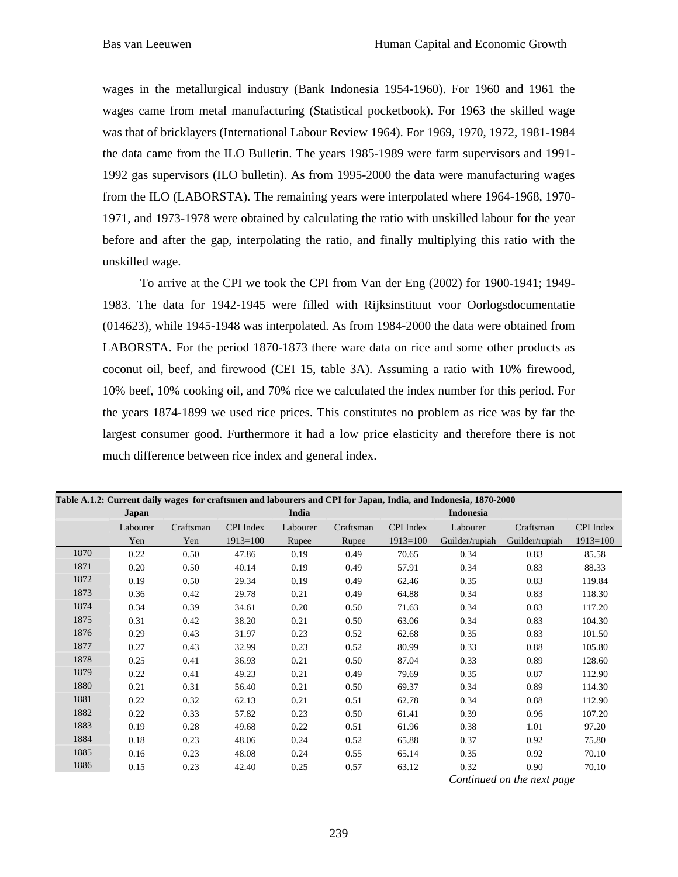wages in the metallurgical industry (Bank Indonesia 1954-1960). For 1960 and 1961 the wages came from metal manufacturing (Statistical pocketbook). For 1963 the skilled wage was that of bricklayers (International Labour Review 1964). For 1969, 1970, 1972, 1981-1984 the data came from the ILO Bulletin. The years 1985-1989 were farm supervisors and 1991- 1992 gas supervisors (ILO bulletin). As from 1995-2000 the data were manufacturing wages from the ILO (LABORSTA). The remaining years were interpolated where 1964-1968, 1970- 1971, and 1973-1978 were obtained by calculating the ratio with unskilled labour for the year before and after the gap, interpolating the ratio, and finally multiplying this ratio with the unskilled wage.

To arrive at the CPI we took the CPI from Van der Eng (2002) for 1900-1941; 1949- 1983. The data for 1942-1945 were filled with Rijksinstituut voor Oorlogsdocumentatie (014623), while 1945-1948 was interpolated. As from 1984-2000 the data were obtained from LABORSTA. For the period 1870-1873 there ware data on rice and some other products as coconut oil, beef, and firewood (CEI 15, table 3A). Assuming a ratio with 10% firewood, 10% beef, 10% cooking oil, and 70% rice we calculated the index number for this period. For the years 1874-1899 we used rice prices. This constitutes no problem as rice was by far the largest consumer good. Furthermore it had a low price elasticity and therefore there is not much difference between rice index and general index.

| Table A.1.2: Current daily wages for craftsmen and labourers and CPI for Japan, India, and Indonesia, 1870-2000 |          |           |              |          |           |            |                  |                |                  |  |  |
|-----------------------------------------------------------------------------------------------------------------|----------|-----------|--------------|----------|-----------|------------|------------------|----------------|------------------|--|--|
|                                                                                                                 | Japan    |           |              | India    |           |            | <b>Indonesia</b> |                |                  |  |  |
|                                                                                                                 | Labourer | Craftsman | CPI Index    | Labourer | Craftsman | CPI Index  | Labourer         | Craftsman      | <b>CPI</b> Index |  |  |
|                                                                                                                 | Yen      | Yen       | $1913 = 100$ | Rupee    | Rupee     | $1913=100$ | Guilder/rupiah   | Guilder/rupiah | $1913=100$       |  |  |
| 1870                                                                                                            | 0.22     | 0.50      | 47.86        | 0.19     | 0.49      | 70.65      | 0.34             | 0.83           | 85.58            |  |  |
| 1871                                                                                                            | 0.20     | 0.50      | 40.14        | 0.19     | 0.49      | 57.91      | 0.34             | 0.83           | 88.33            |  |  |
| 1872                                                                                                            | 0.19     | 0.50      | 29.34        | 0.19     | 0.49      | 62.46      | 0.35             | 0.83           | 119.84           |  |  |
| 1873                                                                                                            | 0.36     | 0.42      | 29.78        | 0.21     | 0.49      | 64.88      | 0.34             | 0.83           | 118.30           |  |  |
| 1874                                                                                                            | 0.34     | 0.39      | 34.61        | 0.20     | 0.50      | 71.63      | 0.34             | 0.83           | 117.20           |  |  |
| 1875                                                                                                            | 0.31     | 0.42      | 38.20        | 0.21     | 0.50      | 63.06      | 0.34             | 0.83           | 104.30           |  |  |
| 1876                                                                                                            | 0.29     | 0.43      | 31.97        | 0.23     | 0.52      | 62.68      | 0.35             | 0.83           | 101.50           |  |  |
| 1877                                                                                                            | 0.27     | 0.43      | 32.99        | 0.23     | 0.52      | 80.99      | 0.33             | 0.88           | 105.80           |  |  |
| 1878                                                                                                            | 0.25     | 0.41      | 36.93        | 0.21     | 0.50      | 87.04      | 0.33             | 0.89           | 128.60           |  |  |
| 1879                                                                                                            | 0.22     | 0.41      | 49.23        | 0.21     | 0.49      | 79.69      | 0.35             | 0.87           | 112.90           |  |  |
| 1880                                                                                                            | 0.21     | 0.31      | 56.40        | 0.21     | 0.50      | 69.37      | 0.34             | 0.89           | 114.30           |  |  |
| 1881                                                                                                            | 0.22     | 0.32      | 62.13        | 0.21     | 0.51      | 62.78      | 0.34             | 0.88           | 112.90           |  |  |
| 1882                                                                                                            | 0.22     | 0.33      | 57.82        | 0.23     | 0.50      | 61.41      | 0.39             | 0.96           | 107.20           |  |  |
| 1883                                                                                                            | 0.19     | 0.28      | 49.68        | 0.22     | 0.51      | 61.96      | 0.38             | 1.01           | 97.20            |  |  |
| 1884                                                                                                            | 0.18     | 0.23      | 48.06        | 0.24     | 0.52      | 65.88      | 0.37             | 0.92           | 75.80            |  |  |
| 1885                                                                                                            | 0.16     | 0.23      | 48.08        | 0.24     | 0.55      | 65.14      | 0.35             | 0.92           | 70.10            |  |  |
| 1886                                                                                                            | 0.15     | 0.23      | 42.40        | 0.25     | 0.57      | 63.12      | 0.32             | 0.90           | 70.10            |  |  |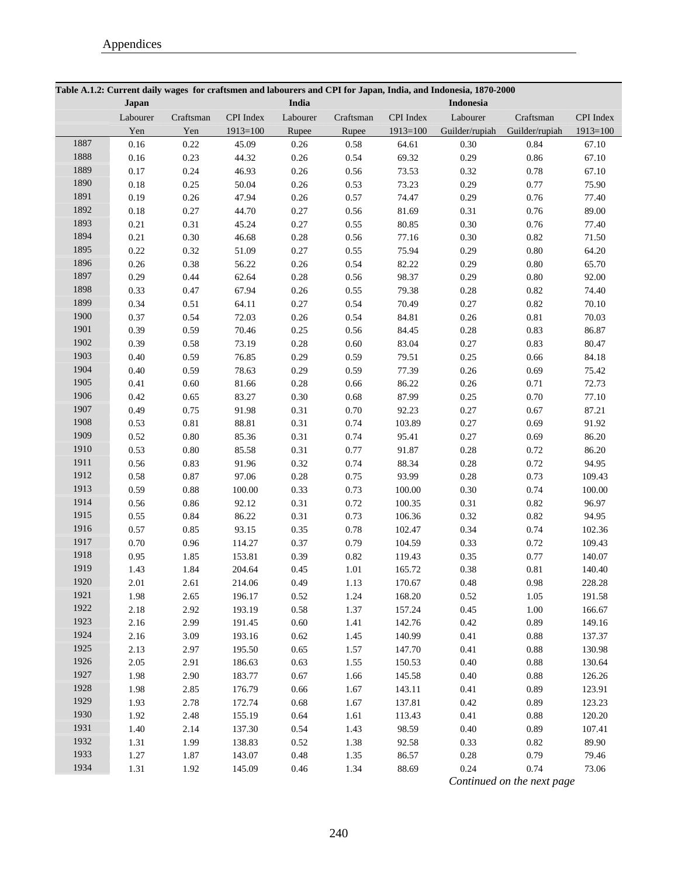|      |          |           |            |          |           |            | Table A.1.2: Current daily wages for craftsmen and labourers and CPI for Japan, India, and Indonesia, 1870-2000 |                |            |
|------|----------|-----------|------------|----------|-----------|------------|-----------------------------------------------------------------------------------------------------------------|----------------|------------|
|      | Japan    |           |            | India    |           |            | Indonesia                                                                                                       |                |            |
|      | Labourer | Craftsman | CPI Index  | Labourer | Craftsman | CPI Index  | Labourer                                                                                                        | Craftsman      | CPI Index  |
|      | Yen      | Yen       | $1913=100$ | Rupee    | Rupee     | $1913=100$ | Guilder/rupiah                                                                                                  | Guilder/rupiah | $1913=100$ |
| 1887 | 0.16     | 0.22      | 45.09      | 0.26     | 0.58      | 64.61      | 0.30                                                                                                            | 0.84           | 67.10      |
| 1888 | 0.16     | 0.23      | 44.32      | 0.26     | 0.54      | 69.32      | 0.29                                                                                                            | $0.86\,$       | 67.10      |
| 1889 | 0.17     | 0.24      | 46.93      | 0.26     | 0.56      | 73.53      | 0.32                                                                                                            | 0.78           | 67.10      |
| 1890 | 0.18     | 0.25      | 50.04      | 0.26     | 0.53      | 73.23      | 0.29                                                                                                            | 0.77           | 75.90      |
| 1891 | 0.19     | 0.26      | 47.94      | 0.26     | 0.57      | 74.47      | 0.29                                                                                                            | 0.76           | 77.40      |
| 1892 | 0.18     | 0.27      | 44.70      | 0.27     | 0.56      | 81.69      | 0.31                                                                                                            | 0.76           | 89.00      |
| 1893 | 0.21     | 0.31      | 45.24      | 0.27     | 0.55      | 80.85      | 0.30                                                                                                            | 0.76           | 77.40      |
| 1894 | 0.21     | 0.30      | 46.68      | 0.28     | 0.56      | 77.16      | 0.30                                                                                                            | 0.82           | 71.50      |
| 1895 | 0.22     | 0.32      | 51.09      | 0.27     | 0.55      | 75.94      | 0.29                                                                                                            | $0.80\,$       | 64.20      |
| 1896 | 0.26     | 0.38      | 56.22      | 0.26     | 0.54      | 82.22      | 0.29                                                                                                            | $0.80\,$       | 65.70      |
| 1897 | 0.29     | 0.44      | 62.64      | 0.28     | 0.56      | 98.37      | 0.29                                                                                                            | $0.80\,$       | 92.00      |
| 1898 | 0.33     | 0.47      | 67.94      | 0.26     | 0.55      | 79.38      | 0.28                                                                                                            | 0.82           | 74.40      |
| 1899 | 0.34     | 0.51      | 64.11      | 0.27     | 0.54      | 70.49      | 0.27                                                                                                            | 0.82           | 70.10      |
| 1900 | 0.37     | 0.54      | 72.03      | 0.26     | 0.54      | 84.81      | 0.26                                                                                                            | $0.81\,$       | 70.03      |
| 1901 | 0.39     | 0.59      | 70.46      | 0.25     | 0.56      | 84.45      | 0.28                                                                                                            | 0.83           | 86.87      |
| 1902 | 0.39     | 0.58      | 73.19      | 0.28     | 0.60      | 83.04      | 0.27                                                                                                            | 0.83           | 80.47      |
| 1903 | 0.40     | 0.59      | 76.85      | 0.29     | 0.59      | 79.51      | 0.25                                                                                                            | 0.66           | 84.18      |
| 1904 | 0.40     | 0.59      | 78.63      | 0.29     | 0.59      | 77.39      | 0.26                                                                                                            | 0.69           | 75.42      |
| 1905 | 0.41     | 0.60      | 81.66      | 0.28     | 0.66      | 86.22      | 0.26                                                                                                            | 0.71           | 72.73      |
| 1906 | 0.42     | 0.65      | 83.27      | 0.30     | 0.68      | 87.99      | 0.25                                                                                                            | 0.70           | 77.10      |
| 1907 | 0.49     | 0.75      | 91.98      | 0.31     | 0.70      | 92.23      | 0.27                                                                                                            | 0.67           | 87.21      |
| 1908 | 0.53     | 0.81      | 88.81      | 0.31     | 0.74      | 103.89     | 0.27                                                                                                            | 0.69           | 91.92      |
| 1909 | 0.52     | 0.80      | 85.36      | 0.31     | 0.74      | 95.41      | 0.27                                                                                                            | 0.69           | 86.20      |
| 1910 | 0.53     | 0.80      | 85.58      | 0.31     | 0.77      | 91.87      | 0.28                                                                                                            | 0.72           | 86.20      |
| 1911 | 0.56     | 0.83      | 91.96      | 0.32     | 0.74      | 88.34      | 0.28                                                                                                            | 0.72           | 94.95      |
| 1912 | 0.58     | 0.87      | 97.06      | 0.28     | 0.75      | 93.99      | 0.28                                                                                                            | 0.73           | 109.43     |
| 1913 | 0.59     | 0.88      | 100.00     | 0.33     | 0.73      | 100.00     | 0.30                                                                                                            | 0.74           | 100.00     |
| 1914 | 0.56     | 0.86      | 92.12      | 0.31     | 0.72      | 100.35     | 0.31                                                                                                            | 0.82           | 96.97      |
| 1915 | 0.55     | 0.84      | 86.22      | 0.31     | 0.73      | 106.36     | 0.32                                                                                                            | 0.82           | 94.95      |
| 1916 | 0.57     | 0.85      | 93.15      | 0.35     | 0.78      | 102.47     | 0.34                                                                                                            | 0.74           | 102.36     |
| 1917 | 0.70     | 0.96      | 114.27     | 0.37     | 0.79      | 104.59     | 0.33                                                                                                            | 0.72           | 109.43     |
| 1918 | 0.95     | 1.85      | 153.81     | 0.39     | 0.82      | 119.43     | 0.35                                                                                                            | 0.77           | 140.07     |
| 1919 | 1.43     | 1.84      | 204.64     | 0.45     | 1.01      | 165.72     | 0.38                                                                                                            | 0.81           | 140.40     |
| 1920 | 2.01     | 2.61      | 214.06     | 0.49     | 1.13      | 170.67     | 0.48                                                                                                            | $0.98\,$       | 228.28     |
| 1921 | 1.98     | 2.65      | 196.17     | 0.52     | 1.24      | 168.20     | 0.52                                                                                                            | 1.05           | 191.58     |
| 1922 | 2.18     | 2.92      | 193.19     | 0.58     | 1.37      | 157.24     | 0.45                                                                                                            | $1.00\,$       | 166.67     |
| 1923 | 2.16     | 2.99      | 191.45     | $0.60\,$ | 1.41      | 142.76     | 0.42                                                                                                            | 0.89           | 149.16     |
| 1924 | 2.16     | 3.09      | 193.16     | 0.62     | 1.45      | 140.99     | 0.41                                                                                                            | $0.88\,$       | 137.37     |
| 1925 | 2.13     | 2.97      | 195.50     | 0.65     | 1.57      | 147.70     | 0.41                                                                                                            | $0.88\,$       | 130.98     |
| 1926 | 2.05     | 2.91      | 186.63     | 0.63     | 1.55      | 150.53     | 0.40                                                                                                            | $0.88\,$       | 130.64     |
| 1927 | 1.98     | 2.90      | 183.77     | 0.67     | 1.66      | 145.58     | $0.40\,$                                                                                                        | $0.88\,$       | 126.26     |
| 1928 | 1.98     | 2.85      | 176.79     | 0.66     | 1.67      | 143.11     | 0.41                                                                                                            | 0.89           | 123.91     |
| 1929 | 1.93     | 2.78      | 172.74     | 0.68     | 1.67      | 137.81     | 0.42                                                                                                            | 0.89           | 123.23     |
| 1930 | 1.92     | 2.48      | 155.19     | 0.64     | 1.61      | 113.43     | 0.41                                                                                                            | $0.88\,$       | 120.20     |
| 1931 | 1.40     | 2.14      | 137.30     | 0.54     | 1.43      | 98.59      | 0.40                                                                                                            | 0.89           | 107.41     |
| 1932 | 1.31     | 1.99      | 138.83     | 0.52     | 1.38      | 92.58      | 0.33                                                                                                            | $0.82\,$       | 89.90      |
| 1933 | 1.27     | 1.87      | 143.07     | $0.48\,$ | 1.35      | 86.57      | $0.28\,$                                                                                                        | 0.79           | 79.46      |
| 1934 | 1.31     | 1.92      | 145.09     | 0.46     | 1.34      | 88.69      | 0.24                                                                                                            | 0.74           | 73.06      |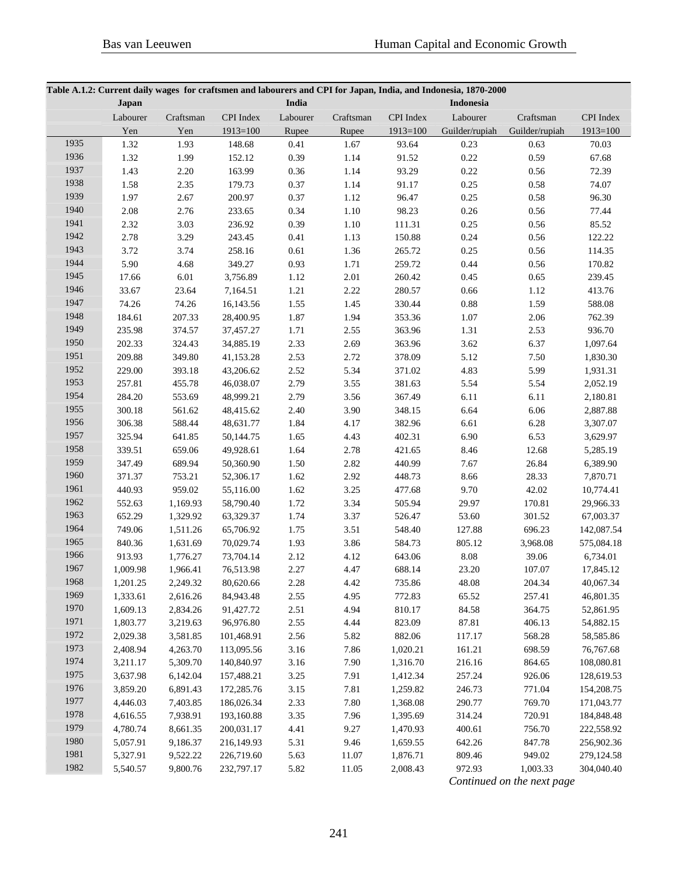| Table A.1.2: Current daily wages for craftsmen and labourers and CPI for Japan, India, and Indonesia, 1870-2000 |          |           |            |          |           |            |                  |                |            |  |  |
|-----------------------------------------------------------------------------------------------------------------|----------|-----------|------------|----------|-----------|------------|------------------|----------------|------------|--|--|
|                                                                                                                 | Japan    |           |            | India    |           |            | <b>Indonesia</b> |                |            |  |  |
|                                                                                                                 | Labourer | Craftsman | CPI Index  | Labourer | Craftsman | CPI Index  | Labourer         | Craftsman      | CPI Index  |  |  |
|                                                                                                                 | Yen      | Yen       | $1913=100$ | Rupee    | Rupee     | $1913=100$ | Guilder/rupiah   | Guilder/rupiah | $1913=100$ |  |  |
| 1935                                                                                                            | 1.32     | 1.93      | 148.68     | 0.41     | 1.67      | 93.64      | 0.23             | 0.63           | 70.03      |  |  |
| 1936                                                                                                            | 1.32     | 1.99      | 152.12     | 0.39     | 1.14      | 91.52      | 0.22             | 0.59           | 67.68      |  |  |
| 1937                                                                                                            | 1.43     | 2.20      | 163.99     | 0.36     | 1.14      | 93.29      | 0.22             | 0.56           | 72.39      |  |  |
| 1938                                                                                                            | 1.58     | 2.35      | 179.73     | 0.37     | 1.14      | 91.17      | 0.25             | 0.58           | 74.07      |  |  |
| 1939                                                                                                            | 1.97     | 2.67      | 200.97     | 0.37     | 1.12      | 96.47      | 0.25             | 0.58           | 96.30      |  |  |
| 1940                                                                                                            | 2.08     | 2.76      | 233.65     | 0.34     | 1.10      | 98.23      | 0.26             | 0.56           | 77.44      |  |  |
| 1941                                                                                                            | 2.32     | 3.03      | 236.92     | 0.39     | 1.10      | 111.31     | 0.25             | 0.56           | 85.52      |  |  |
| 1942                                                                                                            | 2.78     | 3.29      | 243.45     | 0.41     | 1.13      | 150.88     | 0.24             | 0.56           | 122.22     |  |  |
| 1943                                                                                                            | 3.72     | 3.74      | 258.16     | 0.61     | 1.36      | 265.72     | 0.25             | 0.56           | 114.35     |  |  |
| 1944                                                                                                            | 5.90     | 4.68      | 349.27     | 0.93     | 1.71      | 259.72     | 0.44             | 0.56           | 170.82     |  |  |
| 1945                                                                                                            | 17.66    | 6.01      | 3,756.89   | 1.12     | 2.01      | 260.42     | 0.45             | 0.65           | 239.45     |  |  |
| 1946                                                                                                            | 33.67    | 23.64     | 7,164.51   | 1.21     | 2.22      | 280.57     | 0.66             | 1.12           | 413.76     |  |  |
| 1947                                                                                                            | 74.26    | 74.26     | 16,143.56  | 1.55     | 1.45      | 330.44     | 0.88             | 1.59           | 588.08     |  |  |
| 1948                                                                                                            | 184.61   | 207.33    | 28,400.95  | 1.87     | 1.94      | 353.36     | 1.07             | 2.06           | 762.39     |  |  |
| 1949                                                                                                            | 235.98   | 374.57    | 37,457.27  | 1.71     | 2.55      | 363.96     | 1.31             | 2.53           | 936.70     |  |  |
| 1950                                                                                                            | 202.33   | 324.43    | 34,885.19  | 2.33     | 2.69      | 363.96     | 3.62             | 6.37           | 1,097.64   |  |  |
| 1951                                                                                                            | 209.88   | 349.80    | 41,153.28  | 2.53     | 2.72      | 378.09     | 5.12             | 7.50           | 1,830.30   |  |  |
| 1952                                                                                                            | 229.00   | 393.18    | 43,206.62  | 2.52     | 5.34      | 371.02     | 4.83             | 5.99           | 1,931.31   |  |  |
| 1953                                                                                                            | 257.81   | 455.78    | 46,038.07  | 2.79     | 3.55      | 381.63     | 5.54             | 5.54           | 2,052.19   |  |  |
| 1954                                                                                                            | 284.20   | 553.69    | 48,999.21  | 2.79     | 3.56      | 367.49     | 6.11             | 6.11           | 2,180.81   |  |  |
| 1955                                                                                                            | 300.18   | 561.62    | 48,415.62  | 2.40     | 3.90      | 348.15     | 6.64             | 6.06           | 2,887.88   |  |  |
| 1956                                                                                                            | 306.38   | 588.44    | 48,631.77  | 1.84     | 4.17      | 382.96     | 6.61             | 6.28           | 3,307.07   |  |  |
| 1957                                                                                                            | 325.94   | 641.85    | 50,144.75  | 1.65     | 4.43      | 402.31     | 6.90             | 6.53           | 3,629.97   |  |  |
| 1958                                                                                                            | 339.51   | 659.06    | 49,928.61  | 1.64     | 2.78      | 421.65     | 8.46             | 12.68          | 5,285.19   |  |  |
| 1959                                                                                                            | 347.49   | 689.94    | 50,360.90  | 1.50     | 2.82      | 440.99     | 7.67             | 26.84          | 6,389.90   |  |  |
| 1960                                                                                                            | 371.37   | 753.21    | 52,306.17  | 1.62     | 2.92      | 448.73     | 8.66             | 28.33          | 7,870.71   |  |  |
| 1961                                                                                                            | 440.93   | 959.02    | 55,116.00  | 1.62     | 3.25      | 477.68     | 9.70             | 42.02          | 10,774.41  |  |  |
| 1962                                                                                                            | 552.63   | 1,169.93  | 58,790.40  | 1.72     | 3.34      | 505.94     | 29.97            | 170.81         | 29,966.33  |  |  |
| 1963                                                                                                            | 652.29   | 1,329.92  | 63,329.37  | 1.74     | 3.37      | 526.47     | 53.60            | 301.52         | 67,003.37  |  |  |
| 1964                                                                                                            | 749.06   | 1,511.26  | 65,706.92  | 1.75     | 3.51      | 548.40     | 127.88           | 696.23         | 142,087.54 |  |  |
| 1965                                                                                                            | 840.36   | 1,631.69  | 70,029.74  | 1.93     | 3.86      | 584.73     | 805.12           | 3,968.08       | 575,084.18 |  |  |
| 1966                                                                                                            | 913.93   | 1,776.27  | 73,704.14  | 2.12     | 4.12      | 643.06     | 8.08             | 39.06          | 6,734.01   |  |  |
| 1967                                                                                                            | 1,009.98 | 1,966.41  | 76,513.98  | 2.27     | 4.47      | 688.14     | 23.20            | 107.07         | 17,845.12  |  |  |
| 1968                                                                                                            | 1,201.25 | 2,249.32  | 80,620.66  | 2.28     | 4.42      | 735.86     | 48.08            | 204.34         | 40,067.34  |  |  |
| 1969                                                                                                            | 1,333.61 | 2,616.26  | 84,943.48  | 2.55     | 4.95      | 772.83     | 65.52            | 257.41         | 46,801.35  |  |  |
| 1970                                                                                                            | 1,609.13 | 2,834.26  | 91,427.72  | 2.51     | 4.94      | 810.17     | 84.58            | 364.75         | 52,861.95  |  |  |
| 1971                                                                                                            | 1,803.77 | 3,219.63  | 96,976.80  | 2.55     | 4.44      | 823.09     | 87.81            | 406.13         | 54,882.15  |  |  |
| 1972                                                                                                            | 2,029.38 | 3,581.85  | 101,468.91 | 2.56     | 5.82      | 882.06     | 117.17           | 568.28         | 58,585.86  |  |  |
| 1973                                                                                                            | 2,408.94 | 4,263.70  | 113,095.56 | 3.16     | 7.86      | 1,020.21   | 161.21           | 698.59         | 76,767.68  |  |  |
| 1974                                                                                                            | 3,211.17 | 5,309.70  | 140,840.97 | 3.16     | 7.90      | 1,316.70   | 216.16           | 864.65         | 108,080.81 |  |  |
| 1975                                                                                                            | 3,637.98 | 6,142.04  | 157,488.21 | 3.25     | 7.91      | 1,412.34   | 257.24           | 926.06         | 128,619.53 |  |  |
| 1976                                                                                                            | 3,859.20 | 6,891.43  | 172,285.76 | 3.15     | 7.81      | 1,259.82   | 246.73           | 771.04         | 154,208.75 |  |  |
| 1977                                                                                                            | 4,446.03 | 7,403.85  | 186,026.34 | 2.33     | 7.80      | 1,368.08   | 290.77           | 769.70         | 171,043.77 |  |  |
| 1978                                                                                                            | 4,616.55 | 7,938.91  | 193,160.88 | 3.35     | 7.96      | 1,395.69   | 314.24           | 720.91         | 184,848.48 |  |  |
| 1979                                                                                                            | 4,780.74 | 8,661.35  | 200,031.17 | 4.41     | 9.27      | 1,470.93   | 400.61           | 756.70         | 222,558.92 |  |  |
| 1980                                                                                                            | 5,057.91 | 9,186.37  | 216,149.93 | 5.31     | 9.46      | 1,659.55   | 642.26           | 847.78         | 256,902.36 |  |  |
| 1981                                                                                                            | 5,327.91 | 9,522.22  | 226,719.60 | 5.63     | 11.07     | 1,876.71   | 809.46           | 949.02         | 279,124.58 |  |  |
| 1982                                                                                                            | 5,540.57 | 9,800.76  | 232,797.17 | 5.82     | 11.05     | 2,008.43   | 972.93           | 1,003.33       | 304,040.40 |  |  |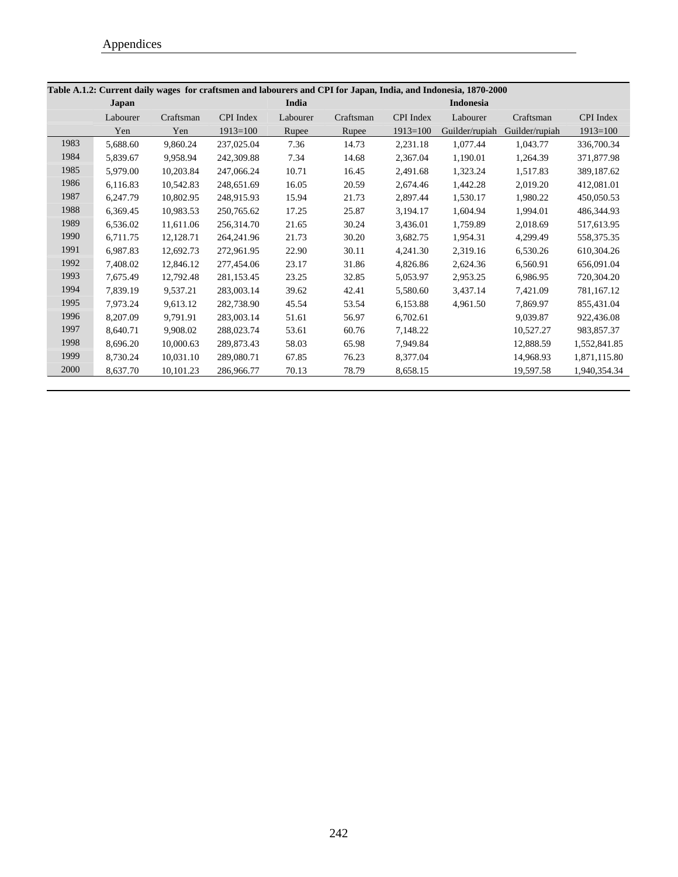| Table A.1.2: Current daily wages for craftsmen and labourers and CPI for Japan, India, and Indonesia, 1870-2000 |          |           |              |          |           |              |                  |                |                  |  |  |
|-----------------------------------------------------------------------------------------------------------------|----------|-----------|--------------|----------|-----------|--------------|------------------|----------------|------------------|--|--|
|                                                                                                                 | Japan    |           |              | India    |           |              | <b>Indonesia</b> |                |                  |  |  |
|                                                                                                                 | Labourer | Craftsman | CPI Index    | Labourer | Craftsman | CPI Index    | Labourer         | Craftsman      | <b>CPI</b> Index |  |  |
|                                                                                                                 | Yen      | Yen       | $1913=100$   | Rupee    | Rupee     | $1913 = 100$ | Guilder/rupiah   | Guilder/rupiah | $1913 = 100$     |  |  |
| 1983                                                                                                            | 5,688.60 | 9.860.24  | 237,025.04   | 7.36     | 14.73     | 2.231.18     | 1,077.44         | 1.043.77       | 336,700.34       |  |  |
| 1984                                                                                                            | 5,839.67 | 9.958.94  | 242,309.88   | 7.34     | 14.68     | 2.367.04     | 1,190.01         | 1,264.39       | 371,877.98       |  |  |
| 1985                                                                                                            | 5,979.00 | 10.203.84 | 247,066.24   | 10.71    | 16.45     | 2.491.68     | 1,323.24         | 1,517.83       | 389.187.62       |  |  |
| 1986                                                                                                            | 6,116.83 | 10,542.83 | 248,651.69   | 16.05    | 20.59     | 2,674.46     | 1,442.28         | 2,019.20       | 412,081.01       |  |  |
| 1987                                                                                                            | 6,247.79 | 10,802.95 | 248,915.93   | 15.94    | 21.73     | 2,897.44     | 1,530.17         | 1,980.22       | 450,050.53       |  |  |
| 1988                                                                                                            | 6,369.45 | 10.983.53 | 250,765.62   | 17.25    | 25.87     | 3,194.17     | 1.604.94         | 1.994.01       | 486,344.93       |  |  |
| 1989                                                                                                            | 6,536.02 | 11,611.06 | 256,314.70   | 21.65    | 30.24     | 3,436.01     | 1,759.89         | 2,018.69       | 517,613.95       |  |  |
| 1990                                                                                                            | 6,711.75 | 12,128.71 | 264, 241. 96 | 21.73    | 30.20     | 3,682.75     | 1,954.31         | 4,299.49       | 558,375.35       |  |  |
| 1991                                                                                                            | 6,987.83 | 12,692.73 | 272,961.95   | 22.90    | 30.11     | 4,241.30     | 2,319.16         | 6,530.26       | 610,304.26       |  |  |
| 1992                                                                                                            | 7,408.02 | 12,846.12 | 277,454.06   | 23.17    | 31.86     | 4,826.86     | 2,624.36         | 6,560.91       | 656,091.04       |  |  |
| 1993                                                                                                            | 7,675.49 | 12.792.48 | 281.153.45   | 23.25    | 32.85     | 5.053.97     | 2.953.25         | 6.986.95       | 720,304.20       |  |  |
| 1994                                                                                                            | 7.839.19 | 9.537.21  | 283,003.14   | 39.62    | 42.41     | 5.580.60     | 3,437.14         | 7,421.09       | 781.167.12       |  |  |
| 1995                                                                                                            | 7,973.24 | 9,613.12  | 282,738.90   | 45.54    | 53.54     | 6,153.88     | 4,961.50         | 7,869.97       | 855,431.04       |  |  |
| 1996                                                                                                            | 8,207.09 | 9.791.91  | 283,003.14   | 51.61    | 56.97     | 6,702.61     |                  | 9,039.87       | 922,436.08       |  |  |
| 1997                                                                                                            | 8,640.71 | 9.908.02  | 288,023.74   | 53.61    | 60.76     | 7,148.22     |                  | 10,527.27      | 983,857.37       |  |  |
| 1998                                                                                                            | 8,696.20 | 10,000.63 | 289,873.43   | 58.03    | 65.98     | 7.949.84     |                  | 12,888.59      | 1,552,841.85     |  |  |
| 1999                                                                                                            | 8,730.24 | 10.031.10 | 289,080.71   | 67.85    | 76.23     | 8,377.04     |                  | 14,968.93      | 1,871,115.80     |  |  |
| 2000                                                                                                            | 8,637.70 | 10,101.23 | 286,966.77   | 70.13    | 78.79     | 8,658.15     |                  | 19,597.58      | 1,940,354.34     |  |  |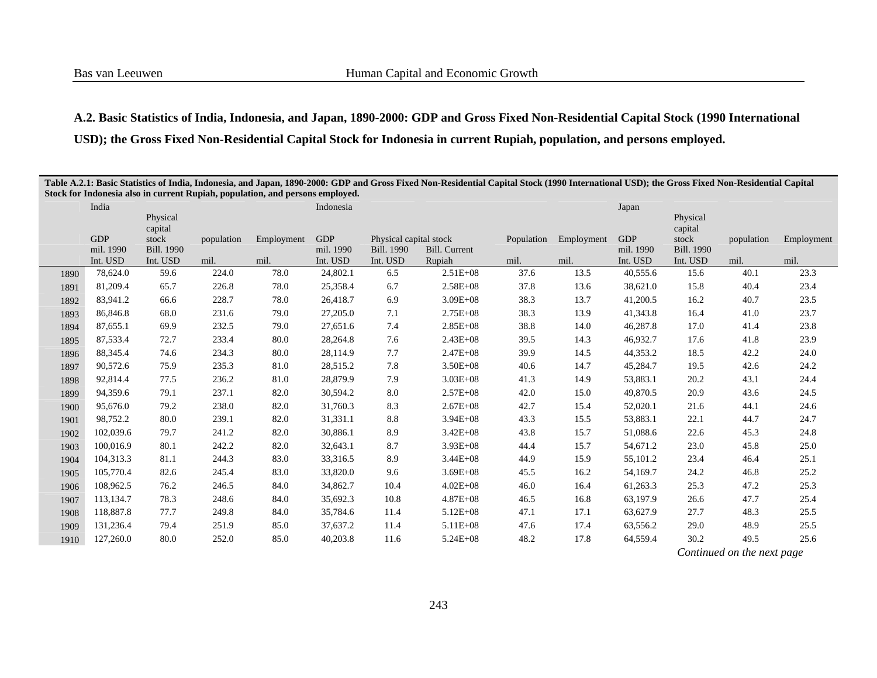# **A.2. Basic Statistics of India, Indonesia, and Japan, 1890-2000: GDP and Gross Fixed Non-Residential Capital Stock (1990 International USD); the Gross Fixed Non-Residential Capital Stock for Indonesia in current Rupiah, population, and persons employed.**

| Table A.2.1: Basic Statistics of India, Indonesia, and Japan, 1890-2000: GDP and Gross Fixed Non-Residential Capital Stock (1990 International USD); the Gross Fixed Non-Residential Capital<br>Stock for Indonesia also in current Rupiah, population, and persons employed. |           |                   |            |            |            |                        |                      |            |            |            |                   |            |            |
|-------------------------------------------------------------------------------------------------------------------------------------------------------------------------------------------------------------------------------------------------------------------------------|-----------|-------------------|------------|------------|------------|------------------------|----------------------|------------|------------|------------|-------------------|------------|------------|
|                                                                                                                                                                                                                                                                               | India     |                   |            |            | Indonesia  |                        |                      |            |            | Japan      |                   |            |            |
|                                                                                                                                                                                                                                                                               |           | Physical          |            |            |            |                        |                      |            |            |            | Physical          |            |            |
|                                                                                                                                                                                                                                                                               | GDP       | capital<br>stock  | population | Employment | <b>GDP</b> | Physical capital stock |                      | Population | Employment | <b>GDP</b> | capital<br>stock  | population | Employment |
|                                                                                                                                                                                                                                                                               | mil. 1990 | <b>Bill. 1990</b> |            |            | mil. 1990  | <b>Bill. 1990</b>      | <b>Bill.</b> Current |            |            | mil. 1990  | <b>Bill. 1990</b> |            |            |
|                                                                                                                                                                                                                                                                               | Int. USD  | Int. USD          | mil.       | mil.       | Int. USD   | Int. USD               | Rupiah               | mil.       | mil.       | Int. USD   | Int. USD          | mil.       | mil.       |
| 1890                                                                                                                                                                                                                                                                          | 78,624.0  | 59.6              | 224.0      | 78.0       | 24,802.1   | 6.5                    | $2.51E + 08$         | 37.6       | 13.5       | 40,555.6   | 15.6              | 40.1       | 23.3       |
| 1891                                                                                                                                                                                                                                                                          | 81,209.4  | 65.7              | 226.8      | 78.0       | 25,358.4   | 6.7                    | $2.58E + 08$         | 37.8       | 13.6       | 38,621.0   | 15.8              | 40.4       | 23.4       |
| 1892                                                                                                                                                                                                                                                                          | 83,941.2  | 66.6              | 228.7      | 78.0       | 26,418.7   | 6.9                    | $3.09E + 08$         | 38.3       | 13.7       | 41,200.5   | 16.2              | 40.7       | 23.5       |
| 1893                                                                                                                                                                                                                                                                          | 86,846.8  | 68.0              | 231.6      | 79.0       | 27,205.0   | 7.1                    | $2.75E + 08$         | 38.3       | 13.9       | 41,343.8   | 16.4              | 41.0       | 23.7       |
| 1894                                                                                                                                                                                                                                                                          | 87,655.1  | 69.9              | 232.5      | 79.0       | 27,651.6   | 7.4                    | $2.85E + 08$         | 38.8       | 14.0       | 46,287.8   | 17.0              | 41.4       | 23.8       |
| 1895                                                                                                                                                                                                                                                                          | 87,533.4  | 72.7              | 233.4      | 80.0       | 28,264.8   | 7.6                    | $2.43E + 08$         | 39.5       | 14.3       | 46,932.7   | 17.6              | 41.8       | 23.9       |
| 1896                                                                                                                                                                                                                                                                          | 88,345.4  | 74.6              | 234.3      | 80.0       | 28,114.9   | 7.7                    | $2.47E + 08$         | 39.9       | 14.5       | 44,353.2   | 18.5              | 42.2       | 24.0       |
| 1897                                                                                                                                                                                                                                                                          | 90,572.6  | 75.9              | 235.3      | 81.0       | 28,515.2   | 7.8                    | $3.50E + 08$         | 40.6       | 14.7       | 45,284.7   | 19.5              | 42.6       | 24.2       |
| 1898                                                                                                                                                                                                                                                                          | 92,814.4  | 77.5              | 236.2      | 81.0       | 28,879.9   | 7.9                    | $3.03E + 08$         | 41.3       | 14.9       | 53,883.1   | 20.2              | 43.1       | 24.4       |
| 1899                                                                                                                                                                                                                                                                          | 94,359.6  | 79.1              | 237.1      | 82.0       | 30,594.2   | 8.0                    | $2.57E + 08$         | 42.0       | 15.0       | 49,870.5   | 20.9              | 43.6       | 24.5       |
| 1900                                                                                                                                                                                                                                                                          | 95,676.0  | 79.2              | 238.0      | 82.0       | 31,760.3   | 8.3                    | $2.67E + 08$         | 42.7       | 15.4       | 52,020.1   | 21.6              | 44.1       | 24.6       |
| 1901                                                                                                                                                                                                                                                                          | 98,752.2  | 80.0              | 239.1      | 82.0       | 31,331.1   | 8.8                    | $3.94E + 08$         | 43.3       | 15.5       | 53,883.1   | 22.1              | 44.7       | 24.7       |
| 1902                                                                                                                                                                                                                                                                          | 102,039.6 | 79.7              | 241.2      | 82.0       | 30,886.1   | 8.9                    | $3.42E + 08$         | 43.8       | 15.7       | 51,088.6   | 22.6              | 45.3       | 24.8       |
| 1903                                                                                                                                                                                                                                                                          | 100,016.9 | 80.1              | 242.2      | 82.0       | 32,643.1   | 8.7                    | $3.93E + 08$         | 44.4       | 15.7       | 54,671.2   | 23.0              | 45.8       | 25.0       |
| 1904                                                                                                                                                                                                                                                                          | 104,313.3 | 81.1              | 244.3      | 83.0       | 33,316.5   | 8.9                    | $3.44E + 08$         | 44.9       | 15.9       | 55,101.2   | 23.4              | 46.4       | 25.1       |
| 1905                                                                                                                                                                                                                                                                          | 105,770.4 | 82.6              | 245.4      | 83.0       | 33,820.0   | 9.6                    | $3.69E + 08$         | 45.5       | 16.2       | 54,169.7   | 24.2              | 46.8       | 25.2       |
| 1906                                                                                                                                                                                                                                                                          | 108,962.5 | 76.2              | 246.5      | 84.0       | 34,862.7   | 10.4                   | $4.02E + 08$         | 46.0       | 16.4       | 61,263.3   | 25.3              | 47.2       | 25.3       |
| 1907                                                                                                                                                                                                                                                                          | 113,134.7 | 78.3              | 248.6      | 84.0       | 35,692.3   | 10.8                   | $4.87E + 08$         | 46.5       | 16.8       | 63,197.9   | 26.6              | 47.7       | 25.4       |
| 1908                                                                                                                                                                                                                                                                          | 118,887.8 | 77.7              | 249.8      | 84.0       | 35,784.6   | 11.4                   | $5.12E + 08$         | 47.1       | 17.1       | 63,627.9   | 27.7              | 48.3       | 25.5       |
| 1909                                                                                                                                                                                                                                                                          | 131,236.4 | 79.4              | 251.9      | 85.0       | 37,637.2   | 11.4                   | $5.11E + 08$         | 47.6       | 17.4       | 63,556.2   | 29.0              | 48.9       | 25.5       |
| 1910                                                                                                                                                                                                                                                                          | 127,260.0 | 80.0              | 252.0      | 85.0       | 40,203.8   | 11.6                   | $5.24E + 08$         | 48.2       | 17.8       | 64,559.4   | 30.2              | 49.5       | 25.6       |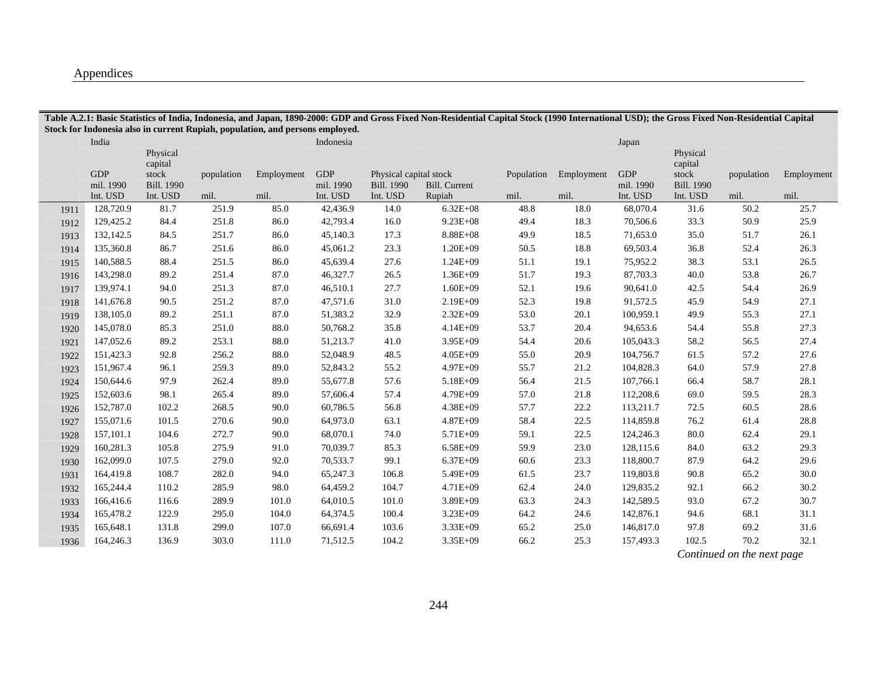## Appendices

|      |                                     |                                        |                    | Stock for Indonesia also in current Rupiah, population, and persons employed. |                                     |                                                         |                                |                    |                    |                                     |                                        |                    |                    |
|------|-------------------------------------|----------------------------------------|--------------------|-------------------------------------------------------------------------------|-------------------------------------|---------------------------------------------------------|--------------------------------|--------------------|--------------------|-------------------------------------|----------------------------------------|--------------------|--------------------|
|      | India                               | Physical<br>capital                    |                    |                                                                               | Indonesia                           |                                                         |                                |                    |                    | Japan                               | Physical<br>capital                    |                    |                    |
|      | <b>GDP</b><br>mil. 1990<br>Int. USD | stock<br><b>Bill. 1990</b><br>Int. USD | population<br>mil. | Employment<br>mil.                                                            | <b>GDP</b><br>mil. 1990<br>Int. USD | Physical capital stock<br><b>Bill. 1990</b><br>Int. USD | <b>Bill.</b> Current<br>Rupiah | Population<br>mil. | Employment<br>mil. | <b>GDP</b><br>mil. 1990<br>Int. USD | stock<br><b>Bill. 1990</b><br>Int. USD | population<br>mil. | Employment<br>mil. |
| 1911 | 128,720.9                           | 81.7                                   | 251.9              | 85.0                                                                          | 42,436.9                            | 14.0                                                    | $6.32E + 08$                   | 48.8               | 18.0               | 68,070.4                            | 31.6                                   | 50.2               | 25.7               |
| 1912 | 129,425.2                           | 84.4                                   | 251.8              | 86.0                                                                          | 42,793.4                            | 16.0                                                    | $9.23E + 08$                   | 49.4               | 18.3               | 70,506.6                            | 33.3                                   | 50.9               | 25.9               |
| 1913 | 132,142.5                           | 84.5                                   | 251.7              | 86.0                                                                          | 45,140.3                            | 17.3                                                    | $8.88E + 08$                   | 49.9               | 18.5               | 71,653.0                            | 35.0                                   | 51.7               | 26.1               |
| 1914 | 135,360.8                           | 86.7                                   | 251.6              | 86.0                                                                          | 45,061.2                            | 23.3                                                    | $1.20E + 09$                   | 50.5               | 18.8               | 69,503.4                            | 36.8                                   | 52.4               | 26.3               |
| 1915 | 140,588.5                           | 88.4                                   | 251.5              | 86.0                                                                          | 45,639.4                            | 27.6                                                    | $1.24E + 09$                   | 51.1               | 19.1               | 75,952.2                            | 38.3                                   | 53.1               | 26.5               |
| 1916 | 143,298.0                           | 89.2                                   | 251.4              | 87.0                                                                          | 46,327.7                            | 26.5                                                    | $1.36E + 09$                   | 51.7               | 19.3               | 87,703.3                            | 40.0                                   | 53.8               | 26.7               |
| 1917 | 139,974.1                           | 94.0                                   | 251.3              | 87.0                                                                          | 46,510.1                            | 27.7                                                    | $1.60E + 09$                   | 52.1               | 19.6               | 90,641.0                            | 42.5                                   | 54.4               | 26.9               |
| 1918 | 141,676.8                           | 90.5                                   | 251.2              | 87.0                                                                          | 47,571.6                            | 31.0                                                    | 2.19E+09                       | 52.3               | 19.8               | 91,572.5                            | 45.9                                   | 54.9               | 27.1               |
| 1919 | 138,105.0                           | 89.2                                   | 251.1              | 87.0                                                                          | 51,383.2                            | 32.9                                                    | $2.32E + 09$                   | 53.0               | 20.1               | 100,959.1                           | 49.9                                   | 55.3               | 27.1               |
| 1920 | 145,078.0                           | 85.3                                   | 251.0              | 88.0                                                                          | 50,768.2                            | 35.8                                                    | $4.14E + 09$                   | 53.7               | 20.4               | 94,653.6                            | 54.4                                   | 55.8               | 27.3               |
| 1921 | 147,052.6                           | 89.2                                   | 253.1              | 88.0                                                                          | 51,213.7                            | 41.0                                                    | $3.95E + 09$                   | 54.4               | 20.6               | 105,043.3                           | 58.2                                   | 56.5               | 27.4               |
| 1922 | 151,423.3                           | 92.8                                   | 256.2              | 88.0                                                                          | 52,048.9                            | 48.5                                                    | $4.05E + 09$                   | 55.0               | 20.9               | 104,756.7                           | 61.5                                   | 57.2               | 27.6               |
| 1923 | 151,967.4                           | 96.1                                   | 259.3              | 89.0                                                                          | 52,843.2                            | 55.2                                                    | 4.97E+09                       | 55.7               | 21.2               | 104,828.3                           | 64.0                                   | 57.9               | 27.8               |
| 1924 | 150,644.6                           | 97.9                                   | 262.4              | 89.0                                                                          | 55,677.8                            | 57.6                                                    | 5.18E+09                       | 56.4               | 21.5               | 107,766.1                           | 66.4                                   | 58.7               | 28.1               |
| 1925 | 152,603.6                           | 98.1                                   | 265.4              | 89.0                                                                          | 57,606.4                            | 57.4                                                    | 4.79E+09                       | 57.0               | 21.8               | 112,208.6                           | 69.0                                   | 59.5               | 28.3               |
| 1926 | 152,787.0                           | 102.2                                  | 268.5              | 90.0                                                                          | 60,786.5                            | 56.8                                                    | $4.38E + 09$                   | 57.7               | 22.2               | 113,211.7                           | 72.5                                   | 60.5               | 28.6               |
| 1927 | 155,071.6                           | 101.5                                  | 270.6              | 90.0                                                                          | 64,973.0                            | 63.1                                                    | $4.87E + 09$                   | 58.4               | 22.5               | 114,859.8                           | 76.2                                   | 61.4               | 28.8               |
| 1928 | 157,101.1                           | 104.6                                  | 272.7              | 90.0                                                                          | 68,070.1                            | 74.0                                                    | 5.71E+09                       | 59.1               | 22.5               | 124,246.3                           | 80.0                                   | 62.4               | 29.1               |
| 1929 | 160,281.3                           | 105.8                                  | 275.9              | 91.0                                                                          | 70,039.7                            | 85.3                                                    | 6.58E+09                       | 59.9               | 23.0               | 128,115.6                           | 84.0                                   | 63.2               | 29.3               |
| 1930 | 162,099.0                           | 107.5                                  | 279.0              | 92.0                                                                          | 70,533.7                            | 99.1                                                    | $6.37E + 09$                   | 60.6               | 23.3               | 118,800.7                           | 87.9                                   | 64.2               | 29.6               |
| 1931 | 164,419.8                           | 108.7                                  | 282.0              | 94.0                                                                          | 65,247.3                            | 106.8                                                   | $5.49E + 09$                   | 61.5               | 23.7               | 119,803.8                           | 90.8                                   | 65.2               | 30.0               |
| 1932 | 165,244.4                           | 110.2                                  | 285.9              | 98.0                                                                          | 64,459.2                            | 104.7                                                   | 4.71E+09                       | 62.4               | 24.0               | 129,835.2                           | 92.1                                   | 66.2               | 30.2               |
| 1933 | 166,416.6                           | 116.6                                  | 289.9              | 101.0                                                                         | 64,010.5                            | 101.0                                                   | 3.89E+09                       | 63.3               | 24.3               | 142,589.5                           | 93.0                                   | 67.2               | 30.7               |
| 1934 | 165,478.2                           | 122.9                                  | 295.0              | 104.0                                                                         | 64,374.5                            | 100.4                                                   | $3.23E + 09$                   | 64.2               | 24.6               | 142,876.1                           | 94.6                                   | 68.1               | 31.1               |
| 1935 | 165,648.1                           | 131.8                                  | 299.0              | 107.0                                                                         | 66,691.4                            | 103.6                                                   | $3.33E + 09$                   | 65.2               | 25.0               | 146,817.0                           | 97.8                                   | 69.2               | 31.6               |
| 1936 | 164,246.3                           | 136.9                                  | 303.0              | 111.0                                                                         | 71,512.5                            | 104.2                                                   | $3.35E + 09$                   | 66.2               | 25.3               | 157,493.3                           | 102.5                                  | 70.2               | 32.1               |

**Table A.2.1: Basic Statistics of India, Indonesia, and Japan, 1890-2000: GDP and Gross Fixed Non-Residential Capital Stock (1990 International USD); the Gross Fixed Non-Residential Capital**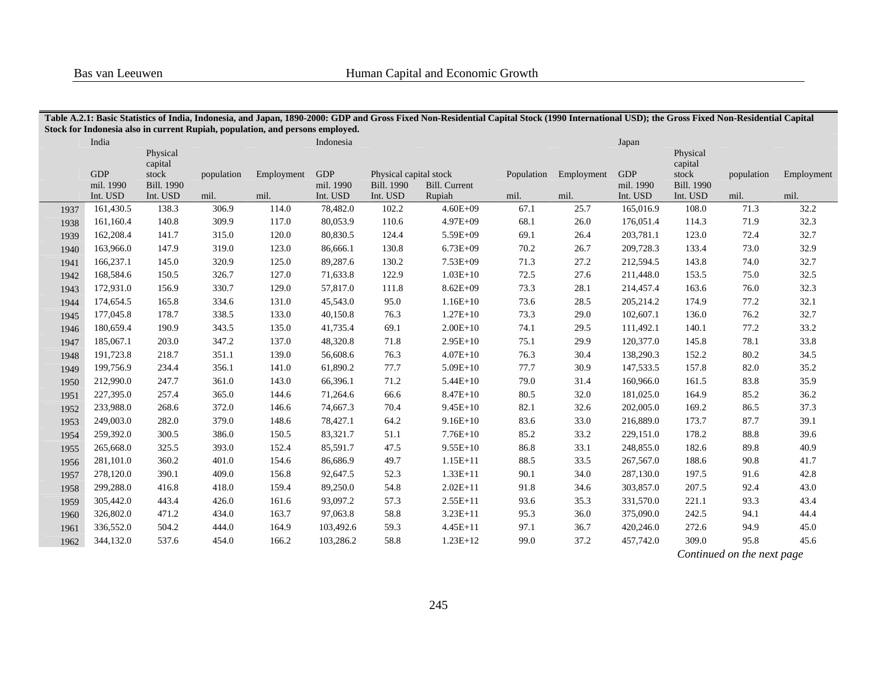|      |                         |                                                   |            | Stock for Indonesia also in current Rupiah, population, and persons employed. |                         |                                             | Table A.2.1: Basic Statistics of India, Indonesia, and Japan, 1890-2000: GDP and Gross Fixed Non-Residential Capital Stock (1990 International USD); the Gross Fixed Non-Residential Capital |            |            |                         |                                                   |            |            |
|------|-------------------------|---------------------------------------------------|------------|-------------------------------------------------------------------------------|-------------------------|---------------------------------------------|----------------------------------------------------------------------------------------------------------------------------------------------------------------------------------------------|------------|------------|-------------------------|---------------------------------------------------|------------|------------|
|      | India                   |                                                   |            |                                                                               | Indonesia               |                                             |                                                                                                                                                                                              |            |            | Japan                   |                                                   |            |            |
|      | <b>GDP</b><br>mil. 1990 | Physical<br>capital<br>stock<br><b>Bill. 1990</b> | population | Employment                                                                    | <b>GDP</b><br>mil. 1990 | Physical capital stock<br><b>Bill. 1990</b> | <b>Bill.</b> Current                                                                                                                                                                         | Population | Employment | <b>GDP</b><br>mil. 1990 | Physical<br>capital<br>stock<br><b>Bill.</b> 1990 | population | Employment |
|      | Int. USD                | Int. USD                                          | mil.       | mil.                                                                          | Int. USD                | Int. USD                                    | Rupiah                                                                                                                                                                                       | mil.       | mil.       | Int. USD                | Int. USD                                          | mil.       | mil.       |
| 1937 | 161,430.5               | 138.3                                             | 306.9      | 114.0                                                                         | 78,482.0                | 102.2                                       | $4.60E + 09$                                                                                                                                                                                 | 67.1       | 25.7       | 165,016.9               | 108.0                                             | 71.3       | 32.2       |
| 1938 | 161,160.4               | 140.8                                             | 309.9      | 117.0                                                                         | 80,053.9                | 110.6                                       | $4.97E + 09$                                                                                                                                                                                 | 68.1       | 26.0       | 176,051.4               | 114.3                                             | 71.9       | 32.3       |
| 1939 | 162,208.4               | 141.7                                             | 315.0      | 120.0                                                                         | 80,830.5                | 124.4                                       | 5.59E+09                                                                                                                                                                                     | 69.1       | 26.4       | 203,781.1               | 123.0                                             | 72.4       | 32.7       |
| 1940 | 163,966.0               | 147.9                                             | 319.0      | 123.0                                                                         | 86,666.1                | 130.8                                       | $6.73E+09$                                                                                                                                                                                   | 70.2       | 26.7       | 209,728.3               | 133.4                                             | 73.0       | 32.9       |
| 1941 | 166,237.1               | 145.0                                             | 320.9      | 125.0                                                                         | 89,287.6                | 130.2                                       | $7.53E + 09$                                                                                                                                                                                 | 71.3       | 27.2       | 212,594.5               | 143.8                                             | 74.0       | 32.7       |
| 1942 | 168,584.6               | 150.5                                             | 326.7      | 127.0                                                                         | 71,633.8                | 122.9                                       | $1.03E+10$                                                                                                                                                                                   | 72.5       | 27.6       | 211,448.0               | 153.5                                             | 75.0       | 32.5       |
| 1943 | 172,931.0               | 156.9                                             | 330.7      | 129.0                                                                         | 57,817.0                | 111.8                                       | $8.62E + 09$                                                                                                                                                                                 | 73.3       | 28.1       | 214,457.4               | 163.6                                             | 76.0       | 32.3       |
| 1944 | 174,654.5               | 165.8                                             | 334.6      | 131.0                                                                         | 45,543.0                | 95.0                                        | $1.16E+10$                                                                                                                                                                                   | 73.6       | 28.5       | 205,214.2               | 174.9                                             | 77.2       | 32.1       |
| 1945 | 177,045.8               | 178.7                                             | 338.5      | 133.0                                                                         | 40,150.8                | 76.3                                        | $1.27E+10$                                                                                                                                                                                   | 73.3       | 29.0       | 102,607.1               | 136.0                                             | 76.2       | 32.7       |
| 1946 | 180,659.4               | 190.9                                             | 343.5      | 135.0                                                                         | 41,735.4                | 69.1                                        | $2.00E+10$                                                                                                                                                                                   | 74.1       | 29.5       | 111,492.1               | 140.1                                             | 77.2       | 33.2       |
| 1947 | 185,067.1               | 203.0                                             | 347.2      | 137.0                                                                         | 48,320.8                | 71.8                                        | $2.95E+10$                                                                                                                                                                                   | 75.1       | 29.9       | 120,377.0               | 145.8                                             | 78.1       | 33.8       |
| 1948 | 191,723.8               | 218.7                                             | 351.1      | 139.0                                                                         | 56,608.6                | 76.3                                        | $4.07E+10$                                                                                                                                                                                   | 76.3       | 30.4       | 138,290.3               | 152.2                                             | 80.2       | 34.5       |
| 1949 | 199,756.9               | 234.4                                             | 356.1      | 141.0                                                                         | 61,890.2                | 77.7                                        | $5.09E+10$                                                                                                                                                                                   | 77.7       | 30.9       | 147,533.5               | 157.8                                             | 82.0       | 35.2       |
| 1950 | 212,990.0               | 247.7                                             | 361.0      | 143.0                                                                         | 66,396.1                | 71.2                                        | $5.44E+10$                                                                                                                                                                                   | 79.0       | 31.4       | 160,966.0               | 161.5                                             | 83.8       | 35.9       |
| 1951 | 227,395.0               | 257.4                                             | 365.0      | 144.6                                                                         | 71,264.6                | 66.6                                        | $8.47E+10$                                                                                                                                                                                   | 80.5       | 32.0       | 181,025.0               | 164.9                                             | 85.2       | 36.2       |
| 1952 | 233,988.0               | 268.6                                             | 372.0      | 146.6                                                                         | 74,667.3                | 70.4                                        | $9.45E+10$                                                                                                                                                                                   | 82.1       | 32.6       | 202,005.0               | 169.2                                             | 86.5       | 37.3       |
| 1953 | 249,003.0               | 282.0                                             | 379.0      | 148.6                                                                         | 78,427.1                | 64.2                                        | $9.16E + 10$                                                                                                                                                                                 | 83.6       | 33.0       | 216,889.0               | 173.7                                             | 87.7       | 39.1       |
| 1954 | 259,392.0               | 300.5                                             | 386.0      | 150.5                                                                         | 83,321.7                | 51.1                                        | $7.76E+10$                                                                                                                                                                                   | 85.2       | 33.2       | 229,151.0               | 178.2                                             | 88.8       | 39.6       |
| 1955 | 265,668.0               | 325.5                                             | 393.0      | 152.4                                                                         | 85,591.7                | 47.5                                        | $9.55E+10$                                                                                                                                                                                   | 86.8       | 33.1       | 248,855.0               | 182.6                                             | 89.8       | 40.9       |
| 1956 | 281,101.0               | 360.2                                             | 401.0      | 154.6                                                                         | 86,686.9                | 49.7                                        | $1.15E+11$                                                                                                                                                                                   | 88.5       | 33.5       | 267,567.0               | 188.6                                             | 90.8       | 41.7       |
| 1957 | 278,120.0               | 390.1                                             | 409.0      | 156.8                                                                         | 92,647.5                | 52.3                                        | $1.33E+11$                                                                                                                                                                                   | 90.1       | 34.0       | 287,130.0               | 197.5                                             | 91.6       | 42.8       |
| 1958 | 299,288.0               | 416.8                                             | 418.0      | 159.4                                                                         | 89,250.0                | 54.8                                        | $2.02E+11$                                                                                                                                                                                   | 91.8       | 34.6       | 303,857.0               | 207.5                                             | 92.4       | 43.0       |
| 1959 | 305,442.0               | 443.4                                             | 426.0      | 161.6                                                                         | 93,097.2                | 57.3                                        | $2.55E+11$                                                                                                                                                                                   | 93.6       | 35.3       | 331,570.0               | 221.1                                             | 93.3       | 43.4       |
| 1960 | 326,802.0               | 471.2                                             | 434.0      | 163.7                                                                         | 97,063.8                | 58.8                                        | $3.23E+11$                                                                                                                                                                                   | 95.3       | 36.0       | 375,090.0               | 242.5                                             | 94.1       | 44.4       |
| 1961 | 336,552.0               | 504.2                                             | 444.0      | 164.9                                                                         | 103,492.6               | 59.3                                        | $4.45E+11$                                                                                                                                                                                   | 97.1       | 36.7       | 420,246.0               | 272.6                                             | 94.9       | 45.0       |
| 1962 | 344,132.0               | 537.6                                             | 454.0      | 166.2                                                                         | 103,286.2               | 58.8                                        | $1.23E+12$                                                                                                                                                                                   | 99.0       | 37.2       | 457,742.0               | 309.0                                             | 95.8       | 45.6       |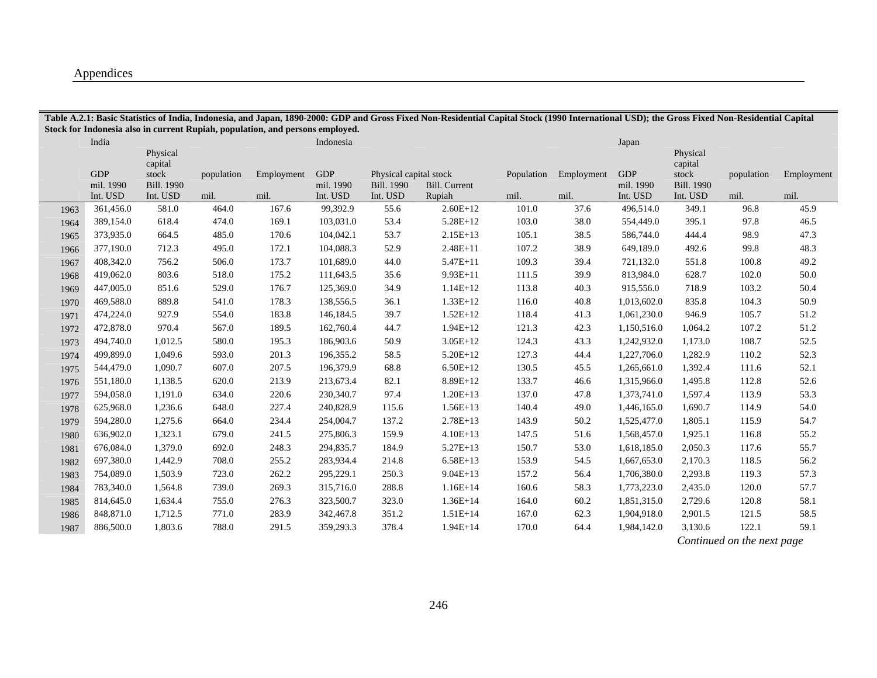## Appendices

|      |                                     |                                        |                    | Stock for Indonesia also in current Rupiah, population, and persons employed. |                                     |                                                         |                                |                    |                    |                                     |                                        |                            |                    |
|------|-------------------------------------|----------------------------------------|--------------------|-------------------------------------------------------------------------------|-------------------------------------|---------------------------------------------------------|--------------------------------|--------------------|--------------------|-------------------------------------|----------------------------------------|----------------------------|--------------------|
|      | India                               | Physical<br>capital                    |                    |                                                                               | Indonesia                           |                                                         |                                |                    |                    | Japan                               | Physical<br>capital                    |                            |                    |
|      | <b>GDP</b><br>mil. 1990<br>Int. USD | stock<br><b>Bill. 1990</b><br>Int. USD | population<br>mil. | Employment<br>mil.                                                            | <b>GDP</b><br>mil. 1990<br>Int. USD | Physical capital stock<br><b>Bill. 1990</b><br>Int. USD | <b>Bill.</b> Current<br>Rupiah | Population<br>mil. | Employment<br>mil. | <b>GDP</b><br>mil. 1990<br>Int. USD | stock<br><b>Bill. 1990</b><br>Int. USD | population<br>mil.         | Employment<br>mil. |
| 1963 | 361,456.0                           | 581.0                                  | 464.0              | 167.6                                                                         | 99,392.9                            | 55.6                                                    | $2.60E+12$                     | 101.0              | 37.6               | 496,514.0                           | 349.1                                  | 96.8                       | 45.9               |
| 1964 | 389,154.0                           | 618.4                                  | 474.0              | 169.1                                                                         | 103,031.0                           | 53.4                                                    | 5.28E+12                       | 103.0              | 38.0               | 554,449.0                           | 395.1                                  | 97.8                       | 46.5               |
| 1965 | 373,935.0                           | 664.5                                  | 485.0              | 170.6                                                                         | 104,042.1                           | 53.7                                                    | $2.15E+13$                     | 105.1              | 38.5               | 586,744.0                           | 444.4                                  | 98.9                       | 47.3               |
| 1966 | 377,190.0                           | 712.3                                  | 495.0              | 172.1                                                                         | 104,088.3                           | 52.9                                                    | $2.48E + 11$                   | 107.2              | 38.9               | 649,189.0                           | 492.6                                  | 99.8                       | 48.3               |
| 1967 | 408,342.0                           | 756.2                                  | 506.0              | 173.7                                                                         | 101,689.0                           | 44.0                                                    | $5.47E+11$                     | 109.3              | 39.4               | 721,132.0                           | 551.8                                  | 100.8                      | 49.2               |
| 1968 | 419,062.0                           | 803.6                                  | 518.0              | 175.2                                                                         | 111,643.5                           | 35.6                                                    | 9.93E+11                       | 111.5              | 39.9               | 813,984.0                           | 628.7                                  | 102.0                      | 50.0               |
| 1969 | 447,005.0                           | 851.6                                  | 529.0              | 176.7                                                                         | 125,369.0                           | 34.9                                                    | $1.14E+12$                     | 113.8              | 40.3               | 915,556.0                           | 718.9                                  | 103.2                      | 50.4               |
| 1970 | 469,588.0                           | 889.8                                  | 541.0              | 178.3                                                                         | 138,556.5                           | 36.1                                                    | $1.33E+12$                     | 116.0              | 40.8               | 1,013,602.0                         | 835.8                                  | 104.3                      | 50.9               |
| 1971 | 474,224.0                           | 927.9                                  | 554.0              | 183.8                                                                         | 146,184.5                           | 39.7                                                    | $1.52E+12$                     | 118.4              | 41.3               | 1,061,230.0                         | 946.9                                  | 105.7                      | 51.2               |
| 1972 | 472,878.0                           | 970.4                                  | 567.0              | 189.5                                                                         | 162,760.4                           | 44.7                                                    | $1.94E+12$                     | 121.3              | 42.3               | 1,150,516.0                         | 1,064.2                                | 107.2                      | 51.2               |
| 1973 | 494,740.0                           | 1,012.5                                | 580.0              | 195.3                                                                         | 186,903.6                           | 50.9                                                    | $3.05E+12$                     | 124.3              | 43.3               | 1,242,932.0                         | 1,173.0                                | 108.7                      | 52.5               |
| 1974 | 499,899.0                           | 1,049.6                                | 593.0              | 201.3                                                                         | 196,355.2                           | 58.5                                                    | $5.20E+12$                     | 127.3              | 44.4               | 1,227,706.0                         | 1,282.9                                | 110.2                      | 52.3               |
| 1975 | 544,479.0                           | 1,090.7                                | 607.0              | 207.5                                                                         | 196,379.9                           | 68.8                                                    | $6.50E+12$                     | 130.5              | 45.5               | 1,265,661.0                         | 1,392.4                                | 111.6                      | 52.1               |
| 1976 | 551,180.0                           | 1,138.5                                | 620.0              | 213.9                                                                         | 213,673.4                           | 82.1                                                    | 8.89E+12                       | 133.7              | 46.6               | 1,315,966.0                         | 1,495.8                                | 112.8                      | 52.6               |
| 1977 | 594,058.0                           | 1,191.0                                | 634.0              | 220.6                                                                         | 230,340.7                           | 97.4                                                    | $1.20E+13$                     | 137.0              | 47.8               | 1,373,741.0                         | 1,597.4                                | 113.9                      | 53.3               |
| 1978 | 625,968.0                           | 1,236.6                                | 648.0              | 227.4                                                                         | 240,828.9                           | 115.6                                                   | $1.56E+13$                     | 140.4              | 49.0               | 1,446,165.0                         | 1,690.7                                | 114.9                      | 54.0               |
| 1979 | 594,280.0                           | 1,275.6                                | 664.0              | 234.4                                                                         | 254,004.7                           | 137.2                                                   | $2.78E+13$                     | 143.9              | 50.2               | 1,525,477.0                         | 1,805.1                                | 115.9                      | 54.7               |
| 1980 | 636,902.0                           | 1,323.1                                | 679.0              | 241.5                                                                         | 275,806.3                           | 159.9                                                   | $4.10E+13$                     | 147.5              | 51.6               | 1,568,457.0                         | 1,925.1                                | 116.8                      | 55.2               |
| 1981 | 676,084.0                           | 1,379.0                                | 692.0              | 248.3                                                                         | 294,835.7                           | 184.9                                                   | $5.27E+13$                     | 150.7              | 53.0               | 1,618,185.0                         | 2,050.3                                | 117.6                      | 55.7               |
| 1982 | 697,380.0                           | 1,442.9                                | 708.0              | 255.2                                                                         | 283,934.4                           | 214.8                                                   | $6.58E+13$                     | 153.9              | 54.5               | 1,667,653.0                         | 2,170.3                                | 118.5                      | 56.2               |
| 1983 | 754,089.0                           | 1,503.9                                | 723.0              | 262.2                                                                         | 295,229.1                           | 250.3                                                   | $9.04E+13$                     | 157.2              | 56.4               | 1,706,380.0                         | 2,293.8                                | 119.3                      | 57.3               |
| 1984 | 783,340.0                           | 1,564.8                                | 739.0              | 269.3                                                                         | 315,716.0                           | 288.8                                                   | $1.16E + 14$                   | 160.6              | 58.3               | 1,773,223.0                         | 2,435.0                                | 120.0                      | 57.7               |
| 1985 | 814,645.0                           | 1,634.4                                | 755.0              | 276.3                                                                         | 323,500.7                           | 323.0                                                   | $1.36E+14$                     | 164.0              | 60.2               | 1,851,315.0                         | 2,729.6                                | 120.8                      | 58.1               |
| 1986 | 848,871.0                           | 1,712.5                                | 771.0              | 283.9                                                                         | 342,467.8                           | 351.2                                                   | $1.51E+14$                     | 167.0              | 62.3               | 1,904,918.0                         | 2,901.5                                | 121.5                      | 58.5               |
| 1987 | 886,500.0                           | 1,803.6                                | 788.0              | 291.5                                                                         | 359,293.3                           | 378.4                                                   | $1.94E+14$                     | 170.0              | 64.4               | 1,984,142.0                         | 3,130.6                                | 122.1                      | 59.1               |
|      |                                     |                                        |                    |                                                                               |                                     |                                                         |                                |                    |                    |                                     |                                        | Continued on the next page |                    |

**Table A.2.1: Basic Statistics of India, Indonesia, and Japan, 1890-2000: GDP and Gross Fixed Non-Residential Capital Stock (1990 International USD); the Gross Fixed Non-Residential Capital** 

246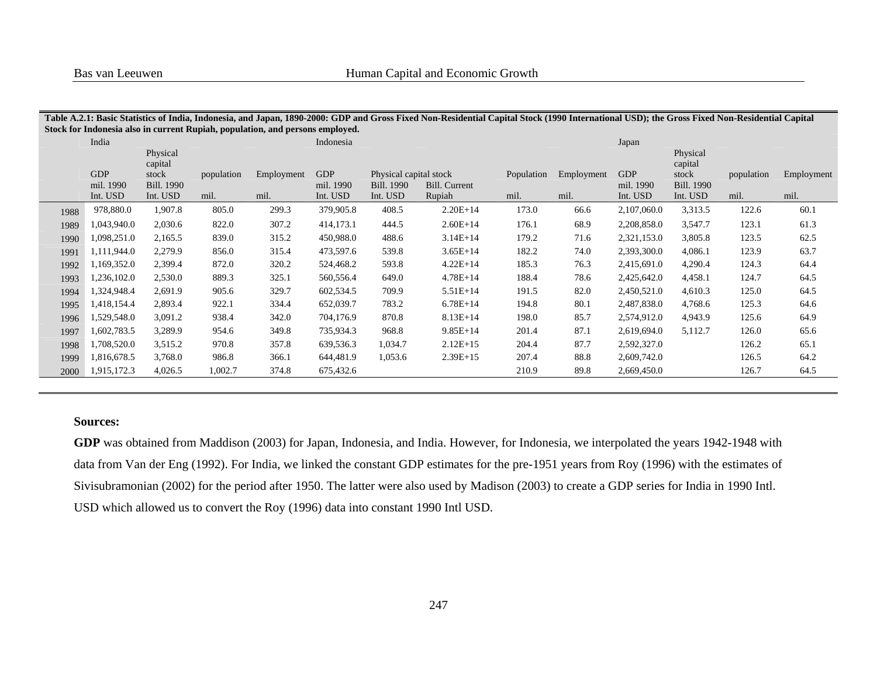|      |                       |                               |            | Stock for Indonesia also in current Rupiah, population, and persons employed. |                       |                               | Table A.2.1: Basic Statistics of India, Indonesia, and Japan, 1890-2000: GDP and Gross Fixed Non-Residential Capital Stock (1990 International USD); the Gross Fixed Non-Residential Capital |            |            |                       |                               |            |            |
|------|-----------------------|-------------------------------|------------|-------------------------------------------------------------------------------|-----------------------|-------------------------------|----------------------------------------------------------------------------------------------------------------------------------------------------------------------------------------------|------------|------------|-----------------------|-------------------------------|------------|------------|
|      | India                 |                               |            |                                                                               | Indonesia             |                               |                                                                                                                                                                                              |            |            | Japan                 |                               |            |            |
|      |                       | Physical<br>capital           |            |                                                                               |                       |                               |                                                                                                                                                                                              |            |            |                       | Physical<br>capital           |            |            |
|      | <b>GDP</b>            | stock                         | population | Employment                                                                    | <b>GDP</b>            | Physical capital stock        |                                                                                                                                                                                              | Population | Employment | <b>GDP</b>            | stock                         | population | Employment |
|      | mil. 1990<br>Int. USD | <b>Bill. 1990</b><br>Int. USD | mil.       | mil.                                                                          | mil. 1990<br>Int. USD | <b>Bill.</b> 1990<br>Int. USD | Bill. Current<br>Rupiah                                                                                                                                                                      | mil.       | mil.       | mil. 1990<br>Int. USD | <b>Bill. 1990</b><br>Int. USD | mil.       | mil.       |
| 1988 | 978,880.0             | 1,907.8                       | 805.0      | 299.3                                                                         | 379,905.8             | 408.5                         | $2.20E+14$                                                                                                                                                                                   | 173.0      | 66.6       | 2,107,060.0           | 3,313.5                       | 122.6      | 60.1       |
| 1989 | 1,043,940.0           | 2,030.6                       | 822.0      | 307.2                                                                         | 414,173.1             | 444.5                         | $2.60E+14$                                                                                                                                                                                   | 176.1      | 68.9       | 2,208,858.0           | 3,547.7                       | 123.1      | 61.3       |
| 1990 | 1,098,251.0           | 2,165.5                       | 839.0      | 315.2                                                                         | 450,988.0             | 488.6                         | $3.14E + 14$                                                                                                                                                                                 | 179.2      | 71.6       | 2,321,153.0           | 3,805.8                       | 123.5      | 62.5       |
| 1991 | 1,111,944.0           | 2,279.9                       | 856.0      | 315.4                                                                         | 473,597.6             | 539.8                         | $3.65E+14$                                                                                                                                                                                   | 182.2      | 74.0       | 2,393,300.0           | 4,086.1                       | 123.9      | 63.7       |
| 1992 | 1,169,352.0           | 2,399.4                       | 872.0      | 320.2                                                                         | 524,468.2             | 593.8                         | $4.22E+14$                                                                                                                                                                                   | 185.3      | 76.3       | 2,415,691.0           | 4,290.4                       | 124.3      | 64.4       |
| 1993 | 1,236,102.0           | 2,530.0                       | 889.3      | 325.1                                                                         | 560,556.4             | 649.0                         | $4.78E + 14$                                                                                                                                                                                 | 188.4      | 78.6       | 2,425,642.0           | 4,458.1                       | 124.7      | 64.5       |
| 1994 | 1,324,948.4           | 2,691.9                       | 905.6      | 329.7                                                                         | 602,534.5             | 709.9                         | $5.51E+14$                                                                                                                                                                                   | 191.5      | 82.0       | 2,450,521.0           | 4,610.3                       | 125.0      | 64.5       |
| 1995 | 1,418,154.4           | 2,893.4                       | 922.1      | 334.4                                                                         | 652,039.7             | 783.2                         | $6.78E+14$                                                                                                                                                                                   | 194.8      | 80.1       | 2,487,838.0           | 4,768.6                       | 125.3      | 64.6       |
| 1996 | 1,529,548.0           | 3,091.2                       | 938.4      | 342.0                                                                         | 704,176.9             | 870.8                         | $8.13E+14$                                                                                                                                                                                   | 198.0      | 85.7       | 2,574,912.0           | 4,943.9                       | 125.6      | 64.9       |
| 1997 | 1,602,783.5           | 3,289.9                       | 954.6      | 349.8                                                                         | 735,934.3             | 968.8                         | $9.85E+14$                                                                                                                                                                                   | 201.4      | 87.1       | 2,619,694.0           | 5,112.7                       | 126.0      | 65.6       |
| 1998 | 1,708,520.0           | 3,515.2                       | 970.8      | 357.8                                                                         | 639,536.3             | 1,034.7                       | $2.12E+15$                                                                                                                                                                                   | 204.4      | 87.7       | 2,592,327.0           |                               | 126.2      | 65.1       |
| 1999 | 1,816,678.5           | 3,768.0                       | 986.8      | 366.1                                                                         | 644,481.9             | 1,053.6                       | $2.39E+15$                                                                                                                                                                                   | 207.4      | 88.8       | 2,609,742.0           |                               | 126.5      | 64.2       |
| 2000 | 1,915,172.3           | 4,026.5                       | 1,002.7    | 374.8                                                                         | 675,432.6             |                               |                                                                                                                                                                                              | 210.9      | 89.8       | 2,669,450.0           |                               | 126.7      | 64.5       |

# **Table A.2.1: Basic Statistics of India, Indonesia, and Japan, 1890-2000: GDP and Gross Fixed Non-Residential Capital Stock (1990 International USD); the Gross Fixed Non-Residential Capital**

#### **Sources:**

**GDP** was obtained from Maddison (2003) for Japan, Indonesia, and India. However, for Indonesia, we interpolated the years 1942-1948 with data from Van der Eng (1992). For India, we linked the constant GDP estimates for the pre-1951 years from Roy (1996) with the estimates of Sivisubramonian (2002) for the period after 1950. The latter were also used by Madison (2003) to create a GDP series for India in 1990 Intl. USD which allowed us to convert the Roy (1996) data into constant 1990 Intl USD.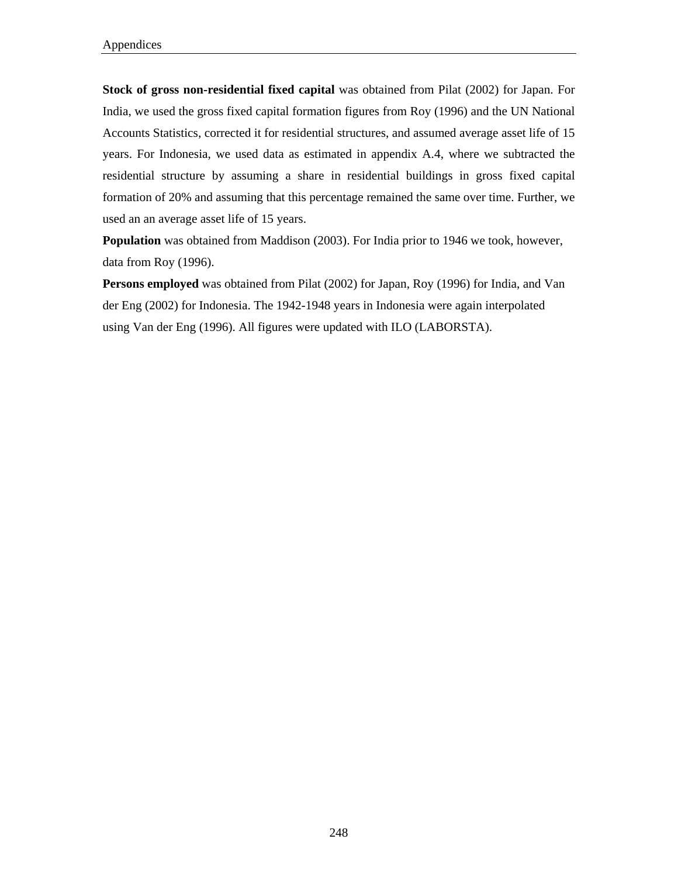**Stock of gross non-residential fixed capital** was obtained from Pilat (2002) for Japan. For India, we used the gross fixed capital formation figures from Roy (1996) and the UN National Accounts Statistics, corrected it for residential structures, and assumed average asset life of 15 years. For Indonesia, we used data as estimated in appendix A.4, where we subtracted the residential structure by assuming a share in residential buildings in gross fixed capital formation of 20% and assuming that this percentage remained the same over time. Further, we used an an average asset life of 15 years.

**Population** was obtained from Maddison (2003). For India prior to 1946 we took, however, data from Roy (1996).

**Persons employed** was obtained from Pilat (2002) for Japan, Roy (1996) for India, and Van der Eng (2002) for Indonesia. The 1942-1948 years in Indonesia were again interpolated using Van der Eng (1996). All figures were updated with ILO (LABORSTA).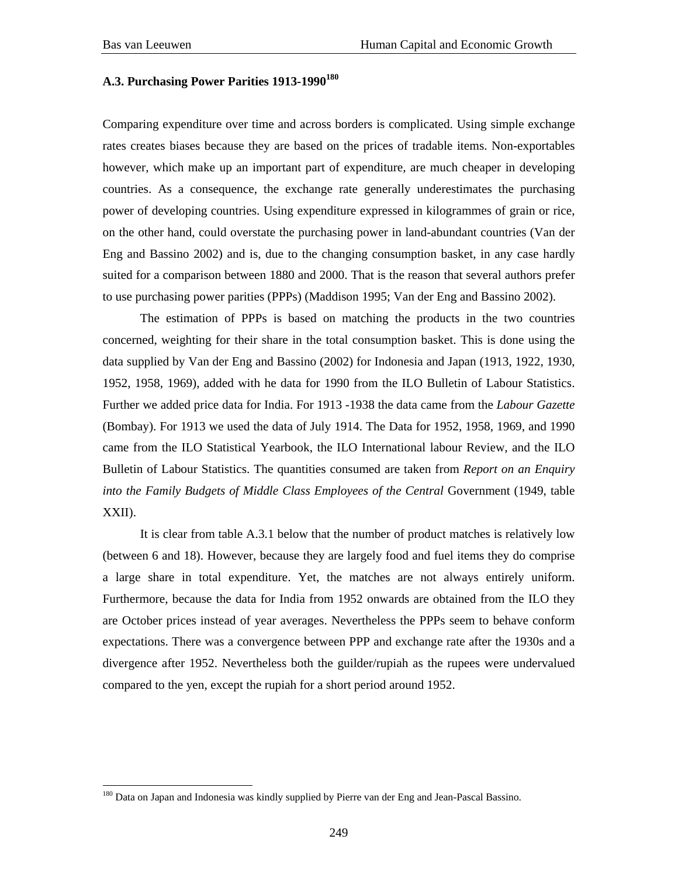$\overline{a}$ 

## A.3. Purchasing Power Parities 1913-1990<sup>180</sup>

Comparing expenditure over time and across borders is complicated. Using simple exchange rates creates biases because they are based on the prices of tradable items. Non-exportables however, which make up an important part of expenditure, are much cheaper in developing countries. As a consequence, the exchange rate generally underestimates the purchasing power of developing countries. Using expenditure expressed in kilogrammes of grain or rice, on the other hand, could overstate the purchasing power in land-abundant countries (Van der Eng and Bassino 2002) and is, due to the changing consumption basket, in any case hardly suited for a comparison between 1880 and 2000. That is the reason that several authors prefer to use purchasing power parities (PPPs) (Maddison 1995; Van der Eng and Bassino 2002).

 The estimation of PPPs is based on matching the products in the two countries concerned, weighting for their share in the total consumption basket. This is done using the data supplied by Van der Eng and Bassino (2002) for Indonesia and Japan (1913, 1922, 1930, 1952, 1958, 1969), added with he data for 1990 from the ILO Bulletin of Labour Statistics. Further we added price data for India. For 1913 -1938 the data came from the *Labour Gazette* (Bombay). For 1913 we used the data of July 1914. The Data for 1952, 1958, 1969, and 1990 came from the ILO Statistical Yearbook, the ILO International labour Review, and the ILO Bulletin of Labour Statistics. The quantities consumed are taken from *Report on an Enquiry into the Family Budgets of Middle Class Employees of the Central Government (1949, table into the Family Budgets of Middle Class Employees of the Central Government (1949, table* XXII).

 It is clear from table A.3.1 below that the number of product matches is relatively low (between 6 and 18). However, because they are largely food and fuel items they do comprise a large share in total expenditure. Yet, the matches are not always entirely uniform. Furthermore, because the data for India from 1952 onwards are obtained from the ILO they are October prices instead of year averages. Nevertheless the PPPs seem to behave conform expectations. There was a convergence between PPP and exchange rate after the 1930s and a divergence after 1952. Nevertheless both the guilder/rupiah as the rupees were undervalued compared to the yen, except the rupiah for a short period around 1952.

<sup>&</sup>lt;sup>180</sup> Data on Japan and Indonesia was kindly supplied by Pierre van der Eng and Jean-Pascal Bassino.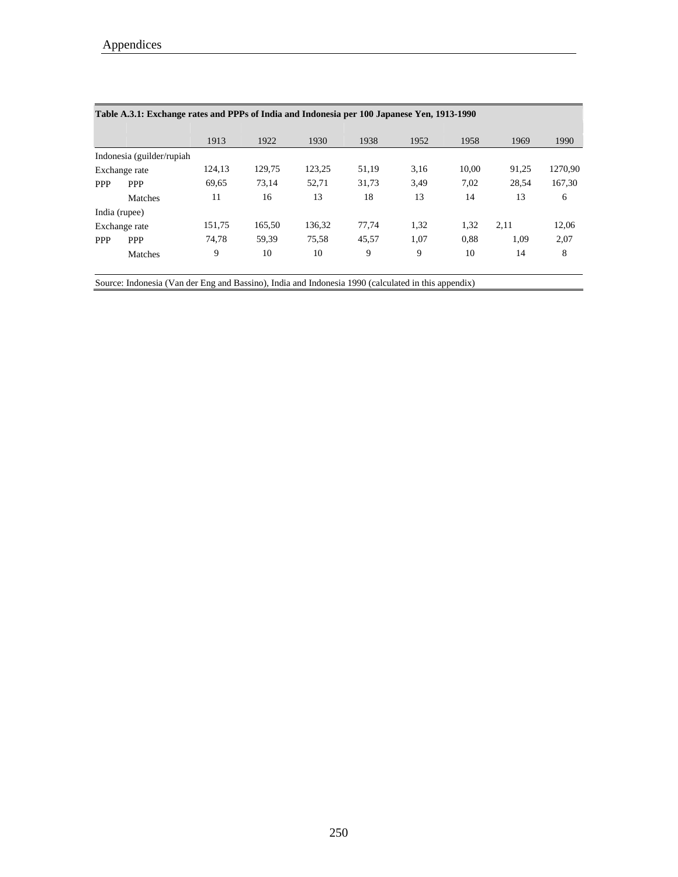| Table A.3.1: Exchange rates and PPPs of India and Indonesia per 100 Japanese Yen, 1913-1990 |        |                            |        |       |      |       |       |         |  |  |  |  |
|---------------------------------------------------------------------------------------------|--------|----------------------------|--------|-------|------|-------|-------|---------|--|--|--|--|
|                                                                                             | 1913   | 1922                       | 1930   | 1938  | 1952 | 1958  | 1969  | 1990    |  |  |  |  |
|                                                                                             |        |                            |        |       |      |       |       |         |  |  |  |  |
| Exchange rate                                                                               | 124,13 | 129,75                     | 123,25 | 51,19 | 3,16 | 10,00 | 91,25 | 1270,90 |  |  |  |  |
| <b>PPP</b>                                                                                  | 69,65  | 73.14                      | 52.71  | 31,73 | 3,49 | 7,02  | 28.54 | 167,30  |  |  |  |  |
| Matches                                                                                     | 11     | 16                         | 13     | 18    | 13   | 14    | 13    | 6       |  |  |  |  |
| India (rupee)                                                                               |        |                            |        |       |      |       |       |         |  |  |  |  |
| Exchange rate                                                                               | 151,75 | 165,50                     | 136.32 | 77.74 | 1,32 | 1,32  | 2.11  | 12,06   |  |  |  |  |
| <b>PPP</b>                                                                                  | 74,78  | 59,39                      | 75,58  | 45,57 | 1,07 | 0,88  | 1,09  | 2,07    |  |  |  |  |
| Matches                                                                                     | 9      | 10                         | 10     | 9     | 9    | 10    | 14    | 8       |  |  |  |  |
|                                                                                             |        | Indonesia (guilder/rupiah) |        |       |      |       |       |         |  |  |  |  |

Source: Indonesia (Van der Eng and Bassino), India and Indonesia 1990 (calculated in this appendix)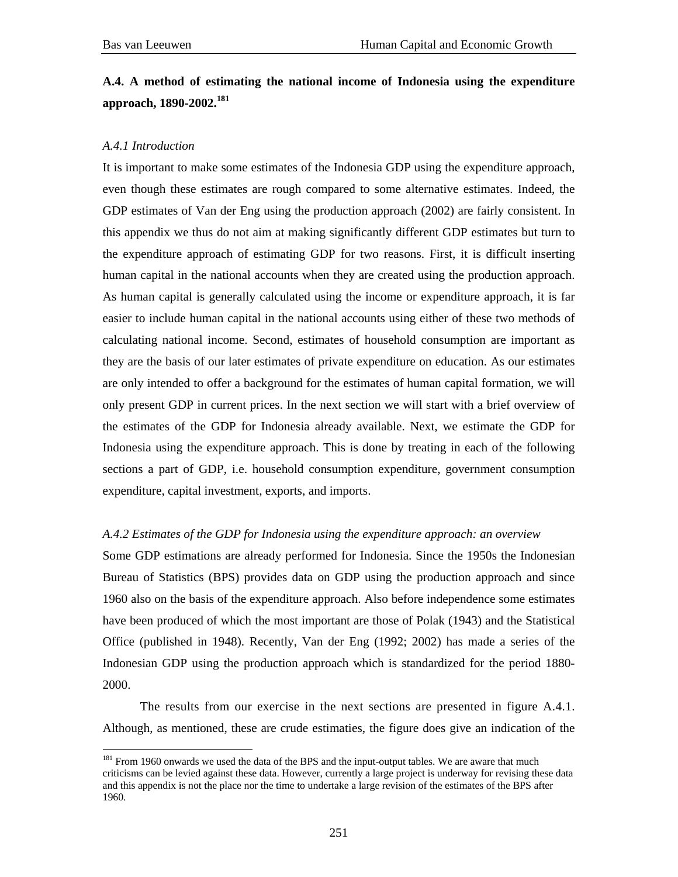## **A.4. A method of estimating the national income of Indonesia using the expenditure approach, 1890-2002.<sup>181</sup>**

## *A.4.1 Introduction*

 $\overline{a}$ 

It is important to make some estimates of the Indonesia GDP using the expenditure approach, even though these estimates are rough compared to some alternative estimates. Indeed, the GDP estimates of Van der Eng using the production approach (2002) are fairly consistent. In this appendix we thus do not aim at making significantly different GDP estimates but turn to the expenditure approach of estimating GDP for two reasons. First, it is difficult inserting human capital in the national accounts when they are created using the production approach. As human capital is generally calculated using the income or expenditure approach, it is far easier to include human capital in the national accounts using either of these two methods of calculating national income. Second, estimates of household consumption are important as they are the basis of our later estimates of private expenditure on education. As our estimates are only intended to offer a background for the estimates of human capital formation, we will only present GDP in current prices. In the next section we will start with a brief overview of the estimates of the GDP for Indonesia already available. Next, we estimate the GDP for Indonesia using the expenditure approach. This is done by treating in each of the following sections a part of GDP, i.e. household consumption expenditure, government consumption expenditure, capital investment, exports, and imports.

## *A.4.2 Estimates of the GDP for Indonesia using the expenditure approach: an overview*

Some GDP estimations are already performed for Indonesia. Since the 1950s the Indonesian Bureau of Statistics (BPS) provides data on GDP using the production approach and since 1960 also on the basis of the expenditure approach. Also before independence some estimates have been produced of which the most important are those of Polak (1943) and the Statistical Office (published in 1948). Recently, Van der Eng (1992; 2002) has made a series of the Indonesian GDP using the production approach which is standardized for the period 1880- 2000.

 The results from our exercise in the next sections are presented in figure A.4.1. Although, as mentioned, these are crude estimaties, the figure does give an indication of the

<sup>&</sup>lt;sup>181</sup> From 1960 onwards we used the data of the BPS and the input-output tables. We are aware that much criticisms can be levied against these data. However, currently a large project is underway for revising these data and this appendix is not the place nor the time to undertake a large revision of the estimates of the BPS after 1960.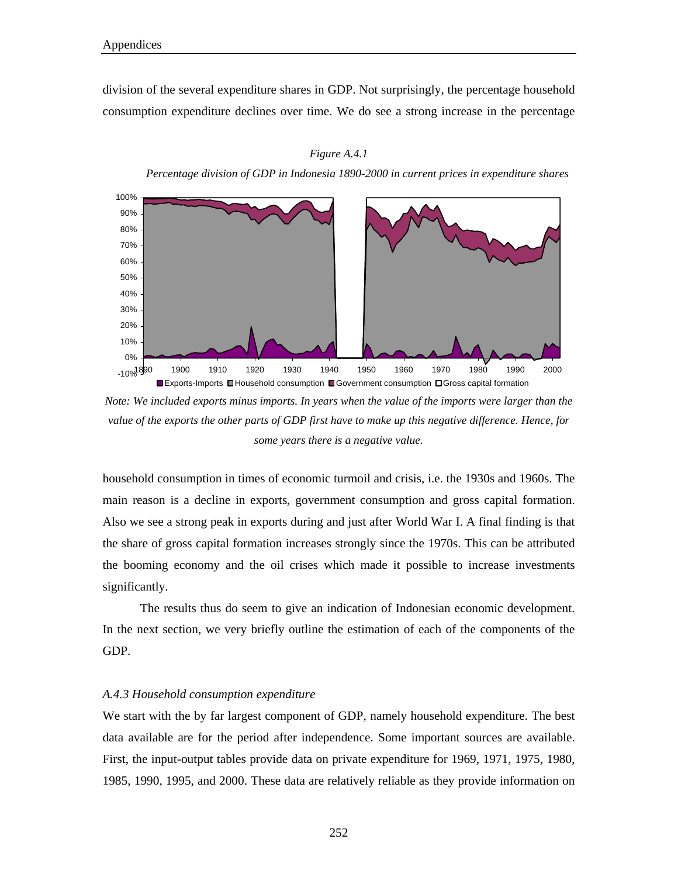division of the several expenditure shares in GDP. Not surprisingly, the percentage household consumption expenditure declines over time. We do see a strong increase in the percentage



*Figure A.4.1* 

*Percentage division of GDP in Indonesia 1890-2000 in current prices in expenditure shares* 

*Note: We included exports minus imports. In years when the value of the imports were larger than the value of the exports the other parts of GDP first have to make up this negative difference. Hence, for some years there is a negative value.* 

household consumption in times of economic turmoil and crisis, i.e. the 1930s and 1960s. The main reason is a decline in exports, government consumption and gross capital formation. Also we see a strong peak in exports during and just after World War I. A final finding is that the share of gross capital formation increases strongly since the 1970s. This can be attributed the booming economy and the oil crises which made it possible to increase investments significantly.

The results thus do seem to give an indication of Indonesian economic development. In the next section, we very briefly outline the estimation of each of the components of the GDP.

## *A.4.3 Household consumption expenditure*

We start with the by far largest component of GDP, namely household expenditure. The best data available are for the period after independence. Some important sources are available. First, the input-output tables provide data on private expenditure for 1969, 1971, 1975, 1980, 1985, 1990, 1995, and 2000. These data are relatively reliable as they provide information on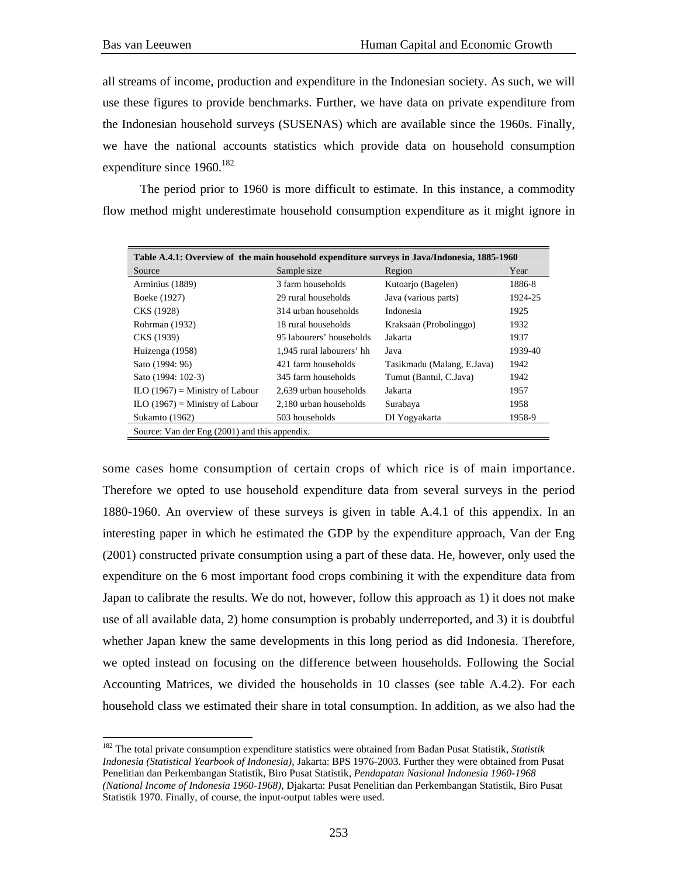all streams of income, production and expenditure in the Indonesian society. As such, we will use these figures to provide benchmarks. Further, we have data on private expenditure from the Indonesian household surveys (SUSENAS) which are available since the 1960s. Finally, we have the national accounts statistics which provide data on household consumption expenditure since 1960.<sup>182</sup>

 The period prior to 1960 is more difficult to estimate. In this instance, a commodity flow method might underestimate household consumption expenditure as it might ignore in

| Table A.4.1: Overview of the main household expenditure surveys in Java/Indonesia, 1885-1960 |                           |                            |         |  |  |  |  |  |  |  |
|----------------------------------------------------------------------------------------------|---------------------------|----------------------------|---------|--|--|--|--|--|--|--|
| Source                                                                                       | Sample size               | Region                     | Year    |  |  |  |  |  |  |  |
| Arminius (1889)                                                                              | 3 farm households         | Kutoarjo (Bagelen)         | 1886-8  |  |  |  |  |  |  |  |
| Boeke (1927)                                                                                 | 29 rural households       | Java (various parts)       | 1924-25 |  |  |  |  |  |  |  |
| CKS (1928)                                                                                   | 314 urban households      | Indonesia                  | 1925    |  |  |  |  |  |  |  |
| Rohrman (1932)                                                                               | 18 rural households       | Kraksaän (Probolinggo)     | 1932    |  |  |  |  |  |  |  |
| CKS (1939)                                                                                   | 95 labourers' households  | Jakarta                    | 1937    |  |  |  |  |  |  |  |
| Huizenga (1958)                                                                              | 1.945 rural labourers' hh | Java                       | 1939-40 |  |  |  |  |  |  |  |
| Sato (1994: 96)                                                                              | 421 farm households       | Tasikmadu (Malang, E.Java) | 1942    |  |  |  |  |  |  |  |
| Sato (1994: 102-3)                                                                           | 345 farm households       | Tumut (Bantul, C.Java)     | 1942    |  |  |  |  |  |  |  |
| $ILO(1967) =$ Ministry of Labour                                                             | 2.639 urban households    | Jakarta                    | 1957    |  |  |  |  |  |  |  |
| $ILO(1967) =$ Ministry of Labour                                                             | 2.180 urban households    | Surabaya                   | 1958    |  |  |  |  |  |  |  |
| Sukamto (1962)                                                                               | 503 households            | DI Yogyakarta              | 1958-9  |  |  |  |  |  |  |  |
| Source: Van der Eng (2001) and this appendix.                                                |                           |                            |         |  |  |  |  |  |  |  |

some cases home consumption of certain crops of which rice is of main importance. Therefore we opted to use household expenditure data from several surveys in the period 1880-1960. An overview of these surveys is given in table A.4.1 of this appendix. In an interesting paper in which he estimated the GDP by the expenditure approach, Van der Eng (2001) constructed private consumption using a part of these data. He, however, only used the expenditure on the 6 most important food crops combining it with the expenditure data from Japan to calibrate the results. We do not, however, follow this approach as 1) it does not make use of all available data, 2) home consumption is probably underreported, and 3) it is doubtful whether Japan knew the same developments in this long period as did Indonesia. Therefore, we opted instead on focusing on the difference between households. Following the Social Accounting Matrices, we divided the households in 10 classes (see table A.4.2). For each household class we estimated their share in total consumption. In addition, as we also had the

<sup>182</sup> The total private consumption expenditure statistics were obtained from Badan Pusat Statistik, *Statistik Indonesia (Statistical Yearbook of Indonesia)*, Jakarta: BPS 1976-2003. Further they were obtained from Pusat Penelitian dan Perkembangan Statistik, Biro Pusat Statistik, *Pendapatan Nasional Indonesia 1960-1968 (National Income of Indonesia 1960-1968)*, Djakarta: Pusat Penelitian dan Perkembangan Statistik, Biro Pusat Statistik 1970. Finally, of course, the input-output tables were used.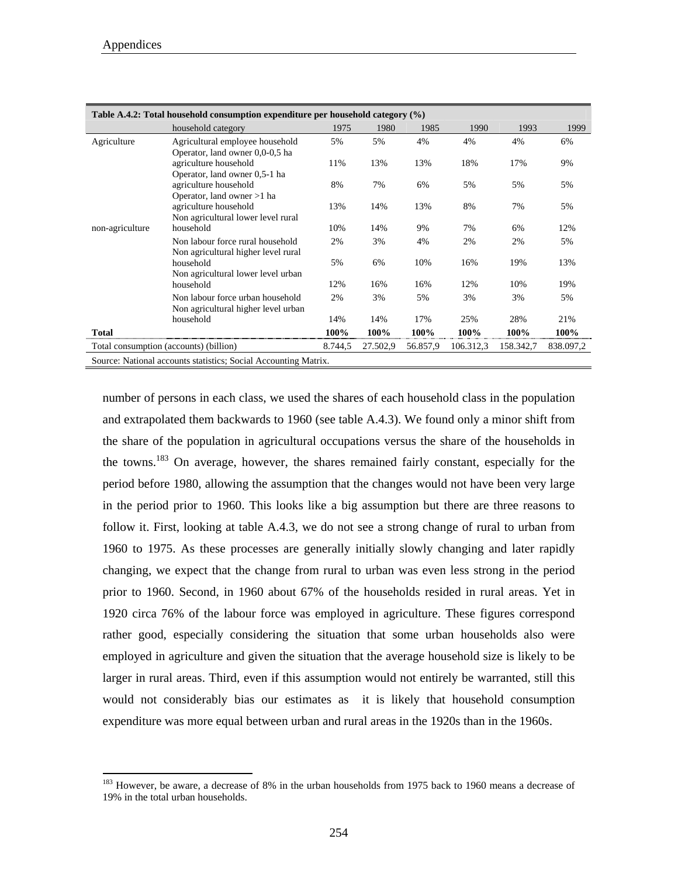$\overline{a}$ 

|                 | Table A.4.2: Total household consumption expenditure per household category $(\%)$                               |      |      |      |      |      |      |  |  |  |  |  |
|-----------------|------------------------------------------------------------------------------------------------------------------|------|------|------|------|------|------|--|--|--|--|--|
|                 | household category                                                                                               | 1975 | 1980 | 1985 | 1990 | 1993 | 1999 |  |  |  |  |  |
| Agriculture     | Agricultural employee household                                                                                  | 5%   | 5%   | 4%   | 4%   | 4%   | 6%   |  |  |  |  |  |
|                 | Operator, land owner 0,0-0,5 ha                                                                                  |      |      |      |      |      |      |  |  |  |  |  |
|                 | agriculture household                                                                                            | 11%  | 13%  | 13%  | 18%  | 17%  | 9%   |  |  |  |  |  |
|                 | Operator, land owner 0,5-1 ha                                                                                    |      |      |      |      |      |      |  |  |  |  |  |
|                 | agriculture household                                                                                            | 8%   | 7%   | 6%   | 5%   | 5%   | 5%   |  |  |  |  |  |
|                 | Operator, land owner >1 ha                                                                                       |      |      |      |      |      |      |  |  |  |  |  |
|                 | agriculture household                                                                                            | 13%  | 14%  | 13%  | 8%   | 7%   | 5%   |  |  |  |  |  |
| non-agriculture | Non agricultural lower level rural<br>household                                                                  | 10%  | 14%  | 9%   | 7%   | 6%   | 12%  |  |  |  |  |  |
|                 | Non labour force rural household                                                                                 | 2%   | 3%   | 4%   | 2%   | 2%   | 5%   |  |  |  |  |  |
|                 | Non agricultural higher level rural                                                                              |      |      |      |      |      |      |  |  |  |  |  |
|                 | household                                                                                                        | 5%   | 6%   | 10%  | 16%  | 19%  | 13%  |  |  |  |  |  |
|                 | Non agricultural lower level urban                                                                               |      |      |      |      |      |      |  |  |  |  |  |
|                 | household                                                                                                        | 12%  | 16%  | 16%  | 12%  | 10%  | 19%  |  |  |  |  |  |
|                 | Non labour force urban household                                                                                 | 2%   | 3%   | 5%   | 3%   | 3%   | 5%   |  |  |  |  |  |
|                 | Non agricultural higher level urban                                                                              |      |      |      |      |      |      |  |  |  |  |  |
|                 | household                                                                                                        | 14%  | 14%  | 17%  | 25%  | 28%  | 21%  |  |  |  |  |  |
| <b>Total</b>    |                                                                                                                  | 100% | 100% | 100% | 100% | 100% | 100% |  |  |  |  |  |
|                 | 106.312,3<br>158.342,7<br>838.097,2<br>Total consumption (accounts) (billion)<br>8.744,5<br>27.502,9<br>56.857,9 |      |      |      |      |      |      |  |  |  |  |  |
|                 | Source: National accounts statistics; Social Accounting Matrix.                                                  |      |      |      |      |      |      |  |  |  |  |  |

number of persons in each class, we used the shares of each household class in the population and extrapolated them backwards to 1960 (see table A.4.3). We found only a minor shift from the share of the population in agricultural occupations versus the share of the households in the towns.183 On average, however, the shares remained fairly constant, especially for the period before 1980, allowing the assumption that the changes would not have been very large in the period prior to 1960. This looks like a big assumption but there are three reasons to follow it. First, looking at table A.4.3, we do not see a strong change of rural to urban from 1960 to 1975. As these processes are generally initially slowly changing and later rapidly changing, we expect that the change from rural to urban was even less strong in the period prior to 1960. Second, in 1960 about 67% of the households resided in rural areas. Yet in 1920 circa 76% of the labour force was employed in agriculture. These figures correspond rather good, especially considering the situation that some urban households also were employed in agriculture and given the situation that the average household size is likely to be larger in rural areas. Third, even if this assumption would not entirely be warranted, still this would not considerably bias our estimates as it is likely that household consumption expenditure was more equal between urban and rural areas in the 1920s than in the 1960s.

<sup>&</sup>lt;sup>183</sup> However, be aware, a decrease of 8% in the urban households from 1975 back to 1960 means a decrease of 19% in the total urban households.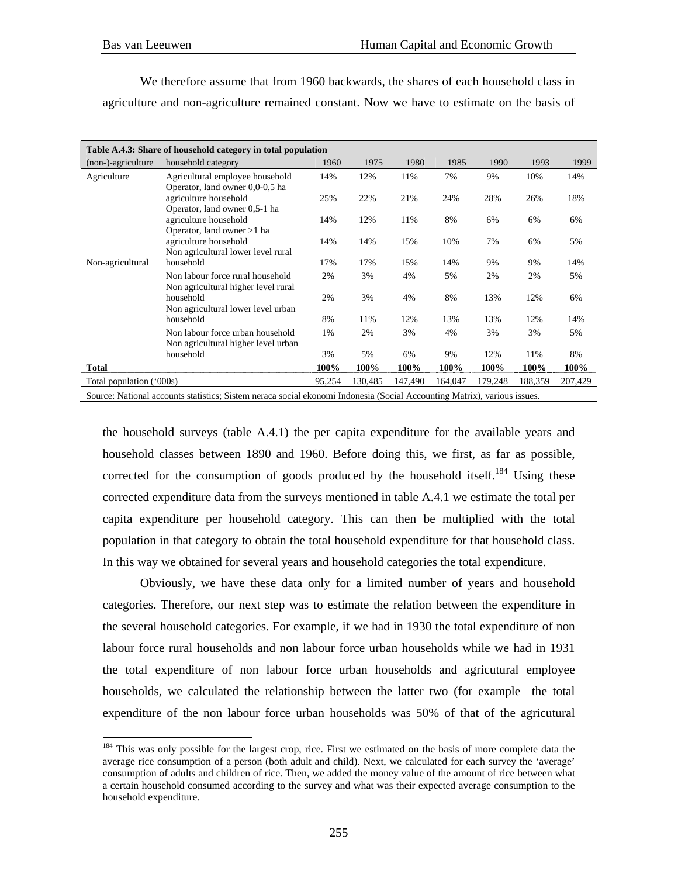We therefore assume that from 1960 backwards, the shares of each household class in agriculture and non-agriculture remained constant. Now we have to estimate on the basis of

|                          | Table A.4.3: Share of household category in total population                                                             |        |         |         |         |         |         |         |  |  |  |  |
|--------------------------|--------------------------------------------------------------------------------------------------------------------------|--------|---------|---------|---------|---------|---------|---------|--|--|--|--|
| (non-)-agriculture       | household category                                                                                                       | 1960   | 1975    | 1980    | 1985    | 1990    | 1993    | 1999    |  |  |  |  |
| Agriculture              | Agricultural employee household                                                                                          | 14%    | 12%     | 11%     | 7%      | 9%      | 10%     | 14%     |  |  |  |  |
|                          | Operator, land owner 0,0-0,5 ha                                                                                          |        |         |         |         |         |         |         |  |  |  |  |
|                          | agriculture household                                                                                                    | 25%    | 22%     | 21%     | 24%     | 28%     | 26%     | 18%     |  |  |  |  |
|                          | Operator, land owner 0,5-1 ha                                                                                            |        |         |         |         |         |         |         |  |  |  |  |
|                          | agriculture household                                                                                                    | 14%    | 12%     | 11%     | 8%      | 6%      | 6%      | 6%      |  |  |  |  |
|                          | Operator, land owner >1 ha                                                                                               |        | 14%     | 15%     | 10%     | 7%      | 6%      | 5%      |  |  |  |  |
|                          | agriculture household<br>Non agricultural lower level rural                                                              | 14%    |         |         |         |         |         |         |  |  |  |  |
| Non-agricultural         | household                                                                                                                | 17%    | 17%     | 15%     | 14%     | 9%      | 9%      | 14%     |  |  |  |  |
|                          | Non labour force rural household                                                                                         | 2%     | 3%      | 4%      | 5%      | 2%      | 2%      | 5%      |  |  |  |  |
|                          | Non agricultural higher level rural                                                                                      |        |         |         |         |         |         |         |  |  |  |  |
|                          | household                                                                                                                | 2%     | 3%      | 4%      | 8%      | 13%     | 12%     | 6%      |  |  |  |  |
|                          | Non agricultural lower level urban                                                                                       |        |         |         |         |         |         |         |  |  |  |  |
|                          | household                                                                                                                | 8%     | 11%     | 12%     | 13%     | 13%     | 12%     | 14%     |  |  |  |  |
|                          | Non labour force urban household                                                                                         | 1%     | 2%      | 3%      | 4%      | 3%      | 3%      | 5%      |  |  |  |  |
|                          | Non agricultural higher level urban                                                                                      |        |         |         |         |         |         |         |  |  |  |  |
|                          | household                                                                                                                | 3%     | 5%      | 6%      | 9%      | 12%     | 11%     | 8%      |  |  |  |  |
| <b>Total</b>             |                                                                                                                          | 100%   | 100%    | 100%    | 100%    | 100%    | 100%    | 100%    |  |  |  |  |
| Total population ('000s) |                                                                                                                          | 95,254 | 130,485 | 147,490 | 164,047 | 179,248 | 188,359 | 207,429 |  |  |  |  |
|                          | Source: National accounts statistics; Sistem neraca social ekonomi Indonesia (Social Accounting Matrix), various issues. |        |         |         |         |         |         |         |  |  |  |  |

the household surveys (table A.4.1) the per capita expenditure for the available years and household classes between 1890 and 1960. Before doing this, we first, as far as possible, corrected for the consumption of goods produced by the household itself.<sup>184</sup> Using these corrected expenditure data from the surveys mentioned in table A.4.1 we estimate the total per capita expenditure per household category. This can then be multiplied with the total population in that category to obtain the total household expenditure for that household class. In this way we obtained for several years and household categories the total expenditure.

 Obviously, we have these data only for a limited number of years and household categories. Therefore, our next step was to estimate the relation between the expenditure in the several household categories. For example, if we had in 1930 the total expenditure of non labour force rural households and non labour force urban households while we had in 1931 the total expenditure of non labour force urban households and agricutural employee households, we calculated the relationship between the latter two (for example the total expenditure of the non labour force urban households was 50% of that of the agricutural

<sup>&</sup>lt;sup>184</sup> This was only possible for the largest crop, rice. First we estimated on the basis of more complete data the average rice consumption of a person (both adult and child). Next, we calculated for each survey the 'average' consumption of adults and children of rice. Then, we added the money value of the amount of rice between what a certain household consumed according to the survey and what was their expected average consumption to the household expenditure.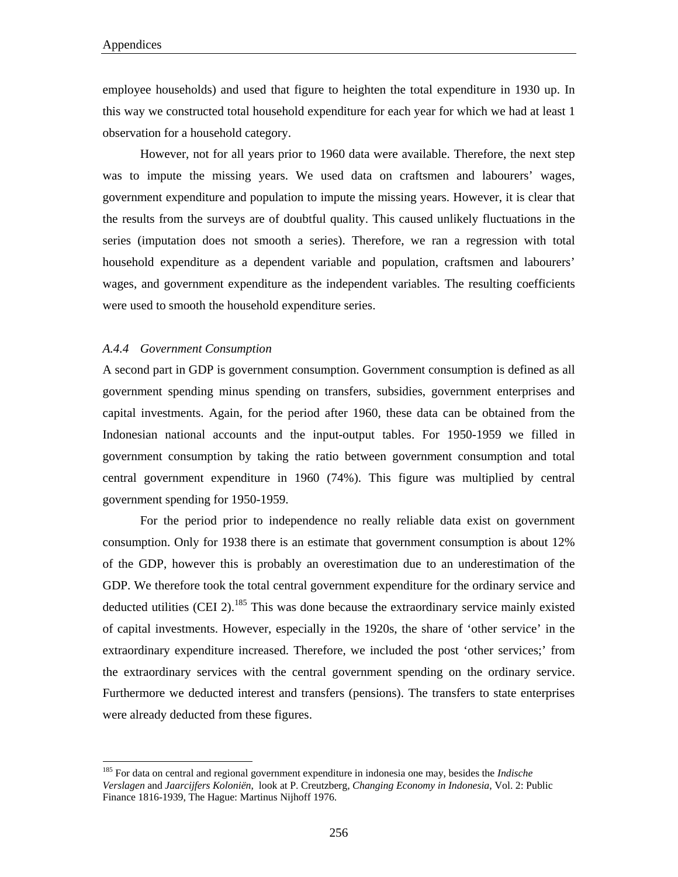employee households) and used that figure to heighten the total expenditure in 1930 up. In this way we constructed total household expenditure for each year for which we had at least 1 observation for a household category.

 However, not for all years prior to 1960 data were available. Therefore, the next step was to impute the missing years. We used data on craftsmen and labourers' wages, government expenditure and population to impute the missing years. However, it is clear that the results from the surveys are of doubtful quality. This caused unlikely fluctuations in the series (imputation does not smooth a series). Therefore, we ran a regression with total household expenditure as a dependent variable and population, craftsmen and labourers' wages, and government expenditure as the independent variables. The resulting coefficients were used to smooth the household expenditure series.

## *A.4.4 Government Consumption*

 $\overline{a}$ 

A second part in GDP is government consumption. Government consumption is defined as all government spending minus spending on transfers, subsidies, government enterprises and capital investments. Again, for the period after 1960, these data can be obtained from the Indonesian national accounts and the input-output tables. For 1950-1959 we filled in government consumption by taking the ratio between government consumption and total central government expenditure in 1960 (74%). This figure was multiplied by central government spending for 1950-1959.

 For the period prior to independence no really reliable data exist on government consumption. Only for 1938 there is an estimate that government consumption is about 12% of the GDP, however this is probably an overestimation due to an underestimation of the GDP. We therefore took the total central government expenditure for the ordinary service and deducted utilities (CEI 2).<sup>185</sup> This was done because the extraordinary service mainly existed of capital investments. However, especially in the 1920s, the share of 'other service' in the extraordinary expenditure increased. Therefore, we included the post 'other services;' from the extraordinary services with the central government spending on the ordinary service. Furthermore we deducted interest and transfers (pensions). The transfers to state enterprises were already deducted from these figures.

<sup>185</sup> For data on central and regional government expenditure in indonesia one may, besides the *Indische Verslagen* and *Jaarcijfers Koloniën*, look at P. Creutzberg, *Changing Economy in Indonesia*, Vol. 2: Public Finance 1816-1939, The Hague: Martinus Nijhoff 1976.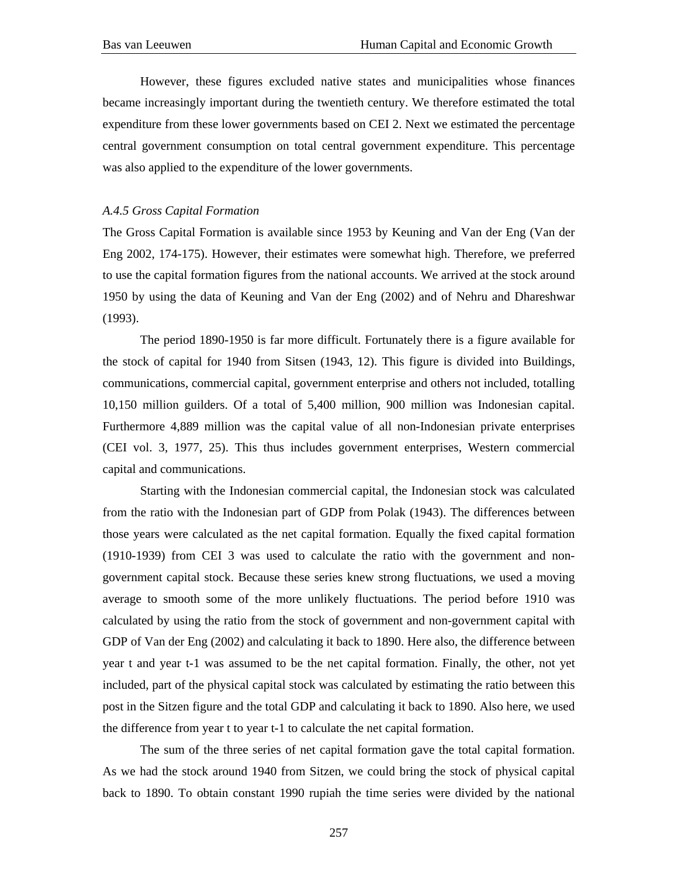However, these figures excluded native states and municipalities whose finances became increasingly important during the twentieth century. We therefore estimated the total expenditure from these lower governments based on CEI 2. Next we estimated the percentage central government consumption on total central government expenditure. This percentage was also applied to the expenditure of the lower governments.

## *A.4.5 Gross Capital Formation*

The Gross Capital Formation is available since 1953 by Keuning and Van der Eng (Van der Eng 2002, 174-175). However, their estimates were somewhat high. Therefore, we preferred to use the capital formation figures from the national accounts. We arrived at the stock around 1950 by using the data of Keuning and Van der Eng (2002) and of Nehru and Dhareshwar (1993).

The period 1890-1950 is far more difficult. Fortunately there is a figure available for the stock of capital for 1940 from Sitsen (1943, 12). This figure is divided into Buildings, communications, commercial capital, government enterprise and others not included, totalling 10,150 million guilders. Of a total of 5,400 million, 900 million was Indonesian capital. Furthermore 4,889 million was the capital value of all non-Indonesian private enterprises (CEI vol. 3, 1977, 25). This thus includes government enterprises, Western commercial capital and communications.

Starting with the Indonesian commercial capital, the Indonesian stock was calculated from the ratio with the Indonesian part of GDP from Polak (1943). The differences between those years were calculated as the net capital formation. Equally the fixed capital formation (1910-1939) from CEI 3 was used to calculate the ratio with the government and nongovernment capital stock. Because these series knew strong fluctuations, we used a moving average to smooth some of the more unlikely fluctuations. The period before 1910 was calculated by using the ratio from the stock of government and non-government capital with GDP of Van der Eng (2002) and calculating it back to 1890. Here also, the difference between year t and year t-1 was assumed to be the net capital formation. Finally, the other, not yet included, part of the physical capital stock was calculated by estimating the ratio between this post in the Sitzen figure and the total GDP and calculating it back to 1890. Also here, we used the difference from year t to year t-1 to calculate the net capital formation.

The sum of the three series of net capital formation gave the total capital formation. As we had the stock around 1940 from Sitzen, we could bring the stock of physical capital back to 1890. To obtain constant 1990 rupiah the time series were divided by the national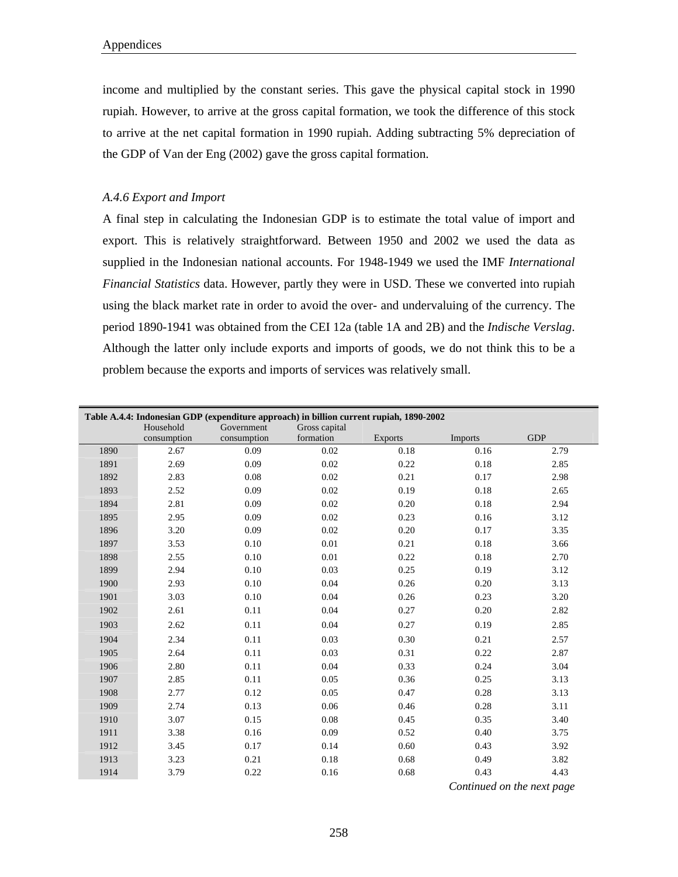income and multiplied by the constant series. This gave the physical capital stock in 1990 rupiah. However, to arrive at the gross capital formation, we took the difference of this stock to arrive at the net capital formation in 1990 rupiah. Adding subtracting 5% depreciation of the GDP of Van der Eng (2002) gave the gross capital formation.

## *A.4.6 Export and Import*

A final step in calculating the Indonesian GDP is to estimate the total value of import and export. This is relatively straightforward. Between 1950 and 2002 we used the data as supplied in the Indonesian national accounts. For 1948-1949 we used the IMF *International Financial Statistics* data. However, partly they were in USD. These we converted into rupiah using the black market rate in order to avoid the over- and undervaluing of the currency. The period 1890-1941 was obtained from the CEI 12a (table 1A and 2B) and the *Indische Verslag*. Although the latter only include exports and imports of goods, we do not think this to be a problem because the exports and imports of services was relatively small.

|      | Table A.4.4: Indonesian GDP (expenditure approach) in billion current rupiah, 1890-2002 |             |               |                |                |            |  |  |  |  |  |  |
|------|-----------------------------------------------------------------------------------------|-------------|---------------|----------------|----------------|------------|--|--|--|--|--|--|
|      | Household                                                                               | Government  | Gross capital |                |                |            |  |  |  |  |  |  |
|      | consumption                                                                             | consumption | formation     | <b>Exports</b> | <b>Imports</b> | <b>GDP</b> |  |  |  |  |  |  |
| 1890 | 2.67                                                                                    | 0.09        | 0.02          | 0.18           | 0.16           | 2.79       |  |  |  |  |  |  |
| 1891 | 2.69                                                                                    | 0.09        | 0.02          | 0.22           | 0.18           | 2.85       |  |  |  |  |  |  |
| 1892 | 2.83                                                                                    | 0.08        | 0.02          | 0.21           | 0.17           | 2.98       |  |  |  |  |  |  |
| 1893 | 2.52                                                                                    | 0.09        | 0.02          | 0.19           | 0.18           | 2.65       |  |  |  |  |  |  |
| 1894 | 2.81                                                                                    | 0.09        | 0.02          | 0.20           | 0.18           | 2.94       |  |  |  |  |  |  |
| 1895 | 2.95                                                                                    | 0.09        | 0.02          | 0.23           | 0.16           | 3.12       |  |  |  |  |  |  |
| 1896 | 3.20                                                                                    | 0.09        | 0.02          | 0.20           | 0.17           | 3.35       |  |  |  |  |  |  |
| 1897 | 3.53                                                                                    | 0.10        | 0.01          | 0.21           | 0.18           | 3.66       |  |  |  |  |  |  |
| 1898 | 2.55                                                                                    | 0.10        | 0.01          | 0.22           | 0.18           | 2.70       |  |  |  |  |  |  |
| 1899 | 2.94                                                                                    | 0.10        | 0.03          | 0.25           | 0.19           | 3.12       |  |  |  |  |  |  |
| 1900 | 2.93                                                                                    | 0.10        | 0.04          | 0.26           | 0.20           | 3.13       |  |  |  |  |  |  |
| 1901 | 3.03                                                                                    | 0.10        | 0.04          | 0.26           | 0.23           | 3.20       |  |  |  |  |  |  |
| 1902 | 2.61                                                                                    | 0.11        | 0.04          | 0.27           | 0.20           | 2.82       |  |  |  |  |  |  |
| 1903 | 2.62                                                                                    | 0.11        | 0.04          | 0.27           | 0.19           | 2.85       |  |  |  |  |  |  |
| 1904 | 2.34                                                                                    | 0.11        | 0.03          | 0.30           | 0.21           | 2.57       |  |  |  |  |  |  |
| 1905 | 2.64                                                                                    | 0.11        | 0.03          | 0.31           | 0.22           | 2.87       |  |  |  |  |  |  |
| 1906 | 2.80                                                                                    | 0.11        | 0.04          | 0.33           | 0.24           | 3.04       |  |  |  |  |  |  |
| 1907 | 2.85                                                                                    | 0.11        | 0.05          | 0.36           | 0.25           | 3.13       |  |  |  |  |  |  |
| 1908 | 2.77                                                                                    | 0.12        | 0.05          | 0.47           | 0.28           | 3.13       |  |  |  |  |  |  |
| 1909 | 2.74                                                                                    | 0.13        | 0.06          | 0.46           | 0.28           | 3.11       |  |  |  |  |  |  |
| 1910 | 3.07                                                                                    | 0.15        | 0.08          | 0.45           | 0.35           | 3.40       |  |  |  |  |  |  |
| 1911 | 3.38                                                                                    | 0.16        | 0.09          | 0.52           | 0.40           | 3.75       |  |  |  |  |  |  |
| 1912 | 3.45                                                                                    | 0.17        | 0.14          | 0.60           | 0.43           | 3.92       |  |  |  |  |  |  |
| 1913 | 3.23                                                                                    | 0.21        | 0.18          | 0.68           | 0.49           | 3.82       |  |  |  |  |  |  |
| 1914 | 3.79                                                                                    | 0.22        | 0.16          | 0.68           | 0.43           | 4.43       |  |  |  |  |  |  |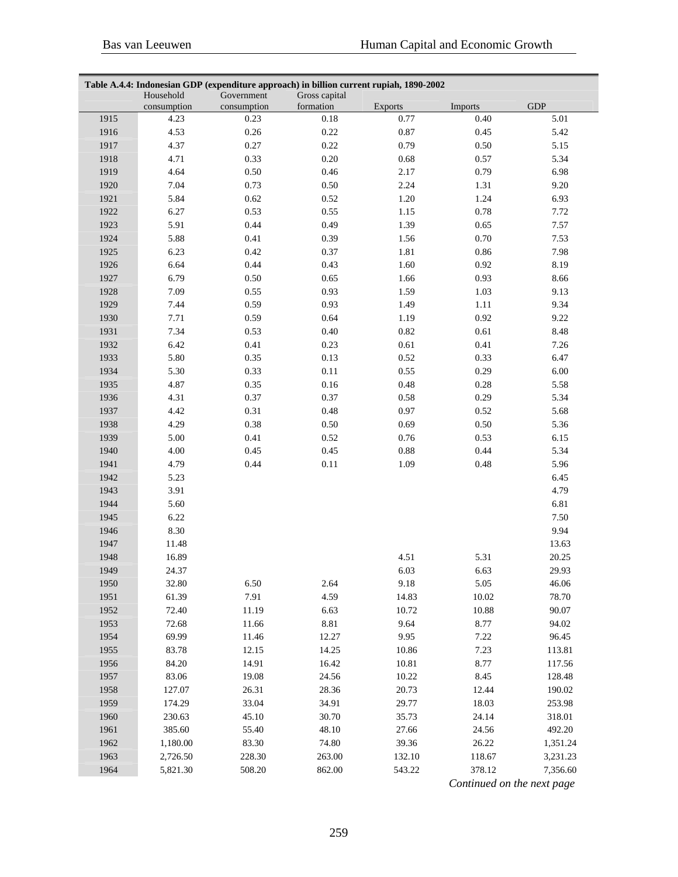|      | Table A.4.4: Indonesian GDP (expenditure approach) in billion current rupiah, 1890-2002 |                           |                            |                |         |                      |  |  |  |  |  |  |
|------|-----------------------------------------------------------------------------------------|---------------------------|----------------------------|----------------|---------|----------------------|--|--|--|--|--|--|
|      | Household<br>consumption                                                                | Government<br>consumption | Gross capital<br>formation | <b>Exports</b> | Imports | <b>GDP</b>           |  |  |  |  |  |  |
| 1915 | 4.23                                                                                    | 0.23                      | 0.18                       | 0.77           | 0.40    | 5.01                 |  |  |  |  |  |  |
| 1916 | 4.53                                                                                    | $0.26\,$                  | 0.22                       | 0.87           | 0.45    | 5.42                 |  |  |  |  |  |  |
| 1917 | 4.37                                                                                    | 0.27                      | 0.22                       | 0.79           | 0.50    | 5.15                 |  |  |  |  |  |  |
| 1918 | 4.71                                                                                    | 0.33                      | $0.20\,$                   | 0.68           | 0.57    | 5.34                 |  |  |  |  |  |  |
| 1919 | 4.64                                                                                    | 0.50                      | 0.46                       | 2.17           | 0.79    | 6.98                 |  |  |  |  |  |  |
| 1920 | 7.04                                                                                    | 0.73                      | 0.50                       | 2.24           | 1.31    | 9.20                 |  |  |  |  |  |  |
| 1921 | 5.84                                                                                    | 0.62                      | 0.52                       | 1.20           | 1.24    | 6.93                 |  |  |  |  |  |  |
| 1922 | 6.27                                                                                    | 0.53                      | 0.55                       | 1.15           | 0.78    | 7.72                 |  |  |  |  |  |  |
| 1923 | 5.91                                                                                    | 0.44                      | 0.49                       | 1.39           | 0.65    | 7.57                 |  |  |  |  |  |  |
| 1924 | 5.88                                                                                    | 0.41                      | 0.39                       | 1.56           | 0.70    | 7.53                 |  |  |  |  |  |  |
| 1925 | 6.23                                                                                    | 0.42                      | 0.37                       | 1.81           | 0.86    | 7.98                 |  |  |  |  |  |  |
| 1926 | 6.64                                                                                    | 0.44                      | 0.43                       | 1.60           | 0.92    | 8.19                 |  |  |  |  |  |  |
| 1927 | 6.79                                                                                    | 0.50                      | 0.65                       | 1.66           | 0.93    | 8.66                 |  |  |  |  |  |  |
| 1928 | 7.09                                                                                    | 0.55                      | 0.93                       | 1.59           | 1.03    | 9.13                 |  |  |  |  |  |  |
| 1929 | 7.44                                                                                    | 0.59                      | 0.93                       | 1.49           | 1.11    | 9.34                 |  |  |  |  |  |  |
| 1930 | 7.71                                                                                    | 0.59                      | 0.64                       | 1.19           | 0.92    | 9.22                 |  |  |  |  |  |  |
| 1931 | 7.34                                                                                    | 0.53                      | 0.40                       | 0.82           | 0.61    | 8.48                 |  |  |  |  |  |  |
| 1932 | 6.42                                                                                    | $0.41\,$                  | 0.23                       | 0.61           | 0.41    | 7.26                 |  |  |  |  |  |  |
| 1933 | 5.80                                                                                    | 0.35                      | 0.13                       | 0.52           | 0.33    | 6.47                 |  |  |  |  |  |  |
| 1934 | 5.30                                                                                    | 0.33                      | 0.11                       | 0.55           | 0.29    | $6.00\,$             |  |  |  |  |  |  |
| 1935 | 4.87                                                                                    | 0.35                      | 0.16                       | 0.48           | 0.28    | 5.58                 |  |  |  |  |  |  |
| 1936 | 4.31                                                                                    | 0.37                      | 0.37                       | 0.58           | 0.29    | 5.34                 |  |  |  |  |  |  |
| 1937 | 4.42                                                                                    | 0.31                      | 0.48                       | 0.97           | 0.52    | 5.68                 |  |  |  |  |  |  |
| 1938 | 4.29                                                                                    | 0.38                      | 0.50                       | 0.69           | 0.50    | 5.36                 |  |  |  |  |  |  |
| 1939 | 5.00                                                                                    | 0.41                      | 0.52                       | 0.76           | 0.53    | 6.15                 |  |  |  |  |  |  |
| 1940 | 4.00                                                                                    | 0.45                      | 0.45                       | $0.88\,$       | 0.44    | 5.34                 |  |  |  |  |  |  |
| 1941 | 4.79                                                                                    | 0.44                      | $0.11\,$                   | 1.09           | 0.48    | 5.96                 |  |  |  |  |  |  |
| 1942 | 5.23                                                                                    |                           |                            |                |         | 6.45                 |  |  |  |  |  |  |
| 1943 | 3.91                                                                                    |                           |                            |                |         | 4.79                 |  |  |  |  |  |  |
| 1944 | 5.60                                                                                    |                           |                            |                |         | 6.81                 |  |  |  |  |  |  |
| 1945 | 6.22                                                                                    |                           |                            |                |         | 7.50                 |  |  |  |  |  |  |
| 1946 | 8.30                                                                                    |                           |                            |                |         | 9.94                 |  |  |  |  |  |  |
| 1947 | 11.48                                                                                   |                           |                            |                |         | 13.63                |  |  |  |  |  |  |
| 1948 | 16.89                                                                                   |                           |                            | 4.51           | 5.31    | 20.25                |  |  |  |  |  |  |
| 1949 | 24.37                                                                                   |                           |                            | 6.03           | 6.63    | 29.93                |  |  |  |  |  |  |
| 1950 | 32.80                                                                                   | 6.50                      | 2.64                       | 9.18           | 5.05    | 46.06                |  |  |  |  |  |  |
| 1951 | 61.39                                                                                   | 7.91                      | 4.59                       | 14.83          | 10.02   | 78.70                |  |  |  |  |  |  |
| 1952 | 72.40                                                                                   | 11.19                     | 6.63                       | 10.72          | 10.88   | 90.07                |  |  |  |  |  |  |
| 1953 | 72.68                                                                                   | 11.66                     | 8.81                       | 9.64           | 8.77    | 94.02                |  |  |  |  |  |  |
| 1954 | 69.99                                                                                   | 11.46                     | 12.27                      | 9.95           | 7.22    | 96.45                |  |  |  |  |  |  |
| 1955 | 83.78                                                                                   | 12.15                     | 14.25                      | 10.86          | 7.23    | 113.81               |  |  |  |  |  |  |
| 1956 | 84.20                                                                                   | 14.91                     | 16.42                      | 10.81          | 8.77    | 117.56               |  |  |  |  |  |  |
| 1957 | 83.06                                                                                   | 19.08                     | 24.56                      | 10.22          | 8.45    | 128.48               |  |  |  |  |  |  |
| 1958 | 127.07                                                                                  | 26.31                     | 28.36                      | 20.73          | 12.44   | 190.02               |  |  |  |  |  |  |
| 1959 | 174.29                                                                                  | 33.04                     | 34.91                      | 29.77          | 18.03   | 253.98               |  |  |  |  |  |  |
| 1960 | 230.63                                                                                  | 45.10                     | 30.70                      | 35.73          | 24.14   | 318.01               |  |  |  |  |  |  |
| 1961 | 385.60                                                                                  | 55.40                     | 48.10                      | 27.66          | 24.56   | 492.20               |  |  |  |  |  |  |
| 1962 |                                                                                         | 83.30                     | 74.80                      | 39.36          | 26.22   |                      |  |  |  |  |  |  |
| 1963 | 1,180.00<br>2,726.50                                                                    | 228.30                    | 263.00                     | 132.10         | 118.67  | 1,351.24<br>3,231.23 |  |  |  |  |  |  |
| 1964 |                                                                                         |                           | 862.00                     |                |         | 7,356.60             |  |  |  |  |  |  |
|      | 5,821.30                                                                                | 508.20                    |                            | 543.22         | 378.12  |                      |  |  |  |  |  |  |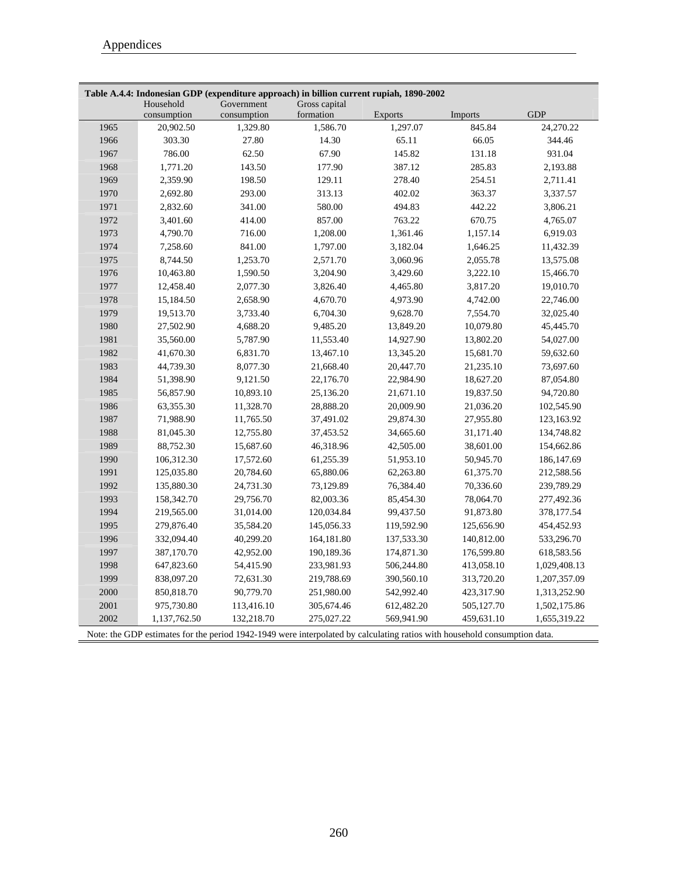|      | Household<br>consumption | Government<br>consumption | Gross capital<br>formation | <b>Exports</b> | <b>Imports</b> | <b>GDP</b>   |
|------|--------------------------|---------------------------|----------------------------|----------------|----------------|--------------|
| 1965 | 20,902.50                | 1,329.80                  | 1,586.70                   | 1,297.07       | 845.84         | 24,270.22    |
| 1966 | 303.30                   | 27.80                     | 14.30                      | 65.11          | 66.05          | 344.46       |
| 1967 | 786.00                   | 62.50                     | 67.90                      | 145.82         | 131.18         | 931.04       |
| 1968 | 1,771.20                 | 143.50                    | 177.90                     | 387.12         | 285.83         | 2,193.88     |
| 1969 | 2,359.90                 | 198.50                    | 129.11                     | 278.40         | 254.51         | 2,711.41     |
| 1970 |                          |                           |                            |                | 363.37         |              |
|      | 2,692.80                 | 293.00                    | 313.13                     | 402.02         |                | 3,337.57     |
| 1971 | 2,832.60                 | 341.00                    | 580.00                     | 494.83         | 442.22         | 3,806.21     |
| 1972 | 3,401.60                 | 414.00                    | 857.00                     | 763.22         | 670.75         | 4,765.07     |
| 1973 | 4,790.70                 | 716.00                    | 1,208.00                   | 1,361.46       | 1,157.14       | 6,919.03     |
| 1974 | 7,258.60                 | 841.00                    | 1,797.00                   | 3,182.04       | 1,646.25       | 11,432.39    |
| 1975 | 8,744.50                 | 1,253.70                  | 2,571.70                   | 3,060.96       | 2,055.78       | 13,575.08    |
| 1976 | 10,463.80                | 1,590.50                  | 3,204.90                   | 3,429.60       | 3,222.10       | 15,466.70    |
| 1977 | 12,458.40                | 2,077.30                  | 3,826.40                   | 4,465.80       | 3,817.20       | 19,010.70    |
| 1978 | 15,184.50                | 2,658.90                  | 4,670.70                   | 4,973.90       | 4,742.00       | 22,746.00    |
| 1979 | 19,513.70                | 3,733.40                  | 6,704.30                   | 9,628.70       | 7,554.70       | 32,025.40    |
| 1980 | 27,502.90                | 4,688.20                  | 9,485.20                   | 13,849.20      | 10,079.80      | 45,445.70    |
| 1981 | 35,560.00                | 5,787.90                  | 11,553.40                  | 14,927.90      | 13,802.20      | 54,027.00    |
| 1982 | 41,670.30                | 6,831.70                  | 13,467.10                  | 13,345.20      | 15,681.70      | 59,632.60    |
| 1983 | 44,739.30                | 8,077.30                  | 21,668.40                  | 20,447.70      | 21,235.10      | 73,697.60    |
| 1984 | 51,398.90                | 9,121.50                  | 22,176.70                  | 22,984.90      | 18,627.20      | 87,054.80    |
| 1985 | 56,857.90                | 10,893.10                 | 25,136.20                  | 21,671.10      | 19,837.50      | 94,720.80    |
| 1986 | 63,355.30                | 11,328.70                 | 28,888.20                  | 20,009.90      | 21,036.20      | 102,545.90   |
| 1987 | 71,988.90                | 11,765.50                 | 37,491.02                  | 29,874.30      | 27,955.80      | 123,163.92   |
| 1988 | 81,045.30                | 12,755.80                 | 37,453.52                  | 34,665.60      | 31,171.40      | 134,748.82   |
| 1989 | 88,752.30                | 15,687.60                 | 46,318.96                  | 42,505.00      | 38,601.00      | 154,662.86   |
| 1990 | 106,312.30               | 17,572.60                 | 61,255.39                  | 51,953.10      | 50,945.70      | 186, 147.69  |
| 1991 | 125,035.80               | 20,784.60                 | 65,880.06                  | 62,263.80      | 61,375.70      | 212,588.56   |
| 1992 | 135,880.30               | 24,731.30                 | 73,129.89                  | 76,384.40      | 70,336.60      | 239,789.29   |
| 1993 | 158,342.70               | 29,756.70                 | 82,003.36                  | 85,454.30      | 78,064.70      | 277,492.36   |
| 1994 | 219,565.00               | 31,014.00                 | 120,034.84                 | 99,437.50      | 91,873.80      | 378,177.54   |
| 1995 | 279,876.40               | 35,584.20                 | 145,056.33                 | 119,592.90     | 125,656.90     | 454,452.93   |
| 1996 | 332,094.40               | 40,299.20                 | 164,181.80                 | 137,533.30     | 140,812.00     | 533,296.70   |
| 1997 | 387,170.70               | 42,952.00                 | 190,189.36                 | 174,871.30     | 176,599.80     | 618,583.56   |
| 1998 | 647,823.60               | 54,415.90                 | 233,981.93                 | 506,244.80     | 413,058.10     | 1,029,408.13 |
| 1999 | 838,097.20               | 72,631.30                 | 219,788.69                 | 390,560.10     | 313,720.20     | 1,207,357.09 |
| 2000 | 850,818.70               | 90,779.70                 | 251,980.00                 | 542,992.40     | 423,317.90     | 1,313,252.90 |
| 2001 | 975,730.80               | 113,416.10                | 305,674.46                 | 612,482.20     | 505,127.70     | 1,502,175.86 |
| 2002 | 1,137,762.50             | 132,218.70                | 275,027.22                 | 569,941.90     | 459,631.10     | 1,655,319.22 |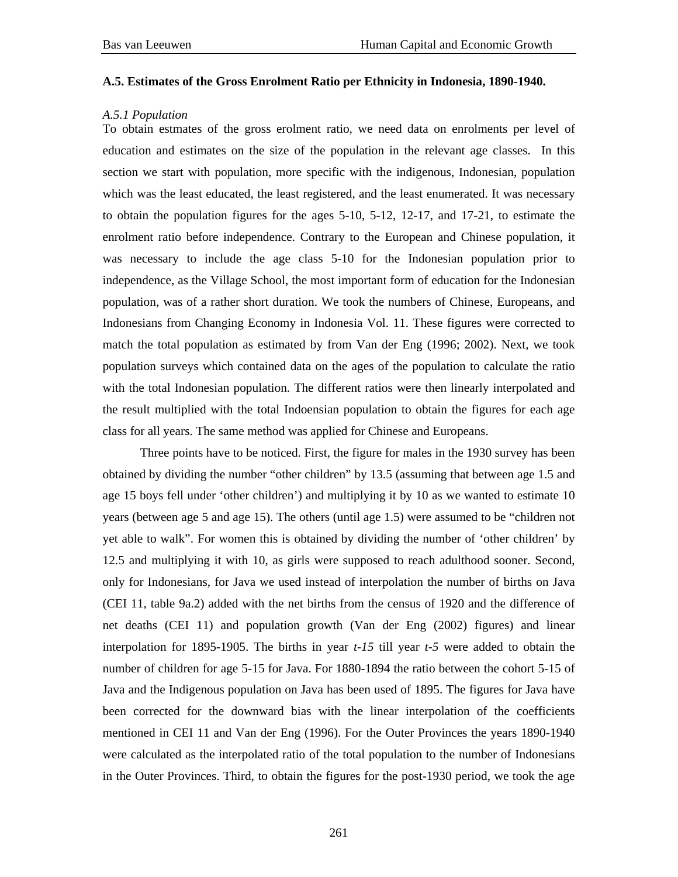## **A.5. Estimates of the Gross Enrolment Ratio per Ethnicity in Indonesia, 1890-1940.**

## *A.5.1 Population*

To obtain estmates of the gross erolment ratio, we need data on enrolments per level of education and estimates on the size of the population in the relevant age classes. In this section we start with population, more specific with the indigenous, Indonesian, population which was the least educated, the least registered, and the least enumerated. It was necessary to obtain the population figures for the ages 5-10, 5-12, 12-17, and 17-21, to estimate the enrolment ratio before independence. Contrary to the European and Chinese population, it was necessary to include the age class 5-10 for the Indonesian population prior to independence, as the Village School, the most important form of education for the Indonesian population, was of a rather short duration. We took the numbers of Chinese, Europeans, and Indonesians from Changing Economy in Indonesia Vol. 11. These figures were corrected to match the total population as estimated by from Van der Eng (1996; 2002). Next, we took population surveys which contained data on the ages of the population to calculate the ratio with the total Indonesian population. The different ratios were then linearly interpolated and the result multiplied with the total Indoensian population to obtain the figures for each age class for all years. The same method was applied for Chinese and Europeans.

 Three points have to be noticed. First, the figure for males in the 1930 survey has been obtained by dividing the number "other children" by 13.5 (assuming that between age 1.5 and age 15 boys fell under 'other children') and multiplying it by 10 as we wanted to estimate 10 years (between age 5 and age 15). The others (until age 1.5) were assumed to be "children not yet able to walk". For women this is obtained by dividing the number of 'other children' by 12.5 and multiplying it with 10, as girls were supposed to reach adulthood sooner. Second, only for Indonesians, for Java we used instead of interpolation the number of births on Java (CEI 11, table 9a.2) added with the net births from the census of 1920 and the difference of net deaths (CEI 11) and population growth (Van der Eng (2002) figures) and linear interpolation for 1895-1905. The births in year *t-15* till year *t-5* were added to obtain the number of children for age 5-15 for Java. For 1880-1894 the ratio between the cohort 5-15 of Java and the Indigenous population on Java has been used of 1895. The figures for Java have been corrected for the downward bias with the linear interpolation of the coefficients mentioned in CEI 11 and Van der Eng (1996). For the Outer Provinces the years 1890-1940 were calculated as the interpolated ratio of the total population to the number of Indonesians in the Outer Provinces. Third, to obtain the figures for the post-1930 period, we took the age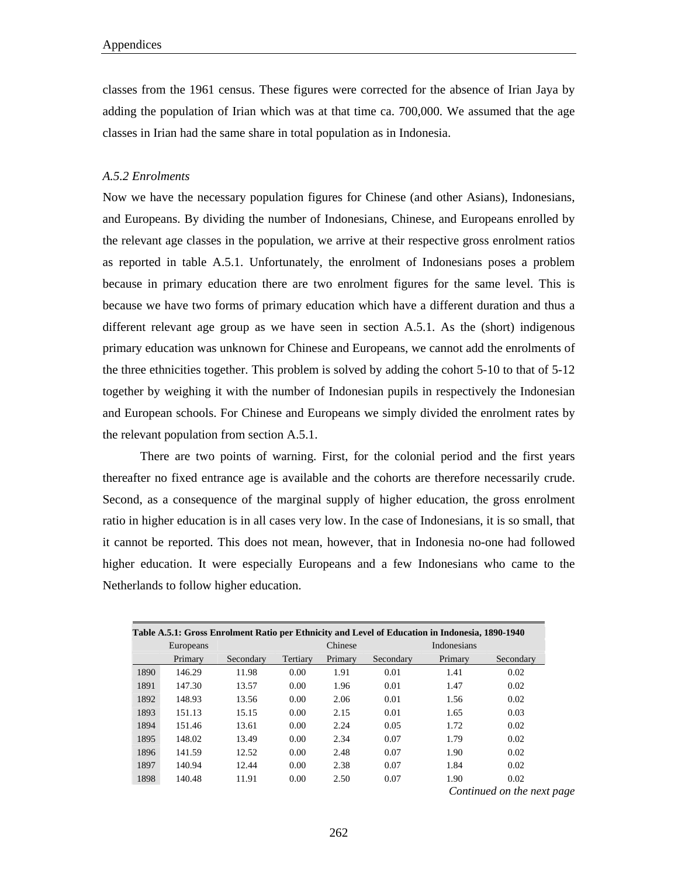classes from the 1961 census. These figures were corrected for the absence of Irian Jaya by adding the population of Irian which was at that time ca. 700,000. We assumed that the age classes in Irian had the same share in total population as in Indonesia.

## *A.5.2 Enrolments*

Now we have the necessary population figures for Chinese (and other Asians), Indonesians, and Europeans. By dividing the number of Indonesians, Chinese, and Europeans enrolled by the relevant age classes in the population, we arrive at their respective gross enrolment ratios as reported in table A.5.1. Unfortunately, the enrolment of Indonesians poses a problem because in primary education there are two enrolment figures for the same level. This is because we have two forms of primary education which have a different duration and thus a different relevant age group as we have seen in section A.5.1. As the (short) indigenous primary education was unknown for Chinese and Europeans, we cannot add the enrolments of the three ethnicities together. This problem is solved by adding the cohort 5-10 to that of 5-12 together by weighing it with the number of Indonesian pupils in respectively the Indonesian and European schools. For Chinese and Europeans we simply divided the enrolment rates by the relevant population from section A.5.1.

There are two points of warning. First, for the colonial period and the first years thereafter no fixed entrance age is available and the cohorts are therefore necessarily crude. Second, as a consequence of the marginal supply of higher education, the gross enrolment ratio in higher education is in all cases very low. In the case of Indonesians, it is so small, that it cannot be reported. This does not mean, however, that in Indonesia no-one had followed higher education. It were especially Europeans and a few Indonesians who came to the Netherlands to follow higher education.

|      |           |           |          |         |           | Table A.5.1: Gross Enrolment Ratio per Ethnicity and Level of Education in Indonesia, 1890-1940 |           |
|------|-----------|-----------|----------|---------|-----------|-------------------------------------------------------------------------------------------------|-----------|
|      | Europeans |           |          | Chinese |           | <b>Indonesians</b>                                                                              |           |
|      | Primary   | Secondary | Tertiary | Primary | Secondary | Primary                                                                                         | Secondary |
| 1890 | 146.29    | 11.98     | 0.00     | 1.91    | 0.01      | 1.41                                                                                            | 0.02      |
| 1891 | 147.30    | 13.57     | 0.00     | 1.96    | 0.01      | 1.47                                                                                            | 0.02      |
| 1892 | 148.93    | 13.56     | 0.00     | 2.06    | 0.01      | 1.56                                                                                            | 0.02      |
| 1893 | 151.13    | 15.15     | 0.00     | 2.15    | 0.01      | 1.65                                                                                            | 0.03      |
| 1894 | 151.46    | 13.61     | 0.00     | 2.24    | 0.05      | 1.72                                                                                            | 0.02      |
| 1895 | 148.02    | 13.49     | 0.00     | 2.34    | 0.07      | 1.79                                                                                            | 0.02      |
| 1896 | 141.59    | 12.52     | 0.00     | 2.48    | 0.07      | 1.90                                                                                            | 0.02      |
| 1897 | 140.94    | 12.44     | 0.00     | 2.38    | 0.07      | 1.84                                                                                            | 0.02      |
| 1898 | 140.48    | 11.91     | 0.00     | 2.50    | 0.07      | 1.90                                                                                            | 0.02      |
|      |           |           |          |         |           |                                                                                                 |           |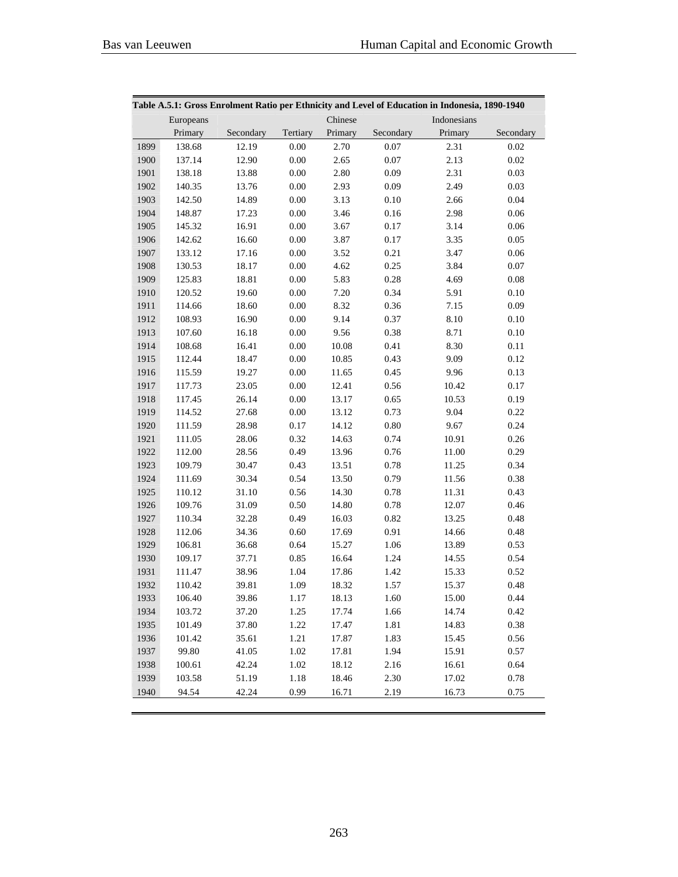|      | Table A.5.1: Gross Enrolment Ratio per Ethnicity and Level of Education in Indonesia, 1890-1940 |           |          |         |           |             |           |  |  |  |
|------|-------------------------------------------------------------------------------------------------|-----------|----------|---------|-----------|-------------|-----------|--|--|--|
|      | Europeans                                                                                       |           |          | Chinese |           | Indonesians |           |  |  |  |
|      | Primary                                                                                         | Secondary | Tertiary | Primary | Secondary | Primary     | Secondary |  |  |  |
| 1899 | 138.68                                                                                          | 12.19     | 0.00     | 2.70    | 0.07      | 2.31        | 0.02      |  |  |  |
| 1900 | 137.14                                                                                          | 12.90     | $0.00\,$ | 2.65    | 0.07      | 2.13        | $0.02\,$  |  |  |  |
| 1901 | 138.18                                                                                          | 13.88     | $0.00\,$ | 2.80    | 0.09      | 2.31        | $0.03\,$  |  |  |  |
| 1902 | 140.35                                                                                          | 13.76     | $0.00\,$ | 2.93    | 0.09      | 2.49        | 0.03      |  |  |  |
| 1903 | 142.50                                                                                          | 14.89     | $0.00\,$ | 3.13    | $0.10\,$  | 2.66        | 0.04      |  |  |  |
| 1904 | 148.87                                                                                          | 17.23     | $0.00\,$ | 3.46    | $0.16\,$  | 2.98        | $0.06\,$  |  |  |  |
| 1905 | 145.32                                                                                          | 16.91     | $0.00\,$ | 3.67    | 0.17      | 3.14        | $0.06\,$  |  |  |  |
| 1906 | 142.62                                                                                          | 16.60     | $0.00\,$ | 3.87    | $0.17\,$  | 3.35        | $0.05\,$  |  |  |  |
| 1907 | 133.12                                                                                          | 17.16     | $0.00\,$ | 3.52    | 0.21      | 3.47        | $0.06\,$  |  |  |  |
| 1908 | 130.53                                                                                          | 18.17     | $0.00\,$ | 4.62    | 0.25      | 3.84        | $0.07\,$  |  |  |  |
| 1909 | 125.83                                                                                          | 18.81     | $0.00\,$ | 5.83    | 0.28      | 4.69        | $0.08\,$  |  |  |  |
| 1910 | 120.52                                                                                          | 19.60     | $0.00\,$ | 7.20    | 0.34      | 5.91        | $0.10\,$  |  |  |  |
| 1911 | 114.66                                                                                          | 18.60     | $0.00\,$ | 8.32    | 0.36      | 7.15        | 0.09      |  |  |  |
| 1912 | 108.93                                                                                          | 16.90     | $0.00\,$ | 9.14    | 0.37      | $8.10\,$    | $0.10\,$  |  |  |  |
| 1913 | 107.60                                                                                          | 16.18     | $0.00\,$ | 9.56    | 0.38      | 8.71        | $0.10\,$  |  |  |  |
| 1914 | 108.68                                                                                          | 16.41     | $0.00\,$ | 10.08   | 0.41      | 8.30        | $0.11\,$  |  |  |  |
| 1915 | 112.44                                                                                          | 18.47     | $0.00\,$ | 10.85   | 0.43      | 9.09        | 0.12      |  |  |  |
| 1916 | 115.59                                                                                          | 19.27     | $0.00\,$ | 11.65   | 0.45      | 9.96        | 0.13      |  |  |  |
| 1917 | 117.73                                                                                          | 23.05     | $0.00\,$ | 12.41   | 0.56      | 10.42       | $0.17\,$  |  |  |  |
| 1918 | 117.45                                                                                          | 26.14     | $0.00\,$ | 13.17   | 0.65      | 10.53       | 0.19      |  |  |  |
| 1919 | 114.52                                                                                          | 27.68     | $0.00\,$ | 13.12   | 0.73      | 9.04        | 0.22      |  |  |  |
| 1920 | 111.59                                                                                          | 28.98     | 0.17     | 14.12   | $0.80\,$  | 9.67        | 0.24      |  |  |  |
| 1921 | 111.05                                                                                          | 28.06     | 0.32     | 14.63   | 0.74      | 10.91       | 0.26      |  |  |  |
| 1922 | 112.00                                                                                          | 28.56     | 0.49     | 13.96   | 0.76      | 11.00       | 0.29      |  |  |  |
| 1923 | 109.79                                                                                          | 30.47     | 0.43     | 13.51   | 0.78      | 11.25       | 0.34      |  |  |  |
| 1924 | 111.69                                                                                          | 30.34     | 0.54     | 13.50   | 0.79      | 11.56       | 0.38      |  |  |  |
| 1925 | 110.12                                                                                          | 31.10     | 0.56     | 14.30   | 0.78      | 11.31       | 0.43      |  |  |  |
| 1926 | 109.76                                                                                          | 31.09     | 0.50     | 14.80   | 0.78      | 12.07       | 0.46      |  |  |  |
| 1927 | 110.34                                                                                          | 32.28     | 0.49     | 16.03   | $0.82\,$  | 13.25       | 0.48      |  |  |  |
| 1928 | 112.06                                                                                          | 34.36     | 0.60     | 17.69   | 0.91      | 14.66       | $0.48\,$  |  |  |  |
| 1929 | 106.81                                                                                          | 36.68     | 0.64     | 15.27   | 1.06      | 13.89       | 0.53      |  |  |  |
| 1930 | 109.17                                                                                          | 37.71     | 0.85     | 16.64   | 1.24      | 14.55       | 0.54      |  |  |  |
| 1931 | 111.47                                                                                          | 38.96     | 1.04     | 17.86   | 1.42      | 15.33       | 0.52      |  |  |  |
| 1932 | 110.42                                                                                          | 39.81     | 1.09     | 18.32   | 1.57      | 15.37       | 0.48      |  |  |  |
| 1933 | 106.40                                                                                          | 39.86     | 1.17     | 18.13   | 1.60      | 15.00       | 0.44      |  |  |  |
| 1934 | 103.72                                                                                          | 37.20     | 1.25     | 17.74   | 1.66      | 14.74       | 0.42      |  |  |  |
| 1935 | 101.49                                                                                          | 37.80     | 1.22     | 17.47   | 1.81      | 14.83       | 0.38      |  |  |  |
| 1936 | 101.42                                                                                          | 35.61     | 1.21     | 17.87   | 1.83      | 15.45       | 0.56      |  |  |  |
| 1937 | 99.80                                                                                           | 41.05     | 1.02     | 17.81   | 1.94      | 15.91       | 0.57      |  |  |  |
| 1938 | 100.61                                                                                          | 42.24     | 1.02     | 18.12   | 2.16      | 16.61       | 0.64      |  |  |  |
| 1939 | 103.58                                                                                          | 51.19     | 1.18     | 18.46   | 2.30      | 17.02       | 0.78      |  |  |  |
| 1940 | 94.54                                                                                           | 42.24     | 0.99     | 16.71   | 2.19      | 16.73       | 0.75      |  |  |  |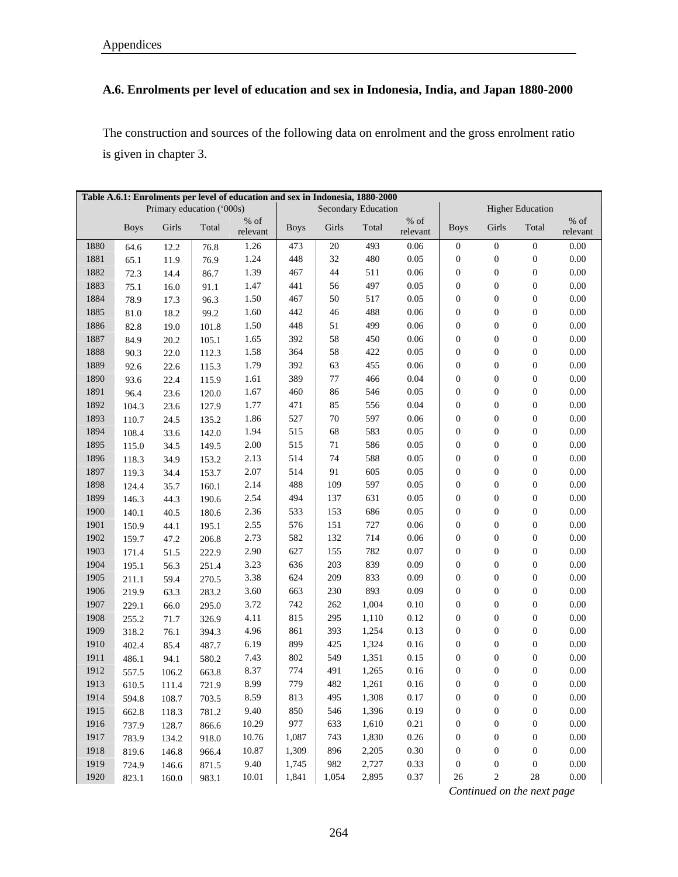## **A.6. Enrolments per level of education and sex in Indonesia, India, and Japan 1880-2000**

The construction and sources of the following data on enrolment and the gross enrolment ratio is given in chapter 3.

|      | Table A.6.1: Enrolments per level of education and sex in Indonesia, 1880-2000 |                           |       |                     |             |         |                            |                     |                  |                  |                         |                     |
|------|--------------------------------------------------------------------------------|---------------------------|-------|---------------------|-------------|---------|----------------------------|---------------------|------------------|------------------|-------------------------|---------------------|
|      |                                                                                | Primary education ('000s) |       |                     |             |         | <b>Secondary Education</b> |                     |                  |                  | <b>Higher Education</b> |                     |
|      | <b>Boys</b>                                                                    | Girls                     | Total | $\%$ of<br>relevant | <b>Boys</b> | Girls   | Total                      | $\%$ of<br>relevant | <b>Boys</b>      | Girls            | Total                   | $\%$ of<br>relevant |
| 1880 | 64.6                                                                           | 12.2                      | 76.8  | 1.26                | 473         | 20      | 493                        | 0.06                | $\boldsymbol{0}$ | $\boldsymbol{0}$ | $\mathbf{0}$            | 0.00                |
| 1881 | 65.1                                                                           | 11.9                      | 76.9  | 1.24                | 448         | 32      | 480                        | 0.05                | $\boldsymbol{0}$ | $\boldsymbol{0}$ | $\boldsymbol{0}$        | 0.00                |
| 1882 | 72.3                                                                           | 14.4                      | 86.7  | 1.39                | 467         | 44      | 511                        | 0.06                | $\boldsymbol{0}$ | $\boldsymbol{0}$ | $\boldsymbol{0}$        | 0.00                |
| 1883 | 75.1                                                                           | 16.0                      | 91.1  | 1.47                | 441         | 56      | 497                        | 0.05                | $\boldsymbol{0}$ | $\boldsymbol{0}$ | $\boldsymbol{0}$        | $0.00\,$            |
| 1884 | 78.9                                                                           | 17.3                      | 96.3  | 1.50                | 467         | 50      | 517                        | 0.05                | $\boldsymbol{0}$ | $\boldsymbol{0}$ | $\boldsymbol{0}$        | $0.00\,$            |
| 1885 | 81.0                                                                           | 18.2                      | 99.2  | 1.60                | 442         | 46      | 488                        | 0.06                | $\boldsymbol{0}$ | $\boldsymbol{0}$ | $\boldsymbol{0}$        | $0.00\,$            |
| 1886 | 82.8                                                                           | 19.0                      | 101.8 | 1.50                | 448         | 51      | 499                        | 0.06                | $\boldsymbol{0}$ | $\boldsymbol{0}$ | $\boldsymbol{0}$        | $0.00\,$            |
| 1887 | 84.9                                                                           | 20.2                      | 105.1 | 1.65                | 392         | 58      | 450                        | 0.06                | $\boldsymbol{0}$ | $\boldsymbol{0}$ | $\boldsymbol{0}$        | $0.00\,$            |
| 1888 | 90.3                                                                           | 22.0                      | 112.3 | 1.58                | 364         | 58      | 422                        | 0.05                | $\boldsymbol{0}$ | $\boldsymbol{0}$ | $\boldsymbol{0}$        | $0.00\,$            |
| 1889 | 92.6                                                                           | 22.6                      | 115.3 | 1.79                | 392         | 63      | 455                        | 0.06                | $\boldsymbol{0}$ | $\boldsymbol{0}$ | $\boldsymbol{0}$        | $0.00\,$            |
| 1890 | 93.6                                                                           | 22.4                      | 115.9 | 1.61                | 389         | $77 \,$ | 466                        | 0.04                | $\boldsymbol{0}$ | $\boldsymbol{0}$ | $\boldsymbol{0}$        | 0.00                |
| 1891 | 96.4                                                                           | 23.6                      | 120.0 | 1.67                | 460         | 86      | 546                        | 0.05                | $\boldsymbol{0}$ | $\boldsymbol{0}$ | $\boldsymbol{0}$        | 0.00                |
| 1892 | 104.3                                                                          | 23.6                      | 127.9 | 1.77                | 471         | 85      | 556                        | 0.04                | $\boldsymbol{0}$ | $\boldsymbol{0}$ | $\boldsymbol{0}$        | 0.00                |
| 1893 | 110.7                                                                          | 24.5                      | 135.2 | 1.86                | 527         | $70\,$  | 597                        | 0.06                | $\boldsymbol{0}$ | $\boldsymbol{0}$ | $\boldsymbol{0}$        | 0.00                |
| 1894 | 108.4                                                                          | 33.6                      | 142.0 | 1.94                | 515         | 68      | 583                        | 0.05                | $\boldsymbol{0}$ | $\boldsymbol{0}$ | $\boldsymbol{0}$        | 0.00                |
| 1895 | 115.0                                                                          | 34.5                      | 149.5 | 2.00                | 515         | 71      | 586                        | 0.05                | $\boldsymbol{0}$ | $\boldsymbol{0}$ | $\boldsymbol{0}$        | 0.00                |
| 1896 | 118.3                                                                          | 34.9                      | 153.2 | 2.13                | 514         | 74      | 588                        | 0.05                | $\boldsymbol{0}$ | $\boldsymbol{0}$ | $\boldsymbol{0}$        | 0.00                |
| 1897 | 119.3                                                                          | 34.4                      | 153.7 | 2.07                | 514         | 91      | 605                        | 0.05                | $\boldsymbol{0}$ | $\boldsymbol{0}$ | $\boldsymbol{0}$        | 0.00                |
| 1898 | 124.4                                                                          | 35.7                      | 160.1 | 2.14                | 488         | 109     | 597                        | 0.05                | $\boldsymbol{0}$ | $\boldsymbol{0}$ | $\boldsymbol{0}$        | $0.00\,$            |
| 1899 | 146.3                                                                          | 44.3                      | 190.6 | 2.54                | 494         | 137     | 631                        | 0.05                | $\boldsymbol{0}$ | $\boldsymbol{0}$ | $\boldsymbol{0}$        | $0.00\,$            |
| 1900 | 140.1                                                                          | 40.5                      | 180.6 | 2.36                | 533         | 153     | 686                        | 0.05                | $\boldsymbol{0}$ | $\boldsymbol{0}$ | $\boldsymbol{0}$        | $0.00\,$            |
| 1901 | 150.9                                                                          | 44.1                      | 195.1 | 2.55                | 576         | 151     | 727                        | 0.06                | $\boldsymbol{0}$ | $\boldsymbol{0}$ | $\boldsymbol{0}$        | $0.00\,$            |
| 1902 | 159.7                                                                          | 47.2                      | 206.8 | 2.73                | 582         | 132     | 714                        | 0.06                | $\boldsymbol{0}$ | $\boldsymbol{0}$ | $\boldsymbol{0}$        | $0.00\,$            |
| 1903 | 171.4                                                                          | 51.5                      | 222.9 | 2.90                | 627         | 155     | 782                        | 0.07                | $\boldsymbol{0}$ | $\boldsymbol{0}$ | $\boldsymbol{0}$        | $0.00\,$            |
| 1904 | 195.1                                                                          | 56.3                      | 251.4 | 3.23                | 636         | 203     | 839                        | 0.09                | $\boldsymbol{0}$ | $\boldsymbol{0}$ | $\boldsymbol{0}$        | $0.00\,$            |
| 1905 | 211.1                                                                          | 59.4                      | 270.5 | 3.38                | 624         | 209     | 833                        | 0.09                | $\boldsymbol{0}$ | $\boldsymbol{0}$ | $\boldsymbol{0}$        | $0.00\,$            |
| 1906 | 219.9                                                                          | 63.3                      | 283.2 | 3.60                | 663         | 230     | 893                        | 0.09                | $\boldsymbol{0}$ | $\boldsymbol{0}$ | $\boldsymbol{0}$        | $0.00\,$            |
| 1907 | 229.1                                                                          | 66.0                      | 295.0 | 3.72                | 742         | 262     | 1,004                      | 0.10                | $\boldsymbol{0}$ | $\boldsymbol{0}$ | $\boldsymbol{0}$        | $0.00\,$            |
| 1908 | 255.2                                                                          | 71.7                      | 326.9 | 4.11                | 815         | 295     | 1,110                      | 0.12                | $\boldsymbol{0}$ | $\boldsymbol{0}$ | $\boldsymbol{0}$        | $0.00\,$            |
| 1909 | 318.2                                                                          | 76.1                      | 394.3 | 4.96                | 861         | 393     | 1,254                      | 0.13                | $\boldsymbol{0}$ | $\boldsymbol{0}$ | $\boldsymbol{0}$        | $0.00\,$            |
| 1910 | 402.4                                                                          | 85.4                      | 487.7 | 6.19                | 899         | 425     | 1,324                      | $0.16\,$            | $\boldsymbol{0}$ | $\boldsymbol{0}$ | $\boldsymbol{0}$        | $0.00\,$            |
| 1911 | 486.1                                                                          | 94.1                      | 580.2 | 7.43                | 802         | 549     | 1,351                      | 0.15                | $\boldsymbol{0}$ | $\boldsymbol{0}$ | $\boldsymbol{0}$        | $0.00\,$            |
| 1912 | 557.5                                                                          | 106.2                     | 663.8 | 8.37                | 774         | 491     | 1,265                      | $0.16\,$            | $\boldsymbol{0}$ | $\boldsymbol{0}$ | $\boldsymbol{0}$        | $0.00\,$            |
| 1913 | 610.5                                                                          | 111.4                     | 721.9 | 8.99                | 779         | 482     | 1,261                      | $0.16\,$            | $\boldsymbol{0}$ | $\boldsymbol{0}$ | $\boldsymbol{0}$        | $0.00\,$            |
| 1914 | 594.8                                                                          | 108.7                     | 703.5 | 8.59                | 813         | 495     | 1,308                      | 0.17                | $\boldsymbol{0}$ | $\boldsymbol{0}$ | $\boldsymbol{0}$        | $0.00\,$            |
| 1915 | 662.8                                                                          | 118.3                     | 781.2 | 9.40                | 850         | 546     | 1,396                      | 0.19                | 0                | $\boldsymbol{0}$ | $\boldsymbol{0}$        | $0.00\,$            |
| 1916 | 737.9                                                                          | 128.7                     | 866.6 | 10.29               | 977         | 633     | 1,610                      | 0.21                | 0                | $\boldsymbol{0}$ | $\boldsymbol{0}$        | 0.00                |
| 1917 | 783.9                                                                          | 134.2                     | 918.0 | 10.76               | 1,087       | 743     | 1,830                      | 0.26                | 0                | $\boldsymbol{0}$ | $\boldsymbol{0}$        | $0.00\,$            |
| 1918 | 819.6                                                                          | 146.8                     | 966.4 | 10.87               | 1,309       | 896     | 2,205                      | 0.30                | $\boldsymbol{0}$ | $\boldsymbol{0}$ | $\boldsymbol{0}$        | $0.00\,$            |
| 1919 | 724.9                                                                          | 146.6                     | 871.5 | 9.40                | 1,745       | 982     | 2,727                      | 0.33                | $\boldsymbol{0}$ | $\boldsymbol{0}$ | $\boldsymbol{0}$        | $0.00\,$            |
| 1920 | 823.1                                                                          | 160.0                     | 983.1 | 10.01               | 1,841       | 1,054   | 2,895                      | 0.37                | 26               | 2                | $28\,$                  | $0.00\,$            |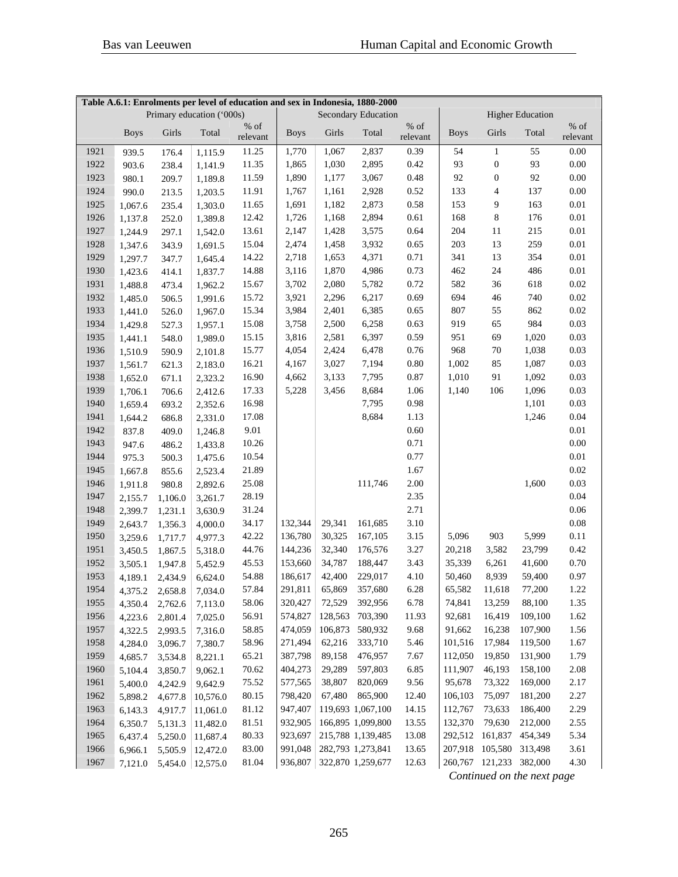|      |             |         | Primary education ('000s) | Table A.6.1: Enrolments per level of education and sex in Indonesia, 1880-2000 |             |         | <b>Secondary Education</b> |          | <b>Higher Education</b> |                          |         |          |
|------|-------------|---------|---------------------------|--------------------------------------------------------------------------------|-------------|---------|----------------------------|----------|-------------------------|--------------------------|---------|----------|
|      |             |         |                           | $%$ of                                                                         |             |         |                            | % of     |                         |                          |         | $\%$ of  |
|      | <b>Boys</b> | Girls   | Total                     | relevant                                                                       | <b>Boys</b> | Girls   | Total                      | relevant | <b>Boys</b>             | Girls                    | Total   | relevant |
| 1921 | 939.5       | 176.4   | 1,115.9                   | 11.25                                                                          | 1,770       | 1,067   | 2,837                      | 0.39     | 54                      | $\mathbf{1}$             | 55      | 0.00     |
| 1922 | 903.6       | 238.4   | 1,141.9                   | 11.35                                                                          | 1,865       | 1,030   | 2,895                      | 0.42     | 93                      | $\boldsymbol{0}$         | 93      | 0.00     |
| 1923 | 980.1       | 209.7   | 1,189.8                   | 11.59                                                                          | 1,890       | 1,177   | 3,067                      | 0.48     | 92                      | $\boldsymbol{0}$         | 92      | 0.00     |
| 1924 | 990.0       | 213.5   | 1,203.5                   | 11.91                                                                          | 1,767       | 1,161   | 2,928                      | 0.52     | 133                     | $\overline{\mathcal{L}}$ | 137     | $0.00\,$ |
| 1925 | 1,067.6     | 235.4   | 1,303.0                   | 11.65                                                                          | 1,691       | 1,182   | 2,873                      | 0.58     | 153                     | 9                        | 163     | $0.01\,$ |
| 1926 | 1,137.8     | 252.0   | 1,389.8                   | 12.42                                                                          | 1,726       | 1,168   | 2,894                      | 0.61     | 168                     | 8                        | 176     | $0.01\,$ |
| 1927 | 1,244.9     | 297.1   | 1,542.0                   | 13.61                                                                          | 2,147       | 1,428   | 3,575                      | 0.64     | 204                     | 11                       | 215     | $0.01\,$ |
| 1928 | 1,347.6     | 343.9   | 1,691.5                   | 15.04                                                                          | 2,474       | 1,458   | 3,932                      | 0.65     | 203                     | 13                       | 259     | $0.01\,$ |
| 1929 | 1,297.7     | 347.7   | 1,645.4                   | 14.22                                                                          | 2,718       | 1,653   | 4,371                      | 0.71     | 341                     | 13                       | 354     | $0.01\,$ |
| 1930 | 1,423.6     | 414.1   | 1,837.7                   | 14.88                                                                          | 3,116       | 1,870   | 4,986                      | 0.73     | 462                     | 24                       | 486     | $0.01\,$ |
| 1931 | 1,488.8     | 473.4   | 1,962.2                   | 15.67                                                                          | 3,702       | 2,080   | 5,782                      | 0.72     | 582                     | 36                       | 618     | 0.02     |
| 1932 | 1,485.0     | 506.5   | 1,991.6                   | 15.72                                                                          | 3,921       | 2,296   | 6,217                      | 0.69     | 694                     | 46                       | 740     | 0.02     |
| 1933 | 1,441.0     | 526.0   | 1,967.0                   | 15.34                                                                          | 3,984       | 2,401   | 6,385                      | 0.65     | 807                     | 55                       | 862     | 0.02     |
| 1934 | 1,429.8     | 527.3   | 1,957.1                   | 15.08                                                                          | 3,758       | 2,500   | 6,258                      | 0.63     | 919                     | 65                       | 984     | 0.03     |
| 1935 | 1,441.1     | 548.0   | 1,989.0                   | 15.15                                                                          | 3,816       | 2,581   | 6,397                      | 0.59     | 951                     | 69                       | 1,020   | 0.03     |
| 1936 | 1,510.9     | 590.9   | 2,101.8                   | 15.77                                                                          | 4,054       | 2,424   | 6,478                      | 0.76     | 968                     | 70                       | 1,038   | 0.03     |
| 1937 | 1,561.7     | 621.3   | 2,183.0                   | 16.21                                                                          | 4,167       | 3,027   | 7,194                      | 0.80     | 1,002                   | 85                       | 1,087   | 0.03     |
| 1938 | 1,652.0     | 671.1   | 2,323.2                   | 16.90                                                                          | 4,662       | 3,133   | 7,795                      | 0.87     | 1,010                   | 91                       | 1,092   | 0.03     |
| 1939 | 1,706.1     | 706.6   | 2,412.6                   | 17.33                                                                          | 5,228       | 3,456   | 8,684                      | 1.06     | 1,140                   | 106                      | 1,096   | 0.03     |
| 1940 | 1,659.4     | 693.2   | 2,352.6                   | 16.98                                                                          |             |         | 7,795                      | 0.98     |                         |                          | 1,101   | 0.03     |
| 1941 | 1,644.2     | 686.8   | 2,331.0                   | 17.08                                                                          |             |         | 8,684                      | 1.13     |                         |                          | 1,246   | 0.04     |
| 1942 | 837.8       | 409.0   | 1,246.8                   | 9.01                                                                           |             |         |                            | 0.60     |                         |                          |         | 0.01     |
| 1943 | 947.6       | 486.2   | 1,433.8                   | 10.26                                                                          |             |         |                            | 0.71     |                         |                          |         | 0.00     |
| 1944 | 975.3       | 500.3   | 1,475.6                   | 10.54                                                                          |             |         |                            | 0.77     |                         |                          |         | 0.01     |
| 1945 | 1,667.8     | 855.6   | 2,523.4                   | 21.89                                                                          |             |         |                            | 1.67     |                         |                          |         | 0.02     |
| 1946 | 1,911.8     | 980.8   | 2,892.6                   | 25.08                                                                          |             |         | 111,746                    | 2.00     |                         |                          | 1,600   | 0.03     |
| 1947 | 2,155.7     | 1,106.0 | 3,261.7                   | 28.19                                                                          |             |         |                            | 2.35     |                         |                          |         | 0.04     |
| 1948 | 2,399.7     | 1,231.1 | 3,630.9                   | 31.24                                                                          |             |         |                            | 2.71     |                         |                          |         | 0.06     |
| 1949 | 2,643.7     | 1,356.3 | 4,000.0                   | 34.17                                                                          | 132,344     | 29,341  | 161,685                    | 3.10     |                         |                          |         | 0.08     |
| 1950 | 3,259.6     | 1,717.7 | 4,977.3                   | 42.22                                                                          | 136,780     | 30,325  | 167,105                    | 3.15     | 5,096                   | 903                      | 5,999   | 0.11     |
| 1951 | 3,450.5     | 1,867.5 | 5,318.0                   | 44.76                                                                          | 144,236     | 32,340  | 176,576                    | 3.27     | 20,218                  | 3,582                    | 23,799  | 0.42     |
| 1952 | 3,505.1     | 1,947.8 | 5,452.9                   | 45.53                                                                          | 153,660     | 34,787  | 188,447                    | 3.43     | 35,339                  | 6,261                    | 41,600  | 0.70     |
| 1953 | 4,189.1     | 2,434.9 | 6,624.0                   | 54.88                                                                          | 186,617     | 42,400  | 229,017                    | 4.10     | 50,460                  | 8,939                    | 59,400  | 0.97     |
| 1954 | 4,375.2     | 2,658.8 | 7,034.0                   | 57.84                                                                          | 291,811     |         | 65,869 357,680             | 6.28     | 65,582                  | 11,618                   | 77,200  | 1.22     |
| 1955 | 4,350.4     | 2,762.6 | 7,113.0                   | 58.06                                                                          | 320,427     | 72,529  | 392,956                    | 6.78     | 74,841                  | 13,259                   | 88,100  | 1.35     |
| 1956 | 4,223.6     | 2,801.4 | 7,025.0                   | 56.91                                                                          | 574,827     | 128,563 | 703,390                    | 11.93    | 92,681                  | 16,419                   | 109,100 | 1.62     |
| 1957 | 4,322.5     | 2,993.5 | 7,316.0                   | 58.85                                                                          | 474,059     | 106,873 | 580,932                    | 9.68     | 91,662                  | 16,238                   | 107,900 | 1.56     |
| 1958 | 4,284.0     | 3,096.7 | 7,380.7                   | 58.96                                                                          | 271,494     | 62,216  | 333,710                    | 5.46     | 101,516                 | 17,984                   | 119,500 | 1.67     |
| 1959 | 4,685.7     | 3,534.8 | 8,221.1                   | 65.21                                                                          | 387,798     | 89,158  | 476,957                    | 7.67     | 112,050                 | 19,850                   | 131,900 | 1.79     |
| 1960 | 5,104.4     | 3,850.7 | 9,062.1                   | 70.62                                                                          | 404,273     | 29,289  | 597,803                    | 6.85     | 111,907                 | 46,193                   | 158,100 | $2.08\,$ |
| 1961 | 5,400.0     | 4,242.9 | 9,642.9                   | 75.52                                                                          | 577,565     | 38,807  | 820,069                    | 9.56     | 95,678                  | 73,322                   | 169,000 | 2.17     |
| 1962 | 5,898.2     | 4,677.8 | 10,576.0                  | 80.15                                                                          | 798,420     | 67,480  | 865,900                    | 12.40    | 106,103                 | 75,097                   | 181,200 | 2.27     |
| 1963 | 6,143.3     | 4,917.7 | 11,061.0                  | 81.12                                                                          | 947,407     |         | 119,693 1,067,100          | 14.15    | 112,767                 | 73,633                   | 186,400 | 2.29     |
| 1964 | 6,350.7     | 5,131.3 | 11,482.0                  | 81.51                                                                          | 932,905     |         | 166,895 1,099,800          | 13.55    | 132,370                 | 79,630                   | 212,000 | 2.55     |
| 1965 | 6,437.4     | 5,250.0 | 11,687.4                  | 80.33                                                                          | 923,697     |         | 215,788 1,139,485          | 13.08    | 292,512                 | 161,837                  | 454,349 | 5.34     |
| 1966 | 6,966.1     | 5,505.9 | 12,472.0                  | 83.00                                                                          | 991,048     |         | 282,793 1,273,841          | 13.65    |                         | 207,918 105,580 313,498  |         | 3.61     |
| 1967 | 7,121.0     |         | $5,454.0$   12,575.0      | 81.04                                                                          | 936,807     |         | 322,870 1,259,677          | 12.63    |                         | 260,767 121,233 382,000  |         | 4.30     |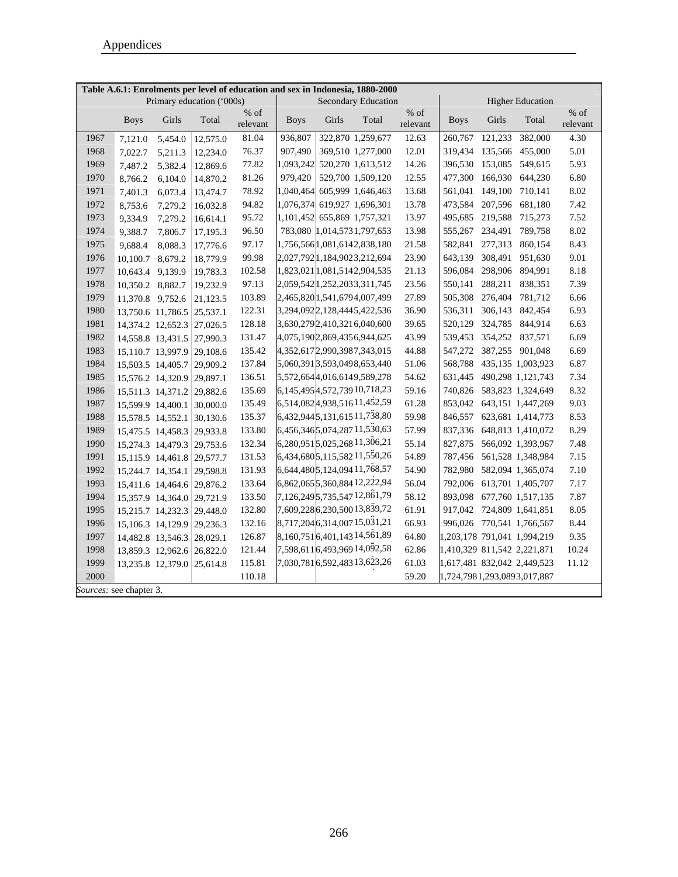|      |                         |                            |                           |                  |             |       | Table A.6.1: Enrolments per level of education and sex in Indonesia, 1880-2000 |                  |             |         |                             |                    |
|------|-------------------------|----------------------------|---------------------------|------------------|-------------|-------|--------------------------------------------------------------------------------|------------------|-------------|---------|-----------------------------|--------------------|
|      |                         |                            | Primary education ('000s) |                  |             |       | <b>Secondary Education</b>                                                     |                  |             |         | <b>Higher Education</b>     |                    |
|      | <b>Boys</b>             | Girls                      | Total                     | % of<br>relevant | <b>Boys</b> | Girls | Total                                                                          | % of<br>relevant | <b>Boys</b> | Girls   | Total                       | $%$ of<br>relevant |
| 1967 | 7,121.0                 | 5,454.0                    | 12,575.0                  | 81.04            | 936,807     |       | 322,870 1,259,677                                                              | 12.63            | 260,767     | 121,233 | 382,000                     | 4.30               |
| 1968 | 7,022.7                 | 5,211.3                    | 12,234.0                  | 76.37            | 907,490     |       | 369,510 1,277,000                                                              | 12.01            | 319,434     | 135,566 | 455,000                     | 5.01               |
| 1969 | 7,487.2                 | 5,382.4                    | 12,869.6                  | 77.82            |             |       | 1,093,242 520,270 1,613,512                                                    | 14.26            | 396,530     | 153,085 | 549,615                     | 5.93               |
| 1970 | 8,766.2                 | 6,104.0                    | 14,870.2                  | 81.26            | 979,420     |       | 529,700 1,509,120                                                              | 12.55            | 477,300     | 166,930 | 644,230                     | 6.80               |
| 1971 | 7,401.3                 | 6,073.4                    | 13,474.7                  | 78.92            | 1,040,464   |       | 605,999 1,646,463                                                              | 13.68            | 561,041     | 149,100 | 710,141                     | 8.02               |
| 1972 | 8,753.6                 | 7,279.2                    | 16,032.8                  | 94.82            |             |       | 1,076,374 619,927 1,696,301                                                    | 13.78            | 473,584     | 207,596 | 681,180                     | 7.42               |
| 1973 | 9,334.9                 | 7,279.2                    | 16,614.1                  | 95.72            |             |       | 1,101,452 655,869 1,757,321                                                    | 13.97            | 495,685     | 219,588 | 715,273                     | 7.52               |
| 1974 | 9,388.7                 | 7,806.7                    | 17,195.3                  | 96.50            |             |       | 783,080 1,014,5731,797,653                                                     | 13.98            | 555,267     | 234,491 | 789,758                     | 8.02               |
| 1975 | 9,688.4                 | 8,088.3                    | 17,776.6                  | 97.17            |             |       | 1,756,5661,081,6142,838,180                                                    | 21.58            | 582,841     | 277,313 | 860,154                     | 8.43               |
| 1976 | 10,100.7                | 8,679.2                    | 18,779.9                  | 99.98            |             |       | 2,027,792 1,184,9023,212,694                                                   | 23.90            | 643,139     | 308,491 | 951,630                     | 9.01               |
| 1977 | 10,643.4 9,139.9        |                            | 19,783.3                  | 102.58           |             |       | 1,823,021 1,081,5142,904,535                                                   | 21.13            | 596,084     | 298,906 | 894,991                     | 8.18               |
| 1978 | 10,350.2 8,882.7        |                            | 19,232.9                  | 97.13            |             |       | 2,059,542 1,252,2033,311,745                                                   | 23.56            | 550,141     | 288,211 | 838,351                     | 7.39               |
| 1979 | 11,370.8 9,752.6        |                            | 21,123.5                  | 103.89           |             |       | 2,465,8201,541,6794,007,499                                                    | 27.89            | 505,308     | 276,404 | 781,712                     | 6.66               |
| 1980 |                         | 13,750.6 11,786.5          | 25,537.1                  | 122.31           |             |       | 3,294,0922,128,4445,422,536                                                    | 36.90            | 536,311     | 306,143 | 842,454                     | 6.93               |
| 1981 |                         | 14,374.2 12,652.3          | 27,026.5                  | 128.18           |             |       | 3,630,279 2,410,3216,040,600                                                   | 39.65            | 520,129     | 324,785 | 844,914                     | 6.63               |
| 1982 |                         | 14,558.8 13,431.5          | 27,990.3                  | 131.47           |             |       | 4,075,1902,869,4356,944,625                                                    | 43.99            | 539,453     | 354,252 | 837,571                     | 6.69               |
| 1983 |                         | 15,110.7 13,997.9          | 29,108.6                  | 135.42           |             |       | 4,352,617 2,990,3987,343,015                                                   | 44.88            | 547,272     | 387,255 | 901,048                     | 6.69               |
| 1984 |                         | 15,503.5 14,405.7          | 29,909.2                  | 137.84           |             |       | 5,060,3913,593,0498,653,440                                                    | 51.06            | 568,788     |         | 435,135 1,003,923           | 6.87               |
| 1985 |                         | 15,576.2 14,320.9          | 29,897.1                  | 136.51           |             |       | 5,572,6644,016,6149,589,278                                                    | 54.62            | 631,445     |         | 490,298 1,121,743           | 7.34               |
| 1986 |                         | 15,511.3 14,371.2          | 29,882.6                  | 135.69           |             |       | 6,145,495 4,572,739 10,718,23                                                  | 59.16            |             |         | 740,826 583,823 1,324,649   | 8.32               |
| 1987 |                         | 15,599.9 14,400.1          | 30,000.0                  | 135.49           |             |       | 6,514,0824,938,51611,452,59                                                    | 61.28            |             |         | 853,042 643,151 1,447,269   | 9.03               |
| 1988 |                         | 15,578.5 14,552.1          | 30,130.6                  | 135.37           |             |       | 6,432,944 5,131,615 11,738,80                                                  | 59.98            |             |         | 846,557 623,681 1,414,773   | 8.53               |
| 1989 |                         | 15,475.5 14,458.3          | 29,933.8                  | 133.80           |             |       | 6,456,346 5,074,287 11,530,63                                                  | 57.99            | 837,336     |         | 648,813 1,410,072           | 8.29               |
| 1990 |                         | 15,274.3 14,479.3          | 29,753.6                  | 132.34           |             |       | 6,280,951 5,025,268 11,306,21                                                  | 55.14            | 827,875     |         | 566,092 1,393,967           | 7.48               |
| 1991 |                         | 15,115.9 14,461.8          | 29,577.7                  | 131.53           |             |       | 6,434,680 5,115,582 11,550,26                                                  | 54.89            | 787,456     |         | 561,528 1,348,984           | 7.15               |
| 1992 |                         | 15,244.7 14,354.1          | 29,598.8                  | 131.93           |             |       | 6,644,480 5,124,094 11,768,57                                                  | 54.90            | 782,980     |         | 582,094 1,365,074           | 7.10               |
| 1993 |                         | 15,411.6 14,464.6 29,876.2 |                           | 133.64           |             |       | 6,862,065 5,360,884 12,222,94                                                  | 56.04            | 792,006     |         | 613,701 1,405,707           | 7.17               |
| 1994 |                         | 15,357.9 14,364.0          | 29,721.9                  | 133.50           |             |       | 7, 126, 249 5, 735, 547 12, 861, 79                                            | 58.12            | 893,098     |         | 677,760 1,517,135           | 7.87               |
| 1995 |                         | 15,215.7 14,232.3          | 29,448.0                  | 132.80           |             |       | 7,609,2286,230,50013,839,72                                                    | 61.91            | 917,042     |         | 724,809 1,641,851           | 8.05               |
| 1996 |                         | 15,106.3 14,129.9          | 29,236.3                  | 132.16           |             |       | 8,717,2046,314,00715,031,21                                                    | 66.93            |             |         | 996,026 770,541 1,766,567   | 8.44               |
| 1997 |                         | 14,482.8 13,546.3          | 28,029.1                  | 126.87           |             |       | 8,160,7516,401,14314,561,89                                                    | 64.80            |             |         | 1,203,178 791,041 1,994,219 | 9.35               |
| 1998 |                         | 13,859.3 12,962.6 26,822.0 |                           | 121.44           |             |       | 7,598,6116,493,96914,092,58                                                    | 62.86            |             |         | 1,410,329 811,542 2,221,871 | 10.24              |
| 1999 |                         | 13,235.8 12,379.0 25,614.8 |                           | 115.81           |             |       | 7,030,7816,592,48313,623,26                                                    | 61.03            |             |         | 1,617,481 832,042 2,449,523 | 11.12              |
| 2000 |                         |                            |                           | 110.18           |             |       |                                                                                | 59.20            |             |         | 1,724,7981,293,0893,017,887 |                    |
|      | Sources: see chapter 3. |                            |                           |                  |             |       |                                                                                |                  |             |         |                             |                    |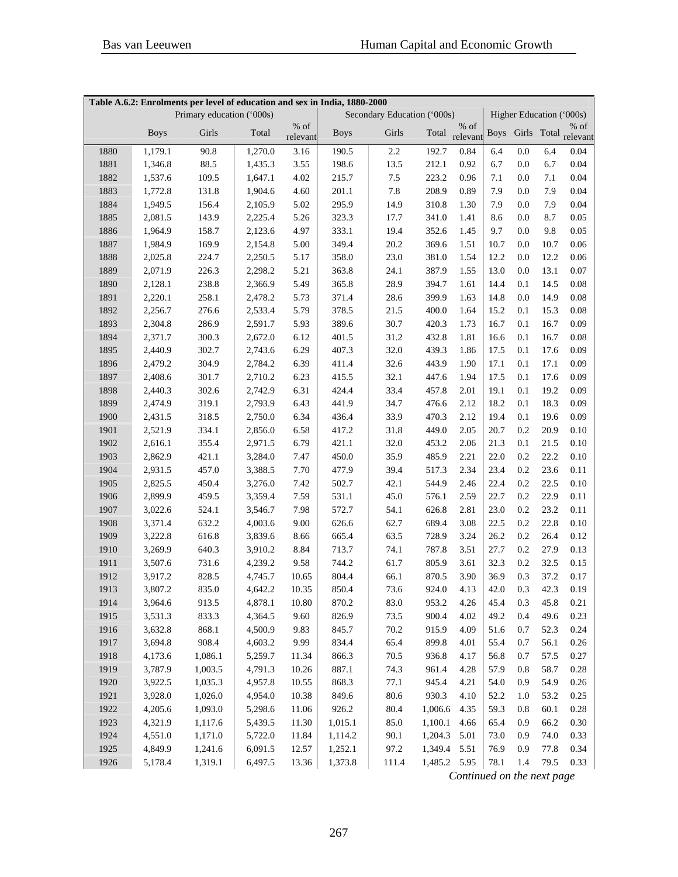|      |             | Primary education ('000s) |         | Table A.6.2: Enrolments per level of education and sex in India, 1880-2000<br>Secondary Education ('000s)<br>Higher Education ('000s) |             |          |              |          |      |         |      |                           |
|------|-------------|---------------------------|---------|---------------------------------------------------------------------------------------------------------------------------------------|-------------|----------|--------------|----------|------|---------|------|---------------------------|
|      |             |                           |         | $%$ of                                                                                                                                |             |          |              | $%$ of   |      |         |      | $%$ of                    |
|      | <b>Boys</b> | Girls                     | Total   | relevant                                                                                                                              | <b>Boys</b> | Girls    | Total        | relevant |      |         |      | Boys Girls Total relevant |
| 1880 | 1,179.1     | 90.8                      | 1,270.0 | 3.16                                                                                                                                  | 190.5       | 2.2      | 192.7        | 0.84     | 6.4  | 0.0     | 6.4  | 0.04                      |
| 1881 | 1,346.8     | 88.5                      | 1,435.3 | 3.55                                                                                                                                  | 198.6       | 13.5     | 212.1        | 0.92     | 6.7  | 0.0     | 6.7  | 0.04                      |
| 1882 | 1,537.6     | 109.5                     | 1,647.1 | 4.02                                                                                                                                  | 215.7       | 7.5      | 223.2        | 0.96     | 7.1  | $0.0\,$ | 7.1  | 0.04                      |
| 1883 | 1,772.8     | 131.8                     | 1,904.6 | 4.60                                                                                                                                  | 201.1       | 7.8      | 208.9        | 0.89     | 7.9  | $0.0\,$ | 7.9  | 0.04                      |
| 1884 | 1,949.5     | 156.4                     | 2,105.9 | 5.02                                                                                                                                  | 295.9       | 14.9     | 310.8        | 1.30     | 7.9  | $0.0\,$ | 7.9  | 0.04                      |
| 1885 | 2,081.5     | 143.9                     | 2,225.4 | 5.26                                                                                                                                  | 323.3       | 17.7     | 341.0        | 1.41     | 8.6  | $0.0\,$ | 8.7  | 0.05                      |
| 1886 | 1,964.9     | 158.7                     | 2,123.6 | 4.97                                                                                                                                  | 333.1       | 19.4     | 352.6        | 1.45     | 9.7  | $0.0\,$ | 9.8  | 0.05                      |
| 1887 | 1,984.9     | 169.9                     | 2,154.8 | 5.00                                                                                                                                  | 349.4       | 20.2     | 369.6        | 1.51     | 10.7 | 0.0     | 10.7 | 0.06                      |
| 1888 | 2,025.8     | 224.7                     | 2,250.5 | 5.17                                                                                                                                  | 358.0       | 23.0     | 381.0        | 1.54     | 12.2 | 0.0     | 12.2 | 0.06                      |
| 1889 | 2,071.9     | 226.3                     | 2,298.2 | 5.21                                                                                                                                  | 363.8       | 24.1     | 387.9        | 1.55     | 13.0 | 0.0     | 13.1 | 0.07                      |
| 1890 | 2,128.1     | 238.8                     | 2,366.9 | 5.49                                                                                                                                  | 365.8       | 28.9     | 394.7        | 1.61     | 14.4 | 0.1     | 14.5 | 0.08                      |
| 1891 | 2,220.1     | 258.1                     | 2,478.2 | 5.73                                                                                                                                  | 371.4       | 28.6     | 399.9        | 1.63     | 14.8 | 0.0     | 14.9 | 0.08                      |
| 1892 | 2,256.7     | 276.6                     | 2,533.4 | 5.79                                                                                                                                  | 378.5       | 21.5     | 400.0        | 1.64     | 15.2 | 0.1     | 15.3 | 0.08                      |
| 1893 | 2,304.8     | 286.9                     | 2,591.7 | 5.93                                                                                                                                  | 389.6       | 30.7     | 420.3        | 1.73     | 16.7 | 0.1     | 16.7 | 0.09                      |
| 1894 | 2,371.7     | 300.3                     | 2,672.0 | 6.12                                                                                                                                  | 401.5       | 31.2     | 432.8        | 1.81     | 16.6 | 0.1     | 16.7 | 0.08                      |
| 1895 | 2,440.9     | 302.7                     | 2,743.6 | 6.29                                                                                                                                  | 407.3       | 32.0     | 439.3        | 1.86     | 17.5 | 0.1     | 17.6 | 0.09                      |
| 1896 | 2,479.2     | 304.9                     | 2,784.2 | 6.39                                                                                                                                  | 411.4       | 32.6     | 443.9        | 1.90     | 17.1 | 0.1     | 17.1 | 0.09                      |
| 1897 | 2,408.6     | 301.7                     | 2,710.2 | 6.23                                                                                                                                  | 415.5       | 32.1     | 447.6        | 1.94     | 17.5 | 0.1     | 17.6 | 0.09                      |
| 1898 | 2,440.3     | 302.6                     | 2,742.9 | 6.31                                                                                                                                  | 424.4       | 33.4     | 457.8        | 2.01     | 19.1 | 0.1     | 19.2 | 0.09                      |
| 1899 | 2,474.9     | 319.1                     | 2,793.9 | 6.43                                                                                                                                  | 441.9       | 34.7     | 476.6        | 2.12     | 18.2 | 0.1     | 18.3 | 0.09                      |
| 1900 | 2,431.5     | 318.5                     | 2,750.0 | 6.34                                                                                                                                  | 436.4       | 33.9     | 470.3        | 2.12     | 19.4 | 0.1     | 19.6 | 0.09                      |
| 1901 | 2,521.9     | 334.1                     | 2,856.0 | 6.58                                                                                                                                  | 417.2       | 31.8     | 449.0        | 2.05     | 20.7 | 0.2     | 20.9 | 0.10                      |
| 1902 | 2,616.1     | 355.4                     | 2,971.5 | 6.79                                                                                                                                  | 421.1       | 32.0     | 453.2        | 2.06     | 21.3 | 0.1     | 21.5 | 0.10                      |
| 1903 | 2,862.9     | 421.1                     | 3,284.0 | 7.47                                                                                                                                  | 450.0       | 35.9     | 485.9        | 2.21     | 22.0 | 0.2     | 22.2 | 0.10                      |
| 1904 | 2,931.5     | 457.0                     | 3,388.5 | 7.70                                                                                                                                  | 477.9       | 39.4     | 517.3        | 2.34     | 23.4 | 0.2     | 23.6 | 0.11                      |
| 1905 | 2,825.5     | 450.4                     | 3,276.0 | 7.42                                                                                                                                  | 502.7       | 42.1     | 544.9        | 2.46     | 22.4 | 0.2     | 22.5 | 0.10                      |
| 1906 | 2,899.9     | 459.5                     | 3,359.4 | 7.59                                                                                                                                  | 531.1       | 45.0     | 576.1        | 2.59     | 22.7 | 0.2     | 22.9 | 0.11                      |
| 1907 | 3,022.6     | 524.1                     | 3,546.7 | 7.98                                                                                                                                  | 572.7       | 54.1     | 626.8        | 2.81     | 23.0 | 0.2     | 23.2 | 0.11                      |
| 1908 | 3,371.4     | 632.2                     | 4,003.6 | 9.00                                                                                                                                  | 626.6       | 62.7     | 689.4        | 3.08     | 22.5 | 0.2     | 22.8 | 0.10                      |
| 1909 | 3,222.8     | 616.8                     | 3,839.6 | 8.66                                                                                                                                  | 665.4       | 63.5     | 728.9        | 3.24     | 26.2 | 0.2     | 26.4 | 0.12                      |
| 1910 | 3,269.9     | 640.3                     | 3,910.2 | 8.84                                                                                                                                  | 713.7       | 74.1     | 787.8        | 3.51     | 27.7 | 0.2     | 27.9 | 0.13                      |
| 1911 | 3,507.6     | 731.6                     | 4,239.2 | 9.58                                                                                                                                  | 744.2       | 61.7     | 805.9        | 3.61     | 32.3 | 0.2     | 32.5 | 0.15                      |
| 1912 | 3,917.2     | 828.5                     | 4,745.7 | 10.65                                                                                                                                 | 804.4       | 66.1     | 870.5        | 3.90     | 36.9 | 0.3     | 37.2 | 0.17                      |
| 1913 | 3,807.2     | 835.0                     | 4,642.2 | 10.35                                                                                                                                 | 850.4       | 73.6     | 924.0        | 4.13     | 42.0 | $0.3\,$ | 42.3 | 0.19                      |
| 1914 | 3,964.6     | 913.5                     | 4,878.1 | 10.80                                                                                                                                 | 870.2       | 83.0     | 953.2        | 4.26     | 45.4 | 0.3     | 45.8 | 0.21                      |
| 1915 | 3,531.3     | 833.3                     | 4,364.5 | 9.60                                                                                                                                  | 826.9       | 73.5     | 900.4        | 4.02     | 49.2 | 0.4     | 49.6 | 0.23                      |
| 1916 | 3,632.8     | 868.1                     | 4,500.9 | 9.83                                                                                                                                  | 845.7       | 70.2     | 915.9        | 4.09     | 51.6 | 0.7     | 52.3 | 0.24                      |
| 1917 | 3,694.8     | 908.4                     | 4,603.2 | 9.99                                                                                                                                  | 834.4       | 65.4     | 899.8        | 4.01     | 55.4 | 0.7     | 56.1 | 0.26                      |
| 1918 | 4,173.6     | 1,086.1                   | 5,259.7 | 11.34                                                                                                                                 | 866.3       | 70.5     | 936.8        | 4.17     | 56.8 | 0.7     | 57.5 | 0.27                      |
| 1919 | 3,787.9     | 1,003.5                   | 4,791.3 | 10.26                                                                                                                                 | 887.1       | 74.3     | 961.4        | 4.28     | 57.9 | 0.8     | 58.7 | 0.28                      |
| 1920 | 3,922.5     | 1,035.3                   | 4,957.8 | 10.55                                                                                                                                 | 868.3       | 77.1     | 945.4        | 4.21     | 54.0 | 0.9     | 54.9 | 0.26                      |
| 1921 | 3,928.0     | 1,026.0                   | 4,954.0 | 10.38                                                                                                                                 | 849.6       | $80.6\,$ | 930.3        | 4.10     | 52.2 | 1.0     | 53.2 | 0.25                      |
| 1922 | 4,205.6     | 1,093.0                   | 5,298.6 | 11.06                                                                                                                                 | 926.2       | 80.4     | 1,006.6      | 4.35     | 59.3 | $0.8\,$ | 60.1 | 0.28                      |
| 1923 | 4,321.9     | 1,117.6                   | 5,439.5 | 11.30                                                                                                                                 | 1,015.1     | 85.0     | 1,100.1      | 4.66     | 65.4 | 0.9     | 66.2 | 0.30                      |
| 1924 | 4,551.0     | 1,171.0                   | 5,722.0 | 11.84                                                                                                                                 | 1,114.2     | 90.1     | 1,204.3      | 5.01     | 73.0 | 0.9     | 74.0 | 0.33                      |
| 1925 | 4,849.9     | 1,241.6                   | 6,091.5 | 12.57                                                                                                                                 | 1,252.1     | 97.2     | 1,349.4 5.51 |          | 76.9 | 0.9     | 77.8 | 0.34                      |
| 1926 | 5,178.4     | 1,319.1                   | 6,497.5 | 13.36                                                                                                                                 | 1,373.8     | 111.4    | 1,485.2 5.95 |          | 78.1 | 1.4     | 79.5 | 0.33                      |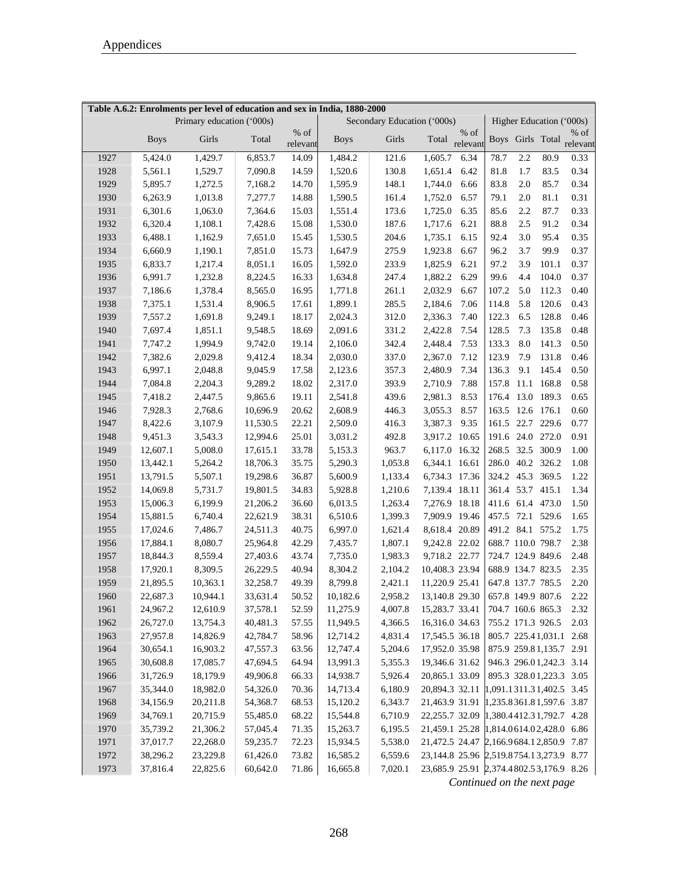| Table A.6.2: Enrolments per level of education and sex in India, 1880-2000 |             |                           |          |                  |             |                             |                                               |                  |            |                   |       |                                     |
|----------------------------------------------------------------------------|-------------|---------------------------|----------|------------------|-------------|-----------------------------|-----------------------------------------------|------------------|------------|-------------------|-------|-------------------------------------|
|                                                                            |             | Primary education ('000s) |          |                  |             | Secondary Education ('000s) |                                               |                  |            |                   |       | Higher Education ('000s)            |
|                                                                            | <b>Boys</b> | Girls                     | Total    | % of<br>relevant | <b>Boys</b> | Girls                       | Total                                         | % of<br>relevant |            |                   |       | $%$ of<br>Boys Girls Total relevant |
| 1927                                                                       | 5,424.0     | 1,429.7                   | 6,853.7  | 14.09            | 1,484.2     | 121.6                       | 1,605.7                                       | 6.34             | 78.7       | 2.2               | 80.9  | 0.33                                |
| 1928                                                                       | 5,561.1     | 1,529.7                   | 7,090.8  | 14.59            | 1,520.6     | 130.8                       | 1,651.4                                       | 6.42             | 81.8       | 1.7               | 83.5  | 0.34                                |
| 1929                                                                       | 5,895.7     | 1,272.5                   | 7,168.2  | 14.70            | 1,595.9     | 148.1                       | 1,744.0                                       | 6.66             | 83.8       | 2.0               | 85.7  | 0.34                                |
| 1930                                                                       | 6,263.9     | 1,013.8                   | 7,277.7  | 14.88            | 1,590.5     | 161.4                       | 1,752.0                                       | 6.57             | 79.1       | $2.0\,$           | 81.1  | 0.31                                |
| 1931                                                                       | 6,301.6     | 1,063.0                   | 7,364.6  | 15.03            | 1,551.4     | 173.6                       | 1,725.0                                       | 6.35             | 85.6       | 2.2               | 87.7  | 0.33                                |
| 1932                                                                       | 6,320.4     | 1,108.1                   | 7,428.6  | 15.08            | 1,530.0     | 187.6                       | 1,717.6                                       | 6.21             | 88.8       | 2.5               | 91.2  | 0.34                                |
| 1933                                                                       | 6,488.1     | 1,162.9                   | 7,651.0  | 15.45            | 1,530.5     | 204.6                       | 1,735.1                                       | 6.15             | 92.4       | 3.0               | 95.4  | 0.35                                |
| 1934                                                                       | 6,660.9     | 1,190.1                   | 7,851.0  | 15.73            | 1,647.9     | 275.9                       | 1,923.8                                       | 6.67             | 96.2       | 3.7               | 99.9  | 0.37                                |
| 1935                                                                       | 6,833.7     | 1,217.4                   | 8,051.1  | 16.05            | 1,592.0     | 233.9                       | 1,825.9                                       | 6.21             | 97.2       | 3.9               | 101.1 | 0.37                                |
| 1936                                                                       | 6,991.7     | 1,232.8                   | 8,224.5  | 16.33            | 1,634.8     | 247.4                       | 1,882.2                                       | 6.29             | 99.6       | 4.4               | 104.0 | 0.37                                |
| 1937                                                                       | 7,186.6     | 1,378.4                   | 8,565.0  | 16.95            | 1,771.8     | 261.1                       | 2,032.9                                       | 6.67             | 107.2      | 5.0               | 112.3 | 0.40                                |
| 1938                                                                       | 7,375.1     | 1,531.4                   | 8,906.5  | 17.61            | 1,899.1     | 285.5                       | 2,184.6                                       | 7.06             | 114.8      | 5.8               | 120.6 | 0.43                                |
| 1939                                                                       | 7,557.2     | 1,691.8                   | 9,249.1  | 18.17            | 2,024.3     | 312.0                       | 2,336.3                                       | 7.40             | 122.3      | 6.5               | 128.8 | 0.46                                |
| 1940                                                                       | 7,697.4     | 1,851.1                   | 9,548.5  | 18.69            | 2,091.6     | 331.2                       | 2,422.8                                       | 7.54             | 128.5      | 7.3               | 135.8 | 0.48                                |
| 1941                                                                       | 7,747.2     | 1,994.9                   | 9,742.0  | 19.14            | 2,106.0     | 342.4                       | 2,448.4                                       | 7.53             | 133.3      | 8.0               | 141.3 | 0.50                                |
| 1942                                                                       | 7,382.6     | 2,029.8                   | 9,412.4  | 18.34            | 2,030.0     | 337.0                       | 2,367.0                                       | 7.12             | 123.9      | 7.9               | 131.8 | 0.46                                |
| 1943                                                                       | 6,997.1     | 2,048.8                   | 9,045.9  | 17.58            | 2,123.6     | 357.3                       | 2,480.9                                       | 7.34             | 136.3      | 9.1               | 145.4 | 0.50                                |
| 1944                                                                       | 7,084.8     | 2,204.3                   | 9,289.2  | 18.02            | 2,317.0     | 393.9                       | 2,710.9                                       | 7.88             | 157.8      | 11.1              | 168.8 | 0.58                                |
| 1945                                                                       | 7,418.2     | 2,447.5                   | 9,865.6  | 19.11            | 2,541.8     | 439.6                       | 2,981.3                                       | 8.53             | 176.4 13.0 |                   | 189.3 | 0.65                                |
| 1946                                                                       | 7,928.3     | 2,768.6                   | 10,696.9 | 20.62            | 2,608.9     | 446.3                       | 3,055.3                                       | 8.57             | 163.5 12.6 |                   | 176.1 | 0.60                                |
| 1947                                                                       | 8,422.6     | 3,107.9                   | 11,530.5 | 22.21            | 2,509.0     | 416.3                       | 3,387.3                                       | 9.35             | 161.5 22.7 |                   | 229.6 | 0.77                                |
| 1948                                                                       | 9,451.3     | 3,543.3                   | 12,994.6 | 25.01            | 3,031.2     | 492.8                       | 3,917.2 10.65                                 |                  | 191.6 24.0 |                   | 272.0 | 0.91                                |
| 1949                                                                       | 12,607.1    | 5,008.0                   | 17,615.1 | 33.78            | 5,153.3     | 963.7                       | 6,117.0                                       | 16.32            | 268.5 32.5 |                   | 300.9 | 1.00                                |
| 1950                                                                       | 13,442.1    | 5,264.2                   | 18,706.3 | 35.75            | 5,290.3     | 1,053.8                     | 6,344.1 16.61                                 |                  |            | 286.0 40.2 326.2  |       | 1.08                                |
| 1951                                                                       | 13,791.5    | 5,507.1                   | 19,298.6 | 36.87            | 5,600.9     | 1,133.4                     | 6,734.3 17.36                                 |                  |            | 324.2 45.3 369.5  |       | 1.22                                |
| 1952                                                                       | 14,069.8    | 5,731.7                   | 19,801.5 | 34.83            | 5,928.8     | 1,210.6                     | 7,139.4 18.11                                 |                  |            | 361.4 53.7 415.1  |       | 1.34                                |
| 1953                                                                       | 15,006.3    | 6,199.9                   | 21,206.2 | 36.60            | 6,013.5     | 1,263.4                     | 7,276.9                                       | 18.18            |            | 411.6 61.4 473.0  |       | 1.50                                |
| 1954                                                                       | 15,881.5    | 6,740.4                   | 22,621.9 | 38.31            | 6,510.6     | 1,399.3                     | 7,909.9                                       | 19.46            |            | 457.5 72.1 529.6  |       | 1.65                                |
| 1955                                                                       | 17,024.6    | 7,486.7                   | 24,511.3 | 40.75            | 6,997.0     | 1,621.4                     | 8,618.4                                       | 20.89            |            | 491.2 84.1 575.2  |       | 1.75                                |
| 1956                                                                       | 17,884.1    | 8,080.7                   | 25,964.8 | 42.29            | 7,435.7     | 1,807.1                     | 9,242.8 22.02                                 |                  |            | 688.7 110.0 798.7 |       | 2.38                                |
| 1957                                                                       | 18,844.3    | 8,559.4                   | 27,403.6 | 43.74            | 7,735.0     | 1,983.3                     | 9,718.2 22.77                                 |                  |            | 724.7 124.9 849.6 |       | 2.48                                |
| 1958                                                                       | 17,920.1    | 8,309.5                   | 26,229.5 | 40.94            | 8,304.2     | 2,104.2                     | 10,408.3 23.94                                |                  |            | 688.9 134.7 823.5 |       | 2.35                                |
| 1959                                                                       | 21,895.5    | 10,363.1                  | 32,258.7 | 49.39            | 8.799.8     | 2,421.1                     | 11,220.9 25.41                                |                  |            | 647.8 137.7 785.5 |       | 2.20                                |
| 1960                                                                       | 22,687.3    | 10,944.1                  | 33,631.4 | 50.52            | 10,182.6    |                             | 2,958.2 13,140.8 29.30                        |                  |            | 657.8 149.9 807.6 |       | 2.22                                |
| 1961                                                                       | 24,967.2    | 12,610.9                  | 37,578.1 | 52.59            | 11,275.9    | 4,007.8                     | 15,283.7 33.41                                |                  |            | 704.7 160.6 865.3 |       | 2.32                                |
| 1962                                                                       | 26,727.0    | 13,754.3                  | 40,481.3 | 57.55            | 11,949.5    | 4,366.5                     | 16,316.0 34.63                                |                  |            | 755.2 171.3 926.5 |       | 2.03                                |
| 1963                                                                       | 27,957.8    | 14,826.9                  | 42,784.7 | 58.96            | 12,714.2    | 4,831.4                     | 17,545.5 36.18                                |                  |            |                   |       | 805.7 225.41,031.1 2.68             |
| 1964                                                                       | 30,654.1    | 16,903.2                  | 47,557.3 | 63.56            | 12,747.4    | 5,204.6                     | 17,952.0 35.98                                |                  |            |                   |       | 875.9 259.81,135.7 2.91             |
| 1965                                                                       | 30,608.8    | 17,085.7                  | 47,694.5 | 64.94            | 13,991.3    | 5,355.3                     | 19,346.6 31.62                                |                  |            |                   |       | 946.3 296.01,242.3 3.14             |
| 1966                                                                       | 31,726.9    | 18,179.9                  | 49,906.8 | 66.33            | 14,938.7    | 5,926.4                     | 20,865.1 33.09                                |                  |            |                   |       | 895.3 328.01,223.3 3.05             |
| 1967                                                                       | 35,344.0    | 18,982.0                  | 54,326.0 | 70.36            | 14,713.4    | 6,180.9                     | 20,894.3 32.11 1,091.1311.31,402.5 3.45       |                  |            |                   |       |                                     |
| 1968                                                                       | 34,156.9    | 20,211.8                  | 54,368.7 | 68.53            | 15,120.2    | 6,343.7                     | 21,463.9 31.91 1,235.8361.81,597.6 3.87       |                  |            |                   |       |                                     |
| 1969                                                                       | 34,769.1    | 20,715.9                  | 55,485.0 | 68.22            | 15,544.8    | 6,710.9                     | 22, 255.7 32.09 1, 380. 4412. 31, 792. 7 4.28 |                  |            |                   |       |                                     |
| 1970                                                                       | 35,739.2    | 21,306.2                  | 57,045.4 | 71.35            | 15,263.7    | 6,195.5                     | 21,459.1 25.28 1,814.0614.02,428.0 6.86       |                  |            |                   |       |                                     |
| 1971                                                                       | 37,017.7    | 22,268.0                  | 59,235.7 | 72.23            | 15,934.5    | 5,538.0                     | 21,472.5 24.47 2,166.9684.12,850.9 7.87       |                  |            |                   |       |                                     |
| 1972                                                                       | 38,296.2    | 23,229.8                  | 61,426.0 | 73.82            | 16,585.2    | 6,559.6                     | 23, 144.8 25.96 2, 519.8754.13, 273.9 8.77    |                  |            |                   |       |                                     |
| 1973                                                                       | 37,816.4    | 22,825.6                  | 60,642.0 | 71.86            | 16,665.8    | 7,020.1                     | 23,685.9 25.91 2,374.4802.53,176.9 8.26       |                  |            |                   |       |                                     |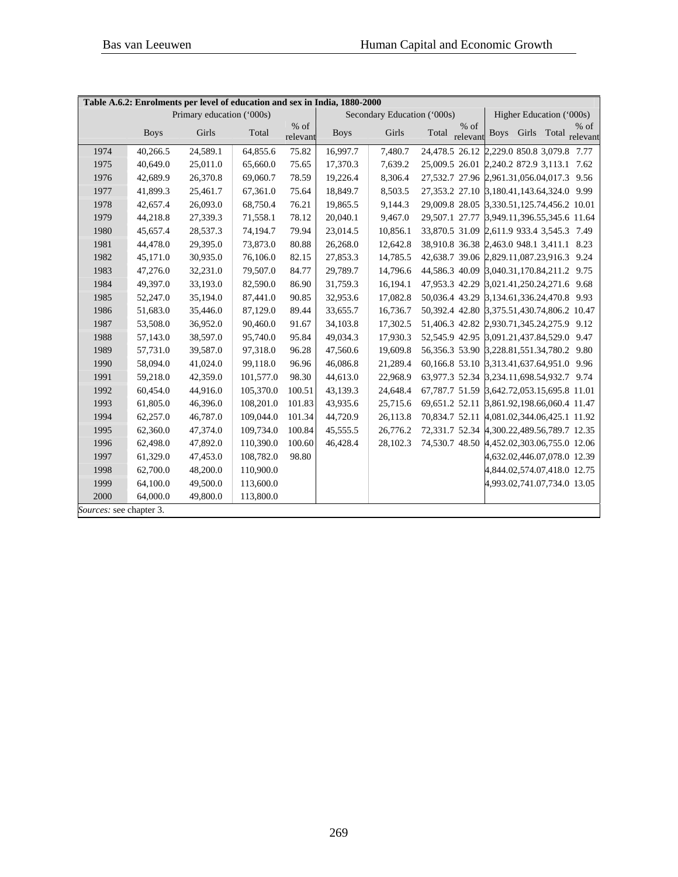| Table A.6.2: Enrolments per level of education and sex in India, 1880-2000 |                           |          |           |                  |                             |          |                                                     |                             |                          |  |                                |  |
|----------------------------------------------------------------------------|---------------------------|----------|-----------|------------------|-----------------------------|----------|-----------------------------------------------------|-----------------------------|--------------------------|--|--------------------------------|--|
|                                                                            | Primary education ('000s) |          |           |                  | Secondary Education ('000s) |          |                                                     |                             | Higher Education ('000s) |  |                                |  |
|                                                                            | <b>Boys</b>               | Girls    | Total     | % of<br>relevant | <b>Boys</b>                 | Girls    | $%$ of<br>Total<br>relevant                         | <b>Boys</b>                 |                          |  | $%$ of<br>Girls Total relevant |  |
| 1974                                                                       | 40,266.5                  | 24,589.1 | 64,855.6  | 75.82            | 16,997.7                    | 7,480.7  | 24,478.5 26.12 2,229.0 850.8 3,079.8 7.77           |                             |                          |  |                                |  |
| 1975                                                                       | 40,649.0                  | 25,011.0 | 65,660.0  | 75.65            | 17,370.3                    | 7,639.2  | 25,009.5 26.01 2,240.2 872.9 3,113.1 7.62           |                             |                          |  |                                |  |
| 1976                                                                       | 42,689.9                  | 26,370.8 | 69,060.7  | 78.59            | 19,226.4                    | 8,306.4  | 27,532.7 27.96 2,961.31,056.04,017.3 9.56           |                             |                          |  |                                |  |
| 1977                                                                       | 41,899.3                  | 25,461.7 | 67,361.0  | 75.64            | 18,849.7                    | 8,503.5  | 27,353.2 27.10 3,180.41,143.64,324.0 9.99           |                             |                          |  |                                |  |
| 1978                                                                       | 42,657.4                  | 26,093.0 | 68,750.4  | 76.21            | 19,865.5                    | 9,144.3  | 29,009.8 28.05 3,330.51,125.74,456.2 10.01          |                             |                          |  |                                |  |
| 1979                                                                       | 44,218.8                  | 27,339.3 | 71,558.1  | 78.12            | 20,040.1                    | 9,467.0  | 29,507.1 27.77 3,949.11,396.55,345.6 11.64          |                             |                          |  |                                |  |
| 1980                                                                       | 45,657.4                  | 28,537.3 | 74,194.7  | 79.94            | 23,014.5                    | 10,856.1 | 33,870.5 31.09 2,611.9 933.4 3,545.3 7.49           |                             |                          |  |                                |  |
| 1981                                                                       | 44,478.0                  | 29,395.0 | 73,873.0  | 80.88            | 26,268.0                    | 12,642.8 | 38,910.8 36.38 2,463.0 948.1 3,411.1 8.23           |                             |                          |  |                                |  |
| 1982                                                                       | 45,171.0                  | 30,935.0 | 76,106.0  | 82.15            | 27,853.3                    | 14,785.5 | 42,638.7 39.06 2,829.11,087.23,916.3 9.24           |                             |                          |  |                                |  |
| 1983                                                                       | 47,276.0                  | 32,231.0 | 79,507.0  | 84.77            | 29,789.7                    | 14,796.6 | 44,586.3 40.09 3,040.31,170.84,211.2 9.75           |                             |                          |  |                                |  |
| 1984                                                                       | 49,397.0                  | 33,193.0 | 82,590.0  | 86.90            | 31,759.3                    | 16,194.1 | 47,953.3 42.29 3,021.41,250.24,271.6 9.68           |                             |                          |  |                                |  |
| 1985                                                                       | 52,247.0                  | 35,194.0 | 87,441.0  | 90.85            | 32,953.6                    | 17,082.8 | 50,036.4 43.29 3,134.61,336.24,470.8 9.93           |                             |                          |  |                                |  |
| 1986                                                                       | 51,683.0                  | 35,446.0 | 87,129.0  | 89.44            | 33,655.7                    | 16,736.7 | 50,392.4 42.80 3,375.51,430.74,806.2 10.47          |                             |                          |  |                                |  |
| 1987                                                                       | 53,508.0                  | 36,952.0 | 90,460.0  | 91.67            | 34,103.8                    | 17,302.5 | 51,406.3 42.82 2,930.71,345.24,275.9 9.12           |                             |                          |  |                                |  |
| 1988                                                                       | 57,143.0                  | 38,597.0 | 95,740.0  | 95.84            | 49,034.3                    | 17,930.3 | 52,545.9 42.95 3,091.21,437.84,529.0 9.47           |                             |                          |  |                                |  |
| 1989                                                                       | 57,731.0                  | 39,587.0 | 97,318.0  | 96.28            | 47,560.6                    | 19,609.8 | 56, 356. 3 53. 90 3, 228. 81, 551. 34, 780. 2 9. 80 |                             |                          |  |                                |  |
| 1990                                                                       | 58,094.0                  | 41,024.0 | 99,118.0  | 96.96            | 46,086.8                    | 21,289.4 | 60,166.8 53.10 3,313.41,637.64,951.0 9.96           |                             |                          |  |                                |  |
| 1991                                                                       | 59,218.0                  | 42,359.0 | 101,577.0 | 98.30            | 44,613.0                    | 22,968.9 | 63,977.3 52.34 3,234.11,698.54,932.7 9.74           |                             |                          |  |                                |  |
| 1992                                                                       | 60,454.0                  | 44,916.0 | 105,370.0 | 100.51           | 43,139.3                    | 24,648.4 | 67, 787.7 51.59 3, 642. 72, 053. 15, 695. 8 11.01   |                             |                          |  |                                |  |
| 1993                                                                       | 61,805.0                  | 46,396.0 | 108,201.0 | 101.83           | 43,935.6                    | 25,715.6 | 69,651.2 52.11 3,861.92,198.66,060.4 11.47          |                             |                          |  |                                |  |
| 1994                                                                       | 62,257.0                  | 46,787.0 | 109,044.0 | 101.34           | 44,720.9                    | 26,113.8 | 70,834.7 52.11 4,081.02,344.06,425.1 11.92          |                             |                          |  |                                |  |
| 1995                                                                       | 62,360.0                  | 47,374.0 | 109,734.0 | 100.84           | 45,555.5                    | 26,776.2 | 72,331.7 52.34 4,300.22,489.56,789.7 12.35          |                             |                          |  |                                |  |
| 1996                                                                       | 62,498.0                  | 47,892.0 | 110,390.0 | 100.60           | 46,428.4                    | 28,102.3 | 74,530.7 48.50 4,452.02,303.06,755.0 12.06          |                             |                          |  |                                |  |
| 1997                                                                       | 61,329.0                  | 47,453.0 | 108,782.0 | 98.80            |                             |          |                                                     | 4,632.02,446.07,078.0 12.39 |                          |  |                                |  |
| 1998                                                                       | 62,700.0                  | 48,200.0 | 110,900.0 |                  |                             |          |                                                     | 4,844.02,574.07,418.0 12.75 |                          |  |                                |  |
| 1999                                                                       | 64,100.0                  | 49,500.0 | 113,600.0 |                  |                             |          |                                                     | 4,993.02,741.07,734.0 13.05 |                          |  |                                |  |
| 2000                                                                       | 64,000.0                  | 49,800.0 | 113,800.0 |                  |                             |          |                                                     |                             |                          |  |                                |  |
| Sources: see chapter 3.                                                    |                           |          |           |                  |                             |          |                                                     |                             |                          |  |                                |  |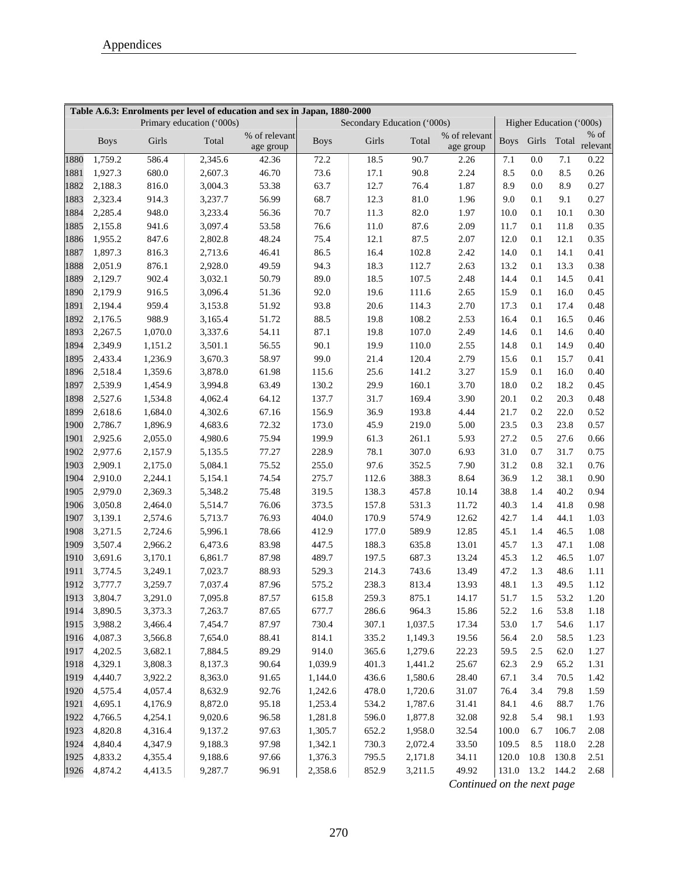| Table A.6.3: Enrolments per level of education and sex in Japan, 1880-2000<br>Primary education ('000s)<br>Secondary Education ('000s)<br>Higher Education ('000s) |             |         |         |                            |             |       |         |                            |             |                  |       |          |
|--------------------------------------------------------------------------------------------------------------------------------------------------------------------|-------------|---------|---------|----------------------------|-------------|-------|---------|----------------------------|-------------|------------------|-------|----------|
|                                                                                                                                                                    |             |         |         |                            |             |       |         |                            |             |                  |       | $%$ of   |
|                                                                                                                                                                    | <b>Boys</b> | Girls   | Total   | % of relevant<br>age group | <b>Boys</b> | Girls | Total   | % of relevant<br>age group | <b>Boys</b> | Girls            | Total | relevant |
| 1880                                                                                                                                                               | 1,759.2     | 586.4   | 2,345.6 | 42.36                      | 72.2        | 18.5  | 90.7    | 2.26                       | 7.1         | 0.0              | 7.1   | 0.22     |
| 1881                                                                                                                                                               | 1,927.3     | 680.0   | 2,607.3 | 46.70                      | 73.6        | 17.1  | 90.8    | 2.24                       | 8.5         | 0.0              | 8.5   | 0.26     |
| 1882                                                                                                                                                               | 2,188.3     | 816.0   | 3,004.3 | 53.38                      | 63.7        | 12.7  | 76.4    | 1.87                       | 8.9         | 0.0              | 8.9   | 0.27     |
| 1883                                                                                                                                                               | 2,323.4     | 914.3   | 3,237.7 | 56.99                      | 68.7        | 12.3  | 81.0    | 1.96                       | 9.0         | 0.1              | 9.1   | 0.27     |
| 1884                                                                                                                                                               | 2,285.4     | 948.0   | 3,233.4 | 56.36                      | 70.7        | 11.3  | 82.0    | 1.97                       | 10.0        | 0.1              | 10.1  | 0.30     |
| 1885                                                                                                                                                               | 2,155.8     | 941.6   | 3,097.4 | 53.58                      | 76.6        | 11.0  | 87.6    | 2.09                       | 11.7        | 0.1              | 11.8  | 0.35     |
| 1886                                                                                                                                                               | 1,955.2     | 847.6   | 2,802.8 | 48.24                      | 75.4        | 12.1  | 87.5    | 2.07                       | 12.0        | 0.1              | 12.1  | 0.35     |
| 1887                                                                                                                                                               | 1,897.3     | 816.3   | 2,713.6 | 46.41                      | 86.5        | 16.4  | 102.8   | 2.42                       | 14.0        | 0.1              | 14.1  | 0.41     |
| 1888                                                                                                                                                               | 2,051.9     | 876.1   | 2,928.0 | 49.59                      | 94.3        | 18.3  | 112.7   | 2.63                       | 13.2        | 0.1              | 13.3  | 0.38     |
| 1889                                                                                                                                                               | 2,129.7     | 902.4   | 3,032.1 | 50.79                      | 89.0        | 18.5  | 107.5   | 2.48                       | 14.4        | 0.1              | 14.5  | 0.41     |
| 1890                                                                                                                                                               | 2,179.9     | 916.5   | 3,096.4 | 51.36                      | 92.0        | 19.6  | 111.6   | 2.65                       | 15.9        | 0.1              | 16.0  | 0.45     |
| 1891                                                                                                                                                               | 2,194.4     | 959.4   | 3,153.8 | 51.92                      | 93.8        | 20.6  | 114.3   | 2.70                       | 17.3        | 0.1              | 17.4  | 0.48     |
| 1892                                                                                                                                                               | 2,176.5     | 988.9   | 3,165.4 | 51.72                      | 88.5        | 19.8  | 108.2   | 2.53                       | 16.4        | 0.1              | 16.5  | 0.46     |
| 1893                                                                                                                                                               | 2,267.5     | 1,070.0 | 3,337.6 | 54.11                      | 87.1        | 19.8  | 107.0   | 2.49                       | 14.6        | 0.1              | 14.6  | 0.40     |
| 1894                                                                                                                                                               | 2,349.9     | 1,151.2 | 3,501.1 | 56.55                      | 90.1        | 19.9  | 110.0   | 2.55                       | 14.8        | 0.1              | 14.9  | 0.40     |
| 1895                                                                                                                                                               | 2,433.4     | 1,236.9 | 3,670.3 | 58.97                      | 99.0        | 21.4  | 120.4   | 2.79                       | 15.6        | 0.1              | 15.7  | 0.41     |
| 1896                                                                                                                                                               | 2,518.4     | 1,359.6 | 3,878.0 | 61.98                      | 115.6       | 25.6  | 141.2   | 3.27                       | 15.9        | 0.1              | 16.0  | 0.40     |
| 1897                                                                                                                                                               | 2,539.9     | 1,454.9 | 3,994.8 | 63.49                      | 130.2       | 29.9  | 160.1   | 3.70                       | 18.0        | 0.2              | 18.2  | 0.45     |
| 1898                                                                                                                                                               | 2,527.6     | 1,534.8 | 4,062.4 | 64.12                      | 137.7       | 31.7  | 169.4   | 3.90                       | 20.1        | 0.2              | 20.3  | 0.48     |
| 1899                                                                                                                                                               | 2,618.6     | 1,684.0 | 4,302.6 | 67.16                      | 156.9       | 36.9  | 193.8   | 4.44                       | 21.7        | 0.2              | 22.0  | 0.52     |
| 1900                                                                                                                                                               | 2,786.7     | 1,896.9 | 4,683.6 | 72.32                      | 173.0       | 45.9  | 219.0   | 5.00                       | 23.5        | 0.3              | 23.8  | 0.57     |
| 1901                                                                                                                                                               | 2,925.6     | 2,055.0 | 4,980.6 | 75.94                      | 199.9       | 61.3  | 261.1   | 5.93                       | 27.2        | 0.5              | 27.6  | 0.66     |
| 1902                                                                                                                                                               | 2,977.6     | 2,157.9 | 5,135.5 | 77.27                      | 228.9       | 78.1  | 307.0   | 6.93                       | 31.0        | 0.7              | 31.7  | 0.75     |
| 1903                                                                                                                                                               | 2,909.1     | 2,175.0 | 5,084.1 | 75.52                      | 255.0       | 97.6  | 352.5   | 7.90                       | 31.2        | 0.8              | 32.1  | 0.76     |
| 1904                                                                                                                                                               | 2,910.0     | 2,244.1 | 5,154.1 | 74.54                      | 275.7       | 112.6 | 388.3   | 8.64                       | 36.9        | 1.2              | 38.1  | 0.90     |
| 1905                                                                                                                                                               | 2,979.0     | 2,369.3 | 5,348.2 | 75.48                      | 319.5       | 138.3 | 457.8   | 10.14                      | 38.8        | 1.4              | 40.2  | 0.94     |
| 1906                                                                                                                                                               | 3,050.8     | 2,464.0 | 5,514.7 | 76.06                      | 373.5       | 157.8 | 531.3   | 11.72                      | 40.3        | 1.4              | 41.8  | 0.98     |
| 1907                                                                                                                                                               | 3,139.1     | 2,574.6 | 5,713.7 | 76.93                      | 404.0       | 170.9 | 574.9   | 12.62                      | 42.7        | 1.4              | 44.1  | 1.03     |
| 1908                                                                                                                                                               | 3,271.5     | 2,724.6 | 5,996.1 | 78.66                      | 412.9       | 177.0 | 589.9   | 12.85                      | 45.1        | 1.4              | 46.5  | 1.08     |
| 1909                                                                                                                                                               | 3,507.4     | 2,966.2 | 6,473.6 | 83.98                      | 447.5       | 188.3 | 635.8   | 13.01                      | 45.7        | 1.3              | 47.1  | 1.08     |
| 1910                                                                                                                                                               | 3,691.6     | 3,170.1 | 6,861.7 | 87.98                      | 489.7       | 197.5 | 687.3   | 13.24                      | 45.3        | 1.2              | 46.5  | 1.07     |
| 1911                                                                                                                                                               | 3,774.5     | 3,249.1 | 7,023.7 | 88.93                      | 529.3       | 214.3 | 743.6   | 13.49                      | 47.2        | 1.3              | 48.6  | 1.11     |
| 1912                                                                                                                                                               | 3,777.7     | 3,259.7 | 7,037.4 | 87.96                      | 575.2       | 238.3 | 813.4   | 13.93                      | 48.1        | 1.3              | 49.5  | 1.12     |
| 1913                                                                                                                                                               | 3,804.7     | 3,291.0 | 7,095.8 | 87.57                      | 615.8       | 259.3 | 875.1   | 14.17                      | 51.7        | 1.5              | 53.2  | 1.20     |
| 1914                                                                                                                                                               | 3,890.5     | 3,373.3 | 7,263.7 | 87.65                      | 677.7       | 286.6 | 964.3   | 15.86                      | 52.2        | 1.6              | 53.8  | 1.18     |
| 1915                                                                                                                                                               | 3,988.2     | 3,466.4 | 7,454.7 | 87.97                      | 730.4       | 307.1 | 1,037.5 | 17.34                      | 53.0        | 1.7              | 54.6  | 1.17     |
| 1916                                                                                                                                                               | 4,087.3     | 3,566.8 | 7,654.0 | 88.41                      | 814.1       | 335.2 | 1,149.3 | 19.56                      | 56.4        | 2.0              | 58.5  | 1.23     |
| 1917                                                                                                                                                               | 4,202.5     | 3,682.1 | 7,884.5 | 89.29                      | 914.0       | 365.6 | 1,279.6 | 22.23                      | 59.5        | 2.5              | 62.0  | 1.27     |
| 1918                                                                                                                                                               | 4,329.1     | 3,808.3 | 8,137.3 | 90.64                      | 1,039.9     | 401.3 | 1,441.2 | 25.67                      | 62.3        | 2.9              | 65.2  | 1.31     |
| 1919                                                                                                                                                               | 4,440.7     | 3,922.2 | 8,363.0 | 91.65                      | 1,144.0     | 436.6 | 1,580.6 | 28.40                      | 67.1        | 3.4              | 70.5  | 1.42     |
| 1920                                                                                                                                                               | 4,575.4     | 4,057.4 | 8,632.9 | 92.76                      | 1,242.6     | 478.0 | 1,720.6 | 31.07                      | 76.4        | 3.4              | 79.8  | 1.59     |
| 1921                                                                                                                                                               | 4,695.1     | 4,176.9 | 8,872.0 | 95.18                      | 1,253.4     | 534.2 | 1,787.6 | 31.41                      | 84.1        | 4.6              | 88.7  | 1.76     |
| 1922                                                                                                                                                               | 4,766.5     | 4,254.1 | 9,020.6 | 96.58                      | 1,281.8     | 596.0 | 1,877.8 | 32.08                      | 92.8        | 5.4              | 98.1  | 1.93     |
| 1923                                                                                                                                                               | 4,820.8     | 4,316.4 | 9,137.2 | 97.63                      | 1,305.7     | 652.2 | 1,958.0 | 32.54                      | $100.0\,$   | 6.7              | 106.7 | 2.08     |
| 1924                                                                                                                                                               | 4,840.4     | 4,347.9 | 9,188.3 | 97.98                      | 1,342.1     | 730.3 | 2,072.4 | 33.50                      | 109.5       | 8.5              | 118.0 | 2.28     |
| 1925                                                                                                                                                               | 4,833.2     | 4,355.4 | 9,188.6 | 97.66                      | 1,376.3     | 795.5 | 2,171.8 | 34.11                      | 120.0       | 10.8             | 130.8 | 2.51     |
| 1926                                                                                                                                                               | 4,874.2     | 4,413.5 | 9,287.7 | 96.91                      | 2,358.6     | 852.9 | 3,211.5 | 49.92                      |             | 131.0 13.2 144.2 |       | 2.68     |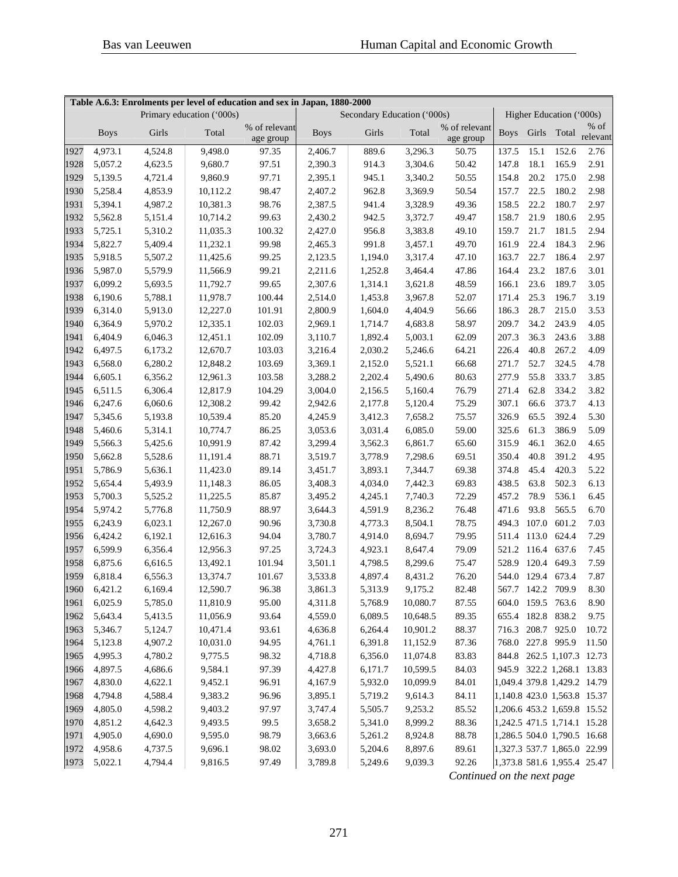| Table A.6.3: Enrolments per level of education and sex in Japan, 1880-2000<br>Primary education ('000s) |             |         |          |                            | Secondary Education ('000s) |         |          |                            | Higher Education ('000s) |                   |                   |                             |
|---------------------------------------------------------------------------------------------------------|-------------|---------|----------|----------------------------|-----------------------------|---------|----------|----------------------------|--------------------------|-------------------|-------------------|-----------------------------|
|                                                                                                         |             |         |          |                            |                             |         |          |                            |                          |                   |                   |                             |
|                                                                                                         | <b>Boys</b> | Girls   | Total    | % of relevant<br>age group | <b>Boys</b>                 | Girls   | Total    | % of relevant<br>age group |                          |                   | Boys Girls Total  | $%$ of<br>relevant          |
| 1927                                                                                                    | 4,973.1     | 4,524.8 | 9,498.0  | 97.35                      | 2,406.7                     | 889.6   | 3,296.3  | 50.75                      | 137.5                    | 15.1              | 152.6             | 2.76                        |
| 1928                                                                                                    | 5,057.2     | 4,623.5 | 9,680.7  | 97.51                      | 2,390.3                     | 914.3   | 3,304.6  | 50.42                      | 147.8                    | 18.1              | 165.9             | 2.91                        |
| 1929                                                                                                    | 5,139.5     | 4,721.4 | 9,860.9  | 97.71                      | 2,395.1                     | 945.1   | 3,340.2  | 50.55                      | 154.8                    | 20.2              | 175.0             | 2.98                        |
| 1930                                                                                                    | 5,258.4     | 4,853.9 | 10,112.2 | 98.47                      | 2,407.2                     | 962.8   | 3,369.9  | 50.54                      | 157.7                    | 22.5              | 180.2             | 2.98                        |
| 1931                                                                                                    | 5,394.1     | 4,987.2 | 10,381.3 | 98.76                      | 2,387.5                     | 941.4   | 3,328.9  | 49.36                      | 158.5                    | 22.2              | 180.7             | 2.97                        |
| 1932                                                                                                    | 5,562.8     | 5,151.4 | 10,714.2 | 99.63                      | 2,430.2                     | 942.5   | 3,372.7  | 49.47                      | 158.7                    | 21.9              | 180.6             | 2.95                        |
| 1933                                                                                                    | 5,725.1     | 5,310.2 | 11,035.3 | 100.32                     | 2,427.0                     | 956.8   | 3,383.8  | 49.10                      | 159.7                    | 21.7              | 181.5             | 2.94                        |
| 1934                                                                                                    | 5,822.7     | 5,409.4 | 11,232.1 | 99.98                      | 2,465.3                     | 991.8   | 3,457.1  | 49.70                      | 161.9                    | 22.4              | 184.3             | 2.96                        |
| 1935                                                                                                    | 5,918.5     | 5,507.2 | 11,425.6 | 99.25                      | 2,123.5                     | 1,194.0 | 3,317.4  | 47.10                      | 163.7                    | 22.7              | 186.4             | 2.97                        |
| 1936                                                                                                    | 5,987.0     | 5,579.9 | 11,566.9 | 99.21                      | 2,211.6                     | 1,252.8 | 3,464.4  | 47.86                      | 164.4                    | 23.2              | 187.6             | 3.01                        |
| 1937                                                                                                    | 6,099.2     | 5,693.5 | 11,792.7 | 99.65                      | 2,307.6                     | 1,314.1 | 3,621.8  | 48.59                      | 166.1                    | 23.6              | 189.7             | 3.05                        |
| 1938                                                                                                    | 6,190.6     | 5,788.1 | 11,978.7 | 100.44                     | 2,514.0                     | 1,453.8 | 3,967.8  | 52.07                      | 171.4                    | 25.3              | 196.7             | 3.19                        |
| 1939                                                                                                    | 6,314.0     | 5,913.0 | 12,227.0 | 101.91                     | 2,800.9                     | 1,604.0 | 4,404.9  | 56.66                      | 186.3                    | 28.7              | 215.0             | 3.53                        |
| 1940                                                                                                    | 6,364.9     | 5,970.2 | 12,335.1 | 102.03                     | 2,969.1                     | 1,714.7 | 4,683.8  | 58.97                      | 209.7                    | 34.2              | 243.9             | 4.05                        |
| 1941                                                                                                    | 6,404.9     | 6,046.3 | 12,451.1 | 102.09                     | 3,110.7                     | 1,892.4 | 5,003.1  | 62.09                      | 207.3                    | 36.3              | 243.6             | 3.88                        |
| 1942                                                                                                    | 6,497.5     | 6,173.2 | 12,670.7 | 103.03                     | 3,216.4                     | 2,030.2 | 5,246.6  | 64.21                      | 226.4                    | 40.8              | 267.2             | 4.09                        |
| 1943                                                                                                    | 6,568.0     | 6,280.2 | 12,848.2 | 103.69                     | 3,369.1                     | 2,152.0 | 5,521.1  | 66.68                      | 271.7                    | 52.7              | 324.5             | 4.78                        |
| 1944                                                                                                    | 6,605.1     | 6,356.2 | 12,961.3 | 103.58                     | 3,288.2                     | 2,202.4 | 5,490.6  | 80.63                      | 277.9                    | 55.8              | 333.7             | 3.85                        |
| 1945                                                                                                    | 6,511.5     | 6,306.4 | 12,817.9 | 104.29                     | 3,004.0                     | 2,156.5 | 5,160.4  | 76.79                      | 271.4                    | 62.8              | 334.2             | 3.82                        |
| 1946                                                                                                    | 6,247.6     | 6,060.6 | 12,308.2 | 99.42                      | 2,942.6                     | 2,177.8 | 5,120.4  | 75.29                      | 307.1                    | 66.6              | 373.7             | 4.13                        |
| 1947                                                                                                    | 5,345.6     | 5,193.8 | 10,539.4 | 85.20                      | 4,245.9                     | 3,412.3 | 7,658.2  | 75.57                      | 326.9                    | 65.5              | 392.4             | 5.30                        |
| 1948                                                                                                    | 5,460.6     | 5,314.1 | 10,774.7 | 86.25                      | 3,053.6                     | 3,031.4 | 6,085.0  | 59.00                      | 325.6                    | 61.3              | 386.9             | 5.09                        |
| 1949                                                                                                    | 5,566.3     | 5,425.6 | 10,991.9 | 87.42                      | 3,299.4                     | 3,562.3 | 6,861.7  | 65.60                      | 315.9                    | 46.1              | 362.0             | 4.65                        |
| 1950                                                                                                    | 5,662.8     | 5,528.6 | 11,191.4 | 88.71                      | 3,519.7                     | 3,778.9 | 7,298.6  | 69.51                      | 350.4                    | 40.8              | 391.2             | 4.95                        |
| 1951                                                                                                    | 5,786.9     | 5,636.1 | 11,423.0 | 89.14                      | 3,451.7                     | 3,893.1 | 7,344.7  | 69.38                      | 374.8                    | 45.4              | 420.3             | 5.22                        |
| 1952                                                                                                    | 5,654.4     | 5,493.9 | 11,148.3 | 86.05                      | 3,408.3                     | 4,034.0 | 7,442.3  | 69.83                      | 438.5                    | 63.8              | 502.3             | 6.13                        |
| 1953                                                                                                    | 5,700.3     | 5,525.2 | 11,225.5 | 85.87                      | 3,495.2                     | 4,245.1 | 7,740.3  | 72.29                      | 457.2                    | 78.9              | 536.1             | 6.45                        |
| 1954                                                                                                    | 5,974.2     | 5,776.8 | 11,750.9 | 88.97                      | 3,644.3                     | 4,591.9 | 8,236.2  | 76.48                      | 471.6                    | 93.8              | 565.5             | 6.70                        |
| 1955                                                                                                    | 6,243.9     | 6,023.1 | 12,267.0 | 90.96                      | 3,730.8                     | 4,773.3 | 8,504.1  | 78.75                      | 494.3                    | 107.0             | 601.2             | 7.03                        |
| 1956                                                                                                    | 6,424.2     | 6,192.1 | 12,616.3 | 94.04                      | 3,780.7                     | 4,914.0 | 8,694.7  | 79.95                      | 511.4                    | 113.0             | 624.4             | 7.29                        |
| 1957                                                                                                    | 6,599.9     | 6,356.4 | 12,956.3 | 97.25                      | 3,724.3                     | 4,923.1 | 8,647.4  | 79.09                      |                          | 521.2 116.4 637.6 |                   | 7.45                        |
| 1958                                                                                                    | 6,875.6     | 6,616.5 | 13,492.1 | 101.94                     | 3,501.1                     | 4,798.5 | 8,299.6  | 75.47                      | 528.9                    |                   | 120.4 649.3       | 7.59                        |
| 1959                                                                                                    | 6,818.4     | 6,556.3 | 13,374.7 | 101.67                     | 3,533.8                     | 4,897.4 | 8,431.2  | 76.20                      |                          | 544.0 129.4 673.4 |                   | 7.87                        |
| 1960                                                                                                    | 6,421.2     | 6,169.4 | 12,590.7 | 96.38                      | 3,861.3                     | 5,313.9 | 9,175.2  | 82.48                      |                          |                   | 567.7 142.2 709.9 | 8.30                        |
| 1961                                                                                                    | 6,025.9     | 5,785.0 | 11,810.9 | 95.00                      | 4,311.8                     | 5,768.9 | 10,080.7 | 87.55                      |                          |                   | 604.0 159.5 763.6 | 8.90                        |
| 1962                                                                                                    | 5,643.4     | 5,413.5 | 11,056.9 | 93.64                      | 4,559.0                     | 6,089.5 | 10,648.5 | 89.35                      |                          |                   | 655.4 182.8 838.2 | 9.75                        |
| 1963                                                                                                    | 5,346.7     | 5,124.7 | 10,471.4 | 93.61                      | 4,636.8                     | 6,264.4 | 10,901.2 | 88.37                      |                          |                   | 716.3 208.7 925.0 | 10.72                       |
| 1964                                                                                                    | 5,123.8     | 4,907.2 | 10,031.0 | 94.95                      | 4,761.1                     | 6,391.8 | 11,152.9 | 87.36                      |                          |                   | 768.0 227.8 995.9 | 11.50                       |
| 1965                                                                                                    | 4,995.3     | 4,780.2 | 9,775.5  | 98.32                      | 4,718.8                     | 6,356.0 | 11,074.8 | 83.83                      |                          |                   |                   | 844.8 262.5 1,107.3 12.73   |
| 1966                                                                                                    | 4,897.5     | 4,686.6 | 9,584.1  | 97.39                      | 4,427.8                     | 6,171.7 | 10,599.5 | 84.03                      |                          |                   |                   | 945.9 322.2 1,268.1 13.83   |
| 1967                                                                                                    | 4,830.0     | 4,622.1 | 9,452.1  | 96.91                      | 4,167.9                     | 5,932.0 | 10,099.9 | 84.01                      |                          |                   |                   | 1,049.4 379.8 1,429.2 14.79 |
| 1968                                                                                                    | 4,794.8     | 4,588.4 | 9,383.2  | 96.96                      | 3,895.1                     | 5,719.2 | 9,614.3  | 84.11                      |                          |                   |                   | 1,140.8 423.0 1,563.8 15.37 |
| 1969                                                                                                    | 4,805.0     | 4,598.2 | 9,403.2  | 97.97                      | 3,747.4                     | 5,505.7 | 9,253.2  | 85.52                      |                          |                   |                   | 1,206.6 453.2 1,659.8 15.52 |
| 1970                                                                                                    | 4,851.2     | 4,642.3 | 9,493.5  | 99.5                       | 3,658.2                     | 5,341.0 | 8,999.2  | 88.36                      |                          |                   |                   | 1,242.5 471.5 1,714.1 15.28 |
| 1971                                                                                                    | 4,905.0     | 4,690.0 | 9,595.0  | 98.79                      | 3,663.6                     | 5,261.2 | 8,924.8  | 88.78                      |                          |                   |                   | 1,286.5 504.0 1,790.5 16.68 |
| 1972                                                                                                    | 4,958.6     | 4,737.5 | 9,696.1  | 98.02                      | 3,693.0                     | 5,204.6 | 8,897.6  | 89.61                      |                          |                   |                   | 1,327.3 537.7 1,865.0 22.99 |
| 1973                                                                                                    | 5,022.1     | 4,794.4 | 9,816.5  | 97.49                      | 3,789.8                     | 5,249.6 | 9,039.3  | 92.26                      |                          |                   |                   | 1,373.8 581.6 1,955.4 25.47 |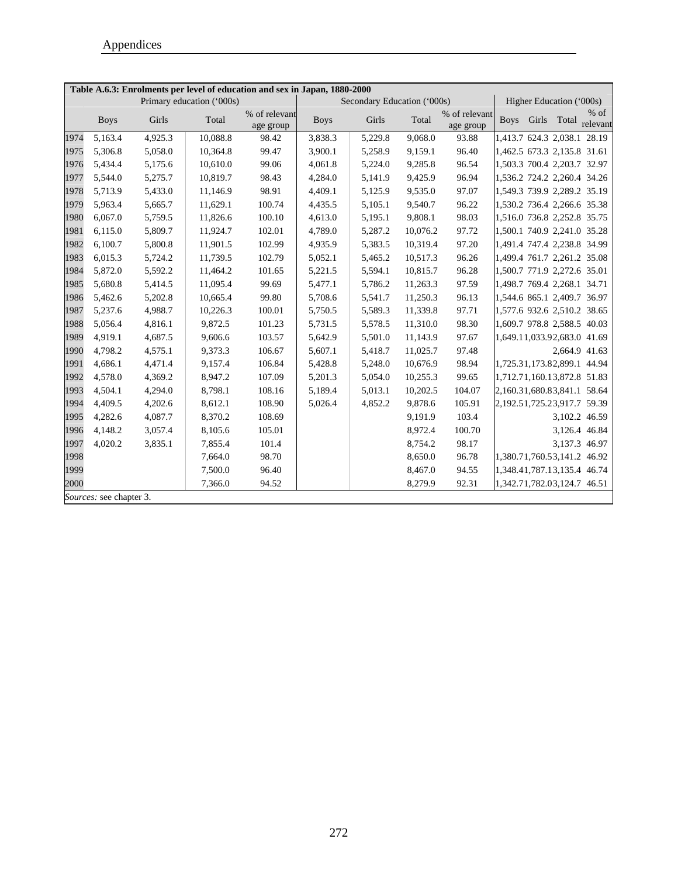|      | Table A.6.3: Enrolments per level of education and sex in Japan, 1880-2000 |         |                           |                            |             |                             |          |                            |                             |       |                             |                    |
|------|----------------------------------------------------------------------------|---------|---------------------------|----------------------------|-------------|-----------------------------|----------|----------------------------|-----------------------------|-------|-----------------------------|--------------------|
|      |                                                                            |         | Primary education ('000s) |                            |             | Secondary Education ('000s) |          |                            |                             |       | Higher Education ('000s)    |                    |
|      | <b>Boys</b>                                                                | Girls   | Total                     | % of relevant<br>age group | <b>Boys</b> | Girls                       | Total    | % of relevant<br>age group | <b>Boys</b>                 | Girls | Total                       | $%$ of<br>relevant |
| 1974 | 5,163.4                                                                    | 4,925.3 | 10,088.8                  | 98.42                      | 3,838.3     | 5,229.8                     | 9,068.0  | 93.88                      |                             |       | 1,413.7 624.3 2,038.1 28.19 |                    |
| 1975 | 5,306.8                                                                    | 5,058.0 | 10,364.8                  | 99.47                      | 3,900.1     | 5,258.9                     | 9,159.1  | 96.40                      | 1,462.5 673.3 2,135.8 31.61 |       |                             |                    |
| 1976 | 5,434.4                                                                    | 5,175.6 | 10,610.0                  | 99.06                      | 4,061.8     | 5,224.0                     | 9,285.8  | 96.54                      |                             |       | 1,503.3 700.4 2,203.7 32.97 |                    |
| 1977 | 5,544.0                                                                    | 5,275.7 | 10,819.7                  | 98.43                      | 4,284.0     | 5,141.9                     | 9,425.9  | 96.94                      |                             |       | 1,536.2 724.2 2,260.4 34.26 |                    |
| 1978 | 5,713.9                                                                    | 5,433.0 | 11,146.9                  | 98.91                      | 4,409.1     | 5,125.9                     | 9,535.0  | 97.07                      | 1,549.3 739.9 2,289.2 35.19 |       |                             |                    |
| 1979 | 5,963.4                                                                    | 5,665.7 | 11,629.1                  | 100.74                     | 4,435.5     | 5,105.1                     | 9,540.7  | 96.22                      |                             |       | 1,530.2 736.4 2,266.6 35.38 |                    |
| 1980 | 6,067.0                                                                    | 5,759.5 | 11,826.6                  | 100.10                     | 4,613.0     | 5,195.1                     | 9,808.1  | 98.03                      |                             |       | 1,516.0 736.8 2,252.8 35.75 |                    |
| 1981 | 6,115.0                                                                    | 5,809.7 | 11,924.7                  | 102.01                     | 4,789.0     | 5,287.2                     | 10,076.2 | 97.72                      |                             |       | 1,500.1 740.9 2,241.0 35.28 |                    |
| 1982 | 6,100.7                                                                    | 5,800.8 | 11,901.5                  | 102.99                     | 4,935.9     | 5,383.5                     | 10,319.4 | 97.20                      |                             |       | 1,491.4 747.4 2,238.8 34.99 |                    |
| 1983 | 6,015.3                                                                    | 5,724.2 | 11,739.5                  | 102.79                     | 5,052.1     | 5,465.2                     | 10,517.3 | 96.26                      |                             |       | 1,499.4 761.7 2,261.2 35.08 |                    |
| 1984 | 5,872.0                                                                    | 5,592.2 | 11,464.2                  | 101.65                     | 5,221.5     | 5,594.1                     | 10,815.7 | 96.28                      | 1,500.7 771.9 2,272.6 35.01 |       |                             |                    |
| 1985 | 5,680.8                                                                    | 5,414.5 | 11,095.4                  | 99.69                      | 5,477.1     | 5,786.2                     | 11,263.3 | 97.59                      |                             |       | 1,498.7 769.4 2,268.1 34.71 |                    |
| 1986 | 5,462.6                                                                    | 5,202.8 | 10,665.4                  | 99.80                      | 5,708.6     | 5,541.7                     | 11,250.3 | 96.13                      |                             |       | 1,544.6 865.1 2,409.7 36.97 |                    |
| 1987 | 5,237.6                                                                    | 4,988.7 | 10,226.3                  | 100.01                     | 5,750.5     | 5,589.3                     | 11,339.8 | 97.71                      |                             |       | 1,577.6 932.6 2,510.2 38.65 |                    |
| 1988 | 5,056.4                                                                    | 4,816.1 | 9,872.5                   | 101.23                     | 5,731.5     | 5,578.5                     | 11,310.0 | 98.30                      |                             |       | 1,609.7 978.8 2,588.5 40.03 |                    |
| 1989 | 4,919.1                                                                    | 4,687.5 | 9.606.6                   | 103.57                     | 5,642.9     | 5,501.0                     | 11,143.9 | 97.67                      | 1,649.11,033.92,683.0 41.69 |       |                             |                    |
| 1990 | 4,798.2                                                                    | 4,575.1 | 9,373.3                   | 106.67                     | 5,607.1     | 5,418.7                     | 11,025.7 | 97.48                      |                             |       | 2,664.9 41.63               |                    |
| 1991 | 4,686.1                                                                    | 4,471.4 | 9,157.4                   | 106.84                     | 5,428.8     | 5,248.0                     | 10,676.9 | 98.94                      | 1,725.31,173.82,899.1 44.94 |       |                             |                    |
| 1992 | 4,578.0                                                                    | 4,369.2 | 8,947.2                   | 107.09                     | 5,201.3     | 5,054.0                     | 10,255.3 | 99.65                      | 1,712.71,160.13,872.8 51.83 |       |                             |                    |
| 1993 | 4,504.1                                                                    | 4,294.0 | 8,798.1                   | 108.16                     | 5,189.4     | 5,013.1                     | 10,202.5 | 104.07                     |                             |       | 2,160.31,680.83,841.1 58.64 |                    |
| 1994 | 4,409.5                                                                    | 4,202.6 | 8,612.1                   | 108.90                     | 5,026.4     | 4,852.2                     | 9,878.6  | 105.91                     | 2,192.51,725.23,917.7 59.39 |       |                             |                    |
| 1995 | 4,282.6                                                                    | 4,087.7 | 8,370.2                   | 108.69                     |             |                             | 9,191.9  | 103.4                      |                             |       | 3,102.2 46.59               |                    |
| 1996 | 4,148.2                                                                    | 3,057.4 | 8,105.6                   | 105.01                     |             |                             | 8,972.4  | 100.70                     |                             |       |                             | 3,126.4 46.84      |
| 1997 | 4,020.2                                                                    | 3,835.1 | 7,855.4                   | 101.4                      |             |                             | 8,754.2  | 98.17                      |                             |       | 3,137.3 46.97               |                    |
| 1998 |                                                                            |         | 7,664.0                   | 98.70                      |             |                             | 8,650.0  | 96.78                      |                             |       | 1,380.71,760.53,141.2 46.92 |                    |
| 1999 |                                                                            |         | 7,500.0                   | 96.40                      |             |                             | 8,467.0  | 94.55                      |                             |       | 1,348.41,787.13,135.4 46.74 |                    |
| 2000 |                                                                            |         | 7,366.0                   | 94.52                      |             |                             | 8,279.9  | 92.31                      |                             |       | 1,342.71,782.03,124.7 46.51 |                    |
|      | Sources: see chapter 3.                                                    |         |                           |                            |             |                             |          |                            |                             |       |                             |                    |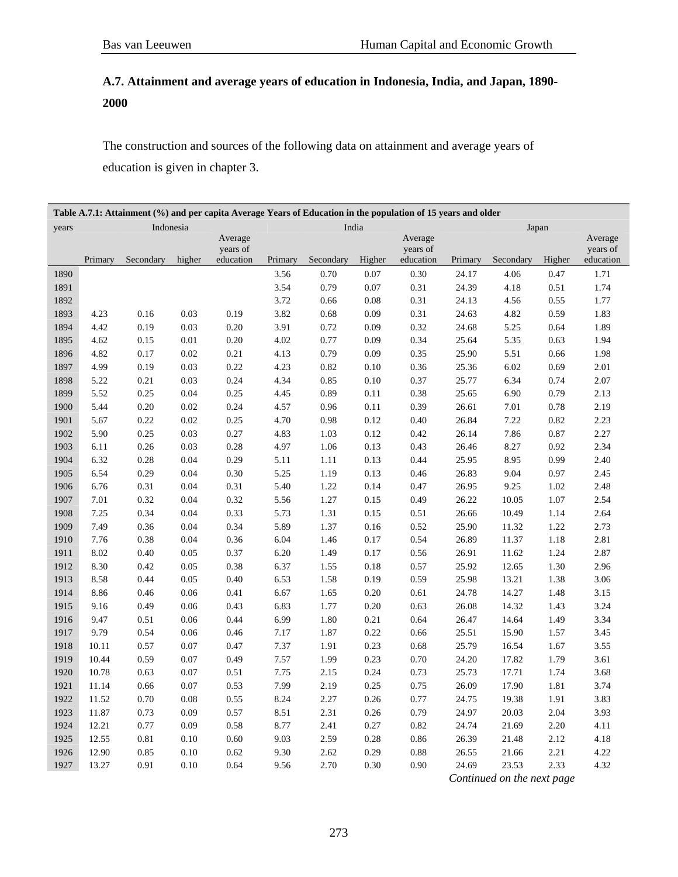# **A.7. Attainment and average years of education in Indonesia, India, and Japan, 1890- 2000**

The construction and sources of the following data on attainment and average years of education is given in chapter 3.

|       | Table A.7.1: Attainment (%) and per capita Average Years of Education in the population of 15 years and older |           |          |                       |         |           |        |                       |         |           |        |                       |
|-------|---------------------------------------------------------------------------------------------------------------|-----------|----------|-----------------------|---------|-----------|--------|-----------------------|---------|-----------|--------|-----------------------|
| years |                                                                                                               | Indonesia |          |                       |         |           | India  |                       |         |           | Japan  |                       |
|       |                                                                                                               |           |          | Average               |         |           |        | Average               |         |           |        | Average               |
|       | Primary                                                                                                       | Secondary | higher   | years of<br>education | Primary | Secondary | Higher | years of<br>education | Primary | Secondary | Higher | years of<br>education |
| 1890  |                                                                                                               |           |          |                       | 3.56    | 0.70      | 0.07   | 0.30                  | 24.17   | 4.06      | 0.47   | 1.71                  |
| 1891  |                                                                                                               |           |          |                       | 3.54    | 0.79      | 0.07   | 0.31                  | 24.39   | 4.18      | 0.51   | 1.74                  |
| 1892  |                                                                                                               |           |          |                       | 3.72    | 0.66      | 0.08   | 0.31                  | 24.13   | 4.56      | 0.55   | 1.77                  |
| 1893  | 4.23                                                                                                          | 0.16      | 0.03     | 0.19                  | 3.82    | 0.68      | 0.09   | 0.31                  | 24.63   | 4.82      | 0.59   | 1.83                  |
| 1894  | 4.42                                                                                                          | 0.19      | 0.03     | 0.20                  | 3.91    | 0.72      | 0.09   | 0.32                  | 24.68   | 5.25      | 0.64   | 1.89                  |
| 1895  | 4.62                                                                                                          | 0.15      | $0.01\,$ | $0.20\,$              | 4.02    | 0.77      | 0.09   | 0.34                  | 25.64   | 5.35      | 0.63   | 1.94                  |
| 1896  | 4.82                                                                                                          | 0.17      | 0.02     | 0.21                  | 4.13    | 0.79      | 0.09   | 0.35                  | 25.90   | 5.51      | 0.66   | 1.98                  |
| 1897  | 4.99                                                                                                          | 0.19      | 0.03     | 0.22                  | 4.23    | 0.82      | 0.10   | 0.36                  | 25.36   | 6.02      | 0.69   | 2.01                  |
| 1898  | 5.22                                                                                                          | 0.21      | 0.03     | 0.24                  | 4.34    | 0.85      | 0.10   | 0.37                  | 25.77   | 6.34      | 0.74   | $2.07\,$              |
| 1899  | 5.52                                                                                                          | 0.25      | 0.04     | 0.25                  | 4.45    | 0.89      | 0.11   | 0.38                  | 25.65   | 6.90      | 0.79   | 2.13                  |
| 1900  | 5.44                                                                                                          | 0.20      | 0.02     | 0.24                  | 4.57    | 0.96      | 0.11   | 0.39                  | 26.61   | 7.01      | 0.78   | 2.19                  |
| 1901  | 5.67                                                                                                          | 0.22      | 0.02     | 0.25                  | 4.70    | 0.98      | 0.12   | 0.40                  | 26.84   | 7.22      | 0.82   | 2.23                  |
| 1902  | 5.90                                                                                                          | 0.25      | 0.03     | 0.27                  | 4.83    | 1.03      | 0.12   | 0.42                  | 26.14   | 7.86      | 0.87   | 2.27                  |
| 1903  | 6.11                                                                                                          | 0.26      | 0.03     | 0.28                  | 4.97    | 1.06      | 0.13   | 0.43                  | 26.46   | 8.27      | 0.92   | 2.34                  |
| 1904  | 6.32                                                                                                          | 0.28      | 0.04     | 0.29                  | 5.11    | $1.11\,$  | 0.13   | 0.44                  | 25.95   | 8.95      | 0.99   | 2.40                  |
| 1905  | 6.54                                                                                                          | 0.29      | 0.04     | 0.30                  | 5.25    | 1.19      | 0.13   | 0.46                  | 26.83   | 9.04      | 0.97   | 2.45                  |
| 1906  | 6.76                                                                                                          | 0.31      | 0.04     | 0.31                  | 5.40    | 1.22      | 0.14   | 0.47                  | 26.95   | 9.25      | 1.02   | 2.48                  |
| 1907  | 7.01                                                                                                          | 0.32      | 0.04     | 0.32                  | 5.56    | 1.27      | 0.15   | 0.49                  | 26.22   | 10.05     | 1.07   | 2.54                  |
| 1908  | 7.25                                                                                                          | 0.34      | 0.04     | 0.33                  | 5.73    | 1.31      | 0.15   | 0.51                  | 26.66   | 10.49     | 1.14   | 2.64                  |
| 1909  | 7.49                                                                                                          | 0.36      | 0.04     | 0.34                  | 5.89    | 1.37      | 0.16   | 0.52                  | 25.90   | 11.32     | 1.22   | 2.73                  |
| 1910  | 7.76                                                                                                          | 0.38      | 0.04     | 0.36                  | 6.04    | 1.46      | 0.17   | 0.54                  | 26.89   | 11.37     | 1.18   | 2.81                  |
| 1911  | 8.02                                                                                                          | 0.40      | 0.05     | 0.37                  | 6.20    | 1.49      | 0.17   | 0.56                  | 26.91   | 11.62     | 1.24   | 2.87                  |
| 1912  | 8.30                                                                                                          | 0.42      | 0.05     | 0.38                  | 6.37    | 1.55      | 0.18   | 0.57                  | 25.92   | 12.65     | 1.30   | 2.96                  |
| 1913  | 8.58                                                                                                          | 0.44      | 0.05     | 0.40                  | 6.53    | 1.58      | 0.19   | 0.59                  | 25.98   | 13.21     | 1.38   | 3.06                  |
| 1914  | 8.86                                                                                                          | 0.46      | 0.06     | 0.41                  | 6.67    | 1.65      | 0.20   | 0.61                  | 24.78   | 14.27     | 1.48   | 3.15                  |
| 1915  | 9.16                                                                                                          | 0.49      | 0.06     | 0.43                  | 6.83    | 1.77      | 0.20   | 0.63                  | 26.08   | 14.32     | 1.43   | 3.24                  |
| 1916  | 9.47                                                                                                          | 0.51      | 0.06     | 0.44                  | 6.99    | 1.80      | 0.21   | 0.64                  | 26.47   | 14.64     | 1.49   | 3.34                  |
| 1917  | 9.79                                                                                                          | 0.54      | 0.06     | 0.46                  | 7.17    | 1.87      | 0.22   | 0.66                  | 25.51   | 15.90     | 1.57   | 3.45                  |
| 1918  | 10.11                                                                                                         | 0.57      | 0.07     | 0.47                  | 7.37    | 1.91      | 0.23   | 0.68                  | 25.79   | 16.54     | 1.67   | 3.55                  |
| 1919  | 10.44                                                                                                         | 0.59      | 0.07     | 0.49                  | 7.57    | 1.99      | 0.23   | 0.70                  | 24.20   | 17.82     | 1.79   | 3.61                  |
| 1920  | 10.78                                                                                                         | 0.63      | 0.07     | 0.51                  | 7.75    | 2.15      | 0.24   | 0.73                  | 25.73   | 17.71     | 1.74   | 3.68                  |
| 1921  | 11.14                                                                                                         | 0.66      | 0.07     | 0.53                  | 7.99    | 2.19      | 0.25   | 0.75                  | 26.09   | 17.90     | 1.81   | 3.74                  |
| 1922  | 11.52                                                                                                         | 0.70      | 0.08     | 0.55                  | 8.24    | 2.27      | 0.26   | 0.77                  | 24.75   | 19.38     | 1.91   | 3.83                  |
| 1923  | 11.87                                                                                                         | 0.73      | 0.09     | 0.57                  | 8.51    | 2.31      | 0.26   | 0.79                  | 24.97   | 20.03     | 2.04   | 3.93                  |
| 1924  | 12.21                                                                                                         | 0.77      | 0.09     | 0.58                  | 8.77    | 2.41      | 0.27   | 0.82                  | 24.74   | 21.69     | 2.20   | 4.11                  |
| 1925  | 12.55                                                                                                         | 0.81      | 0.10     | 0.60                  | 9.03    | 2.59      | 0.28   | 0.86                  | 26.39   | 21.48     | 2.12   | 4.18                  |
| 1926  | 12.90                                                                                                         | 0.85      | 0.10     | 0.62                  | 9.30    | 2.62      | 0.29   | 0.88                  | 26.55   | 21.66     | 2.21   | 4.22                  |
| 1927  | 13.27                                                                                                         | 0.91      | 0.10     | 0.64                  | 9.56    | 2.70      | 0.30   | 0.90                  | 24.69   | 23.53     | 2.33   | 4.32                  |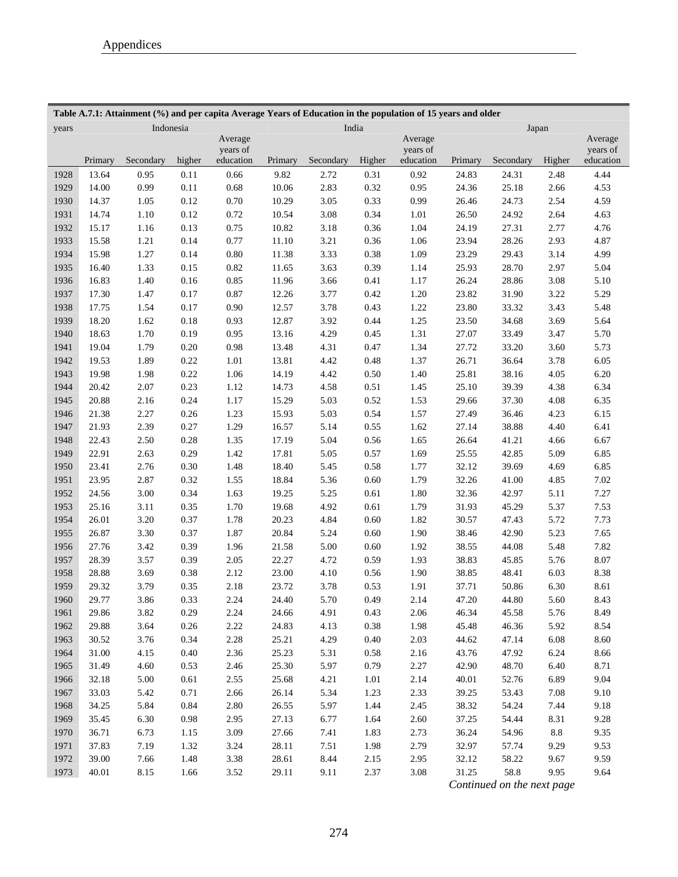|       |         |           |          | Table A.7.1: Attainment (%) and per capita Average Years of Education in the population of 15 years and older |         |           |        |                       |         |           |           |                       |
|-------|---------|-----------|----------|---------------------------------------------------------------------------------------------------------------|---------|-----------|--------|-----------------------|---------|-----------|-----------|-----------------------|
| years |         | Indonesia |          |                                                                                                               |         | India     |        |                       |         |           | Japan     |                       |
|       |         |           |          | Average                                                                                                       |         |           |        | Average               |         |           |           | Average               |
|       | Primary | Secondary | higher   | years of<br>education                                                                                         | Primary | Secondary | Higher | years of<br>education | Primary | Secondary | Higher    | years of<br>education |
| 1928  | 13.64   | 0.95      | 0.11     | 0.66                                                                                                          | 9.82    | 2.72      | 0.31   | 0.92                  | 24.83   | 24.31     | 2.48      | 4.44                  |
| 1929  | 14.00   | 0.99      | 0.11     | 0.68                                                                                                          | 10.06   | 2.83      | 0.32   | 0.95                  | 24.36   | 25.18     | 2.66      | 4.53                  |
| 1930  | 14.37   | 1.05      | 0.12     | 0.70                                                                                                          | 10.29   | 3.05      | 0.33   | 0.99                  | 26.46   | 24.73     | 2.54      | 4.59                  |
| 1931  | 14.74   | 1.10      | 0.12     | 0.72                                                                                                          | 10.54   | 3.08      | 0.34   | 1.01                  | 26.50   | 24.92     | 2.64      |                       |
| 1932  | 15.17   | 1.16      | 0.13     | 0.75                                                                                                          | 10.82   | 3.18      | 0.36   | 1.04                  | 24.19   | 27.31     | 2.77      | 4.63<br>4.76          |
| 1933  | 15.58   | 1.21      | 0.14     | 0.77                                                                                                          | 11.10   | 3.21      | 0.36   | 1.06                  | 23.94   | 28.26     | 2.93      | 4.87                  |
| 1934  | 15.98   | 1.27      | 0.14     | 0.80                                                                                                          | 11.38   | 3.33      | 0.38   | 1.09                  | 23.29   | 29.43     | 3.14      | 4.99                  |
| 1935  | 16.40   |           |          |                                                                                                               |         |           |        |                       |         |           |           | 5.04                  |
| 1936  |         | 1.33      | 0.15     | 0.82                                                                                                          | 11.65   | 3.63      | 0.39   | 1.14                  | 25.93   | 28.70     | 2.97      |                       |
| 1937  | 16.83   | 1.40      | 0.16     | 0.85                                                                                                          | 11.96   | 3.66      | 0.41   | 1.17                  | 26.24   | 28.86     | 3.08      | 5.10                  |
|       | 17.30   | 1.47      | 0.17     | 0.87                                                                                                          | 12.26   | 3.77      | 0.42   | 1.20                  | 23.82   | 31.90     | 3.22      | 5.29                  |
| 1938  | 17.75   | 1.54      | 0.17     | 0.90                                                                                                          | 12.57   | 3.78      | 0.43   | 1.22                  | 23.80   | 33.32     | 3.43      | 5.48                  |
| 1939  | 18.20   | 1.62      | 0.18     | 0.93                                                                                                          | 12.87   | 3.92      | 0.44   | 1.25                  | 23.50   | 34.68     | 3.69      | 5.64                  |
| 1940  | 18.63   | 1.70      | 0.19     | 0.95                                                                                                          | 13.16   | 4.29      | 0.45   | 1.31                  | 27.07   | 33.49     | 3.47      | 5.70                  |
| 1941  | 19.04   | 1.79      | 0.20     | 0.98                                                                                                          | 13.48   | 4.31      | 0.47   | 1.34                  | 27.72   | 33.20     | 3.60      | 5.73                  |
| 1942  | 19.53   | 1.89      | 0.22     | 1.01                                                                                                          | 13.81   | 4.42      | 0.48   | 1.37                  | 26.71   | 36.64     | 3.78      | 6.05                  |
| 1943  | 19.98   | 1.98      | 0.22     | 1.06                                                                                                          | 14.19   | 4.42      | 0.50   | 1.40                  | 25.81   | 38.16     | 4.05      | 6.20                  |
| 1944  | 20.42   | 2.07      | 0.23     | 1.12                                                                                                          | 14.73   | 4.58      | 0.51   | 1.45                  | 25.10   | 39.39     | 4.38      | 6.34                  |
| 1945  | 20.88   | 2.16      | 0.24     | 1.17                                                                                                          | 15.29   | 5.03      | 0.52   | 1.53                  | 29.66   | 37.30     | 4.08      | 6.35                  |
| 1946  | 21.38   | 2.27      | 0.26     | 1.23                                                                                                          | 15.93   | 5.03      | 0.54   | 1.57                  | 27.49   | 36.46     | 4.23      | 6.15                  |
| 1947  | 21.93   | 2.39      | 0.27     | 1.29                                                                                                          | 16.57   | 5.14      | 0.55   | 1.62                  | 27.14   | 38.88     | 4.40      | 6.41                  |
| 1948  | 22.43   | 2.50      | 0.28     | 1.35                                                                                                          | 17.19   | 5.04      | 0.56   | 1.65                  | 26.64   | 41.21     | 4.66      | 6.67                  |
| 1949  | 22.91   | 2.63      | 0.29     | 1.42                                                                                                          | 17.81   | 5.05      | 0.57   | 1.69                  | 25.55   | 42.85     | 5.09      | 6.85                  |
| 1950  | 23.41   | 2.76      | 0.30     | 1.48                                                                                                          | 18.40   | 5.45      | 0.58   | 1.77                  | 32.12   | 39.69     | 4.69      | 6.85                  |
| 1951  | 23.95   | 2.87      | 0.32     | 1.55                                                                                                          | 18.84   | 5.36      | 0.60   | 1.79                  | 32.26   | 41.00     | 4.85      | 7.02                  |
| 1952  | 24.56   | 3.00      | 0.34     | 1.63                                                                                                          | 19.25   | 5.25      | 0.61   | 1.80                  | 32.36   | 42.97     | 5.11      | 7.27                  |
| 1953  | 25.16   | 3.11      | 0.35     | 1.70                                                                                                          | 19.68   | 4.92      | 0.61   | 1.79                  | 31.93   | 45.29     | 5.37      | 7.53                  |
| 1954  | 26.01   | 3.20      | 0.37     | 1.78                                                                                                          | 20.23   | 4.84      | 0.60   | 1.82                  | 30.57   | 47.43     | 5.72      | 7.73                  |
| 1955  | 26.87   | 3.30      | 0.37     | 1.87                                                                                                          | 20.84   | 5.24      | 0.60   | 1.90                  | 38.46   | 42.90     | 5.23      | 7.65                  |
| 1956  | 27.76   | 3.42      | 0.39     | 1.96                                                                                                          | 21.58   | 5.00      | 0.60   | 1.92                  | 38.55   | 44.08     | 5.48      | 7.82                  |
| 1957  | 28.39   | 3.57      | 0.39     | 2.05                                                                                                          | 22.27   | 4.72      | 0.59   | 1.93                  | 38.83   | 45.85     | 5.76      | $8.07\,$              |
| 1958  | 28.88   | 3.69      | 0.38     | 2.12                                                                                                          | 23.00   | 4.10      | 0.56   | 1.90                  | 38.85   | 48.41     | 6.03      | 8.38                  |
| 1959  | 29.32   | 3.79      | 0.35     | 2.18                                                                                                          | 23.72   | 3.78      | 0.53   | 1.91                  | 37.71   | 50.86     | 6.30      | 8.61                  |
| 1960  | 29.77   | 3.86      | 0.33     | 2.24                                                                                                          | 24.40   | 5.70      | 0.49   | 2.14                  | 47.20   | 44.80     | 5.60      | 8.43                  |
| 1961  | 29.86   | 3.82      | 0.29     | 2.24                                                                                                          | 24.66   | 4.91      | 0.43   | 2.06                  | 46.34   | 45.58     | 5.76      | 8.49                  |
| 1962  | 29.88   | 3.64      | $0.26\,$ | 2.22                                                                                                          | 24.83   | 4.13      | 0.38   | 1.98                  | 45.48   | 46.36     | 5.92      | 8.54                  |
| 1963  | 30.52   | 3.76      | 0.34     | 2.28                                                                                                          | 25.21   | 4.29      | 0.40   | 2.03                  | 44.62   | 47.14     | 6.08      | 8.60                  |
| 1964  | 31.00   | 4.15      | $0.40\,$ | 2.36                                                                                                          | 25.23   | 5.31      | 0.58   | 2.16                  | 43.76   | 47.92     | 6.24      | 8.66                  |
| 1965  | 31.49   | 4.60      | 0.53     | 2.46                                                                                                          | 25.30   | 5.97      | 0.79   | 2.27                  | 42.90   | 48.70     | 6.40      | 8.71                  |
| 1966  | 32.18   | 5.00      | 0.61     | 2.55                                                                                                          | 25.68   | 4.21      | 1.01   | 2.14                  | 40.01   | 52.76     | 6.89      | 9.04                  |
| 1967  | 33.03   | 5.42      | 0.71     | 2.66                                                                                                          | 26.14   | 5.34      | 1.23   | 2.33                  | 39.25   | 53.43     | 7.08      | 9.10                  |
| 1968  | 34.25   | 5.84      | 0.84     | 2.80                                                                                                          | 26.55   | 5.97      | 1.44   | 2.45                  | 38.32   | 54.24     | 7.44      | 9.18                  |
| 1969  | 35.45   | 6.30      | $0.98\,$ | 2.95                                                                                                          | 27.13   | 6.77      | 1.64   | 2.60                  | 37.25   | 54.44     | 8.31      | 9.28                  |
| 1970  | 36.71   | 6.73      | 1.15     | 3.09                                                                                                          | 27.66   | 7.41      | 1.83   | 2.73                  | 36.24   | 54.96     | $\ \ 8.8$ | 9.35                  |
| 1971  | 37.83   | 7.19      | 1.32     | 3.24                                                                                                          | 28.11   | 7.51      | 1.98   | 2.79                  | 32.97   | 57.74     | 9.29      | 9.53                  |
| 1972  | 39.00   | 7.66      | 1.48     | 3.38                                                                                                          | 28.61   | 8.44      | 2.15   | 2.95                  | 32.12   | 58.22     | 9.67      | 9.59                  |
| 1973  | 40.01   | 8.15      | 1.66     | 3.52                                                                                                          | 29.11   | 9.11      | 2.37   | 3.08                  | 31.25   | 58.8      | 9.95      | 9.64                  |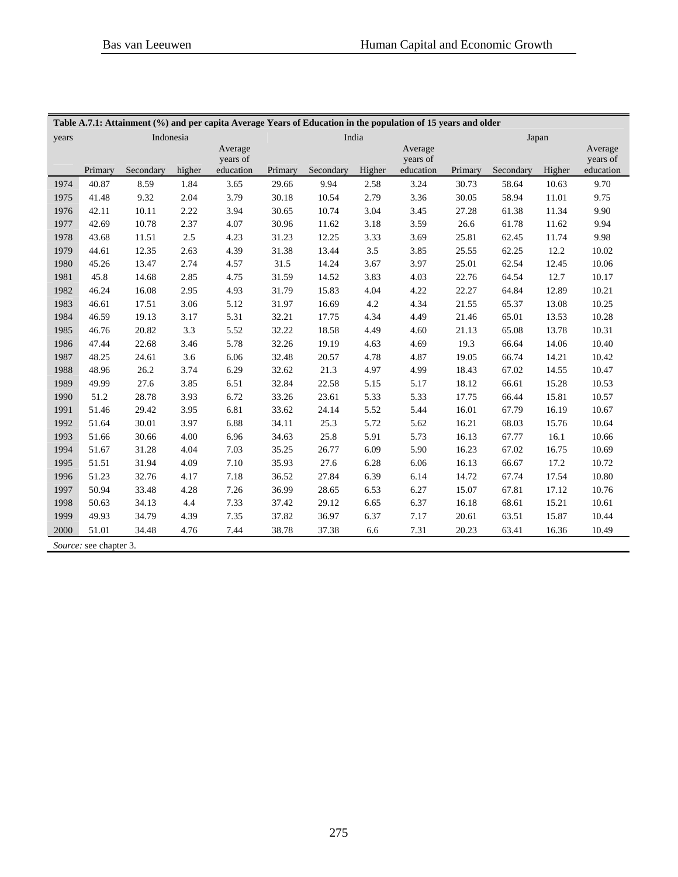|       | Table A.7.1: Attainment (%) and per capita Average Years of Education in the population of 15 years and older |           |        |                     |         |           |        |                     |         |           |        |                     |
|-------|---------------------------------------------------------------------------------------------------------------|-----------|--------|---------------------|---------|-----------|--------|---------------------|---------|-----------|--------|---------------------|
| years |                                                                                                               | Indonesia |        |                     |         | India     |        |                     |         |           | Japan  |                     |
|       |                                                                                                               |           |        | Average<br>years of |         |           |        | Average<br>years of |         |           |        | Average<br>years of |
|       | Primary                                                                                                       | Secondary | higher | education           | Primary | Secondary | Higher | education           | Primary | Secondary | Higher | education           |
| 1974  | 40.87                                                                                                         | 8.59      | 1.84   | 3.65                | 29.66   | 9.94      | 2.58   | 3.24                | 30.73   | 58.64     | 10.63  | 9.70                |
| 1975  | 41.48                                                                                                         | 9.32      | 2.04   | 3.79                | 30.18   | 10.54     | 2.79   | 3.36                | 30.05   | 58.94     | 11.01  | 9.75                |
| 1976  | 42.11                                                                                                         | 10.11     | 2.22   | 3.94                | 30.65   | 10.74     | 3.04   | 3.45                | 27.28   | 61.38     | 11.34  | 9.90                |
| 1977  | 42.69                                                                                                         | 10.78     | 2.37   | 4.07                | 30.96   | 11.62     | 3.18   | 3.59                | 26.6    | 61.78     | 11.62  | 9.94                |
| 1978  | 43.68                                                                                                         | 11.51     | 2.5    | 4.23                | 31.23   | 12.25     | 3.33   | 3.69                | 25.81   | 62.45     | 11.74  | 9.98                |
| 1979  | 44.61                                                                                                         | 12.35     | 2.63   | 4.39                | 31.38   | 13.44     | 3.5    | 3.85                | 25.55   | 62.25     | 12.2   | 10.02               |
| 1980  | 45.26                                                                                                         | 13.47     | 2.74   | 4.57                | 31.5    | 14.24     | 3.67   | 3.97                | 25.01   | 62.54     | 12.45  | 10.06               |
| 1981  | 45.8                                                                                                          | 14.68     | 2.85   | 4.75                | 31.59   | 14.52     | 3.83   | 4.03                | 22.76   | 64.54     | 12.7   | 10.17               |
| 1982  | 46.24                                                                                                         | 16.08     | 2.95   | 4.93                | 31.79   | 15.83     | 4.04   | 4.22                | 22.27   | 64.84     | 12.89  | 10.21               |
| 1983  | 46.61                                                                                                         | 17.51     | 3.06   | 5.12                | 31.97   | 16.69     | 4.2    | 4.34                | 21.55   | 65.37     | 13.08  | 10.25               |
| 1984  | 46.59                                                                                                         | 19.13     | 3.17   | 5.31                | 32.21   | 17.75     | 4.34   | 4.49                | 21.46   | 65.01     | 13.53  | 10.28               |
| 1985  | 46.76                                                                                                         | 20.82     | 3.3    | 5.52                | 32.22   | 18.58     | 4.49   | 4.60                | 21.13   | 65.08     | 13.78  | 10.31               |
| 1986  | 47.44                                                                                                         | 22.68     | 3.46   | 5.78                | 32.26   | 19.19     | 4.63   | 4.69                | 19.3    | 66.64     | 14.06  | 10.40               |
| 1987  | 48.25                                                                                                         | 24.61     | 3.6    | 6.06                | 32.48   | 20.57     | 4.78   | 4.87                | 19.05   | 66.74     | 14.21  | 10.42               |
| 1988  | 48.96                                                                                                         | 26.2      | 3.74   | 6.29                | 32.62   | 21.3      | 4.97   | 4.99                | 18.43   | 67.02     | 14.55  | 10.47               |
| 1989  | 49.99                                                                                                         | 27.6      | 3.85   | 6.51                | 32.84   | 22.58     | 5.15   | 5.17                | 18.12   | 66.61     | 15.28  | 10.53               |
| 1990  | 51.2                                                                                                          | 28.78     | 3.93   | 6.72                | 33.26   | 23.61     | 5.33   | 5.33                | 17.75   | 66.44     | 15.81  | 10.57               |
| 1991  | 51.46                                                                                                         | 29.42     | 3.95   | 6.81                | 33.62   | 24.14     | 5.52   | 5.44                | 16.01   | 67.79     | 16.19  | 10.67               |
| 1992  | 51.64                                                                                                         | 30.01     | 3.97   | 6.88                | 34.11   | 25.3      | 5.72   | 5.62                | 16.21   | 68.03     | 15.76  | 10.64               |
| 1993  | 51.66                                                                                                         | 30.66     | 4.00   | 6.96                | 34.63   | 25.8      | 5.91   | 5.73                | 16.13   | 67.77     | 16.1   | 10.66               |
| 1994  | 51.67                                                                                                         | 31.28     | 4.04   | 7.03                | 35.25   | 26.77     | 6.09   | 5.90                | 16.23   | 67.02     | 16.75  | 10.69               |
| 1995  | 51.51                                                                                                         | 31.94     | 4.09   | 7.10                | 35.93   | 27.6      | 6.28   | 6.06                | 16.13   | 66.67     | 17.2   | 10.72               |
| 1996  | 51.23                                                                                                         | 32.76     | 4.17   | 7.18                | 36.52   | 27.84     | 6.39   | 6.14                | 14.72   | 67.74     | 17.54  | 10.80               |
| 1997  | 50.94                                                                                                         | 33.48     | 4.28   | 7.26                | 36.99   | 28.65     | 6.53   | 6.27                | 15.07   | 67.81     | 17.12  | 10.76               |
| 1998  | 50.63                                                                                                         | 34.13     | 4.4    | 7.33                | 37.42   | 29.12     | 6.65   | 6.37                | 16.18   | 68.61     | 15.21  | 10.61               |
| 1999  | 49.93                                                                                                         | 34.79     | 4.39   | 7.35                | 37.82   | 36.97     | 6.37   | 7.17                | 20.61   | 63.51     | 15.87  | 10.44               |
| 2000  | 51.01                                                                                                         | 34.48     | 4.76   | 7.44                | 38.78   | 37.38     | 6.6    | 7.31                | 20.23   | 63.41     | 16.36  | 10.49               |
|       | Source: see chapter 3.                                                                                        |           |        |                     |         |           |        |                     |         |           |        |                     |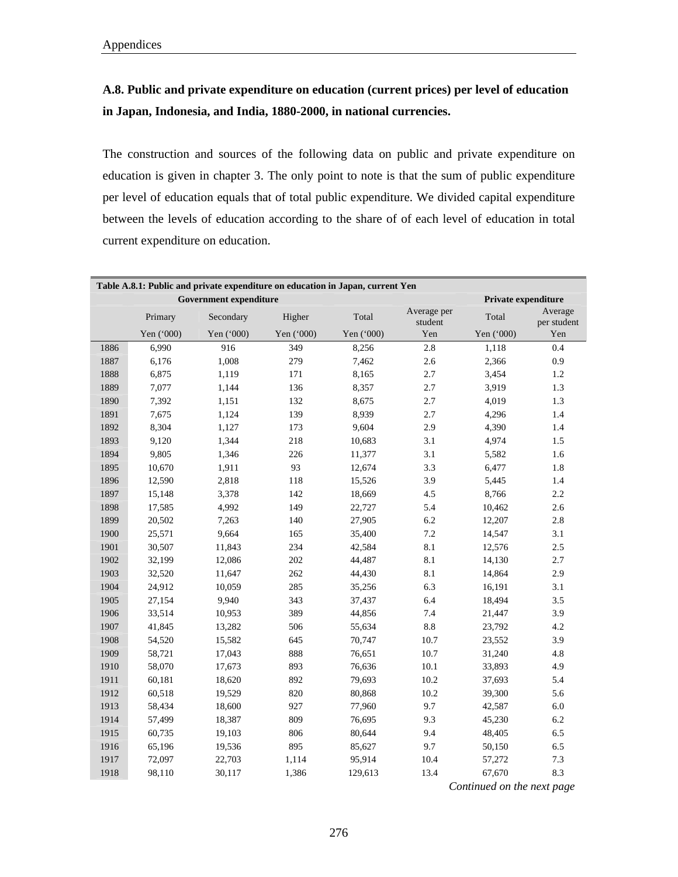### **A.8. Public and private expenditure on education (current prices) per level of education in Japan, Indonesia, and India, 1880-2000, in national currencies.**

The construction and sources of the following data on public and private expenditure on education is given in chapter 3. The only point to note is that the sum of public expenditure per level of education equals that of total public expenditure. We divided capital expenditure between the levels of education according to the share of of each level of education in total current expenditure on education.

| Table A.8.1: Public and private expenditure on education in Japan, current Yen |            |                               |            |            |                        |                     |                        |  |  |  |  |
|--------------------------------------------------------------------------------|------------|-------------------------------|------------|------------|------------------------|---------------------|------------------------|--|--|--|--|
|                                                                                |            | <b>Government expenditure</b> |            |            |                        | Private expenditure |                        |  |  |  |  |
|                                                                                | Primary    | Secondary                     | Higher     | Total      | Average per<br>student | Total               | Average<br>per student |  |  |  |  |
|                                                                                | Yen ('000) | Yen ('000)                    | Yen ('000) | Yen ('000) | Yen                    | Yen ('000)          | Yen                    |  |  |  |  |
| 1886                                                                           | 6,990      | 916                           | 349        | 8,256      | $2.8\,$                | 1,118               | $0.4\,$                |  |  |  |  |
| 1887                                                                           | 6,176      | 1,008                         | 279        | 7,462      | 2.6                    | 2,366               | 0.9                    |  |  |  |  |
| 1888                                                                           | 6,875      | 1,119                         | 171        | 8,165      | 2.7                    | 3,454               | 1.2                    |  |  |  |  |
| 1889                                                                           | 7,077      | 1,144                         | 136        | 8,357      | 2.7                    | 3,919               | 1.3                    |  |  |  |  |
| 1890                                                                           | 7,392      | 1,151                         | 132        | 8,675      | 2.7                    | 4,019               | 1.3                    |  |  |  |  |
| 1891                                                                           | 7,675      | 1,124                         | 139        | 8,939      | 2.7                    | 4,296               | $1.4\,$                |  |  |  |  |
| 1892                                                                           | 8,304      | 1,127                         | 173        | 9,604      | 2.9                    | 4,390               | 1.4                    |  |  |  |  |
| 1893                                                                           | 9,120      | 1,344                         | 218        | 10,683     | 3.1                    | 4,974               | 1.5                    |  |  |  |  |
| 1894                                                                           | 9,805      | 1,346                         | 226        | 11,377     | 3.1                    | 5,582               | 1.6                    |  |  |  |  |
| 1895                                                                           | 10,670     | 1,911                         | 93         | 12,674     | 3.3                    | 6,477               | $1.8\,$                |  |  |  |  |
| 1896                                                                           | 12,590     | 2,818                         | 118        | 15,526     | 3.9                    | 5,445               | 1.4                    |  |  |  |  |
| 1897                                                                           | 15,148     | 3,378                         | 142        | 18,669     | 4.5                    | 8,766               | 2.2                    |  |  |  |  |
| 1898                                                                           | 17,585     | 4,992                         | 149        | 22,727     | 5.4                    | 10,462              | 2.6                    |  |  |  |  |
| 1899                                                                           | 20,502     | 7,263                         | 140        | 27,905     | 6.2                    | 12,207              | 2.8                    |  |  |  |  |
| 1900                                                                           | 25,571     | 9,664                         | 165        | 35,400     | 7.2                    | 14,547              | 3.1                    |  |  |  |  |
| 1901                                                                           | 30,507     | 11,843                        | 234        | 42,584     | 8.1                    | 12,576              | 2.5                    |  |  |  |  |
| 1902                                                                           | 32,199     | 12,086                        | 202        | 44,487     | 8.1                    | 14,130              | 2.7                    |  |  |  |  |
| 1903                                                                           | 32,520     | 11,647                        | 262        | 44,430     | 8.1                    | 14,864              | 2.9                    |  |  |  |  |
| 1904                                                                           | 24,912     | 10,059                        | 285        | 35,256     | 6.3                    | 16,191              | 3.1                    |  |  |  |  |
| 1905                                                                           | 27,154     | 9,940                         | 343        | 37,437     | 6.4                    | 18,494              | 3.5                    |  |  |  |  |
| 1906                                                                           | 33,514     | 10,953                        | 389        | 44,856     | 7.4                    | 21,447              | 3.9                    |  |  |  |  |
| 1907                                                                           | 41,845     | 13,282                        | 506        | 55,634     | $8.8\,$                | 23,792              | 4.2                    |  |  |  |  |
| 1908                                                                           | 54,520     | 15,582                        | 645        | 70,747     | 10.7                   | 23,552              | 3.9                    |  |  |  |  |
| 1909                                                                           | 58,721     | 17,043                        | 888        | 76,651     | 10.7                   | 31,240              | 4.8                    |  |  |  |  |
| 1910                                                                           | 58,070     | 17,673                        | 893        | 76,636     | $10.1\,$               | 33,893              | 4.9                    |  |  |  |  |
| 1911                                                                           | 60,181     | 18,620                        | 892        | 79,693     | $10.2\,$               | 37,693              | 5.4                    |  |  |  |  |
| 1912                                                                           | 60,518     | 19,529                        | 820        | 80,868     | $10.2\,$               | 39,300              | 5.6                    |  |  |  |  |
| 1913                                                                           | 58,434     | 18,600                        | 927        | 77,960     | 9.7                    | 42,587              | $6.0\,$                |  |  |  |  |
| 1914                                                                           | 57,499     | 18,387                        | 809        | 76,695     | 9.3                    | 45,230              | 6.2                    |  |  |  |  |
| 1915                                                                           | 60,735     | 19,103                        | 806        | 80,644     | 9.4                    | 48,405              | 6.5                    |  |  |  |  |
| 1916                                                                           | 65,196     | 19,536                        | 895        | 85,627     | 9.7                    | 50,150              | 6.5                    |  |  |  |  |
| 1917                                                                           | 72,097     | 22,703                        | 1,114      | 95,914     | 10.4                   | 57,272              | 7.3                    |  |  |  |  |
| 1918                                                                           | 98,110     | 30,117                        | 1,386      | 129,613    | 13.4                   | 67,670              | 8.3                    |  |  |  |  |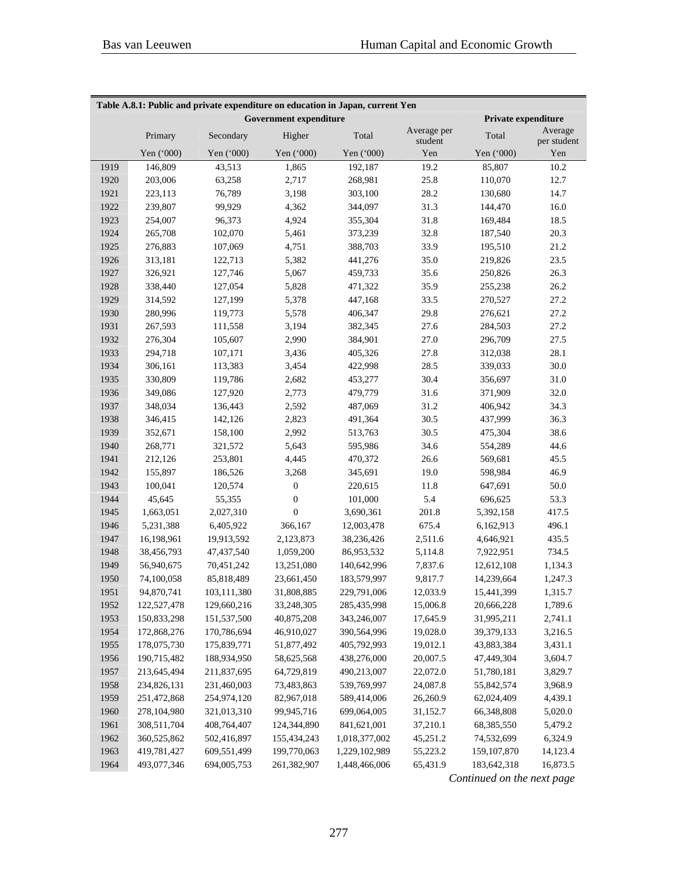| Table A.8.1: Public and private expenditure on education in Japan, current Yen |             |             |                               |               |                        |                     |                        |  |  |  |  |
|--------------------------------------------------------------------------------|-------------|-------------|-------------------------------|---------------|------------------------|---------------------|------------------------|--|--|--|--|
|                                                                                |             |             | <b>Government expenditure</b> |               |                        | Private expenditure |                        |  |  |  |  |
|                                                                                | Primary     | Secondary   | Higher                        | Total         | Average per<br>student | Total               | Average<br>per student |  |  |  |  |
|                                                                                | Yen ('000)  | Yen ('000)  | Yen ('000)                    | Yen ('000)    | Yen                    | Yen ('000)          | Yen                    |  |  |  |  |
| 1919                                                                           | 146,809     | 43,513      | 1,865                         | 192,187       | 19.2                   | 85,807              | 10.2                   |  |  |  |  |
| 1920                                                                           | 203,006     | 63,258      | 2,717                         | 268,981       | 25.8                   | 110,070             | 12.7                   |  |  |  |  |
| 1921                                                                           | 223,113     | 76,789      | 3,198                         | 303,100       | 28.2                   | 130,680             | 14.7                   |  |  |  |  |
| 1922                                                                           | 239,807     | 99,929      | 4,362                         | 344,097       | 31.3                   | 144,470             | 16.0                   |  |  |  |  |
| 1923                                                                           | 254,007     | 96,373      | 4,924                         | 355,304       | 31.8                   | 169,484             | 18.5                   |  |  |  |  |
| 1924                                                                           | 265,708     | 102,070     | 5,461                         | 373,239       | 32.8                   | 187,540             | 20.3                   |  |  |  |  |
| 1925                                                                           | 276,883     | 107,069     | 4,751                         | 388,703       | 33.9                   | 195,510             | 21.2                   |  |  |  |  |
| 1926                                                                           | 313,181     | 122,713     | 5,382                         | 441,276       | 35.0                   | 219,826             | 23.5                   |  |  |  |  |
| 1927                                                                           | 326,921     | 127,746     | 5,067                         | 459,733       | 35.6                   | 250,826             | 26.3                   |  |  |  |  |
| 1928                                                                           | 338,440     | 127,054     | 5,828                         | 471,322       | 35.9                   | 255,238             | 26.2                   |  |  |  |  |
| 1929                                                                           | 314,592     | 127,199     | 5,378                         | 447,168       | 33.5                   | 270,527             | 27.2                   |  |  |  |  |
| 1930                                                                           | 280,996     | 119,773     | 5,578                         | 406,347       | 29.8                   | 276,621             | 27.2                   |  |  |  |  |
| 1931                                                                           | 267,593     | 111,558     | 3,194                         | 382,345       | 27.6                   | 284,503             | 27.2                   |  |  |  |  |
| 1932                                                                           | 276,304     | 105,607     | 2,990                         | 384,901       | 27.0                   | 296,709             | 27.5                   |  |  |  |  |
| 1933                                                                           | 294,718     | 107,171     | 3,436                         | 405,326       | 27.8                   | 312,038             | 28.1                   |  |  |  |  |
| 1934                                                                           | 306,161     | 113,383     | 3,454                         | 422,998       | 28.5                   | 339,033             | 30.0                   |  |  |  |  |
| 1935                                                                           | 330,809     | 119,786     | 2,682                         | 453,277       | 30.4                   | 356,697             | 31.0                   |  |  |  |  |
| 1936                                                                           | 349,086     | 127,920     | 2,773                         | 479,779       | 31.6                   | 371,909             | 32.0                   |  |  |  |  |
| 1937                                                                           | 348,034     | 136,443     | 2,592                         | 487,069       | 31.2                   | 406,942             | 34.3                   |  |  |  |  |
| 1938                                                                           | 346,415     | 142,126     | 2,823                         | 491,364       | 30.5                   | 437,999             | 36.3                   |  |  |  |  |
| 1939                                                                           | 352,671     | 158,100     | 2,992                         | 513,763       | 30.5                   | 475,304             | 38.6                   |  |  |  |  |
| 1940                                                                           | 268,771     | 321,572     | 5,643                         | 595,986       | 34.6                   | 554,289             | 44.6                   |  |  |  |  |
| 1941                                                                           | 212,126     | 253,801     | 4,445                         | 470,372       | 26.6                   | 569,681             | 45.5                   |  |  |  |  |
| 1942                                                                           | 155,897     | 186,526     | 3,268                         | 345,691       | 19.0                   | 598,984             | 46.9                   |  |  |  |  |
| 1943                                                                           | 100,041     | 120,574     | $\boldsymbol{0}$              | 220,615       | 11.8                   | 647,691             | $50.0\,$               |  |  |  |  |
| 1944                                                                           | 45,645      | 55,355      | $\boldsymbol{0}$              | 101,000       | 5.4                    | 696,625             | 53.3                   |  |  |  |  |
| 1945                                                                           | 1,663,051   | 2,027,310   | $\boldsymbol{0}$              | 3,690,361     | 201.8                  | 5,392,158           | 417.5                  |  |  |  |  |
| 1946                                                                           | 5,231,388   | 6,405,922   | 366,167                       | 12,003,478    | 675.4                  | 6,162,913           | 496.1                  |  |  |  |  |
| 1947                                                                           | 16,198,961  | 19,913,592  | 2,123,873                     | 38,236,426    | 2,511.6                | 4,646,921           | 435.5                  |  |  |  |  |
| 1948                                                                           | 38,456,793  | 47,437,540  | 1,059,200                     | 86,953,532    | 5,114.8                | 7,922,951           | 734.5                  |  |  |  |  |
| 1949                                                                           | 56,940,675  | 70,451,242  | 13,251,080                    | 140,642,996   | 7,837.6                | 12,612,108          | 1,134.3                |  |  |  |  |
| 1950                                                                           | 74,100,058  | 85,818,489  | 23,661,450                    | 183,579,997   | 9,817.7                | 14,239,664          | 1,247.3                |  |  |  |  |
| 1951                                                                           | 94,870,741  | 103,111,380 | 31,808,885                    | 229,791,006   | 12,033.9               | 15,441,399          | 1,315.7                |  |  |  |  |
| 1952                                                                           | 122,527,478 | 129,660,216 | 33,248,305                    | 285,435,998   | 15,006.8               | 20,666,228          | 1,789.6                |  |  |  |  |
| 1953                                                                           | 150,833,298 | 151,537,500 | 40,875,208                    | 343,246,007   | 17,645.9               | 31,995,211          | 2,741.1                |  |  |  |  |
| 1954                                                                           | 172,868,276 | 170,786,694 | 46,910,027                    | 390,564,996   | 19,028.0               | 39,379,133          | 3,216.5                |  |  |  |  |
| 1955                                                                           | 178,075,730 | 175,839,771 | 51,877,492                    | 405,792,993   | 19,012.1               | 43,883,384          | 3,431.1                |  |  |  |  |
| 1956                                                                           | 190,715,482 | 188,934,950 | 58,625,568                    | 438,276,000   | 20,007.5               | 47,449,304          | 3,604.7                |  |  |  |  |
| 1957                                                                           | 213,645,494 | 211,837,695 | 64,729,819                    | 490,213,007   | 22,072.0               | 51,780,181          | 3,829.7                |  |  |  |  |
| 1958                                                                           | 234,826,131 | 231,460,003 | 73,483,863                    | 539,769,997   | 24,087.8               | 55,842,574          | 3,968.9                |  |  |  |  |
| 1959                                                                           | 251,472,868 | 254,974,120 | 82,967,018                    | 589,414,006   | 26,260.9               | 62,024,409          | 4,439.1                |  |  |  |  |
| 1960                                                                           | 278,104,980 | 321,013,310 | 99,945,716                    | 699,064,005   | 31,152.7               | 66,348,808          | 5,020.0                |  |  |  |  |
| 1961                                                                           | 308,511,704 | 408,764,407 | 124,344,890                   | 841,621,001   | 37,210.1               | 68,385,550          | 5,479.2                |  |  |  |  |
| 1962                                                                           | 360,525,862 | 502,416,897 | 155,434,243                   | 1,018,377,002 | 45,251.2               | 74,532,699          | 6,324.9                |  |  |  |  |
| 1963                                                                           | 419,781,427 | 609,551,499 | 199,770,063                   | 1,229,102,989 | 55,223.2               | 159, 107, 870       | 14,123.4               |  |  |  |  |
| 1964                                                                           | 493,077,346 | 694,005,753 | 261,382,907                   | 1,448,466,006 | 65,431.9               | 183,642,318         | 16,873.5               |  |  |  |  |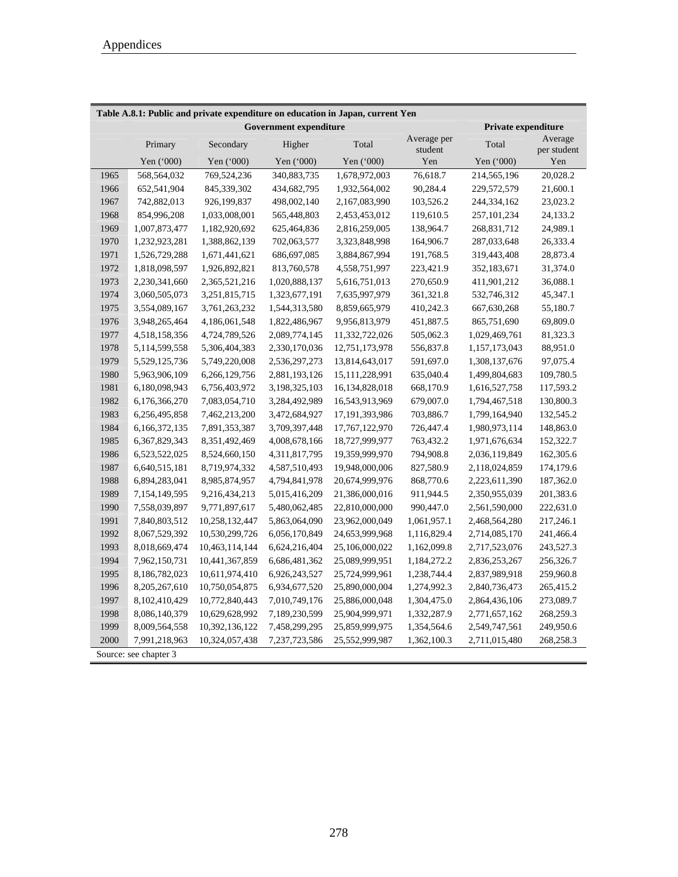| Table A.8.1: Public and private expenditure on education in Japan, current Yen |                       |                |                               |                |                        |                            |                        |  |  |  |
|--------------------------------------------------------------------------------|-----------------------|----------------|-------------------------------|----------------|------------------------|----------------------------|------------------------|--|--|--|
|                                                                                |                       |                | <b>Government expenditure</b> |                |                        | <b>Private expenditure</b> |                        |  |  |  |
|                                                                                | Primary               | Secondary      | Higher                        | Total          | Average per<br>student | Total                      | Average<br>per student |  |  |  |
|                                                                                | Yen ('000)            | Yen ('000)     | Yen ('000)                    | Yen ('000)     | Yen                    | Yen ('000)                 | Yen                    |  |  |  |
| 1965                                                                           | 568,564,032           | 769,524,236    | 340,883,735                   | 1,678,972,003  | 76,618.7               | 214,565,196                | 20,028.2               |  |  |  |
| 1966                                                                           | 652,541,904           | 845,339,302    | 434,682,795                   | 1,932,564,002  | 90,284.4               | 229,572,579                | 21,600.1               |  |  |  |
| 1967                                                                           | 742,882,013           | 926,199,837    | 498,002,140                   | 2,167,083,990  | 103,526.2              | 244,334,162                | 23,023.2               |  |  |  |
| 1968                                                                           | 854,996,208           | 1,033,008,001  | 565,448,803                   | 2,453,453,012  | 119,610.5              | 257, 101, 234              | 24,133.2               |  |  |  |
| 1969                                                                           | 1,007,873,477         | 1,182,920,692  | 625,464,836                   | 2,816,259,005  | 138,964.7              | 268,831,712                | 24,989.1               |  |  |  |
| 1970                                                                           | 1,232,923,281         | 1,388,862,139  | 702,063,577                   | 3,323,848,998  | 164,906.7              | 287,033,648                | 26,333.4               |  |  |  |
| 1971                                                                           | 1,526,729,288         | 1,671,441,621  | 686,697,085                   | 3,884,867,994  | 191,768.5              | 319,443,408                | 28,873.4               |  |  |  |
| 1972                                                                           | 1,818,098,597         | 1,926,892,821  | 813,760,578                   | 4,558,751,997  | 223,421.9              | 352,183,671                | 31,374.0               |  |  |  |
| 1973                                                                           | 2,230,341,660         | 2,365,521,216  | 1,020,888,137                 | 5,616,751,013  | 270,650.9              | 411,901,212                | 36,088.1               |  |  |  |
| 1974                                                                           | 3,060,505,073         | 3,251,815,715  | 1,323,677,191                 | 7,635,997,979  | 361,321.8              | 532,746,312                | 45,347.1               |  |  |  |
| 1975                                                                           | 3,554,089,167         | 3,761,263,232  | 1,544,313,580                 | 8,859,665,979  | 410,242.3              | 667,630,268                | 55,180.7               |  |  |  |
| 1976                                                                           | 3,948,265,464         | 4,186,061,548  | 1,822,486,967                 | 9,956,813,979  | 451,887.5              | 865,751,690                | 69,809.0               |  |  |  |
| 1977                                                                           | 4,518,158,356         | 4,724,789,526  | 2,089,774,145                 | 11,332,722,026 | 505,062.3              | 1,029,469,761              | 81,323.3               |  |  |  |
| 1978                                                                           | 5,114,599,558         | 5,306,404,383  | 2,330,170,036                 | 12,751,173,978 | 556,837.8              | 1,157,173,043              | 88,951.0               |  |  |  |
| 1979                                                                           | 5,529,125,736         | 5,749,220,008  | 2,536,297,273                 | 13,814,643,017 | 591,697.0              | 1,308,137,676              | 97,075.4               |  |  |  |
| 1980                                                                           | 5,963,906,109         | 6,266,129,756  | 2,881,193,126                 | 15,111,228,991 | 635,040.4              | 1,499,804,683              | 109,780.5              |  |  |  |
| 1981                                                                           | 6,180,098,943         | 6,756,403,972  | 3,198,325,103                 | 16,134,828,018 | 668,170.9              | 1,616,527,758              | 117,593.2              |  |  |  |
| 1982                                                                           | 6,176,366,270         | 7,083,054,710  | 3,284,492,989                 | 16,543,913,969 | 679,007.0              | 1,794,467,518              | 130,800.3              |  |  |  |
| 1983                                                                           | 6,256,495,858         | 7,462,213,200  | 3,472,684,927                 | 17,191,393,986 | 703,886.7              | 1,799,164,940              | 132,545.2              |  |  |  |
| 1984                                                                           | 6,166,372,135         | 7,891,353,387  | 3,709,397,448                 | 17,767,122,970 | 726,447.4              | 1,980,973,114              | 148,863.0              |  |  |  |
| 1985                                                                           | 6,367,829,343         | 8,351,492,469  | 4,008,678,166                 | 18,727,999,977 | 763,432.2              | 1,971,676,634              | 152,322.7              |  |  |  |
| 1986                                                                           | 6,523,522,025         | 8,524,660,150  | 4,311,817,795                 | 19,359,999,970 | 794,908.8              | 2,036,119,849              | 162,305.6              |  |  |  |
| 1987                                                                           | 6,640,515,181         | 8,719,974,332  | 4,587,510,493                 | 19,948,000,006 | 827,580.9              | 2,118,024,859              | 174,179.6              |  |  |  |
| 1988                                                                           | 6,894,283,041         | 8,985,874,957  | 4,794,841,978                 | 20,674,999,976 | 868,770.6              | 2,223,611,390              | 187,362.0              |  |  |  |
| 1989                                                                           | 7,154,149,595         | 9,216,434,213  | 5,015,416,209                 | 21,386,000,016 | 911,944.5              | 2,350,955,039              | 201,383.6              |  |  |  |
| 1990                                                                           | 7,558,039,897         | 9,771,897,617  | 5,480,062,485                 | 22,810,000,000 | 990,447.0              | 2,561,590,000              | 222,631.0              |  |  |  |
| 1991                                                                           | 7,840,803,512         | 10,258,132,447 | 5,863,064,090                 | 23,962,000,049 | 1,061,957.1            | 2,468,564,280              | 217,246.1              |  |  |  |
| 1992                                                                           | 8,067,529,392         | 10,530,299,726 | 6,056,170,849                 | 24,653,999,968 | 1,116,829.4            | 2,714,085,170              | 241,466.4              |  |  |  |
| 1993                                                                           | 8,018,669,474         | 10,463,114,144 | 6,624,216,404                 | 25,106,000,022 | 1,162,099.8            | 2,717,523,076              | 243,527.3              |  |  |  |
| 1994                                                                           | 7,962,150,731         | 10,441,367,859 | 6,686,481,362                 | 25,089,999,951 | 1,184,272.2            | 2,836,253,267              | 256,326.7              |  |  |  |
| 1995                                                                           | 8,186,782,023         | 10,611,974,410 | 6,926,243,527                 | 25,724,999,961 | 1,238,744.4            | 2,837,989,918              | 259,960.8              |  |  |  |
| 1996                                                                           | 8,205,267,610         | 10,750,054,875 | 6,934,677,520                 | 25,890,000,004 | 1,274,992.3            | 2,840,736,473              | 265,415.2              |  |  |  |
| 1997                                                                           | 8,102,410,429         | 10,772,840,443 | 7,010,749,176                 | 25,886,000,048 | 1,304,475.0            | 2,864,436,106              | 273,089.7              |  |  |  |
| 1998                                                                           | 8,086,140,379         | 10,629,628,992 | 7,189,230,599                 | 25,904,999,971 | 1,332,287.9            | 2,771,657,162              | 268,259.3              |  |  |  |
| 1999                                                                           | 8,009,564,558         | 10,392,136,122 | 7,458,299,295                 | 25,859,999,975 | 1,354,564.6            | 2,549,747,561              | 249,950.6              |  |  |  |
| 2000                                                                           | 7,991,218,963         | 10,324,057,438 | 7,237,723,586                 | 25,552,999,987 | 1,362,100.3            | 2,711,015,480              | 268,258.3              |  |  |  |
|                                                                                | Source: see chapter 3 |                |                               |                |                        |                            |                        |  |  |  |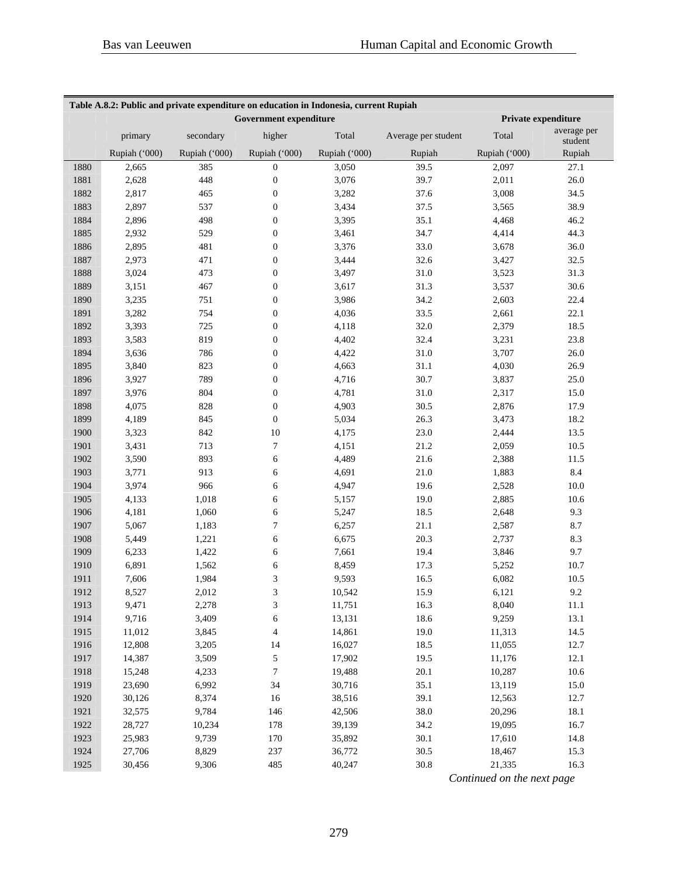| Table A.8.2: Public and private expenditure on education in Indonesia, current Rupiah |               |               |                               |               |                     |                     |                        |  |  |  |
|---------------------------------------------------------------------------------------|---------------|---------------|-------------------------------|---------------|---------------------|---------------------|------------------------|--|--|--|
|                                                                                       |               |               | <b>Government expenditure</b> |               |                     | Private expenditure |                        |  |  |  |
|                                                                                       | primary       | secondary     | higher                        | Total         | Average per student | Total               | average per<br>student |  |  |  |
|                                                                                       | Rupiah ('000) | Rupiah ('000) | Rupiah ('000)                 | Rupiah ('000) | Rupiah              | Rupiah ('000)       | Rupiah                 |  |  |  |
| 1880                                                                                  | 2,665         | 385           | $\boldsymbol{0}$              | 3,050         | 39.5                | 2,097               | 27.1                   |  |  |  |
| 1881                                                                                  | 2,628         | 448           | $\boldsymbol{0}$              | 3,076         | 39.7                | 2,011               | 26.0                   |  |  |  |
| 1882                                                                                  | 2,817         | 465           | $\boldsymbol{0}$              | 3,282         | 37.6                | 3,008               | 34.5                   |  |  |  |
| 1883                                                                                  | 2,897         | 537           | $\boldsymbol{0}$              | 3,434         | 37.5                | 3,565               | 38.9                   |  |  |  |
| 1884                                                                                  | 2,896         | 498           | $\boldsymbol{0}$              | 3,395         | 35.1                | 4,468               | 46.2                   |  |  |  |
| 1885                                                                                  | 2,932         | 529           | $\boldsymbol{0}$              | 3,461         | 34.7                | 4,414               | 44.3                   |  |  |  |
| 1886                                                                                  | 2,895         | 481           | $\boldsymbol{0}$              | 3,376         | 33.0                | 3,678               | 36.0                   |  |  |  |
| 1887                                                                                  | 2,973         | 471           | $\boldsymbol{0}$              | 3,444         | 32.6                | 3,427               | 32.5                   |  |  |  |
| 1888                                                                                  | 3,024         | 473           | $\boldsymbol{0}$              | 3,497         | 31.0                | 3,523               | 31.3                   |  |  |  |
| 1889                                                                                  | 3,151         | 467           | $\boldsymbol{0}$              | 3,617         | 31.3                | 3,537               | 30.6                   |  |  |  |
| 1890                                                                                  | 3,235         | 751           | $\boldsymbol{0}$              | 3,986         | 34.2                | 2,603               | 22.4                   |  |  |  |
| 1891                                                                                  | 3,282         | 754           | $\boldsymbol{0}$              | 4,036         | 33.5                | 2,661               | 22.1                   |  |  |  |
| 1892                                                                                  | 3,393         | 725           | $\boldsymbol{0}$              | 4,118         | 32.0                | 2,379               | 18.5                   |  |  |  |
| 1893                                                                                  | 3,583         | 819           | $\boldsymbol{0}$              | 4,402         | 32.4                | 3,231               | 23.8                   |  |  |  |
| 1894                                                                                  | 3,636         | 786           | $\boldsymbol{0}$              | 4,422         | 31.0                | 3,707               | 26.0                   |  |  |  |
| 1895                                                                                  | 3,840         | 823           | $\boldsymbol{0}$              | 4,663         | 31.1                | 4,030               | 26.9                   |  |  |  |
| 1896                                                                                  | 3,927         | 789           | $\boldsymbol{0}$              | 4,716         | 30.7                | 3,837               | 25.0                   |  |  |  |
| 1897                                                                                  | 3,976         | 804           | $\boldsymbol{0}$              | 4,781         | 31.0                | 2,317               | 15.0                   |  |  |  |
| 1898                                                                                  | 4,075         | 828           | $\boldsymbol{0}$              | 4,903         | 30.5                | 2,876               | 17.9                   |  |  |  |
| 1899                                                                                  | 4,189         | 845           | $\boldsymbol{0}$              | 5,034         | 26.3                | 3,473               | 18.2                   |  |  |  |
| 1900                                                                                  | 3,323         | 842           | 10                            | 4,175         | 23.0                | 2,444               | 13.5                   |  |  |  |
| 1901                                                                                  | 3,431         | 713           | 7                             | 4,151         | 21.2                | 2,059               | 10.5                   |  |  |  |
| 1902                                                                                  | 3,590         | 893           | 6                             | 4,489         | 21.6                | 2,388               | 11.5                   |  |  |  |
| 1903                                                                                  | 3,771         | 913           | 6                             | 4,691         | 21.0                | 1,883               | 8.4                    |  |  |  |
| 1904                                                                                  | 3,974         | 966           | 6                             | 4,947         | 19.6                | 2,528               | 10.0                   |  |  |  |
| 1905                                                                                  | 4,133         | 1,018         | 6                             | 5,157         | 19.0                | 2,885               | 10.6                   |  |  |  |
| 1906                                                                                  | 4,181         | 1,060         | 6                             | 5,247         | 18.5                | 2,648               | 9.3                    |  |  |  |
| 1907                                                                                  | 5,067         | 1,183         | 7                             | 6,257         | 21.1                | 2,587               | 8.7                    |  |  |  |
| 1908                                                                                  | 5,449         | 1,221         | 6                             | 6,675         | 20.3                | 2,737               | 8.3                    |  |  |  |
| 1909                                                                                  | 6,233         | 1,422         | 6                             | 7,661         | 19.4                | 3,846               | 9.7                    |  |  |  |
| 1910                                                                                  | 6,891         | 1,562         | 6                             | 8,459         | 17.3                | 5,252               | 10.7                   |  |  |  |
| 1911                                                                                  | 7,606         | 1,984         | 3                             | 9,593         | 16.5                | 6,082               | 10.5                   |  |  |  |
| 1912                                                                                  | 8,527         | 2,012         | 3                             | 10,542        | 15.9                | 6,121               | 9.2                    |  |  |  |
| 1913                                                                                  | 9,471         | 2,278         | 3                             | 11,751        | 16.3                | 8,040               | 11.1                   |  |  |  |
| 1914                                                                                  | 9,716         | 3,409         | 6                             | 13,131        | 18.6                | 9,259               | 13.1                   |  |  |  |
| 1915                                                                                  | 11,012        | 3,845         | 4                             | 14,861        | 19.0                | 11,313              | 14.5                   |  |  |  |
| 1916                                                                                  | 12,808        | 3,205         | 14                            | 16,027        | 18.5                | 11,055              | 12.7                   |  |  |  |
| 1917                                                                                  | 14,387        | 3,509         | 5                             | 17,902        | 19.5                | 11,176              | 12.1                   |  |  |  |
| 1918                                                                                  | 15,248        | 4,233         | $\overline{7}$                | 19,488        | 20.1                | 10,287              | 10.6                   |  |  |  |
| 1919                                                                                  | 23,690        | 6,992         | 34                            | 30,716        | 35.1                | 13,119              | 15.0                   |  |  |  |
| 1920                                                                                  | 30,126        | 8,374         | 16                            | 38,516        | 39.1                | 12,563              | 12.7                   |  |  |  |
| 1921                                                                                  | 32,575        | 9,784         | 146                           | 42,506        | 38.0                | 20,296              | 18.1                   |  |  |  |
| 1922                                                                                  | 28,727        | 10,234        | 178                           | 39,139        | 34.2                | 19,095              | 16.7                   |  |  |  |
| 1923                                                                                  | 25,983        | 9,739         | 170                           | 35,892        | 30.1                | 17,610              | 14.8                   |  |  |  |
| 1924                                                                                  | 27,706        | 8,829         | 237                           | 36,772        | 30.5                | 18,467              | 15.3                   |  |  |  |
| 1925                                                                                  | 30,456        | 9,306         | 485                           | 40,247        | 30.8                | 21,335              | 16.3                   |  |  |  |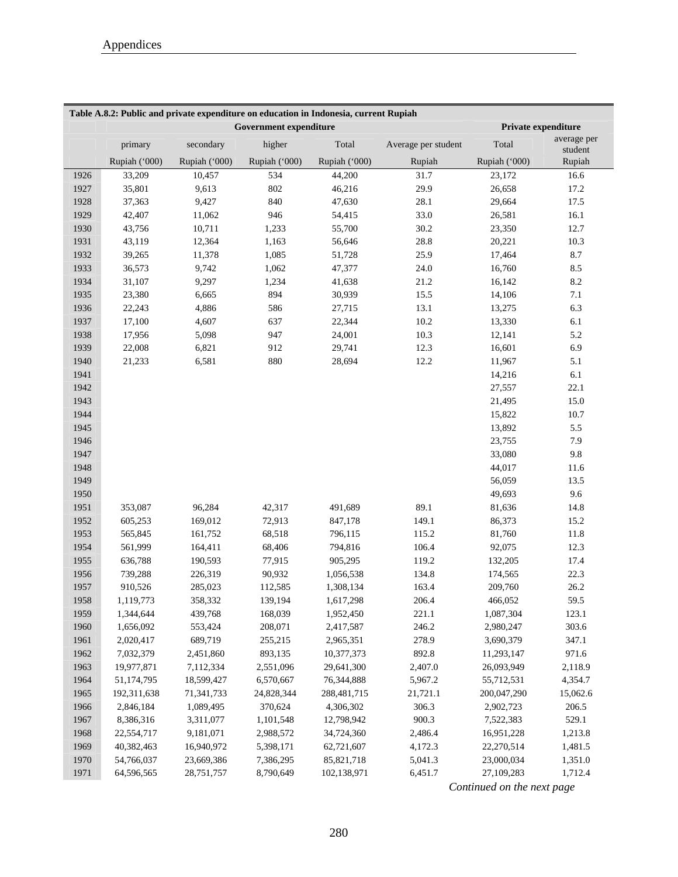| Table A.8.2: Public and private expenditure on education in Indonesia, current Rupiah |               |               |                               |               |                     |               |                        |  |  |  |
|---------------------------------------------------------------------------------------|---------------|---------------|-------------------------------|---------------|---------------------|---------------|------------------------|--|--|--|
|                                                                                       |               |               | <b>Government expenditure</b> |               |                     |               | Private expenditure    |  |  |  |
|                                                                                       | primary       | secondary     | higher                        | Total         | Average per student | Total         | average per<br>student |  |  |  |
|                                                                                       | Rupiah ('000) | Rupiah ('000) | Rupiah ('000)                 | Rupiah ('000) | Rupiah              | Rupiah ('000) | Rupiah                 |  |  |  |
| 1926                                                                                  | 33,209        | 10,457        | 534                           | 44,200        | 31.7                | 23,172        | 16.6                   |  |  |  |
| 1927                                                                                  | 35,801        | 9,613         | 802                           | 46,216        | 29.9                | 26,658        | 17.2                   |  |  |  |
| 1928                                                                                  | 37,363        | 9,427         | 840                           | 47,630        | 28.1                | 29,664        | 17.5                   |  |  |  |
| 1929                                                                                  | 42,407        | 11,062        | 946                           | 54,415        | 33.0                | 26,581        | 16.1                   |  |  |  |
| 1930                                                                                  | 43,756        | 10,711        | 1,233                         | 55,700        | 30.2                | 23,350        | 12.7                   |  |  |  |
| 1931                                                                                  | 43,119        | 12,364        | 1,163                         | 56,646        | 28.8                | 20,221        | 10.3                   |  |  |  |
| 1932                                                                                  | 39,265        | 11,378        | 1,085                         | 51,728        | 25.9                | 17,464        | 8.7                    |  |  |  |
| 1933                                                                                  | 36,573        | 9,742         | 1,062                         | 47,377        | 24.0                | 16,760        | 8.5                    |  |  |  |
| 1934                                                                                  | 31,107        | 9,297         | 1,234                         | 41,638        | 21.2                | 16,142        | 8.2                    |  |  |  |
| 1935                                                                                  | 23,380        | 6,665         | 894                           | 30,939        | 15.5                | 14,106        | 7.1                    |  |  |  |
| 1936                                                                                  | 22,243        | 4,886         | 586                           | 27,715        | 13.1                | 13,275        | 6.3                    |  |  |  |
| 1937                                                                                  | 17,100        | 4,607         | 637                           | 22,344        | 10.2                | 13,330        | 6.1                    |  |  |  |
| 1938                                                                                  | 17,956        | 5,098         | 947                           | 24,001        | 10.3                | 12,141        | 5.2                    |  |  |  |
| 1939                                                                                  | 22,008        | 6,821         | 912                           | 29,741        | 12.3                | 16,601        | 6.9                    |  |  |  |
| 1940                                                                                  | 21,233        | 6,581         | 880                           | 28,694        | 12.2                | 11,967        | 5.1                    |  |  |  |
| 1941                                                                                  |               |               |                               |               |                     | 14,216        | 6.1                    |  |  |  |
| 1942                                                                                  |               |               |                               |               |                     | 27,557        | 22.1                   |  |  |  |
| 1943                                                                                  |               |               |                               |               |                     | 21,495        | 15.0                   |  |  |  |
| 1944                                                                                  |               |               |                               |               |                     | 15,822        | 10.7                   |  |  |  |
| 1945                                                                                  |               |               |                               |               |                     | 13,892        | 5.5                    |  |  |  |
| 1946                                                                                  |               |               |                               |               |                     | 23,755        | 7.9                    |  |  |  |
| 1947                                                                                  |               |               |                               |               |                     | 33,080        | 9.8                    |  |  |  |
|                                                                                       |               |               |                               |               |                     |               |                        |  |  |  |
| 1948                                                                                  |               |               |                               |               |                     | 44,017        | 11.6                   |  |  |  |
| 1949                                                                                  |               |               |                               |               |                     | 56,059        | 13.5                   |  |  |  |
| 1950                                                                                  |               |               |                               |               |                     | 49,693        | 9.6                    |  |  |  |
| 1951                                                                                  | 353,087       | 96,284        | 42,317                        | 491,689       | 89.1                | 81,636        | 14.8                   |  |  |  |
| 1952                                                                                  | 605,253       | 169,012       | 72,913                        | 847,178       | 149.1               | 86,373        | 15.2                   |  |  |  |
| 1953                                                                                  | 565,845       | 161,752       | 68,518                        | 796,115       | 115.2               | 81,760        | 11.8                   |  |  |  |
| 1954                                                                                  | 561,999       | 164,411       | 68,406                        | 794,816       | 106.4               | 92,075        | 12.3                   |  |  |  |
| 1955                                                                                  | 636,788       | 190,593       | 77,915                        | 905,295       | 119.2               | 132,205       | 17.4                   |  |  |  |
| 1956                                                                                  | 739,288       | 226,319       | 90,932                        | 1,056,538     | 134.8               | 174,565       | 22.3                   |  |  |  |
| 1957                                                                                  | 910,526       | 285,023       | 112,585                       | 1,308,134     | 163.4               | 209,760       | 26.2                   |  |  |  |
| 1958                                                                                  | 1,119,773     | 358,332       | 139,194                       | 1,617,298     | 206.4               | 466,052       | 59.5                   |  |  |  |
| 1959                                                                                  | 1,344,644     | 439,768       | 168,039                       | 1,952,450     | 221.1               | 1,087,304     | 123.1                  |  |  |  |
| 1960                                                                                  | 1,656,092     | 553,424       | 208,071                       | 2,417,587     | 246.2               | 2,980,247     | 303.6                  |  |  |  |
| 1961                                                                                  | 2,020,417     | 689,719       | 255,215                       | 2,965,351     | 278.9               | 3,690,379     | 347.1                  |  |  |  |
| 1962                                                                                  | 7,032,379     | 2,451,860     | 893,135                       | 10,377,373    | 892.8               | 11,293,147    | 971.6                  |  |  |  |
| 1963                                                                                  | 19,977,871    | 7,112,334     | 2,551,096                     | 29,641,300    | 2,407.0             | 26,093,949    | 2,118.9                |  |  |  |
| 1964                                                                                  | 51,174,795    | 18,599,427    | 6,570,667                     | 76,344,888    | 5,967.2             | 55,712,531    | 4,354.7                |  |  |  |
| 1965                                                                                  | 192,311,638   | 71,341,733    | 24,828,344                    | 288,481,715   | 21,721.1            | 200,047,290   | 15,062.6               |  |  |  |
| 1966                                                                                  | 2,846,184     | 1,089,495     | 370,624                       | 4,306,302     | 306.3               | 2,902,723     | 206.5                  |  |  |  |
| 1967                                                                                  | 8,386,316     | 3,311,077     | 1,101,548                     | 12,798,942    | 900.3               | 7,522,383     | 529.1                  |  |  |  |
| 1968                                                                                  | 22,554,717    | 9,181,071     | 2,988,572                     | 34,724,360    | 2,486.4             | 16,951,228    | 1,213.8                |  |  |  |
| 1969                                                                                  | 40,382,463    | 16,940,972    | 5,398,171                     | 62,721,607    | 4,172.3             | 22,270,514    | 1,481.5                |  |  |  |
| 1970                                                                                  | 54,766,037    | 23,669,386    | 7,386,295                     | 85, 821, 718  | 5,041.3             | 23,000,034    | 1,351.0                |  |  |  |
| 1971                                                                                  | 64,596,565    | 28,751,757    | 8,790,649                     | 102,138,971   | 6,451.7             | 27,109,283    | 1,712.4                |  |  |  |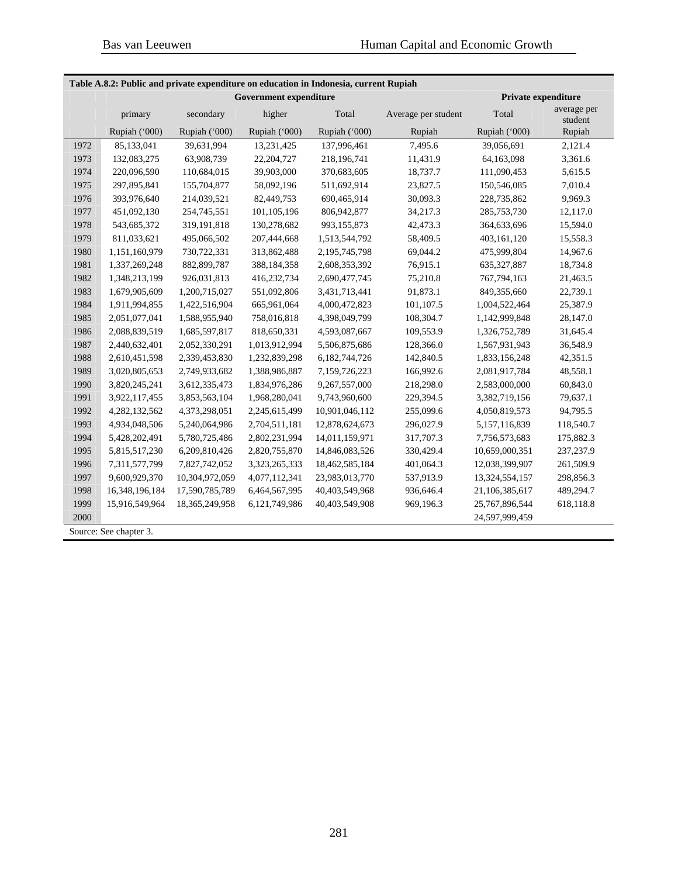| Table A.8.2: Public and private expenditure on education in Indonesia, current Rupiah |                |                |                               |                |                     |                     |                        |  |  |  |  |
|---------------------------------------------------------------------------------------|----------------|----------------|-------------------------------|----------------|---------------------|---------------------|------------------------|--|--|--|--|
|                                                                                       |                |                | <b>Government expenditure</b> |                |                     | Private expenditure |                        |  |  |  |  |
|                                                                                       | primary        | secondary      | higher                        | Total          | Average per student | Total               | average per<br>student |  |  |  |  |
|                                                                                       | Rupiah ('000)  | Rupiah ('000)  | Rupiah ('000)                 | Rupiah ('000)  | Rupiah              | Rupiah ('000)       | Rupiah                 |  |  |  |  |
| 1972                                                                                  | 85,133,041     | 39,631,994     | 13,231,425                    | 137,996,461    | 7,495.6             | 39,056,691          | 2,121.4                |  |  |  |  |
| 1973                                                                                  | 132,083,275    | 63,908,739     | 22,204,727                    | 218,196,741    | 11,431.9            | 64,163,098          | 3,361.6                |  |  |  |  |
| 1974                                                                                  | 220,096,590    | 110,684,015    | 39,903,000                    | 370,683,605    | 18,737.7            | 111,090,453         | 5,615.5                |  |  |  |  |
| 1975                                                                                  | 297,895,841    | 155,704,877    | 58,092,196                    | 511,692,914    | 23,827.5            | 150,546,085         | 7,010.4                |  |  |  |  |
| 1976                                                                                  | 393,976,640    | 214,039,521    | 82,449,753                    | 690,465,914    | 30,093.3            | 228,735,862         | 9,969.3                |  |  |  |  |
| 1977                                                                                  | 451,092,130    | 254,745,551    | 101,105,196                   | 806,942,877    | 34,217.3            | 285,753,730         | 12,117.0               |  |  |  |  |
| 1978                                                                                  | 543,685,372    | 319,191,818    | 130,278,682                   | 993,155,873    | 42,473.3            | 364,633,696         | 15,594.0               |  |  |  |  |
| 1979                                                                                  | 811,033,621    | 495,066,502    | 207,444,668                   | 1,513,544,792  | 58,409.5            | 403,161,120         | 15,558.3               |  |  |  |  |
| 1980                                                                                  | 1,151,160,979  | 730,722,331    | 313,862,488                   | 2,195,745,798  | 69,044.2            | 475,999,804         | 14,967.6               |  |  |  |  |
| 1981                                                                                  | 1,337,269,248  | 882, 899, 787  | 388,184,358                   | 2,608,353,392  | 76,915.1            | 635, 327, 887       | 18,734.8               |  |  |  |  |
| 1982                                                                                  | 1,348,213,199  | 926,031,813    | 416,232,734                   | 2,690,477,745  | 75,210.8            | 767,794,163         | 21,463.5               |  |  |  |  |
| 1983                                                                                  | 1,679,905,609  | 1,200,715,027  | 551,092,806                   | 3,431,713,441  | 91,873.1            | 849,355,660         | 22,739.1               |  |  |  |  |
| 1984                                                                                  | 1,911,994,855  | 1,422,516,904  | 665,961,064                   | 4,000,472,823  | 101,107.5           | 1,004,522,464       | 25,387.9               |  |  |  |  |
| 1985                                                                                  | 2,051,077,041  | 1,588,955,940  | 758,016,818                   | 4,398,049,799  | 108,304.7           | 1,142,999,848       | 28,147.0               |  |  |  |  |
| 1986                                                                                  | 2,088,839,519  | 1,685,597,817  | 818,650,331                   | 4,593,087,667  | 109,553.9           | 1,326,752,789       | 31,645.4               |  |  |  |  |
| 1987                                                                                  | 2,440,632,401  | 2,052,330,291  | 1,013,912,994                 | 5,506,875,686  | 128,366.0           | 1,567,931,943       | 36,548.9               |  |  |  |  |
| 1988                                                                                  | 2,610,451,598  | 2,339,453,830  | 1,232,839,298                 | 6,182,744,726  | 142,840.5           | 1,833,156,248       | 42,351.5               |  |  |  |  |
| 1989                                                                                  | 3,020,805,653  | 2,749,933,682  | 1,388,986,887                 | 7,159,726,223  | 166,992.6           | 2,081,917,784       | 48,558.1               |  |  |  |  |
| 1990                                                                                  | 3,820,245,241  | 3,612,335,473  | 1,834,976,286                 | 9,267,557,000  | 218,298.0           | 2,583,000,000       | 60,843.0               |  |  |  |  |
| 1991                                                                                  | 3,922,117,455  | 3,853,563,104  | 1,968,280,041                 | 9,743,960,600  | 229,394.5           | 3,382,719,156       | 79,637.1               |  |  |  |  |
| 1992                                                                                  | 4,282,132,562  | 4,373,298,051  | 2,245,615,499                 | 10,901,046,112 | 255,099.6           | 4,050,819,573       | 94,795.5               |  |  |  |  |
| 1993                                                                                  | 4,934,048,506  | 5,240,064,986  | 2,704,511,181                 | 12,878,624,673 | 296,027.9           | 5,157,116,839       | 118,540.7              |  |  |  |  |
| 1994                                                                                  | 5,428,202,491  | 5,780,725,486  | 2,802,231,994                 | 14,011,159,971 | 317,707.3           | 7,756,573,683       | 175,882.3              |  |  |  |  |
| 1995                                                                                  | 5,815,517,230  | 6,209,810,426  | 2,820,755,870                 | 14,846,083,526 | 330,429.4           | 10,659,000,351      | 237,237.9              |  |  |  |  |
| 1996                                                                                  | 7,311,577,799  | 7,827,742,052  | 3,323,265,333                 | 18,462,585,184 | 401,064.3           | 12,038,399,907      | 261,509.9              |  |  |  |  |
| 1997                                                                                  | 9,600,929,370  | 10,304,972,059 | 4,077,112,341                 | 23,983,013,770 | 537,913.9           | 13,324,554,157      | 298,856.3              |  |  |  |  |
| 1998                                                                                  | 16,348,196,184 | 17,590,785,789 | 6,464,567,995                 | 40,403,549,968 | 936,646.4           | 21,106,385,617      | 489,294.7              |  |  |  |  |
| 1999                                                                                  | 15,916,549,964 | 18,365,249,958 | 6,121,749,986                 | 40,403,549,908 | 969,196.3           | 25,767,896,544      | 618,118.8              |  |  |  |  |
| 2000                                                                                  |                |                |                               |                |                     | 24,597,999,459      |                        |  |  |  |  |
|                                                                                       |                |                |                               |                |                     |                     |                        |  |  |  |  |

Source: See chapter 3.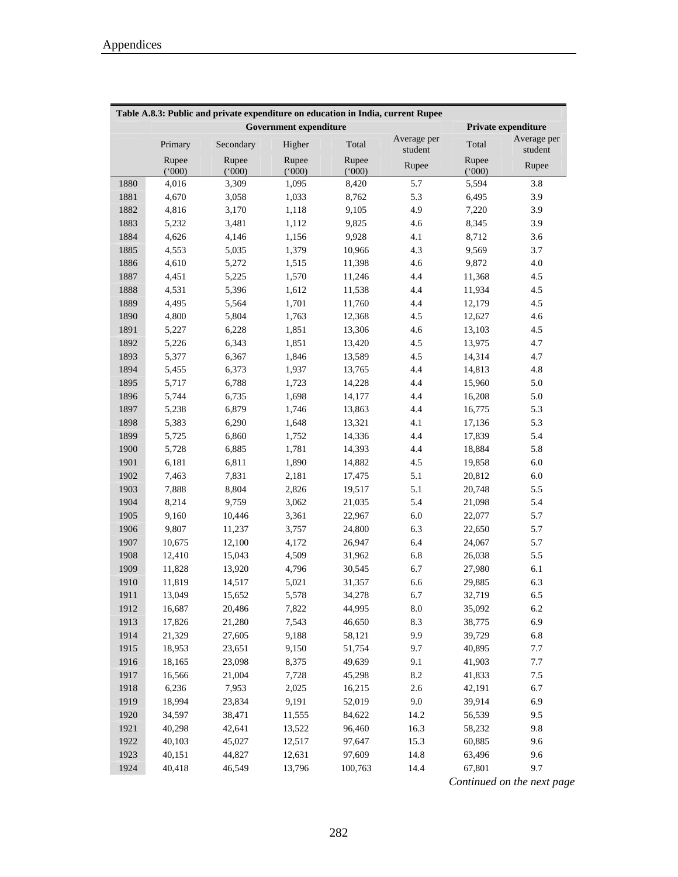| Table A.8.3: Public and private expenditure on education in India, current Rupee |                |                |                               |                |                        |                |                        |  |  |  |  |
|----------------------------------------------------------------------------------|----------------|----------------|-------------------------------|----------------|------------------------|----------------|------------------------|--|--|--|--|
|                                                                                  |                |                | <b>Government expenditure</b> |                |                        |                | Private expenditure    |  |  |  |  |
|                                                                                  | Primary        | Secondary      | Higher                        | Total          | Average per<br>student | Total          | Average per<br>student |  |  |  |  |
|                                                                                  | Rupee<br>(000) | Rupee<br>(000) | Rupee<br>(000)                | Rupee<br>(000) | Rupee                  | Rupee<br>(000) | Rupee                  |  |  |  |  |
| 1880                                                                             | 4,016          | 3,309          | 1,095                         | 8,420          | 5.7                    | 5,594          | 3.8                    |  |  |  |  |
| 1881                                                                             | 4,670          | 3,058          | 1,033                         | 8,762          | 5.3                    | 6,495          | 3.9                    |  |  |  |  |
| 1882                                                                             | 4,816          | 3,170          | 1,118                         | 9,105          | 4.9                    | 7,220          | 3.9                    |  |  |  |  |
| 1883                                                                             | 5,232          | 3,481          | 1,112                         | 9,825          | 4.6                    | 8,345          | 3.9                    |  |  |  |  |
| 1884                                                                             | 4,626          | 4,146          | 1,156                         | 9,928          | 4.1                    | 8,712          | 3.6                    |  |  |  |  |
| 1885                                                                             | 4,553          | 5,035          | 1,379                         | 10,966         | 4.3                    | 9,569          | 3.7                    |  |  |  |  |
| 1886                                                                             | 4,610          | 5,272          | 1,515                         | 11,398         | 4.6                    | 9,872          | 4.0                    |  |  |  |  |
| 1887                                                                             | 4,451          | 5,225          | 1,570                         | 11,246         | 4.4                    | 11,368         | 4.5                    |  |  |  |  |
| 1888                                                                             | 4,531          | 5,396          | 1,612                         | 11,538         | 4.4                    | 11,934         | 4.5                    |  |  |  |  |
| 1889                                                                             | 4,495          | 5,564          | 1,701                         | 11,760         | 4.4                    | 12,179         | 4.5                    |  |  |  |  |
| 1890                                                                             | 4,800          | 5,804          | 1,763                         | 12,368         | 4.5                    | 12,627         | 4.6                    |  |  |  |  |
| 1891                                                                             | 5,227          | 6,228          | 1,851                         | 13,306         | 4.6                    | 13,103         | 4.5                    |  |  |  |  |
| 1892                                                                             | 5,226          | 6,343          | 1,851                         | 13,420         | 4.5                    | 13,975         | 4.7                    |  |  |  |  |
| 1893                                                                             | 5,377          | 6,367          | 1,846                         | 13,589         | 4.5                    | 14,314         | 4.7                    |  |  |  |  |
| 1894                                                                             | 5,455          | 6,373          | 1,937                         | 13,765         | 4.4                    | 14,813         | 4.8                    |  |  |  |  |
| 1895                                                                             | 5,717          | 6,788          | 1,723                         | 14,228         | 4.4                    | 15,960         | 5.0                    |  |  |  |  |
| 1896                                                                             | 5,744          | 6,735          | 1,698                         | 14,177         | 4.4                    | 16,208         | 5.0                    |  |  |  |  |
| 1897                                                                             | 5,238          | 6,879          | 1,746                         | 13,863         | 4.4                    | 16,775         | 5.3                    |  |  |  |  |
| 1898                                                                             | 5,383          | 6,290          | 1,648                         | 13,321         | 4.1                    | 17,136         | 5.3                    |  |  |  |  |
| 1899                                                                             | 5,725          | 6,860          | 1,752                         | 14,336         | 4.4                    | 17,839         | 5.4                    |  |  |  |  |
| 1900                                                                             | 5,728          | 6,885          | 1,781                         | 14,393         | 4.4                    | 18,884         | 5.8                    |  |  |  |  |
| 1901                                                                             | 6,181          | 6,811          | 1,890                         | 14,882         | 4.5                    | 19,858         | 6.0                    |  |  |  |  |
| 1902                                                                             | 7,463          | 7,831          | 2,181                         | 17,475         | 5.1                    | 20,812         | 6.0                    |  |  |  |  |
| 1903                                                                             | 7,888          | 8,804          | 2,826                         | 19,517         | 5.1                    | 20,748         | 5.5                    |  |  |  |  |
| 1904                                                                             | 8,214          | 9,759          | 3,062                         | 21,035         | 5.4                    | 21,098         | 5.4                    |  |  |  |  |
| 1905                                                                             | 9,160          | 10,446         | 3,361                         | 22,967         | 6.0                    | 22,077         | 5.7                    |  |  |  |  |
| 1906                                                                             | 9,807          | 11,237         | 3,757                         | 24,800         | 6.3                    | 22,650         | 5.7                    |  |  |  |  |
| 1907                                                                             | 10,675         | 12,100         | 4,172                         | 26,947         | 6.4                    | 24,067         | 5.7                    |  |  |  |  |
| 1908                                                                             | 12,410         | 15,043         | 4,509                         | 31,962         | 6.8                    | 26,038         | 5.5                    |  |  |  |  |
| 1909                                                                             | 11,828         | 13,920         | 4,796                         | 30,545         | 6.7                    | 27,980         | $6.1\,$                |  |  |  |  |
| 1910                                                                             | 11,819         | 14,517         | 5,021                         | 31,357         | 6.6                    | 29,885         | 6.3                    |  |  |  |  |
| 1911                                                                             | 13,049         | 15,652         | 5,578                         | 34,278         | 6.7                    | 32,719         | 6.5                    |  |  |  |  |
| 1912                                                                             | 16,687         | 20,486         | 7,822                         | 44,995         | 8.0                    | 35,092         | 6.2                    |  |  |  |  |
| 1913                                                                             | 17,826         | 21,280         | 7,543                         | 46,650         | 8.3                    | 38,775         | 6.9                    |  |  |  |  |
| 1914                                                                             | 21,329         | 27,605         | 9,188                         | 58,121         | 9.9                    | 39,729         | 6.8                    |  |  |  |  |
| 1915                                                                             | 18,953         | 23,651         | 9,150                         | 51,754         | 9.7                    | 40,895         | 7.7                    |  |  |  |  |
| 1916                                                                             | 18,165         | 23,098         | 8,375                         | 49,639         | 9.1                    | 41,903         | 7.7                    |  |  |  |  |
| 1917                                                                             | 16,566         | 21,004         | 7,728                         | 45,298         | $8.2\,$                | 41,833         | 7.5                    |  |  |  |  |
| 1918                                                                             | 6,236          | 7,953          | 2,025                         | 16,215         | 2.6                    | 42,191         | 6.7                    |  |  |  |  |
| 1919                                                                             | 18,994         | 23,834         | 9,191                         | 52,019         | 9.0                    | 39,914         | 6.9                    |  |  |  |  |
| 1920                                                                             | 34,597         | 38,471         | 11,555                        | 84,622         | 14.2                   | 56,539         | 9.5                    |  |  |  |  |
| 1921                                                                             | 40,298         | 42,641         | 13,522                        | 96,460         | 16.3                   | 58,232         | 9.8                    |  |  |  |  |
| 1922                                                                             | 40,103         | 45,027         | 12,517                        | 97,647         | 15.3                   | 60,885         | 9.6                    |  |  |  |  |
| 1923                                                                             | 40,151         | 44,827         | 12,631                        | 97,609         | 14.8                   | 63,496         | 9.6                    |  |  |  |  |
| 1924                                                                             | 40,418         | 46,549         | 13,796                        | 100,763        | 14.4                   | 67,801         | 9.7                    |  |  |  |  |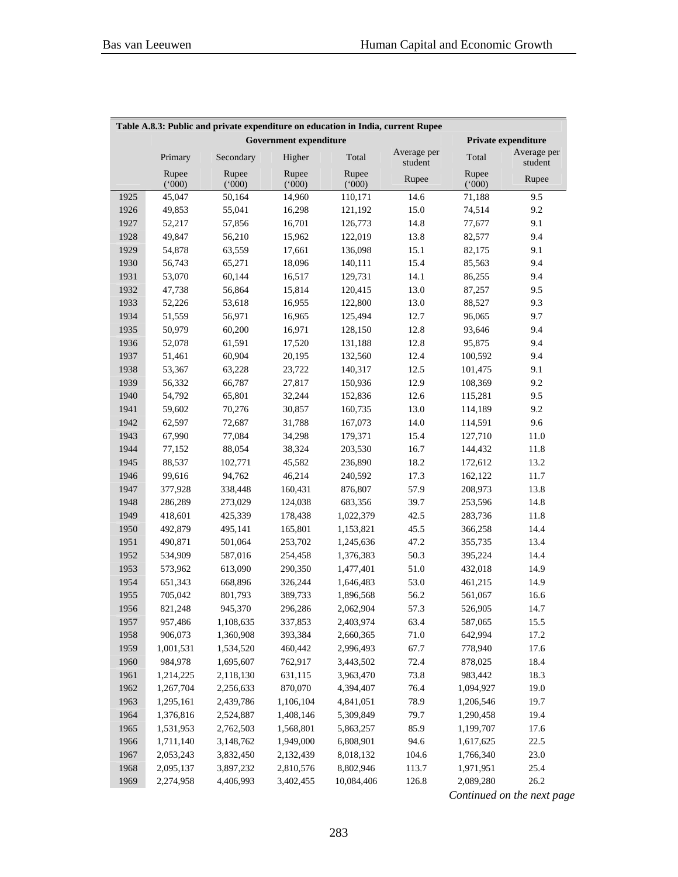| Table A.8.3: Public and private expenditure on education in India, current Rupee |                |                |                               |                |                        |                |                        |  |
|----------------------------------------------------------------------------------|----------------|----------------|-------------------------------|----------------|------------------------|----------------|------------------------|--|
|                                                                                  |                |                | <b>Government expenditure</b> |                |                        |                | Private expenditure    |  |
|                                                                                  | Primary        | Secondary      | Higher                        | Total          | Average per<br>student | Total          | Average per<br>student |  |
|                                                                                  | Rupee<br>(000) | Rupee<br>(000) | Rupee<br>(000)                | Rupee<br>(000) | Rupee                  | Rupee<br>(000) | Rupee                  |  |
| 1925                                                                             | 45,047         | 50,164         | 14,960                        | 110,171        | 14.6                   | 71,188         | 9.5                    |  |
| 1926                                                                             | 49,853         | 55,041         | 16,298                        | 121,192        | 15.0                   | 74,514         | 9.2                    |  |
| 1927                                                                             | 52,217         | 57,856         | 16,701                        | 126,773        | 14.8                   | 77,677         | 9.1                    |  |
| 1928                                                                             | 49,847         | 56,210         | 15,962                        | 122,019        | 13.8                   | 82,577         | 9.4                    |  |
| 1929                                                                             | 54,878         | 63,559         | 17,661                        | 136,098        | 15.1                   | 82,175         | 9.1                    |  |
| 1930                                                                             | 56,743         | 65,271         | 18,096                        | 140,111        | 15.4                   | 85,563         | 9.4                    |  |
| 1931                                                                             | 53,070         | 60,144         | 16,517                        | 129,731        | 14.1                   | 86,255         | 9.4                    |  |
| 1932                                                                             | 47,738         | 56,864         | 15,814                        | 120,415        | 13.0                   | 87,257         | 9.5                    |  |
| 1933                                                                             | 52,226         | 53,618         | 16,955                        | 122,800        | 13.0                   | 88,527         | 9.3                    |  |
| 1934                                                                             | 51,559         | 56,971         | 16,965                        | 125,494        | 12.7                   | 96,065         | 9.7                    |  |
| 1935                                                                             | 50,979         | 60,200         | 16,971                        | 128,150        | 12.8                   | 93,646         | 9.4                    |  |
| 1936                                                                             | 52,078         | 61,591         | 17,520                        | 131,188        | 12.8                   | 95,875         | 9.4                    |  |
| 1937                                                                             | 51,461         | 60,904         | 20,195                        | 132,560        | 12.4                   | 100,592        | 9.4                    |  |
| 1938                                                                             | 53,367         | 63,228         | 23,722                        | 140,317        | 12.5                   | 101,475        | 9.1                    |  |
| 1939                                                                             | 56,332         | 66,787         | 27,817                        | 150,936        | 12.9                   | 108,369        | 9.2                    |  |
| 1940                                                                             | 54,792         | 65,801         | 32,244                        | 152,836        | 12.6                   | 115,281        | 9.5                    |  |
| 1941                                                                             | 59,602         | 70,276         | 30,857                        | 160,735        | 13.0                   | 114,189        | 9.2                    |  |
| 1942                                                                             | 62,597         | 72,687         | 31,788                        | 167,073        | 14.0                   | 114,591        | 9.6                    |  |
| 1943                                                                             | 67,990         | 77,084         | 34,298                        | 179,371        | 15.4                   | 127,710        | 11.0                   |  |
| 1944                                                                             | 77,152         | 88,054         | 38,324                        | 203,530        | 16.7                   | 144,432        | 11.8                   |  |
| 1945                                                                             | 88,537         | 102,771        | 45,582                        | 236,890        | 18.2                   | 172,612        | 13.2                   |  |
| 1946                                                                             | 99,616         | 94,762         | 46,214                        | 240,592        | 17.3                   | 162,122        | 11.7                   |  |
| 1947                                                                             | 377,928        | 338,448        | 160,431                       | 876,807        | 57.9                   | 208,973        | 13.8                   |  |
| 1948                                                                             | 286,289        | 273,029        | 124,038                       | 683,356        | 39.7                   | 253,596        | 14.8                   |  |
| 1949                                                                             | 418,601        | 425,339        | 178,438                       | 1,022,379      | 42.5                   | 283,736        | 11.8                   |  |
| 1950                                                                             | 492,879        | 495,141        | 165,801                       | 1,153,821      | 45.5                   | 366,258        | 14.4                   |  |
| 1951                                                                             | 490,871        | 501,064        | 253,702                       | 1,245,636      | 47.2                   | 355,735        | 13.4                   |  |
| 1952                                                                             | 534,909        | 587,016        | 254,458                       | 1,376,383      | 50.3                   | 395,224        | 14.4                   |  |
| 1953                                                                             | 573,962        | 613,090        | 290,350                       | 1,477,401      | 51.0                   | 432,018        | 14.9                   |  |
| 1954                                                                             | 651,343        | 668,896        | 326,244                       | 1,646,483      | 53.0                   | 461,215        | 14.9                   |  |
| 1955                                                                             | 705,042        | 801,793        | 389,733                       | 1,896,568      | 56.2                   | 561,067        | 16.6                   |  |
| 1956                                                                             | 821,248        | 945,370        | 296,286                       | 2,062,904      | 57.3                   | 526,905        | 14.7                   |  |
| 1957                                                                             | 957,486        | 1,108,635      | 337,853                       | 2,403,974      | 63.4                   | 587,065        | 15.5                   |  |
| 1958                                                                             | 906,073        | 1,360,908      | 393,384                       | 2,660,365      | 71.0                   | 642,994        | 17.2                   |  |
| 1959                                                                             | 1,001,531      | 1,534,520      | 460,442                       | 2,996,493      | 67.7                   | 778,940        | 17.6                   |  |
| 1960                                                                             | 984,978        | 1,695,607      | 762,917                       | 3,443,502      | 72.4                   | 878,025        | 18.4                   |  |
| 1961                                                                             | 1,214,225      | 2,118,130      | 631,115                       | 3,963,470      | 73.8                   | 983,442        | 18.3                   |  |
| 1962                                                                             | 1,267,704      | 2,256,633      | 870,070                       | 4,394,407      | 76.4                   | 1,094,927      | 19.0                   |  |
| 1963                                                                             | 1,295,161      | 2,439,786      | 1,106,104                     | 4,841,051      | 78.9                   | 1,206,546      | 19.7                   |  |
| 1964                                                                             | 1,376,816      | 2,524,887      | 1,408,146                     | 5,309,849      | 79.7                   | 1,290,458      | 19.4                   |  |
| 1965                                                                             | 1,531,953      | 2,762,503      | 1,568,801                     | 5,863,257      | 85.9                   | 1,199,707      | 17.6                   |  |
| 1966                                                                             | 1,711,140      | 3,148,762      | 1,949,000                     | 6,808,901      | 94.6                   | 1,617,625      | 22.5                   |  |
| 1967                                                                             | 2,053,243      | 3,832,450      | 2,132,439                     | 8,018,132      | 104.6                  | 1,766,340      | 23.0                   |  |
| 1968                                                                             | 2,095,137      | 3,897,232      | 2,810,576                     | 8,802,946      | 113.7                  | 1,971,951      | 25.4                   |  |
| 1969                                                                             | 2,274,958      | 4,406,993      | 3,402,455                     | 10,084,406     | 126.8                  | 2,089,280      | 26.2                   |  |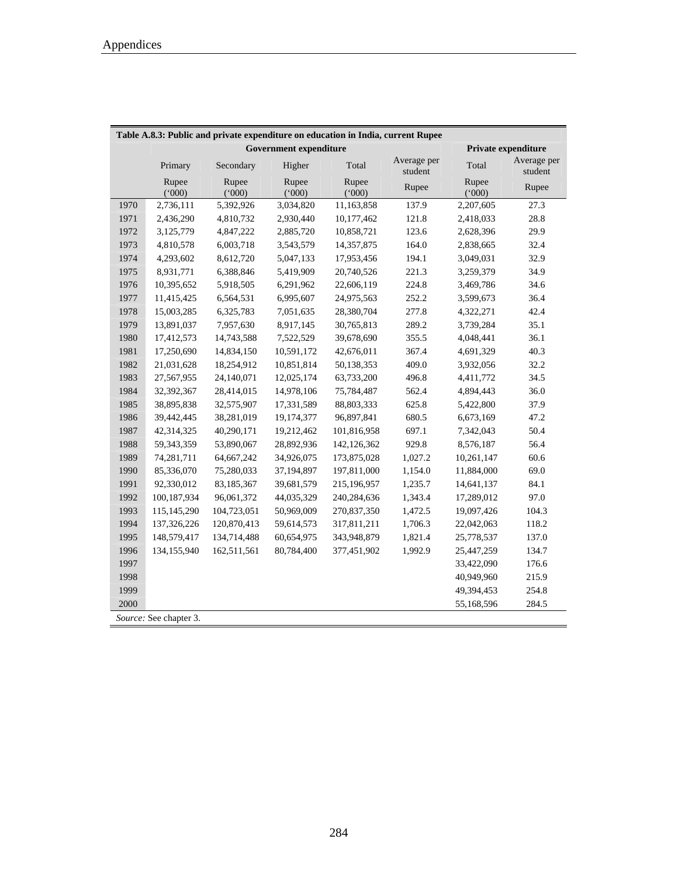|      | Table A.8.3: Public and private expenditure on education in India, current Rupee |                |                               |                |                        |                |                        |
|------|----------------------------------------------------------------------------------|----------------|-------------------------------|----------------|------------------------|----------------|------------------------|
|      |                                                                                  |                | <b>Government expenditure</b> |                |                        |                | Private expenditure    |
|      | Primary                                                                          | Secondary      | Higher                        | Total          | Average per<br>student | Total          | Average per<br>student |
|      | Rupee<br>(000)                                                                   | Rupee<br>(000) | Rupee<br>(000)                | Rupee<br>(000) | Rupee                  | Rupee<br>(000) | Rupee                  |
| 1970 | 2,736,111                                                                        | 5,392,926      | 3,034,820                     | 11,163,858     | 137.9                  | 2,207,605      | 27.3                   |
| 1971 | 2,436,290                                                                        | 4,810,732      | 2,930,440                     | 10,177,462     | 121.8                  | 2,418,033      | 28.8                   |
| 1972 | 3,125,779                                                                        | 4,847,222      | 2,885,720                     | 10,858,721     | 123.6                  | 2,628,396      | 29.9                   |
| 1973 | 4,810,578                                                                        | 6,003,718      | 3,543,579                     | 14,357,875     | 164.0                  | 2,838,665      | 32.4                   |
| 1974 | 4,293,602                                                                        | 8,612,720      | 5,047,133                     | 17,953,456     | 194.1                  | 3,049,031      | 32.9                   |
| 1975 | 8,931,771                                                                        | 6,388,846      | 5,419,909                     | 20,740,526     | 221.3                  | 3,259,379      | 34.9                   |
| 1976 | 10,395,652                                                                       | 5,918,505      | 6,291,962                     | 22,606,119     | 224.8                  | 3,469,786      | 34.6                   |
| 1977 | 11,415,425                                                                       | 6,564,531      | 6,995,607                     | 24,975,563     | 252.2                  | 3,599,673      | 36.4                   |
| 1978 | 15,003,285                                                                       | 6,325,783      | 7,051,635                     | 28,380,704     | 277.8                  | 4,322,271      | 42.4                   |
| 1979 | 13,891,037                                                                       | 7,957,630      | 8,917,145                     | 30,765,813     | 289.2                  | 3,739,284      | 35.1                   |
| 1980 | 17,412,573                                                                       | 14,743,588     | 7,522,529                     | 39,678,690     | 355.5                  | 4,048,441      | 36.1                   |
| 1981 | 17,250,690                                                                       | 14,834,150     | 10,591,172                    | 42,676,011     | 367.4                  | 4,691,329      | 40.3                   |
| 1982 | 21,031,628                                                                       | 18,254,912     | 10,851,814                    | 50,138,353     | 409.0                  | 3,932,056      | 32.2                   |
| 1983 | 27,567,955                                                                       | 24,140,071     | 12,025,174                    | 63,733,200     | 496.8                  | 4,411,772      | 34.5                   |
| 1984 | 32,392,367                                                                       | 28,414,015     | 14,978,106                    | 75,784,487     | 562.4                  | 4,894,443      | 36.0                   |
| 1985 | 38,895,838                                                                       | 32,575,907     | 17,331,589                    | 88,803,333     | 625.8                  | 5,422,800      | 37.9                   |
| 1986 | 39,442,445                                                                       | 38,281,019     | 19,174,377                    | 96,897,841     | 680.5                  | 6,673,169      | 47.2                   |
| 1987 | 42,314,325                                                                       | 40,290,171     | 19,212,462                    | 101,816,958    | 697.1                  | 7,342,043      | 50.4                   |
| 1988 | 59,343,359                                                                       | 53,890,067     | 28,892,936                    | 142, 126, 362  | 929.8                  | 8,576,187      | 56.4                   |
| 1989 | 74,281,711                                                                       | 64,667,242     | 34,926,075                    | 173,875,028    | 1,027.2                | 10,261,147     | 60.6                   |
| 1990 | 85,336,070                                                                       | 75,280,033     | 37,194,897                    | 197,811,000    | 1,154.0                | 11,884,000     | 69.0                   |
| 1991 | 92,330,012                                                                       | 83,185,367     | 39,681,579                    | 215,196,957    | 1,235.7                | 14,641,137     | 84.1                   |
| 1992 | 100,187,934                                                                      | 96,061,372     | 44,035,329                    | 240,284,636    | 1,343.4                | 17,289,012     | 97.0                   |
| 1993 | 115,145,290                                                                      | 104,723,051    | 50,969,009                    | 270,837,350    | 1,472.5                | 19,097,426     | 104.3                  |
| 1994 | 137,326,226                                                                      | 120,870,413    | 59,614,573                    | 317,811,211    | 1,706.3                | 22,042,063     | 118.2                  |
| 1995 | 148,579,417                                                                      | 134,714,488    | 60,654,975                    | 343,948,879    | 1,821.4                | 25,778,537     | 137.0                  |
| 1996 | 134,155,940                                                                      | 162,511,561    | 80,784,400                    | 377,451,902    | 1,992.9                | 25,447,259     | 134.7                  |
| 1997 |                                                                                  |                |                               |                |                        | 33,422,090     | 176.6                  |
| 1998 |                                                                                  |                |                               |                |                        | 40,949,960     | 215.9                  |
| 1999 |                                                                                  |                |                               |                |                        | 49,394,453     | 254.8                  |
| 2000 |                                                                                  |                |                               |                |                        | 55,168,596     | 284.5                  |
|      | Source: See chapter 3.                                                           |                |                               |                |                        |                |                        |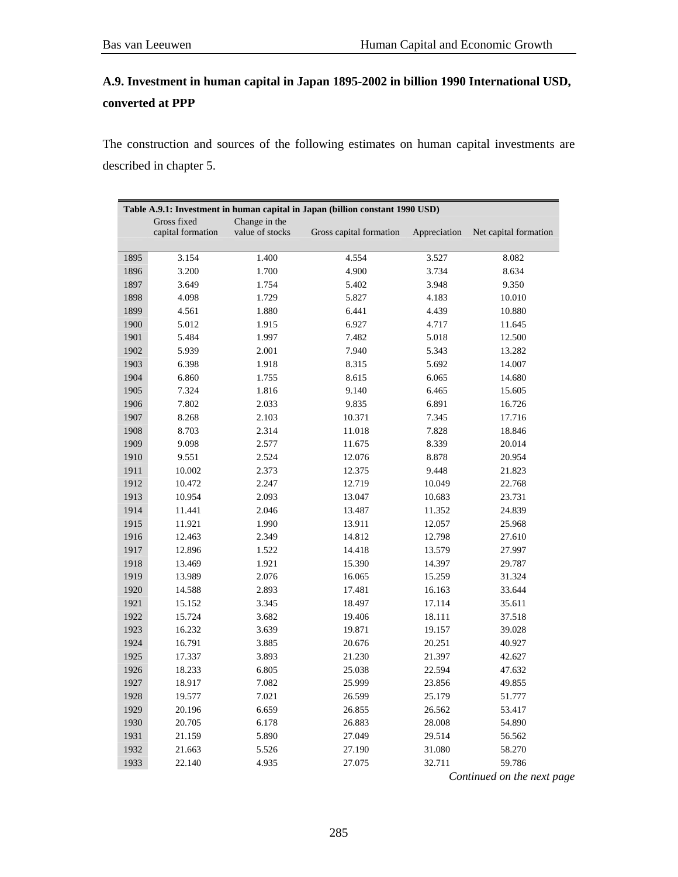# **A.9. Investment in human capital in Japan 1895-2002 in billion 1990 International USD, converted at PPP**

The construction and sources of the following estimates on human capital investments are described in chapter 5.

|      | Table A.9.1: Investment in human capital in Japan (billion constant 1990 USD) |                                  |                         |              |                       |
|------|-------------------------------------------------------------------------------|----------------------------------|-------------------------|--------------|-----------------------|
|      | Gross fixed<br>capital formation                                              | Change in the<br>value of stocks | Gross capital formation | Appreciation | Net capital formation |
| 1895 | 3.154                                                                         | 1.400                            | 4.554                   | 3.527        | 8.082                 |
| 1896 | 3.200                                                                         | 1.700                            | 4.900                   | 3.734        | 8.634                 |
| 1897 | 3.649                                                                         | 1.754                            | 5.402                   | 3.948        | 9.350                 |
| 1898 | 4.098                                                                         | 1.729                            | 5.827                   | 4.183        | 10.010                |
| 1899 | 4.561                                                                         | 1.880                            | 6.441                   | 4.439        | 10.880                |
| 1900 | 5.012                                                                         | 1.915                            | 6.927                   | 4.717        | 11.645                |
| 1901 | 5.484                                                                         | 1.997                            | 7.482                   | 5.018        | 12.500                |
| 1902 | 5.939                                                                         | 2.001                            | 7.940                   | 5.343        | 13.282                |
| 1903 | 6.398                                                                         | 1.918                            | 8.315                   | 5.692        | 14.007                |
| 1904 | 6.860                                                                         | 1.755                            | 8.615                   | 6.065        | 14.680                |
| 1905 | 7.324                                                                         | 1.816                            | 9.140                   | 6.465        | 15.605                |
| 1906 | 7.802                                                                         | 2.033                            | 9.835                   | 6.891        | 16.726                |
| 1907 | 8.268                                                                         | 2.103                            | 10.371                  | 7.345        | 17.716                |
| 1908 | 8.703                                                                         | 2.314                            | 11.018                  | 7.828        | 18.846                |
| 1909 | 9.098                                                                         | 2.577                            | 11.675                  | 8.339        | 20.014                |
| 1910 | 9.551                                                                         | 2.524                            | 12.076                  | 8.878        | 20.954                |
| 1911 | 10.002                                                                        | 2.373                            | 12.375                  | 9.448        | 21.823                |
| 1912 | 10.472                                                                        | 2.247                            | 12.719                  | 10.049       | 22.768                |
| 1913 | 10.954                                                                        | 2.093                            | 13.047                  | 10.683       | 23.731                |
| 1914 | 11.441                                                                        | 2.046                            | 13.487                  | 11.352       | 24.839                |
| 1915 | 11.921                                                                        | 1.990                            | 13.911                  | 12.057       | 25.968                |
| 1916 | 12.463                                                                        | 2.349                            | 14.812                  | 12.798       | 27.610                |
| 1917 | 12.896                                                                        | 1.522                            | 14.418                  | 13.579       | 27.997                |
| 1918 | 13.469                                                                        | 1.921                            | 15.390                  | 14.397       | 29.787                |
| 1919 | 13.989                                                                        | 2.076                            | 16.065                  | 15.259       | 31.324                |
| 1920 | 14.588                                                                        | 2.893                            | 17.481                  | 16.163       | 33.644                |
| 1921 | 15.152                                                                        | 3.345                            | 18.497                  | 17.114       | 35.611                |
| 1922 | 15.724                                                                        | 3.682                            | 19.406                  | 18.111       | 37.518                |
| 1923 | 16.232                                                                        | 3.639                            | 19.871                  | 19.157       | 39.028                |
| 1924 | 16.791                                                                        | 3.885                            | 20.676                  | 20.251       | 40.927                |
| 1925 | 17.337                                                                        | 3.893                            | 21.230                  | 21.397       | 42.627                |
| 1926 | 18.233                                                                        | 6.805                            | 25.038                  | 22.594       | 47.632                |
| 1927 | 18.917                                                                        | 7.082                            | 25.999                  | 23.856       | 49.855                |
| 1928 | 19.577                                                                        | 7.021                            | 26.599                  | 25.179       | 51.777                |
| 1929 | 20.196                                                                        | 6.659                            | 26.855                  | 26.562       | 53.417                |
| 1930 | 20.705                                                                        | 6.178                            | 26.883                  | 28.008       | 54.890                |
| 1931 | 21.159                                                                        | 5.890                            | 27.049                  | 29.514       | 56.562                |
| 1932 | 21.663                                                                        | 5.526                            | 27.190                  | 31.080       | 58.270                |
| 1933 | 22.140                                                                        | 4.935                            | 27.075                  | 32.711       | 59.786                |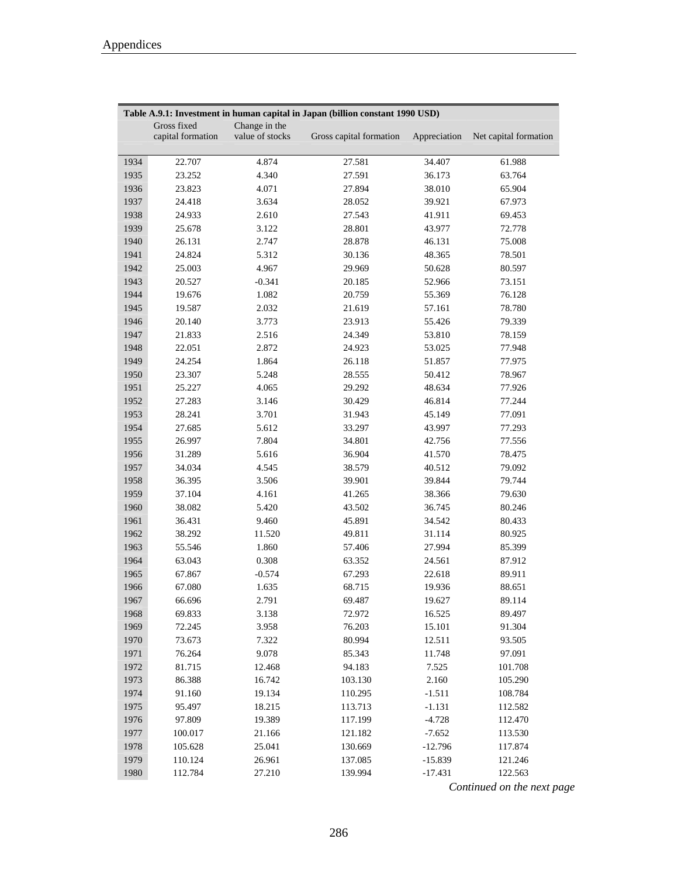|      | Table A.9.1: Investment in human capital in Japan (billion constant 1990 USD) |                 |                         |              |                       |
|------|-------------------------------------------------------------------------------|-----------------|-------------------------|--------------|-----------------------|
|      | Gross fixed                                                                   | Change in the   |                         |              |                       |
|      | capital formation                                                             | value of stocks | Gross capital formation | Appreciation | Net capital formation |
| 1934 | 22.707                                                                        | 4.874           | 27.581                  | 34.407       | 61.988                |
| 1935 | 23.252                                                                        | 4.340           | 27.591                  | 36.173       | 63.764                |
|      |                                                                               |                 |                         |              |                       |
| 1936 | 23.823                                                                        | 4.071           | 27.894                  | 38.010       | 65.904                |
| 1937 | 24.418                                                                        | 3.634           | 28.052                  | 39.921       | 67.973                |
| 1938 | 24.933                                                                        | 2.610           | 27.543                  | 41.911       | 69.453                |
| 1939 | 25.678                                                                        | 3.122           | 28.801                  | 43.977       | 72.778                |
| 1940 | 26.131                                                                        | 2.747           | 28.878                  | 46.131       | 75.008                |
| 1941 | 24.824                                                                        | 5.312           | 30.136                  | 48.365       | 78.501                |
| 1942 | 25.003                                                                        | 4.967           | 29.969                  | 50.628       | 80.597                |
| 1943 | 20.527                                                                        | $-0.341$        | 20.185                  | 52.966       | 73.151                |
| 1944 | 19.676                                                                        | 1.082           | 20.759                  | 55.369       | 76.128                |
| 1945 | 19.587                                                                        | 2.032           | 21.619                  | 57.161       | 78.780                |
| 1946 | 20.140                                                                        | 3.773           | 23.913                  | 55.426       | 79.339                |
| 1947 | 21.833                                                                        | 2.516           | 24.349                  | 53.810       | 78.159                |
| 1948 | 22.051                                                                        | 2.872           | 24.923                  | 53.025       | 77.948                |
| 1949 | 24.254                                                                        | 1.864           | 26.118                  | 51.857       | 77.975                |
| 1950 | 23.307                                                                        | 5.248           | 28.555                  | 50.412       | 78.967                |
| 1951 | 25.227                                                                        | 4.065           | 29.292                  | 48.634       | 77.926                |
| 1952 | 27.283                                                                        | 3.146           | 30.429                  | 46.814       | 77.244                |
| 1953 | 28.241                                                                        | 3.701           | 31.943                  | 45.149       | 77.091                |
| 1954 | 27.685                                                                        | 5.612           | 33.297                  | 43.997       | 77.293                |
| 1955 | 26.997                                                                        | 7.804           | 34.801                  | 42.756       | 77.556                |
| 1956 | 31.289                                                                        | 5.616           | 36.904                  | 41.570       | 78.475                |
| 1957 | 34.034                                                                        | 4.545           | 38.579                  | 40.512       | 79.092                |
| 1958 | 36.395                                                                        | 3.506           | 39.901                  | 39.844       | 79.744                |
| 1959 | 37.104                                                                        | 4.161           | 41.265                  | 38.366       | 79.630                |
| 1960 | 38.082                                                                        | 5.420           | 43.502                  | 36.745       | 80.246                |
| 1961 | 36.431                                                                        | 9.460           | 45.891                  | 34.542       | 80.433                |
| 1962 | 38.292                                                                        | 11.520          | 49.811                  | 31.114       | 80.925                |
| 1963 | 55.546                                                                        | 1.860           | 57.406                  | 27.994       | 85.399                |
| 1964 | 63.043                                                                        | 0.308           | 63.352                  | 24.561       | 87.912                |
| 1965 | 67.867                                                                        | $-0.574$        | 67.293                  | 22.618       | 89.911                |
| 1966 | 67.080                                                                        | 1.635           | 68.715                  | 19.936       | 88.651                |
| 1967 | 66.696                                                                        | 2.791           | 69.487                  | 19.627       | 89.114                |
| 1968 | 69.833                                                                        | 3.138           | 72.972                  | 16.525       | 89.497                |
| 1969 | 72.245                                                                        | 3.958           | 76.203                  | 15.101       | 91.304                |
| 1970 | 73.673                                                                        | 7.322           | 80.994                  | 12.511       | 93.505                |
| 1971 | 76.264                                                                        | 9.078           | 85.343                  | 11.748       | 97.091                |
| 1972 | 81.715                                                                        | 12.468          | 94.183                  | 7.525        | 101.708               |
| 1973 | 86.388                                                                        | 16.742          | 103.130                 | 2.160        | 105.290               |
| 1974 | 91.160                                                                        | 19.134          | 110.295                 | $-1.511$     | 108.784               |
| 1975 | 95.497                                                                        | 18.215          | 113.713                 | $-1.131$     | 112.582               |
| 1976 | 97.809                                                                        | 19.389          | 117.199                 | $-4.728$     | 112.470               |
| 1977 | 100.017                                                                       | 21.166          | 121.182                 | $-7.652$     | 113.530               |
| 1978 | 105.628                                                                       | 25.041          | 130.669                 | $-12.796$    | 117.874               |
| 1979 | 110.124                                                                       | 26.961          | 137.085                 | $-15.839$    | 121.246               |
| 1980 | 112.784                                                                       | 27.210          | 139.994                 | $-17.431$    | 122.563               |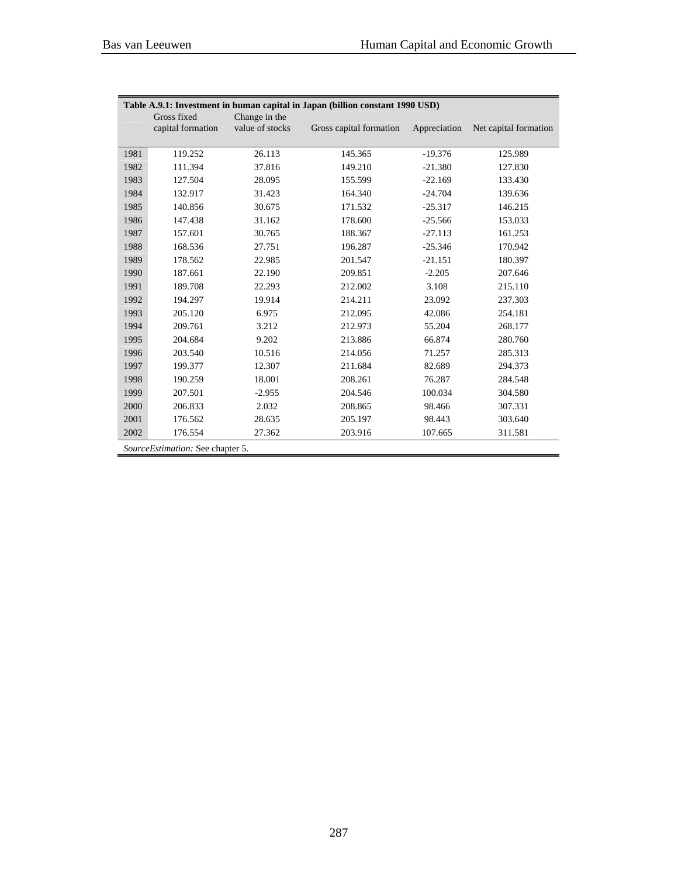Ē,

|      | Table A.9.1: Investment in human capital in Japan (billion constant 1990 USD) |                                  |                         |              |                       |  |
|------|-------------------------------------------------------------------------------|----------------------------------|-------------------------|--------------|-----------------------|--|
|      | Gross fixed<br>capital formation                                              | Change in the<br>value of stocks | Gross capital formation | Appreciation | Net capital formation |  |
| 1981 | 119.252                                                                       | 26.113                           | 145.365                 | $-19.376$    | 125.989               |  |
| 1982 | 111.394                                                                       | 37.816                           | 149.210                 | $-21.380$    | 127.830               |  |
| 1983 | 127.504                                                                       | 28.095                           | 155.599                 | $-22.169$    | 133.430               |  |
| 1984 | 132.917                                                                       | 31.423                           | 164.340                 | $-24.704$    | 139.636               |  |
| 1985 | 140.856                                                                       | 30.675                           | 171.532                 | $-25.317$    | 146.215               |  |
| 1986 | 147.438                                                                       | 31.162                           | 178.600                 | $-25.566$    | 153.033               |  |
| 1987 | 157.601                                                                       | 30.765                           | 188.367                 | $-27.113$    | 161.253               |  |
| 1988 | 168.536                                                                       | 27.751                           | 196.287                 | $-25.346$    | 170.942               |  |
| 1989 | 178.562                                                                       | 22.985                           | 201.547                 | $-21.151$    | 180.397               |  |
| 1990 | 187.661                                                                       | 22.190                           | 209.851                 | $-2.205$     | 207.646               |  |
| 1991 | 189.708                                                                       | 22.293                           | 212.002                 | 3.108        | 215.110               |  |
| 1992 | 194.297                                                                       | 19.914                           | 214.211                 | 23.092       | 237.303               |  |
| 1993 | 205.120                                                                       | 6.975                            | 212.095                 | 42.086       | 254.181               |  |
| 1994 | 209.761                                                                       | 3.212                            | 212.973                 | 55.204       | 268.177               |  |
| 1995 | 204.684                                                                       | 9.202                            | 213.886                 | 66.874       | 280.760               |  |
| 1996 | 203.540                                                                       | 10.516                           | 214.056                 | 71.257       | 285.313               |  |
| 1997 | 199.377                                                                       | 12.307                           | 211.684                 | 82.689       | 294.373               |  |
| 1998 | 190.259                                                                       | 18.001                           | 208.261                 | 76.287       | 284.548               |  |
| 1999 | 207.501                                                                       | $-2.955$                         | 204.546                 | 100.034      | 304.580               |  |
| 2000 | 206.833                                                                       | 2.032                            | 208.865                 | 98.466       | 307.331               |  |
| 2001 | 176.562                                                                       | 28.635                           | 205.197                 | 98.443       | 303.640               |  |
| 2002 | 176.554                                                                       | 27.362                           | 203.916                 | 107.665      | 311.581               |  |
|      | SourceEstimation: See chapter 5.                                              |                                  |                         |              |                       |  |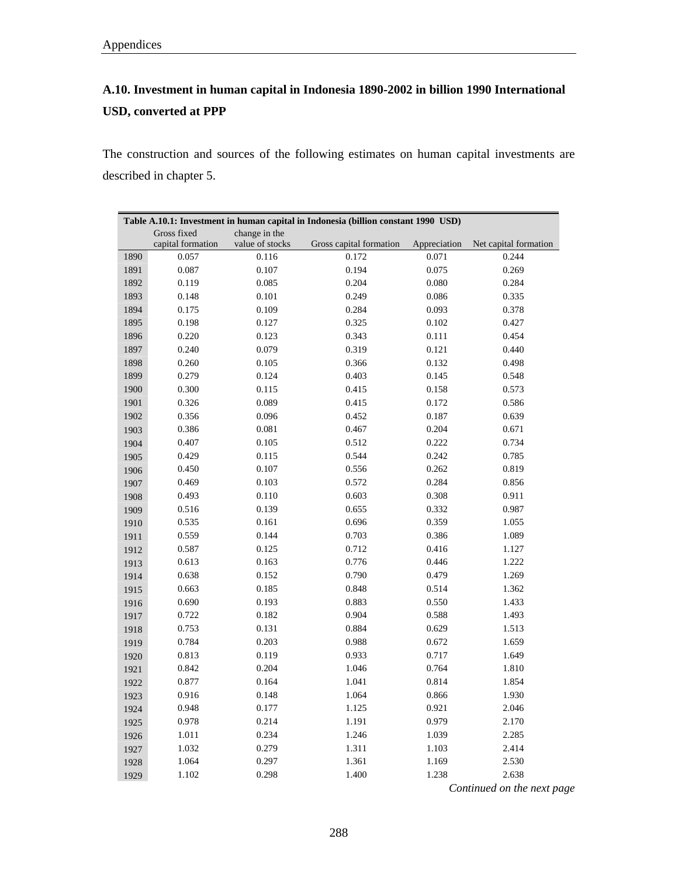# **A.10. Investment in human capital in Indonesia 1890-2002 in billion 1990 International USD, converted at PPP**

The construction and sources of the following estimates on human capital investments are described in chapter 5.

|      | Table A.10.1: Investment in human capital in Indonesia (billion constant 1990 USD) |                 |                         |              |                       |
|------|------------------------------------------------------------------------------------|-----------------|-------------------------|--------------|-----------------------|
|      | Gross fixed                                                                        | change in the   |                         |              |                       |
|      | capital formation                                                                  | value of stocks | Gross capital formation | Appreciation | Net capital formation |
| 1890 | 0.057                                                                              | 0.116           | 0.172                   | 0.071        | 0.244                 |
| 1891 | $\,0.087\,$                                                                        | 0.107           | 0.194                   | 0.075        | 0.269                 |
| 1892 | 0.119                                                                              | 0.085           | 0.204                   | 0.080        | 0.284                 |
| 1893 | 0.148                                                                              | 0.101           | 0.249                   | $\,0.086\,$  | 0.335                 |
| 1894 | 0.175                                                                              | 0.109           | 0.284                   | 0.093        | 0.378                 |
| 1895 | 0.198                                                                              | 0.127           | 0.325                   | 0.102        | 0.427                 |
| 1896 | 0.220                                                                              | 0.123           | 0.343                   | 0.111        | 0.454                 |
| 1897 | 0.240                                                                              | 0.079           | 0.319                   | 0.121        | 0.440                 |
| 1898 | 0.260                                                                              | 0.105           | 0.366                   | 0.132        | 0.498                 |
| 1899 | 0.279                                                                              | 0.124           | 0.403                   | 0.145        | 0.548                 |
| 1900 | 0.300                                                                              | 0.115           | 0.415                   | 0.158        | 0.573                 |
| 1901 | 0.326                                                                              | 0.089           | 0.415                   | 0.172        | 0.586                 |
| 1902 | 0.356                                                                              | 0.096           | 0.452                   | 0.187        | 0.639                 |
| 1903 | 0.386                                                                              | 0.081           | 0.467                   | 0.204        | 0.671                 |
| 1904 | 0.407                                                                              | 0.105           | 0.512                   | 0.222        | 0.734                 |
| 1905 | 0.429                                                                              | 0.115           | 0.544                   | 0.242        | 0.785                 |
| 1906 | 0.450                                                                              | 0.107           | 0.556                   | 0.262        | 0.819                 |
| 1907 | 0.469                                                                              | 0.103           | 0.572                   | 0.284        | 0.856                 |
| 1908 | 0.493                                                                              | 0.110           | 0.603                   | 0.308        | 0.911                 |
| 1909 | 0.516                                                                              | 0.139           | 0.655                   | 0.332        | 0.987                 |
| 1910 | 0.535                                                                              | 0.161           | 0.696                   | 0.359        | 1.055                 |
| 1911 | 0.559                                                                              | 0.144           | 0.703                   | 0.386        | 1.089                 |
| 1912 | 0.587                                                                              | 0.125           | 0.712                   | 0.416        | 1.127                 |
| 1913 | 0.613                                                                              | 0.163           | 0.776                   | 0.446        | 1.222                 |
| 1914 | 0.638                                                                              | 0.152           | 0.790                   | 0.479        | 1.269                 |
| 1915 | 0.663                                                                              | 0.185           | 0.848                   | 0.514        | 1.362                 |
| 1916 | 0.690                                                                              | 0.193           | 0.883                   | 0.550        | 1.433                 |
| 1917 | 0.722                                                                              | 0.182           | 0.904                   | 0.588        | 1.493                 |
| 1918 | 0.753                                                                              | 0.131           | 0.884                   | 0.629        | 1.513                 |
| 1919 | 0.784                                                                              | 0.203           | 0.988                   | 0.672        | 1.659                 |
| 1920 | 0.813                                                                              | 0.119           | 0.933                   | 0.717        | 1.649                 |
| 1921 | 0.842                                                                              | 0.204           | 1.046                   | 0.764        | 1.810                 |
| 1922 | 0.877                                                                              | 0.164           | 1.041                   | 0.814        | 1.854                 |
| 1923 | 0.916                                                                              | 0.148           | 1.064                   | 0.866        | 1.930                 |
| 1924 | 0.948                                                                              | 0.177           | 1.125                   | 0.921        | 2.046                 |
| 1925 | 0.978                                                                              | 0.214           | 1.191                   | 0.979        | 2.170                 |
| 1926 | 1.011                                                                              | 0.234           | 1.246                   | 1.039        | 2.285                 |
| 1927 | 1.032                                                                              | 0.279           | 1.311                   | 1.103        | 2.414                 |
| 1928 | 1.064                                                                              | 0.297           | 1.361                   | 1.169        | 2.530                 |
| 1929 | 1.102                                                                              | 0.298           | 1.400                   | 1.238        | 2.638                 |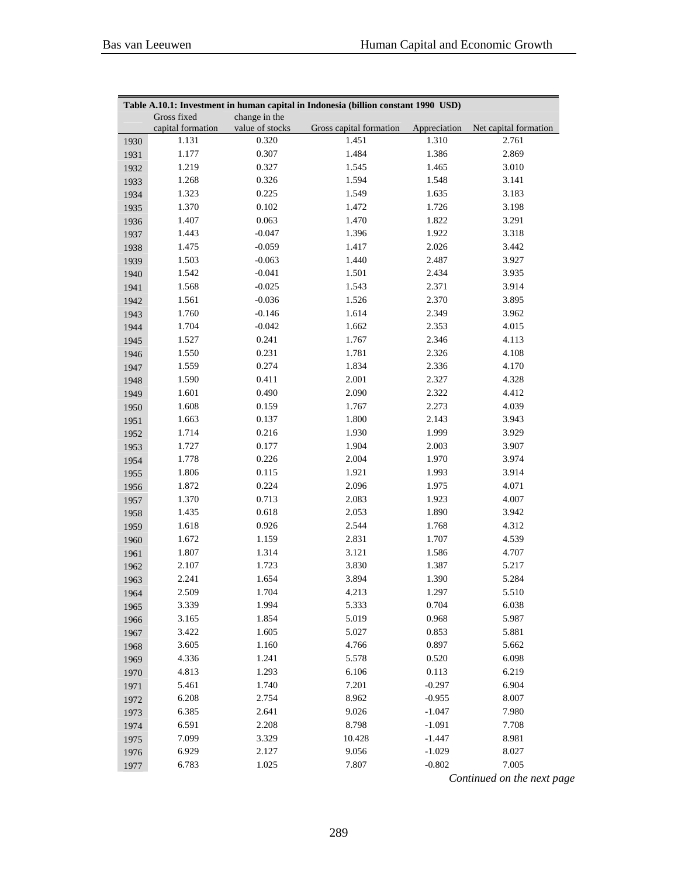|      | Table A.10.1: Investment in human capital in Indonesia (billion constant 1990 USD) |                 |                         |              |                       |
|------|------------------------------------------------------------------------------------|-----------------|-------------------------|--------------|-----------------------|
|      | Gross fixed                                                                        | change in the   |                         |              |                       |
|      | capital formation                                                                  | value of stocks | Gross capital formation | Appreciation | Net capital formation |
| 1930 | 1.131                                                                              | 0.320           | 1.451                   | 1.310        | 2.761                 |
| 1931 | 1.177                                                                              | 0.307           | 1.484                   | 1.386        | 2.869                 |
| 1932 | 1.219                                                                              | 0.327           | 1.545                   | 1.465        | 3.010                 |
| 1933 | 1.268                                                                              | 0.326           | 1.594                   | 1.548        | 3.141                 |
| 1934 | 1.323                                                                              | 0.225           | 1.549                   | 1.635        | 3.183                 |
| 1935 | 1.370                                                                              | 0.102           | 1.472                   | 1.726        | 3.198                 |
| 1936 | 1.407                                                                              | 0.063           | 1.470                   | 1.822        | 3.291                 |
| 1937 | 1.443                                                                              | $-0.047$        | 1.396                   | 1.922        | 3.318                 |
| 1938 | 1.475                                                                              | $-0.059$        | 1.417                   | 2.026        | 3.442                 |
| 1939 | 1.503                                                                              | $-0.063$        | 1.440                   | 2.487        | 3.927                 |
| 1940 | 1.542                                                                              | $-0.041$        | 1.501                   | 2.434        | 3.935                 |
| 1941 | 1.568                                                                              | $-0.025$        | 1.543                   | 2.371        | 3.914                 |
| 1942 | 1.561                                                                              | $-0.036$        | 1.526                   | 2.370        | 3.895                 |
| 1943 | 1.760                                                                              | $-0.146$        | 1.614                   | 2.349        | 3.962                 |
| 1944 | 1.704                                                                              | $-0.042$        | 1.662                   | 2.353        | 4.015                 |
| 1945 | 1.527                                                                              | 0.241           | 1.767                   | 2.346        | 4.113                 |
| 1946 | 1.550                                                                              | 0.231           | 1.781                   | 2.326        | 4.108                 |
| 1947 | 1.559                                                                              | 0.274           | 1.834                   | 2.336        | 4.170                 |
| 1948 | 1.590                                                                              | 0.411           | 2.001                   | 2.327        | 4.328                 |
| 1949 | 1.601                                                                              | 0.490           | 2.090                   | 2.322        | 4.412                 |
| 1950 | 1.608                                                                              | 0.159           | 1.767                   | 2.273        | 4.039                 |
| 1951 | 1.663                                                                              | 0.137           | 1.800                   | 2.143        | 3.943                 |
| 1952 | 1.714                                                                              | 0.216           | 1.930                   | 1.999        | 3.929                 |
| 1953 | 1.727                                                                              | 0.177           | 1.904                   | 2.003        | 3.907                 |
| 1954 | 1.778                                                                              | 0.226           | 2.004                   | 1.970        | 3.974                 |
| 1955 | 1.806                                                                              | 0.115           | 1.921                   | 1.993        | 3.914                 |
| 1956 | 1.872                                                                              | 0.224           | 2.096                   | 1.975        | 4.071                 |
| 1957 | 1.370                                                                              | 0.713           | 2.083                   | 1.923        | 4.007                 |
| 1958 | 1.435                                                                              | 0.618           | 2.053                   | 1.890        | 3.942                 |
| 1959 | 1.618                                                                              | 0.926           | 2.544                   | 1.768        | 4.312                 |
| 1960 | 1.672                                                                              | 1.159           | 2.831                   | 1.707        | 4.539                 |
| 1961 | 1.807                                                                              | 1.314           | 3.121                   | 1.586        | 4.707                 |
| 1962 | 2.107                                                                              | 1.723           | 3.830                   | 1.387        | 5.217                 |
| 1963 | 2.241                                                                              | 1.654           | 3.894                   | 1.390        | 5.284                 |
| 1964 | 2.509                                                                              | 1.704           | 4.213                   | 1.297        | 5.510                 |
| 1965 | 3.339                                                                              | 1.994           | 5.333                   | 0.704        | 6.038                 |
| 1966 | 3.165                                                                              | 1.854           | 5.019                   | 0.968        | 5.987                 |
| 1967 | 3.422                                                                              | 1.605           | 5.027                   | 0.853        | 5.881                 |
| 1968 | 3.605                                                                              | 1.160           | 4.766                   | 0.897        | 5.662                 |
| 1969 | 4.336                                                                              | 1.241           | 5.578                   | 0.520        | 6.098                 |
| 1970 | 4.813                                                                              | 1.293           | 6.106                   | 0.113        | 6.219                 |
| 1971 | 5.461                                                                              | 1.740           | 7.201                   | $-0.297$     | 6.904                 |
| 1972 | 6.208                                                                              | 2.754           | 8.962                   | $-0.955$     | 8.007                 |
| 1973 | 6.385                                                                              | 2.641           | 9.026                   | $-1.047$     | 7.980                 |
| 1974 | 6.591                                                                              | 2.208           | 8.798                   | $-1.091$     | 7.708                 |
| 1975 | 7.099                                                                              | 3.329           | 10.428                  | $-1.447$     | 8.981                 |
| 1976 | 6.929                                                                              | 2.127           | 9.056                   | $-1.029$     | 8.027                 |
| 1977 | 6.783                                                                              | 1.025           | 7.807                   | $-0.802$     | 7.005                 |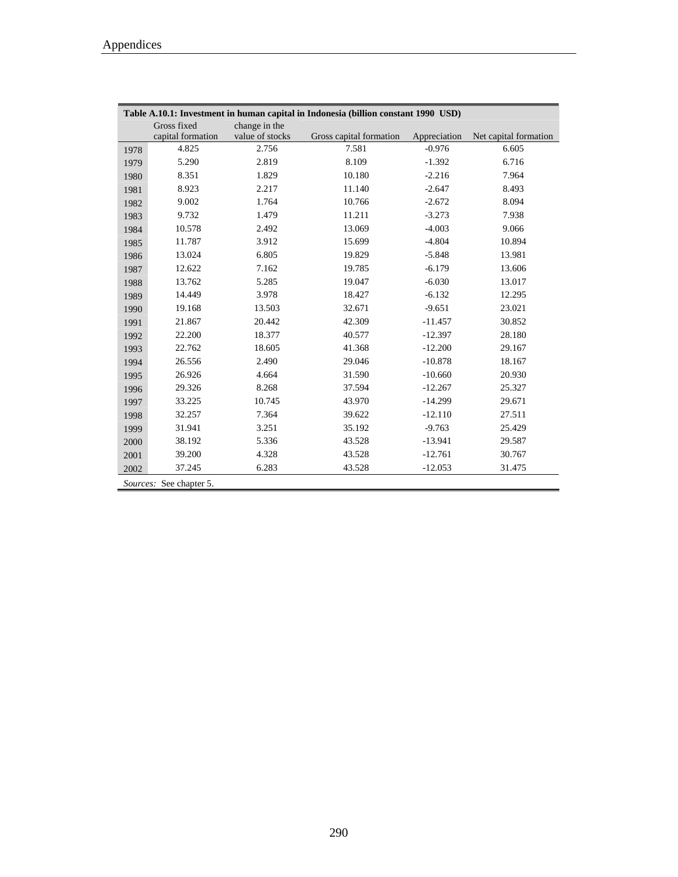Ē,

|      |                         |                 | Table A.10.1: Investment in human capital in Indonesia (billion constant 1990 USD) |              |                       |
|------|-------------------------|-----------------|------------------------------------------------------------------------------------|--------------|-----------------------|
|      | Gross fixed             | change in the   |                                                                                    |              |                       |
|      | capital formation       | value of stocks | Gross capital formation                                                            | Appreciation | Net capital formation |
| 1978 | 4.825                   | 2.756           | 7.581                                                                              | $-0.976$     | 6.605                 |
| 1979 | 5.290                   | 2.819           | 8.109                                                                              | $-1.392$     | 6.716                 |
| 1980 | 8.351                   | 1.829           | 10.180                                                                             | $-2.216$     | 7.964                 |
| 1981 | 8.923                   | 2.217           | 11.140                                                                             | $-2.647$     | 8.493                 |
| 1982 | 9.002                   | 1.764           | 10.766                                                                             | $-2.672$     | 8.094                 |
| 1983 | 9.732                   | 1.479           | 11.211                                                                             | $-3.273$     | 7.938                 |
| 1984 | 10.578                  | 2.492           | 13.069                                                                             | $-4.003$     | 9.066                 |
| 1985 | 11.787                  | 3.912           | 15.699                                                                             | $-4.804$     | 10.894                |
| 1986 | 13.024                  | 6.805           | 19.829                                                                             | $-5.848$     | 13.981                |
| 1987 | 12.622                  | 7.162           | 19.785                                                                             | $-6.179$     | 13.606                |
| 1988 | 13.762                  | 5.285           | 19.047                                                                             | $-6.030$     | 13.017                |
| 1989 | 14.449                  | 3.978           | 18.427                                                                             | $-6.132$     | 12.295                |
| 1990 | 19.168                  | 13.503          | 32.671                                                                             | $-9.651$     | 23.021                |
| 1991 | 21.867                  | 20.442          | 42.309                                                                             | $-11.457$    | 30.852                |
| 1992 | 22.200                  | 18.377          | 40.577                                                                             | $-12.397$    | 28.180                |
| 1993 | 22.762                  | 18.605          | 41.368                                                                             | $-12.200$    | 29.167                |
| 1994 | 26.556                  | 2.490           | 29.046                                                                             | $-10.878$    | 18.167                |
| 1995 | 26.926                  | 4.664           | 31.590                                                                             | $-10.660$    | 20.930                |
| 1996 | 29.326                  | 8.268           | 37.594                                                                             | $-12.267$    | 25.327                |
| 1997 | 33.225                  | 10.745          | 43.970                                                                             | $-14.299$    | 29.671                |
| 1998 | 32.257                  | 7.364           | 39.622                                                                             | $-12.110$    | 27.511                |
| 1999 | 31.941                  | 3.251           | 35.192                                                                             | $-9.763$     | 25.429                |
| 2000 | 38.192                  | 5.336           | 43.528                                                                             | $-13.941$    | 29.587                |
| 2001 | 39.200                  | 4.328           | 43.528                                                                             | $-12.761$    | 30.767                |
| 2002 | 37.245                  | 6.283           | 43.528                                                                             | $-12.053$    | 31.475                |
|      | Sources: See chapter 5. |                 |                                                                                    |              |                       |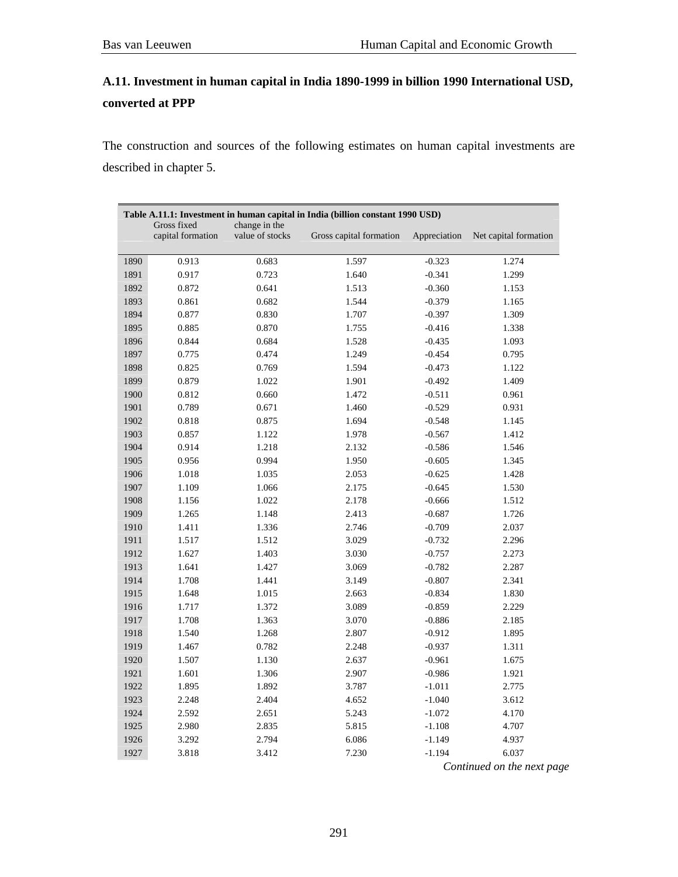## **A.11. Investment in human capital in India 1890-1999 in billion 1990 International USD, converted at PPP**

The construction and sources of the following estimates on human capital investments are described in chapter 5.

|      |                                  |                                  | Table A.11.1: Investment in human capital in India (billion constant 1990 USD) |              |                       |
|------|----------------------------------|----------------------------------|--------------------------------------------------------------------------------|--------------|-----------------------|
|      | Gross fixed<br>capital formation | change in the<br>value of stocks | Gross capital formation                                                        | Appreciation | Net capital formation |
| 1890 | 0.913                            | 0.683                            | 1.597                                                                          | $-0.323$     | 1.274                 |
| 1891 | 0.917                            | 0.723                            | 1.640                                                                          | $-0.341$     | 1.299                 |
| 1892 | 0.872                            | 0.641                            | 1.513                                                                          | $-0.360$     | 1.153                 |
| 1893 | 0.861                            | 0.682                            | 1.544                                                                          | $-0.379$     | 1.165                 |
| 1894 | 0.877                            | 0.830                            | 1.707                                                                          | $-0.397$     | 1.309                 |
| 1895 | 0.885                            | 0.870                            | 1.755                                                                          | $-0.416$     | 1.338                 |
| 1896 | 0.844                            | 0.684                            | 1.528                                                                          | $-0.435$     | 1.093                 |
| 1897 | 0.775                            | 0.474                            | 1.249                                                                          | $-0.454$     | 0.795                 |
| 1898 | 0.825                            | 0.769                            | 1.594                                                                          | $-0.473$     | 1.122                 |
| 1899 | 0.879                            | 1.022                            | 1.901                                                                          | $-0.492$     | 1.409                 |
| 1900 | 0.812                            | 0.660                            | 1.472                                                                          | $-0.511$     | 0.961                 |
| 1901 | 0.789                            | 0.671                            | 1.460                                                                          | $-0.529$     | 0.931                 |
| 1902 | 0.818                            | 0.875                            | 1.694                                                                          | $-0.548$     | 1.145                 |
| 1903 | 0.857                            | 1.122                            | 1.978                                                                          | $-0.567$     | 1.412                 |
| 1904 | 0.914                            | 1.218                            | 2.132                                                                          | $-0.586$     | 1.546                 |
| 1905 | 0.956                            | 0.994                            | 1.950                                                                          | $-0.605$     | 1.345                 |
| 1906 | 1.018                            | 1.035                            | 2.053                                                                          | $-0.625$     | 1.428                 |
| 1907 | 1.109                            | 1.066                            | 2.175                                                                          | $-0.645$     | 1.530                 |
| 1908 | 1.156                            | 1.022                            | 2.178                                                                          | $-0.666$     | 1.512                 |
| 1909 | 1.265                            | 1.148                            | 2.413                                                                          | $-0.687$     | 1.726                 |
| 1910 | 1.411                            | 1.336                            | 2.746                                                                          | $-0.709$     | 2.037                 |
| 1911 | 1.517                            | 1.512                            | 3.029                                                                          | $-0.732$     | 2.296                 |
| 1912 | 1.627                            | 1.403                            | 3.030                                                                          | $-0.757$     | 2.273                 |
| 1913 | 1.641                            | 1.427                            | 3.069                                                                          | $-0.782$     | 2.287                 |
| 1914 | 1.708                            | 1.441                            | 3.149                                                                          | $-0.807$     | 2.341                 |
| 1915 | 1.648                            | 1.015                            | 2.663                                                                          | $-0.834$     | 1.830                 |
| 1916 | 1.717                            | 1.372                            | 3.089                                                                          | $-0.859$     | 2.229                 |
| 1917 | 1.708                            | 1.363                            | 3.070                                                                          | $-0.886$     | 2.185                 |
| 1918 | 1.540                            | 1.268                            | 2.807                                                                          | $-0.912$     | 1.895                 |
| 1919 | 1.467                            | 0.782                            | 2.248                                                                          | $-0.937$     | 1.311                 |
| 1920 | 1.507                            | 1.130                            | 2.637                                                                          | $-0.961$     | 1.675                 |
| 1921 | 1.601                            | 1.306                            | 2.907                                                                          | $-0.986$     | 1.921                 |
| 1922 | 1.895                            | 1.892                            | 3.787                                                                          | $-1.011$     | 2.775                 |
| 1923 | 2.248                            | 2.404                            | 4.652                                                                          | $-1.040$     | 3.612                 |
| 1924 | 2.592                            | 2.651                            | 5.243                                                                          | $-1.072$     | 4.170                 |
| 1925 | 2.980                            | 2.835                            | 5.815                                                                          | $-1.108$     | 4.707                 |
| 1926 | 3.292                            | 2.794                            | 6.086                                                                          | $-1.149$     | 4.937                 |
| 1927 | 3.818                            | 3.412                            | 7.230                                                                          | $-1.194$     | 6.037                 |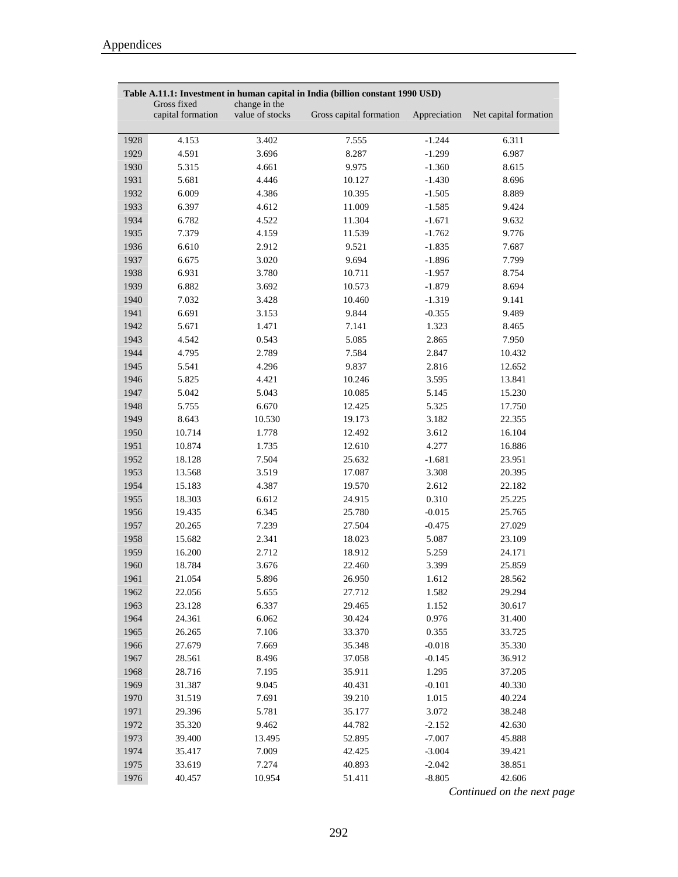|      | Table A.11.1: Investment in human capital in India (billion constant 1990 USD) |                                  |                         |              |                       |
|------|--------------------------------------------------------------------------------|----------------------------------|-------------------------|--------------|-----------------------|
|      | Gross fixed<br>capital formation                                               | change in the<br>value of stocks | Gross capital formation | Appreciation | Net capital formation |
| 1928 | 4.153                                                                          | 3.402                            | 7.555                   | $-1.244$     | 6.311                 |
| 1929 | 4.591                                                                          | 3.696                            | 8.287                   | $-1.299$     | 6.987                 |
| 1930 | 5.315                                                                          | 4.661                            | 9.975                   | $-1.360$     | 8.615                 |
| 1931 | 5.681                                                                          | 4.446                            | 10.127                  | $-1.430$     | 8.696                 |
| 1932 | 6.009                                                                          | 4.386                            | 10.395                  | $-1.505$     | 8.889                 |
| 1933 | 6.397                                                                          | 4.612                            | 11.009                  | $-1.585$     | 9.424                 |
| 1934 | 6.782                                                                          | 4.522                            | 11.304                  | $-1.671$     | 9.632                 |
| 1935 | 7.379                                                                          | 4.159                            | 11.539                  | $-1.762$     | 9.776                 |
| 1936 | 6.610                                                                          | 2.912                            | 9.521                   | $-1.835$     | 7.687                 |
| 1937 | 6.675                                                                          | 3.020                            | 9.694                   | $-1.896$     | 7.799                 |
| 1938 | 6.931                                                                          | 3.780                            | 10.711                  | $-1.957$     | 8.754                 |
| 1939 | 6.882                                                                          | 3.692                            | 10.573                  | $-1.879$     | 8.694                 |
| 1940 | 7.032                                                                          | 3.428                            | 10.460                  | $-1.319$     | 9.141                 |
| 1941 | 6.691                                                                          | 3.153                            | 9.844                   | $-0.355$     | 9.489                 |
| 1942 | 5.671                                                                          | 1.471                            | 7.141                   | 1.323        | 8.465                 |
| 1943 | 4.542                                                                          | 0.543                            | 5.085                   | 2.865        | 7.950                 |
| 1944 | 4.795                                                                          | 2.789                            | 7.584                   | 2.847        | 10.432                |
| 1945 | 5.541                                                                          | 4.296                            | 9.837                   | 2.816        | 12.652                |
| 1946 | 5.825                                                                          | 4.421                            | 10.246                  | 3.595        | 13.841                |
| 1947 | 5.042                                                                          | 5.043                            | 10.085                  | 5.145        | 15.230                |
| 1948 | 5.755                                                                          | 6.670                            | 12.425                  | 5.325        | 17.750                |
| 1949 | 8.643                                                                          | 10.530                           | 19.173                  | 3.182        | 22.355                |
| 1950 | 10.714                                                                         | 1.778                            | 12.492                  | 3.612        | 16.104                |
| 1951 | 10.874                                                                         | 1.735                            | 12.610                  | 4.277        | 16.886                |
| 1952 | 18.128                                                                         | 7.504                            | 25.632                  | $-1.681$     | 23.951                |
| 1953 | 13.568                                                                         | 3.519                            | 17.087                  | 3.308        | 20.395                |
| 1954 | 15.183                                                                         | 4.387                            | 19.570                  | 2.612        | 22.182                |
| 1955 | 18.303                                                                         | 6.612                            | 24.915                  | 0.310        | 25.225                |
| 1956 | 19.435                                                                         | 6.345                            | 25.780                  | $-0.015$     | 25.765                |
| 1957 | 20.265                                                                         | 7.239                            | 27.504                  | $-0.475$     | 27.029                |
| 1958 | 15.682                                                                         | 2.341                            | 18.023                  | 5.087        | 23.109                |
| 1959 | 16.200                                                                         | 2.712                            | 18.912                  | 5.259        | 24.171                |
| 1960 | 18.784                                                                         | 3.676                            | 22.460                  | 3.399        | 25.859                |
| 1961 | 21.054                                                                         | 5.896                            | 26.950                  | 1.612        | 28.562                |
| 1962 | 22.056                                                                         | 5.655                            | 27.712                  | 1.582        | 29.294                |
| 1963 | 23.128                                                                         | 6.337                            | 29.465                  | 1.152        | 30.617                |
| 1964 | 24.361                                                                         | 6.062                            | 30.424                  | 0.976        | 31.400                |
| 1965 | 26.265                                                                         | 7.106                            | 33.370                  | 0.355        | 33.725                |
| 1966 | 27.679                                                                         | 7.669                            | 35.348                  | $-0.018$     | 35.330                |
| 1967 | 28.561                                                                         | 8.496                            | 37.058                  | $-0.145$     | 36.912                |
| 1968 | 28.716                                                                         | 7.195                            | 35.911                  | 1.295        | 37.205                |
| 1969 | 31.387                                                                         | 9.045                            | 40.431                  | $-0.101$     | 40.330                |
| 1970 | 31.519                                                                         | 7.691                            | 39.210                  | 1.015        | 40.224                |
| 1971 | 29.396                                                                         | 5.781                            | 35.177                  | 3.072        | 38.248                |
| 1972 | 35.320                                                                         | 9.462                            | 44.782                  | $-2.152$     | 42.630                |
| 1973 | 39.400                                                                         | 13.495                           | 52.895                  | $-7.007$     | 45.888                |
| 1974 | 35.417                                                                         | 7.009                            | 42.425                  | $-3.004$     | 39.421                |
| 1975 | 33.619                                                                         | 7.274                            | 40.893                  | $-2.042$     | 38.851                |
| 1976 | 40.457                                                                         | 10.954                           | 51.411                  | $-8.805$     | 42.606                |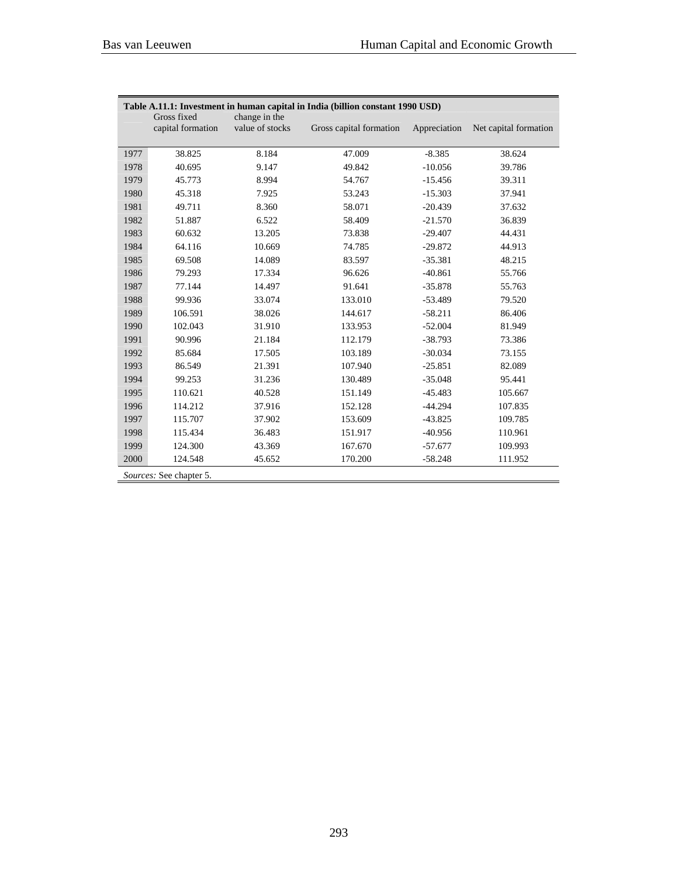|      | Table A.11.1: Investment in human capital in India (billion constant 1990 USD) |                                  |                         |              |                       |
|------|--------------------------------------------------------------------------------|----------------------------------|-------------------------|--------------|-----------------------|
|      | Gross fixed<br>capital formation                                               | change in the<br>value of stocks | Gross capital formation | Appreciation | Net capital formation |
|      |                                                                                |                                  |                         |              |                       |
| 1977 | 38.825                                                                         | 8.184                            | 47.009                  | $-8.385$     | 38.624                |
| 1978 | 40.695                                                                         | 9.147                            | 49.842                  | $-10.056$    | 39.786                |
| 1979 | 45.773                                                                         | 8.994                            | 54.767                  | $-15.456$    | 39.311                |
| 1980 | 45.318                                                                         | 7.925                            | 53.243                  | $-15.303$    | 37.941                |
| 1981 | 49.711                                                                         | 8.360                            | 58.071                  | $-20.439$    | 37.632                |
| 1982 | 51.887                                                                         | 6.522                            | 58.409                  | $-21.570$    | 36.839                |
| 1983 | 60.632                                                                         | 13.205                           | 73.838                  | $-29.407$    | 44.431                |
| 1984 | 64.116                                                                         | 10.669                           | 74.785                  | $-29.872$    | 44.913                |
| 1985 | 69.508                                                                         | 14.089                           | 83.597                  | $-35.381$    | 48.215                |
| 1986 | 79.293                                                                         | 17.334                           | 96.626                  | $-40.861$    | 55.766                |
| 1987 | 77.144                                                                         | 14.497                           | 91.641                  | $-35.878$    | 55.763                |
| 1988 | 99.936                                                                         | 33.074                           | 133.010                 | $-53.489$    | 79.520                |
| 1989 | 106.591                                                                        | 38.026                           | 144.617                 | $-58.211$    | 86.406                |
| 1990 | 102.043                                                                        | 31.910                           | 133.953                 | $-52.004$    | 81.949                |
| 1991 | 90.996                                                                         | 21.184                           | 112.179                 | $-38.793$    | 73.386                |
| 1992 | 85.684                                                                         | 17.505                           | 103.189                 | $-30.034$    | 73.155                |
| 1993 | 86.549                                                                         | 21.391                           | 107.940                 | $-25.851$    | 82.089                |
| 1994 | 99.253                                                                         | 31.236                           | 130.489                 | $-35.048$    | 95.441                |
| 1995 | 110.621                                                                        | 40.528                           | 151.149                 | $-45.483$    | 105.667               |
| 1996 | 114.212                                                                        | 37.916                           | 152.128                 | $-44.294$    | 107.835               |
| 1997 | 115.707                                                                        | 37.902                           | 153.609                 | $-43.825$    | 109.785               |
| 1998 | 115.434                                                                        | 36.483                           | 151.917                 | $-40.956$    | 110.961               |
| 1999 | 124.300                                                                        | 43.369                           | 167.670                 | $-57.677$    | 109.993               |
| 2000 | 124.548                                                                        | 45.652                           | 170.200                 | $-58.248$    | 111.952               |
|      | Sources: See chapter 5.                                                        |                                  |                         |              |                       |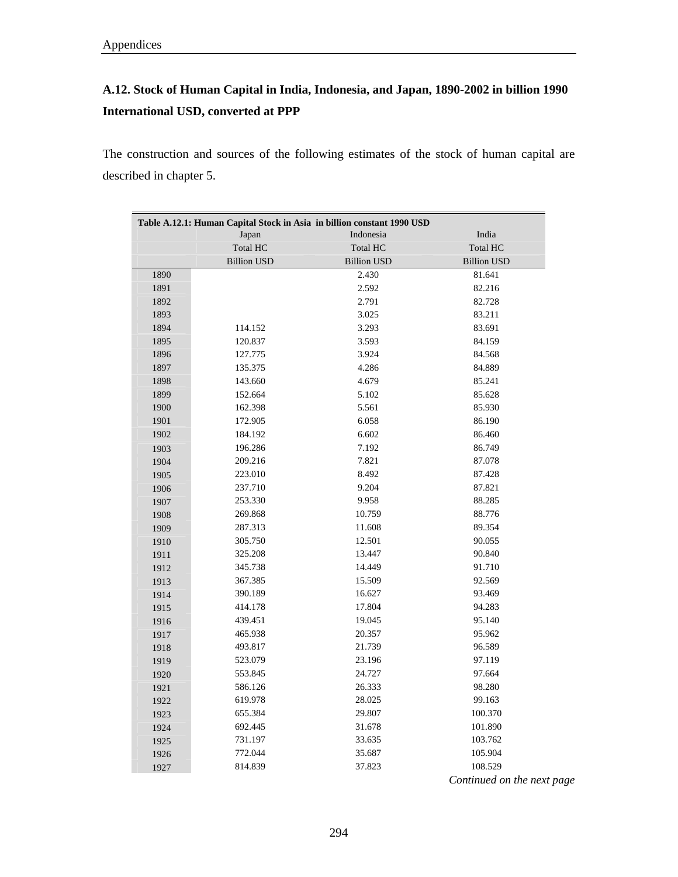# **A.12. Stock of Human Capital in India, Indonesia, and Japan, 1890-2002 in billion 1990 International USD, converted at PPP**

The construction and sources of the following estimates of the stock of human capital are described in chapter 5.

|      | Table A.12.1: Human Capital Stock in Asia in billion constant 1990 USD |                    |                    |
|------|------------------------------------------------------------------------|--------------------|--------------------|
|      | Japan                                                                  | Indonesia          | India              |
|      | <b>Total HC</b>                                                        | <b>Total HC</b>    | <b>Total HC</b>    |
|      | <b>Billion USD</b>                                                     | <b>Billion USD</b> | <b>Billion USD</b> |
| 1890 |                                                                        | 2.430              | 81.641             |
| 1891 |                                                                        | 2.592              | 82.216             |
| 1892 |                                                                        | 2.791              | 82.728             |
| 1893 |                                                                        | 3.025              | 83.211             |
| 1894 | 114.152                                                                | 3.293              | 83.691             |
| 1895 | 120.837                                                                | 3.593              | 84.159             |
| 1896 | 127.775                                                                | 3.924              | 84.568             |
| 1897 | 135.375                                                                | 4.286              | 84.889             |
| 1898 | 143.660                                                                | 4.679              | 85.241             |
| 1899 | 152.664                                                                | 5.102              | 85.628             |
| 1900 | 162.398                                                                | 5.561              | 85.930             |
| 1901 | 172.905                                                                | 6.058              | 86.190             |
| 1902 | 184.192                                                                | 6.602              | 86.460             |
| 1903 | 196.286                                                                | 7.192              | 86.749             |
| 1904 | 209.216                                                                | 7.821              | 87.078             |
| 1905 | 223.010                                                                | 8.492              | 87.428             |
| 1906 | 237.710                                                                | 9.204              | 87.821             |
| 1907 | 253.330                                                                | 9.958              | 88.285             |
| 1908 | 269.868                                                                | 10.759             | 88.776             |
| 1909 | 287.313                                                                | 11.608             | 89.354             |
| 1910 | 305.750                                                                | 12.501             | 90.055             |
| 1911 | 325.208                                                                | 13.447             | 90.840             |
| 1912 | 345.738                                                                | 14.449             | 91.710             |
| 1913 | 367.385                                                                | 15.509             | 92.569             |
| 1914 | 390.189                                                                | 16.627             | 93.469             |
| 1915 | 414.178                                                                | 17.804             | 94.283             |
| 1916 | 439.451                                                                | 19.045             | 95.140             |
| 1917 | 465.938                                                                | 20.357             | 95.962             |
| 1918 | 493.817                                                                | 21.739             | 96.589             |
| 1919 | 523.079                                                                | 23.196             | 97.119             |
| 1920 | 553.845                                                                | 24.727             | 97.664             |
| 1921 | 586.126                                                                | 26.333             | 98.280             |
| 1922 | 619.978                                                                | 28.025             | 99.163             |
| 1923 | 655.384                                                                | 29.807             | 100.370            |
| 1924 | 692.445                                                                | 31.678             | 101.890            |
| 1925 | 731.197                                                                | 33.635             | 103.762            |
| 1926 | 772.044                                                                | 35.687             | 105.904            |
| 1927 | 814.839                                                                | 37.823             | 108.529            |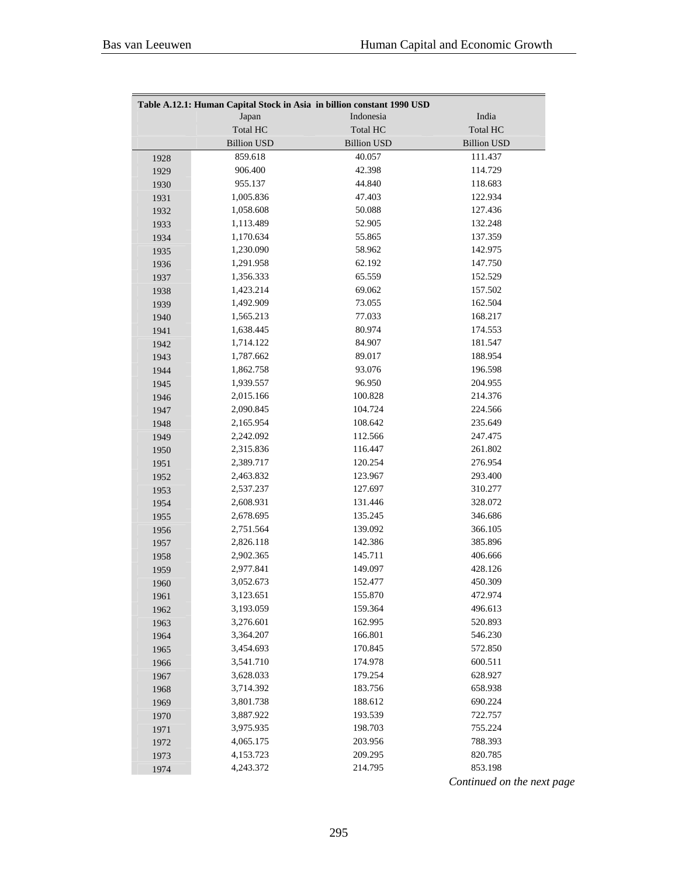| Table A.12.1: Human Capital Stock in Asia in billion constant 1990 USD |                    |                    |                    |  |  |
|------------------------------------------------------------------------|--------------------|--------------------|--------------------|--|--|
|                                                                        | Japan              | Indonesia          | India              |  |  |
|                                                                        | <b>Total HC</b>    | <b>Total HC</b>    | <b>Total HC</b>    |  |  |
|                                                                        | <b>Billion USD</b> | <b>Billion USD</b> | <b>Billion USD</b> |  |  |
| 1928                                                                   | 859.618            | 40.057             | 111.437            |  |  |
| 1929                                                                   | 906.400            | 42.398             | 114.729            |  |  |
| 1930                                                                   | 955.137            | 44.840             | 118.683            |  |  |
| 1931                                                                   | 1,005.836          | 47.403             | 122.934            |  |  |
| 1932                                                                   | 1,058.608          | 50.088             | 127.436            |  |  |
| 1933                                                                   | 1,113.489          | 52.905             | 132.248            |  |  |
| 1934                                                                   | 1,170.634          | 55.865             | 137.359            |  |  |
| 1935                                                                   | 1,230.090          | 58.962             | 142.975            |  |  |
| 1936                                                                   | 1,291.958          | 62.192             | 147.750            |  |  |
| 1937                                                                   | 1,356.333          | 65.559             | 152.529            |  |  |
| 1938                                                                   | 1,423.214          | 69.062             | 157.502            |  |  |
| 1939                                                                   | 1,492.909          | 73.055             | 162.504            |  |  |
| 1940                                                                   | 1,565.213          | 77.033             | 168.217            |  |  |
| 1941                                                                   | 1,638.445          | 80.974             | 174.553            |  |  |
| 1942                                                                   | 1,714.122          | 84.907             | 181.547            |  |  |
| 1943                                                                   | 1,787.662          | 89.017             | 188.954            |  |  |
| 1944                                                                   | 1,862.758          | 93.076             | 196.598            |  |  |
| 1945                                                                   | 1,939.557          | 96.950             | 204.955            |  |  |
| 1946                                                                   | 2,015.166          | 100.828            | 214.376            |  |  |
| 1947                                                                   | 2,090.845          | 104.724            | 224.566            |  |  |
| 1948                                                                   | 2,165.954          | 108.642            | 235.649            |  |  |
| 1949                                                                   | 2,242.092          | 112.566            | 247.475            |  |  |
| 1950                                                                   | 2,315.836          | 116.447            | 261.802            |  |  |
| 1951                                                                   | 2,389.717          | 120.254            | 276.954            |  |  |
| 1952                                                                   | 2,463.832          | 123.967            | 293.400            |  |  |
| 1953                                                                   | 2,537.237          | 127.697            | 310.277            |  |  |
| 1954                                                                   | 2,608.931          | 131.446            | 328.072            |  |  |
| 1955                                                                   | 2,678.695          | 135.245            | 346.686            |  |  |
| 1956                                                                   | 2,751.564          | 139.092            | 366.105            |  |  |
| 1957                                                                   | 2,826.118          | 142.386            | 385.896            |  |  |
| 1958                                                                   | 2,902.365          | 145.711            | 406.666            |  |  |
| 1959                                                                   | 2,977.841          | 149.097            | 428.126            |  |  |
| 1960                                                                   | 3,052.673          | 152.477            | 450.309            |  |  |
| 1961                                                                   | 3,123.651          | 155.870            | 472.974            |  |  |
| 1962                                                                   | 3,193.059          | 159.364            | 496.613            |  |  |
| 1963                                                                   | 3,276.601          | 162.995            | 520.893            |  |  |
| 1964                                                                   | 3,364.207          | 166.801            | 546.230            |  |  |
| 1965                                                                   | 3,454.693          | 170.845            | 572.850            |  |  |
| 1966                                                                   | 3,541.710          | 174.978            | 600.511            |  |  |
| 1967                                                                   | 3,628.033          | 179.254            | 628.927            |  |  |
| 1968                                                                   | 3,714.392          | 183.756            | 658.938            |  |  |
| 1969                                                                   | 3,801.738          | 188.612            | 690.224            |  |  |
| 1970                                                                   | 3,887.922          | 193.539            | 722.757            |  |  |
| 1971                                                                   | 3,975.935          | 198.703            | 755.224            |  |  |
| 1972                                                                   | 4,065.175          | 203.956            | 788.393            |  |  |
| 1973                                                                   | 4,153.723          | 209.295            | 820.785            |  |  |
| 1974                                                                   | 4,243.372          | 214.795            | 853.198            |  |  |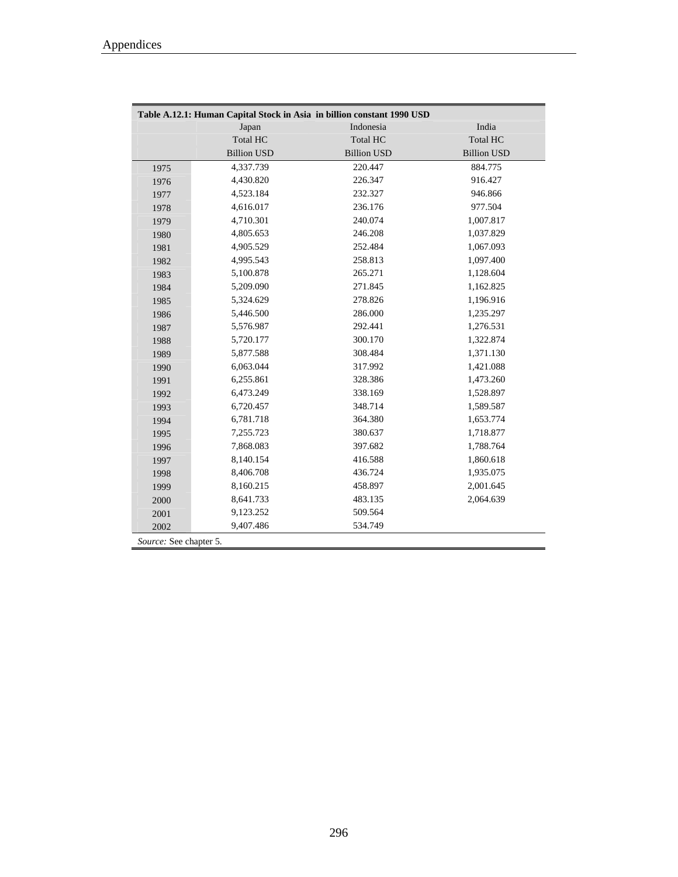$\blacksquare$ 

| Table A.12.1: Human Capital Stock in Asia in billion constant 1990 USD |                    |                    |                    |  |  |
|------------------------------------------------------------------------|--------------------|--------------------|--------------------|--|--|
|                                                                        | Japan              | Indonesia          | India              |  |  |
|                                                                        | <b>Total HC</b>    | <b>Total HC</b>    | <b>Total HC</b>    |  |  |
|                                                                        | <b>Billion USD</b> | <b>Billion USD</b> | <b>Billion USD</b> |  |  |
| 1975                                                                   | 4,337.739          | 220.447            | 884.775            |  |  |
| 1976                                                                   | 4,430.820          | 226.347            | 916.427            |  |  |
| 1977                                                                   | 4,523.184          | 232.327            | 946.866            |  |  |
| 1978                                                                   | 4,616.017          | 236.176            | 977.504            |  |  |
| 1979                                                                   | 4,710.301          | 240.074            | 1,007.817          |  |  |
| 1980                                                                   | 4,805.653          | 246.208            | 1,037.829          |  |  |
| 1981                                                                   | 4,905.529          | 252.484            | 1,067.093          |  |  |
| 1982                                                                   | 4,995.543          | 258.813            | 1,097.400          |  |  |
| 1983                                                                   | 5,100.878          | 265.271            | 1,128.604          |  |  |
| 1984                                                                   | 5,209.090          | 271.845            | 1,162.825          |  |  |
| 1985                                                                   | 5,324.629          | 278.826            | 1,196.916          |  |  |
| 1986                                                                   | 5,446.500          | 286.000            | 1,235.297          |  |  |
| 1987                                                                   | 5,576.987          | 292.441            | 1,276.531          |  |  |
| 1988                                                                   | 5,720.177          | 300.170            | 1,322.874          |  |  |
| 1989                                                                   | 5,877.588          | 308.484            | 1,371.130          |  |  |
| 1990                                                                   | 6,063.044          | 317.992            | 1,421.088          |  |  |
| 1991                                                                   | 6,255.861          | 328.386            | 1,473.260          |  |  |
| 1992                                                                   | 6,473.249          | 338.169            | 1,528.897          |  |  |
| 1993                                                                   | 6,720.457          | 348.714            | 1,589.587          |  |  |
| 1994                                                                   | 6,781.718          | 364.380            | 1,653.774          |  |  |
| 1995                                                                   | 7,255.723          | 380.637            | 1,718.877          |  |  |
| 1996                                                                   | 7,868.083          | 397.682            | 1,788.764          |  |  |
| 1997                                                                   | 8,140.154          | 416.588            | 1,860.618          |  |  |
| 1998                                                                   | 8,406.708          | 436.724            | 1,935.075          |  |  |
| 1999                                                                   | 8,160.215          | 458.897            | 2,001.645          |  |  |
| 2000                                                                   | 8,641.733          | 483.135            | 2,064.639          |  |  |
| 2001                                                                   | 9,123.252          | 509.564            |                    |  |  |
| 2002                                                                   | 9,407.486          | 534.749            |                    |  |  |
| Source: See chapter 5.                                                 |                    |                    |                    |  |  |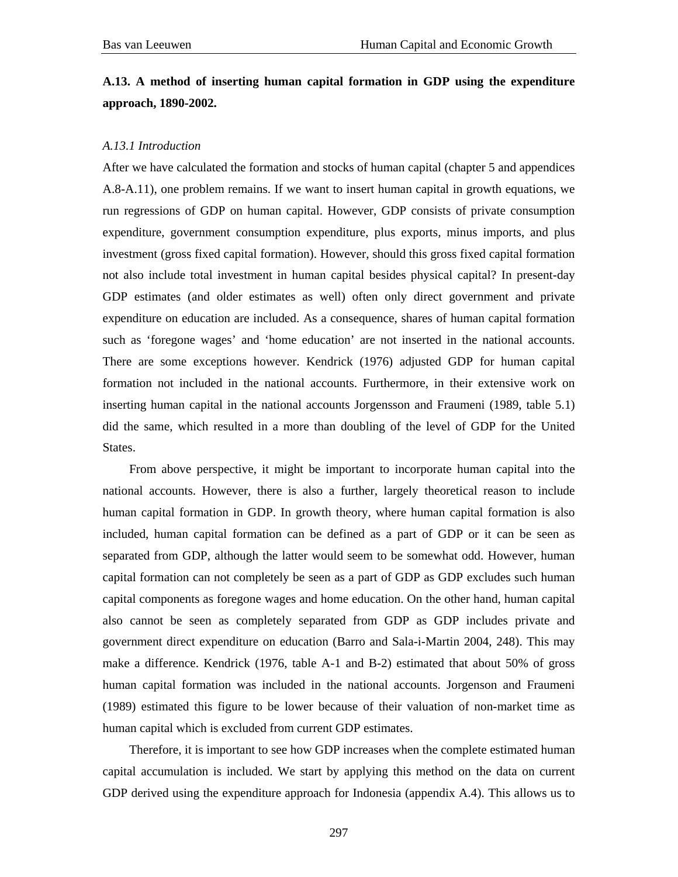#### **A.13. A method of inserting human capital formation in GDP using the expenditure approach, 1890-2002.**

#### *A.13.1 Introduction*

After we have calculated the formation and stocks of human capital (chapter 5 and appendices A.8-A.11), one problem remains. If we want to insert human capital in growth equations, we run regressions of GDP on human capital. However, GDP consists of private consumption expenditure, government consumption expenditure, plus exports, minus imports, and plus investment (gross fixed capital formation). However, should this gross fixed capital formation not also include total investment in human capital besides physical capital? In present-day GDP estimates (and older estimates as well) often only direct government and private expenditure on education are included. As a consequence, shares of human capital formation such as 'foregone wages' and 'home education' are not inserted in the national accounts. There are some exceptions however. Kendrick (1976) adjusted GDP for human capital formation not included in the national accounts. Furthermore, in their extensive work on inserting human capital in the national accounts Jorgensson and Fraumeni (1989, table 5.1) did the same, which resulted in a more than doubling of the level of GDP for the United States.

From above perspective, it might be important to incorporate human capital into the national accounts. However, there is also a further, largely theoretical reason to include human capital formation in GDP. In growth theory, where human capital formation is also included, human capital formation can be defined as a part of GDP or it can be seen as separated from GDP, although the latter would seem to be somewhat odd. However, human capital formation can not completely be seen as a part of GDP as GDP excludes such human capital components as foregone wages and home education. On the other hand, human capital also cannot be seen as completely separated from GDP as GDP includes private and government direct expenditure on education (Barro and Sala-i-Martin 2004, 248). This may make a difference. Kendrick (1976, table A-1 and B-2) estimated that about 50% of gross human capital formation was included in the national accounts. Jorgenson and Fraumeni (1989) estimated this figure to be lower because of their valuation of non-market time as human capital which is excluded from current GDP estimates.

Therefore, it is important to see how GDP increases when the complete estimated human capital accumulation is included. We start by applying this method on the data on current GDP derived using the expenditure approach for Indonesia (appendix A.4). This allows us to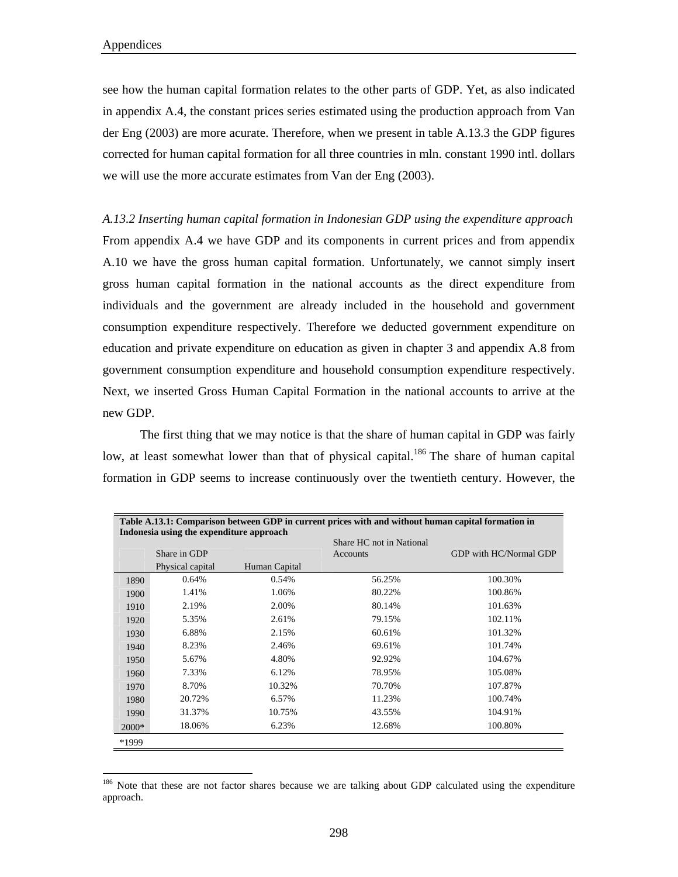$\overline{a}$ 

see how the human capital formation relates to the other parts of GDP. Yet, as also indicated in appendix A.4, the constant prices series estimated using the production approach from Van der Eng (2003) are more acurate. Therefore, when we present in table A.13.3 the GDP figures corrected for human capital formation for all three countries in mln. constant 1990 intl. dollars we will use the more accurate estimates from Van der Eng (2003).

*A.13.2 Inserting human capital formation in Indonesian GDP using the expenditure approach*  From appendix A.4 we have GDP and its components in current prices and from appendix A.10 we have the gross human capital formation. Unfortunately, we cannot simply insert gross human capital formation in the national accounts as the direct expenditure from individuals and the government are already included in the household and government consumption expenditure respectively. Therefore we deducted government expenditure on education and private expenditure on education as given in chapter 3 and appendix A.8 from government consumption expenditure and household consumption expenditure respectively. Next, we inserted Gross Human Capital Formation in the national accounts to arrive at the new GDP.

 The first thing that we may notice is that the share of human capital in GDP was fairly low, at least somewhat lower than that of physical capital.<sup>186</sup> The share of human capital formation in GDP seems to increase continuously over the twentieth century. However, the

| Table A.13.1: Comparison between GDP in current prices with and without human capital formation in<br>Indonesia using the expenditure approach |                  |               |                                      |                        |  |  |
|------------------------------------------------------------------------------------------------------------------------------------------------|------------------|---------------|--------------------------------------|------------------------|--|--|
|                                                                                                                                                | Share in GDP     |               | Share HC not in National<br>Accounts | GDP with HC/Normal GDP |  |  |
|                                                                                                                                                | Physical capital | Human Capital |                                      |                        |  |  |
| 1890                                                                                                                                           | 0.64%            | 0.54%         | 56.25%                               | 100.30%                |  |  |
| 1900                                                                                                                                           | 1.41%            | 1.06%         | 80.22%                               | 100.86%                |  |  |
| 1910                                                                                                                                           | 2.19%            | 2.00%         | 80.14%                               | 101.63%                |  |  |
| 1920                                                                                                                                           | 5.35%            | 2.61%         | 79.15%                               | 102.11%                |  |  |
| 1930                                                                                                                                           | 6.88%            | 2.15%         | 60.61%                               | 101.32%                |  |  |
| 1940                                                                                                                                           | 8.23%            | 2.46%         | 69.61%                               | 101.74%                |  |  |
| 1950                                                                                                                                           | 5.67%            | 4.80%         | 92.92%                               | 104.67%                |  |  |
| 1960                                                                                                                                           | 7.33%            | 6.12%         | 78.95%                               | 105.08%                |  |  |
| 1970                                                                                                                                           | 8.70%            | 10.32%        | 70.70%                               | 107.87%                |  |  |
| 1980                                                                                                                                           | 20.72%           | 6.57%         | 11.23%                               | 100.74%                |  |  |
| 1990                                                                                                                                           | 31.37%           | 10.75%        | 43.55%                               | 104.91%                |  |  |
| 2000*                                                                                                                                          | 18.06%           | 6.23%         | 12.68%                               | 100.80%                |  |  |
| *1999                                                                                                                                          |                  |               |                                      |                        |  |  |

<sup>&</sup>lt;sup>186</sup> Note that these are not factor shares because we are talking about GDP calculated using the expenditure approach.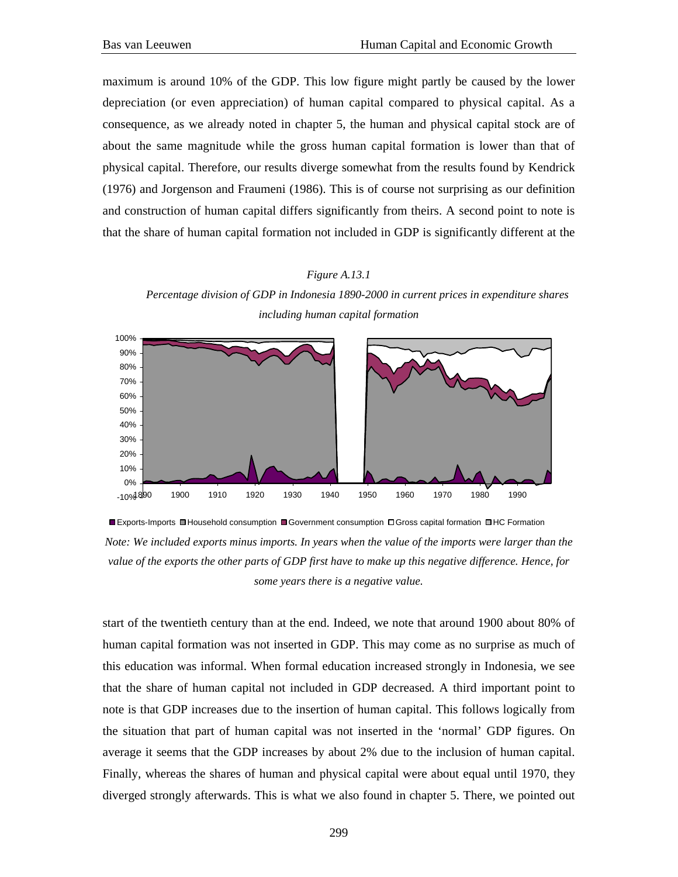maximum is around 10% of the GDP. This low figure might partly be caused by the lower depreciation (or even appreciation) of human capital compared to physical capital. As a consequence, as we already noted in chapter 5, the human and physical capital stock are of about the same magnitude while the gross human capital formation is lower than that of physical capital. Therefore, our results diverge somewhat from the results found by Kendrick (1976) and Jorgenson and Fraumeni (1986). This is of course not surprising as our definition and construction of human capital differs significantly from theirs. A second point to note is that the share of human capital formation not included in GDP is significantly different at the

#### *Figure A.13.1*

*Percentage division of GDP in Indonesia 1890-2000 in current prices in expenditure shares including human capital formation* 



Exports-Imports Household consumption Government consumption Gross capital formation HC Formation *Note: We included exports minus imports. In years when the value of the imports were larger than the value of the exports the other parts of GDP first have to make up this negative difference. Hence, for some years there is a negative value.* 

start of the twentieth century than at the end. Indeed, we note that around 1900 about 80% of human capital formation was not inserted in GDP. This may come as no surprise as much of this education was informal. When formal education increased strongly in Indonesia, we see that the share of human capital not included in GDP decreased. A third important point to note is that GDP increases due to the insertion of human capital. This follows logically from the situation that part of human capital was not inserted in the 'normal' GDP figures. On average it seems that the GDP increases by about 2% due to the inclusion of human capital. Finally, whereas the shares of human and physical capital were about equal until 1970, they diverged strongly afterwards. This is what we also found in chapter 5. There, we pointed out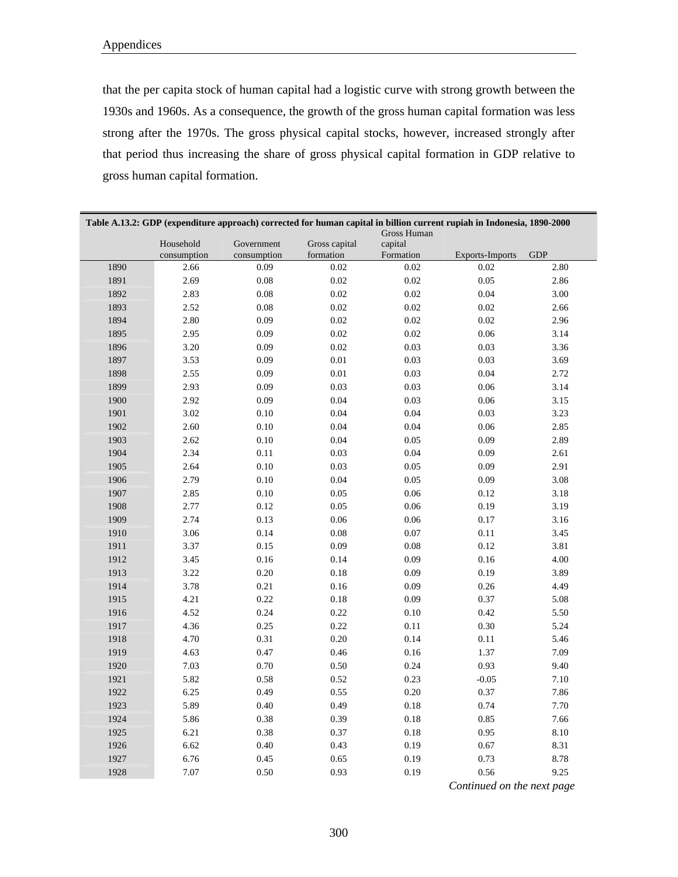that the per capita stock of human capital had a logistic curve with strong growth between the 1930s and 1960s. As a consequence, the growth of the gross human capital formation was less strong after the 1970s. The gross physical capital stocks, however, increased strongly after that period thus increasing the share of gross physical capital formation in GDP relative to gross human capital formation.

| Table A.13.2: GDP (expenditure approach) corrected for human capital in billion current rupiah in Indonesia, 1890-2000<br>Gross Human |                     |                     |                   |                      |                        |            |
|---------------------------------------------------------------------------------------------------------------------------------------|---------------------|---------------------|-------------------|----------------------|------------------------|------------|
|                                                                                                                                       | Household           | Government          | Gross capital     | capital<br>Formation | <b>Exports-Imports</b> | <b>GDP</b> |
| 1890                                                                                                                                  | consumption<br>2.66 | consumption<br>0.09 | formation<br>0.02 | 0.02                 | 0.02                   | 2.80       |
| 1891                                                                                                                                  | 2.69                | 0.08                | $0.02\,$          | $0.02\,$             | 0.05                   | 2.86       |
| 1892                                                                                                                                  | 2.83                | 0.08                | 0.02              | 0.02                 | 0.04                   | 3.00       |
| 1893                                                                                                                                  | 2.52                | 0.08                | 0.02              | $0.02\,$             | $0.02\,$               | 2.66       |
| 1894                                                                                                                                  | 2.80                | 0.09                | $0.02\,$          | 0.02                 | $0.02\,$               | 2.96       |
| 1895                                                                                                                                  | 2.95                | 0.09                | 0.02              | $0.02\,$             | 0.06                   | 3.14       |
|                                                                                                                                       |                     |                     |                   |                      |                        |            |
| 1896                                                                                                                                  | 3.20                | 0.09                | $0.02\,$          | 0.03                 | 0.03                   | 3.36       |
| 1897                                                                                                                                  | 3.53                | 0.09                | $0.01\,$          | 0.03                 | 0.03                   | 3.69       |
| 1898                                                                                                                                  | 2.55                | 0.09                | 0.01              | 0.03                 | 0.04                   | 2.72       |
| 1899                                                                                                                                  | 2.93                | 0.09                | 0.03              | 0.03                 | 0.06                   | 3.14       |
| 1900                                                                                                                                  | 2.92                | 0.09                | 0.04              | 0.03                 | 0.06                   | 3.15       |
| 1901                                                                                                                                  | 3.02                | 0.10                | 0.04              | 0.04                 | 0.03                   | 3.23       |
| 1902                                                                                                                                  | 2.60                | 0.10                | 0.04              | 0.04                 | 0.06                   | 2.85       |
| 1903                                                                                                                                  | 2.62                | 0.10                | 0.04              | 0.05                 | 0.09                   | 2.89       |
| 1904                                                                                                                                  | 2.34                | 0.11                | 0.03              | 0.04                 | 0.09                   | 2.61       |
| 1905                                                                                                                                  | 2.64                | 0.10                | 0.03              | 0.05                 | 0.09                   | 2.91       |
| 1906                                                                                                                                  | 2.79                | 0.10                | 0.04              | 0.05                 | 0.09                   | 3.08       |
| 1907                                                                                                                                  | 2.85                | 0.10                | 0.05              | 0.06                 | 0.12                   | 3.18       |
| 1908                                                                                                                                  | 2.77                | 0.12                | 0.05              | 0.06                 | 0.19                   | 3.19       |
| 1909                                                                                                                                  | 2.74                | 0.13                | 0.06              | 0.06                 | 0.17                   | 3.16       |
| 1910                                                                                                                                  | 3.06                | 0.14                | 0.08              | 0.07                 | $0.11\,$               | 3.45       |
| 1911                                                                                                                                  | 3.37                | 0.15                | 0.09              | 0.08                 | 0.12                   | 3.81       |
| 1912                                                                                                                                  | 3.45                | 0.16                | 0.14              | 0.09                 | 0.16                   | 4.00       |
| 1913                                                                                                                                  | 3.22                | 0.20                | 0.18              | 0.09                 | 0.19                   | 3.89       |
| 1914                                                                                                                                  | 3.78                | 0.21                | 0.16              | 0.09                 | 0.26                   | 4.49       |
| 1915                                                                                                                                  | 4.21                | 0.22                | 0.18              | 0.09                 | 0.37                   | 5.08       |
| 1916                                                                                                                                  | 4.52                | 0.24                | 0.22              | 0.10                 | 0.42                   | 5.50       |
| 1917                                                                                                                                  | 4.36                | 0.25                | 0.22              | 0.11                 | 0.30                   | 5.24       |
| 1918                                                                                                                                  | 4.70                | 0.31                | 0.20              | 0.14                 | $0.11\,$               | 5.46       |
| 1919                                                                                                                                  | 4.63                | 0.47                | 0.46              | 0.16                 | 1.37                   | 7.09       |
| 1920                                                                                                                                  | 7.03                | 0.70                | 0.50              | 0.24                 | 0.93                   | 9.40       |
| 1921                                                                                                                                  | 5.82                | 0.58                | 0.52              | 0.23                 | $-0.05$                | 7.10       |
| 1922                                                                                                                                  | 6.25                | 0.49                | 0.55              | 0.20                 | 0.37                   | 7.86       |
| 1923                                                                                                                                  | 5.89                | 0.40                | 0.49              | 0.18                 | 0.74                   | 7.70       |
| 1924                                                                                                                                  | 5.86                | 0.38                | 0.39              | 0.18                 | 0.85                   | 7.66       |
| 1925                                                                                                                                  | 6.21                | 0.38                | 0.37              | 0.18                 | 0.95                   | 8.10       |
| 1926                                                                                                                                  | 6.62                | 0.40                | 0.43              | 0.19                 | 0.67                   | 8.31       |
| 1927                                                                                                                                  | 6.76                | 0.45                | 0.65              | 0.19                 | 0.73                   | 8.78       |
| 1928                                                                                                                                  | 7.07                | 0.50                | 0.93              | 0.19                 | 0.56                   | 9.25       |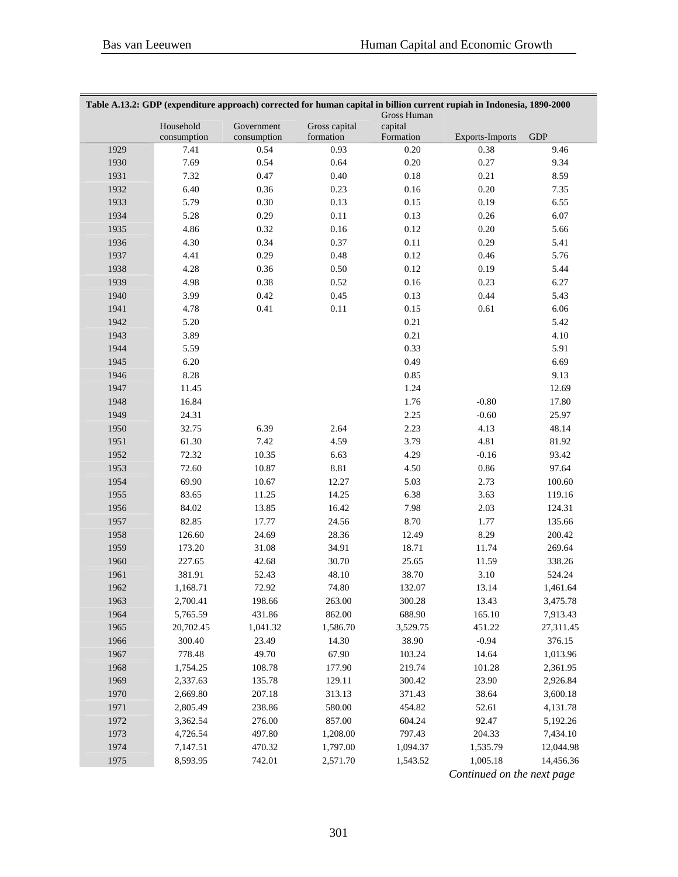| Table A.13.2: GDP (expenditure approach) corrected for human capital in billion current rupiah in Indonesia, 1890-2000 |             |             |               |                        |                        |            |
|------------------------------------------------------------------------------------------------------------------------|-------------|-------------|---------------|------------------------|------------------------|------------|
|                                                                                                                        | Household   | Government  | Gross capital | Gross Human<br>capital |                        |            |
|                                                                                                                        | consumption | consumption | formation     | Formation              | <b>Exports-Imports</b> | <b>GDP</b> |
| 1929                                                                                                                   | 7.41        | 0.54        | 0.93          | 0.20                   | 0.38                   | 9.46       |
| 1930                                                                                                                   | 7.69        | 0.54        | 0.64          | $0.20\,$               | 0.27                   | 9.34       |
| 1931                                                                                                                   | 7.32        | 0.47        | $0.40\,$      | $0.18\,$               | 0.21                   | 8.59       |
| 1932                                                                                                                   | 6.40        | 0.36        | 0.23          | $0.16\,$               | $0.20\,$               | 7.35       |
| 1933                                                                                                                   | 5.79        | $0.30\,$    | 0.13          | 0.15                   | 0.19                   | 6.55       |
| 1934                                                                                                                   | 5.28        | 0.29        | $0.11\,$      | 0.13                   | 0.26                   | 6.07       |
| 1935                                                                                                                   | 4.86        | 0.32        | $0.16\,$      | 0.12                   | $0.20\,$               | 5.66       |
| 1936                                                                                                                   | 4.30        | 0.34        | 0.37          | $0.11\,$               | 0.29                   | 5.41       |
| 1937                                                                                                                   | 4.41        | 0.29        | 0.48          | 0.12                   | $0.46\,$               | 5.76       |
| 1938                                                                                                                   | 4.28        | 0.36        | $0.50\,$      | 0.12                   | 0.19                   | 5.44       |
| 1939                                                                                                                   | 4.98        | 0.38        | 0.52          | $0.16\,$               | 0.23                   | 6.27       |
| 1940                                                                                                                   | 3.99        | 0.42        | 0.45          | 0.13                   | 0.44                   | 5.43       |
| 1941                                                                                                                   | 4.78        | 0.41        | $0.11\,$      | 0.15                   | $0.61\,$               | 6.06       |
| 1942                                                                                                                   | 5.20        |             |               | 0.21                   |                        | 5.42       |
| 1943                                                                                                                   | 3.89        |             |               | 0.21                   |                        | 4.10       |
| 1944                                                                                                                   | 5.59        |             |               | 0.33                   |                        | 5.91       |
| 1945                                                                                                                   | 6.20        |             |               | 0.49                   |                        | 6.69       |
| 1946                                                                                                                   | 8.28        |             |               | 0.85                   |                        | 9.13       |
| 1947                                                                                                                   | 11.45       |             |               | 1.24                   |                        | 12.69      |
| 1948                                                                                                                   | 16.84       |             |               | 1.76                   | $-0.80$                | 17.80      |
| 1949                                                                                                                   | 24.31       |             |               | 2.25                   | $-0.60$                | 25.97      |
| 1950                                                                                                                   | 32.75       | 6.39        | 2.64          | 2.23                   | 4.13                   | 48.14      |
| 1951                                                                                                                   | 61.30       | 7.42        | 4.59          | 3.79                   | 4.81                   | 81.92      |
| 1952                                                                                                                   | 72.32       | 10.35       | 6.63          | 4.29                   | $-0.16$                | 93.42      |
| 1953                                                                                                                   | 72.60       | 10.87       | 8.81          | 4.50                   | $0.86\,$               | 97.64      |
| 1954                                                                                                                   | 69.90       | 10.67       | 12.27         | 5.03                   | 2.73                   | 100.60     |
| 1955                                                                                                                   | 83.65       | 11.25       | 14.25         | 6.38                   | 3.63                   | 119.16     |
| 1956                                                                                                                   | 84.02       | 13.85       | 16.42         | 7.98                   | 2.03                   | 124.31     |
| 1957                                                                                                                   | 82.85       | 17.77       | 24.56         | 8.70                   | 1.77                   | 135.66     |
| 1958                                                                                                                   | 126.60      | 24.69       | 28.36         | 12.49                  | 8.29                   | 200.42     |
| 1959                                                                                                                   | 173.20      | 31.08       | 34.91         | 18.71                  | 11.74                  | 269.64     |
| 1960                                                                                                                   | 227.65      | 42.68       | 30.70         | 25.65                  | 11.59                  | 338.26     |
| 1961                                                                                                                   | 381.91      | 52.43       | 48.10         | 38.70                  | 3.10                   | 524.24     |
| 1962                                                                                                                   | 1,168.71    | 72.92       | 74.80         | 132.07                 | 13.14                  | 1,461.64   |
| 1963                                                                                                                   | 2,700.41    | 198.66      | 263.00        | 300.28                 | 13.43                  | 3,475.78   |
| 1964                                                                                                                   | 5,765.59    | 431.86      | 862.00        | 688.90                 | 165.10                 | 7,913.43   |
| 1965                                                                                                                   | 20,702.45   | 1,041.32    | 1,586.70      | 3,529.75               | 451.22                 | 27,311.45  |
| 1966                                                                                                                   | 300.40      | 23.49       | 14.30         | 38.90                  | $-0.94$                | 376.15     |
| 1967                                                                                                                   | 778.48      | 49.70       | 67.90         | 103.24                 | 14.64                  | 1,013.96   |
| 1968                                                                                                                   | 1,754.25    | 108.78      | 177.90        | 219.74                 | 101.28                 | 2,361.95   |
| 1969                                                                                                                   | 2,337.63    | 135.78      | 129.11        | 300.42                 | 23.90                  | 2,926.84   |
| 1970                                                                                                                   | 2,669.80    | 207.18      | 313.13        | 371.43                 | 38.64                  | 3,600.18   |
| 1971                                                                                                                   | 2,805.49    | 238.86      | 580.00        | 454.82                 | 52.61                  | 4,131.78   |
| 1972                                                                                                                   | 3,362.54    | 276.00      | 857.00        | 604.24                 | 92.47                  | 5,192.26   |
| 1973                                                                                                                   | 4,726.54    | 497.80      | 1,208.00      | 797.43                 | 204.33                 | 7,434.10   |
| 1974                                                                                                                   | 7,147.51    | 470.32      | 1,797.00      | 1,094.37               | 1,535.79               | 12,044.98  |
| 1975                                                                                                                   | 8,593.95    | 742.01      | 2,571.70      | 1,543.52               | 1,005.18               | 14,456.36  |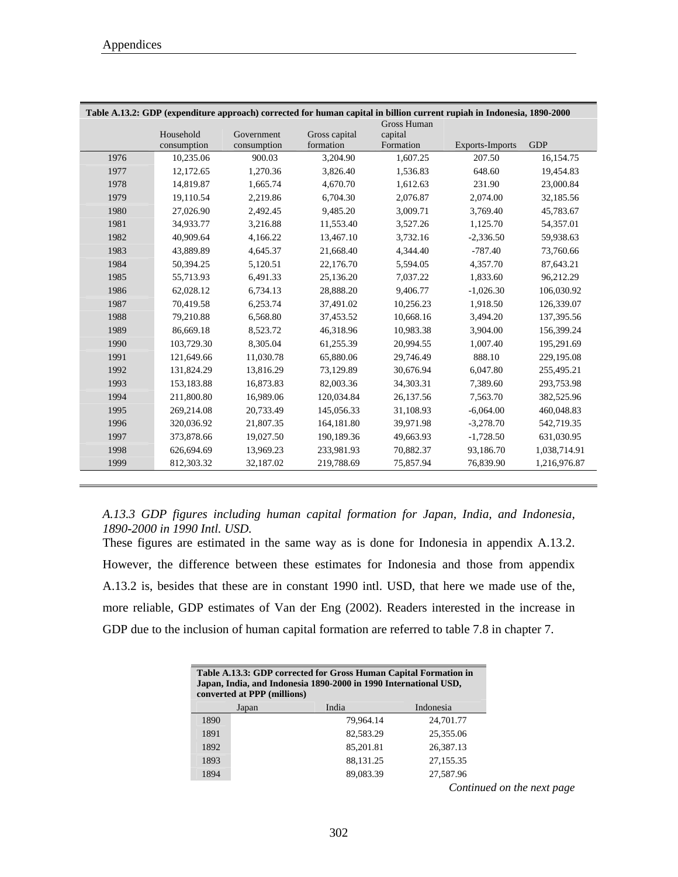|      |             |             |               |                               | Table A.13.2: GDP (expenditure approach) corrected for human capital in billion current rupiah in Indonesia, 1890-2000 |              |
|------|-------------|-------------|---------------|-------------------------------|------------------------------------------------------------------------------------------------------------------------|--------------|
|      | Household   | Government  | Gross capital | <b>Gross Human</b><br>capital |                                                                                                                        |              |
|      | consumption | consumption | formation     | Formation                     | <b>Exports-Imports</b>                                                                                                 | <b>GDP</b>   |
| 1976 | 10,235.06   | 900.03      | 3,204.90      | 1,607.25                      | 207.50                                                                                                                 | 16,154.75    |
| 1977 | 12,172.65   | 1,270.36    | 3,826.40      | 1,536.83                      | 648.60                                                                                                                 | 19,454.83    |
| 1978 | 14,819.87   | 1,665.74    | 4,670.70      | 1,612.63                      | 231.90                                                                                                                 | 23,000.84    |
| 1979 | 19,110.54   | 2,219.86    | 6,704.30      | 2,076.87                      | 2,074.00                                                                                                               | 32,185.56    |
| 1980 | 27,026.90   | 2,492.45    | 9,485.20      | 3.009.71                      | 3.769.40                                                                                                               | 45,783.67    |
| 1981 | 34,933.77   | 3,216.88    | 11,553.40     | 3,527.26                      | 1,125.70                                                                                                               | 54,357.01    |
| 1982 | 40,909.64   | 4,166.22    | 13,467.10     | 3,732.16                      | $-2,336.50$                                                                                                            | 59,938.63    |
| 1983 | 43.889.89   | 4,645.37    | 21,668.40     | 4.344.40                      | $-787.40$                                                                                                              | 73,760.66    |
| 1984 | 50,394.25   | 5,120.51    | 22,176.70     | 5,594.05                      | 4,357.70                                                                                                               | 87,643.21    |
| 1985 | 55,713.93   | 6,491.33    | 25,136.20     | 7,037.22                      | 1,833.60                                                                                                               | 96,212.29    |
| 1986 | 62,028.12   | 6,734.13    | 28,888.20     | 9,406.77                      | $-1,026.30$                                                                                                            | 106,030.92   |
| 1987 | 70,419.58   | 6,253.74    | 37,491.02     | 10,256.23                     | 1,918.50                                                                                                               | 126,339.07   |
| 1988 | 79,210.88   | 6,568.80    | 37,453.52     | 10,668.16                     | 3,494.20                                                                                                               | 137,395.56   |
| 1989 | 86,669.18   | 8,523.72    | 46,318.96     | 10,983.38                     | 3,904.00                                                                                                               | 156,399.24   |
| 1990 | 103,729.30  | 8.305.04    | 61,255.39     | 20,994.55                     | 1,007.40                                                                                                               | 195,291.69   |
| 1991 | 121,649.66  | 11.030.78   | 65,880.06     | 29,746.49                     | 888.10                                                                                                                 | 229,195.08   |
| 1992 | 131,824.29  | 13,816.29   | 73,129.89     | 30,676.94                     | 6,047.80                                                                                                               | 255,495.21   |
| 1993 | 153,183.88  | 16,873.83   | 82,003.36     | 34,303.31                     | 7,389.60                                                                                                               | 293,753.98   |
| 1994 | 211,800.80  | 16,989.06   | 120,034.84    | 26,137.56                     | 7,563.70                                                                                                               | 382,525.96   |
| 1995 | 269,214.08  | 20,733.49   | 145,056.33    | 31,108.93                     | $-6,064.00$                                                                                                            | 460,048.83   |
| 1996 | 320,036.92  | 21,807.35   | 164, 181.80   | 39,971.98                     | $-3,278.70$                                                                                                            | 542,719.35   |
| 1997 | 373,878.66  | 19,027.50   | 190,189.36    | 49,663.93                     | $-1,728.50$                                                                                                            | 631,030.95   |
| 1998 | 626,694.69  | 13,969.23   | 233,981.93    | 70,882.37                     | 93,186.70                                                                                                              | 1,038,714.91 |
| 1999 | 812,303.32  | 32,187.02   | 219,788.69    | 75,857.94                     | 76,839.90                                                                                                              | 1,216,976.87 |
|      |             |             |               |                               |                                                                                                                        |              |

*A.13.3 GDP figures including human capital formation for Japan, India, and Indonesia, 1890-2000 in 1990 Intl. USD.* 

These figures are estimated in the same way as is done for Indonesia in appendix A.13.2. However, the difference between these estimates for Indonesia and those from appendix A.13.2 is, besides that these are in constant 1990 intl. USD, that here we made use of the, more reliable, GDP estimates of Van der Eng (2002). Readers interested in the increase in GDP due to the inclusion of human capital formation are referred to table 7.8 in chapter 7.

| Table A.13.3: GDP corrected for Gross Human Capital Formation in<br>Japan, India, and Indonesia 1890-2000 in 1990 International USD,<br>converted at PPP (millions) |       |           |            |  |  |  |  |
|---------------------------------------------------------------------------------------------------------------------------------------------------------------------|-------|-----------|------------|--|--|--|--|
|                                                                                                                                                                     | Japan | India     | Indonesia  |  |  |  |  |
| 1890                                                                                                                                                                |       | 79,964.14 | 24,701.77  |  |  |  |  |
| 1891                                                                                                                                                                |       | 82,583.29 | 25,355.06  |  |  |  |  |
| 1892                                                                                                                                                                |       | 85,201.81 | 26,387.13  |  |  |  |  |
| 1893                                                                                                                                                                |       | 88,131.25 | 27,155.35  |  |  |  |  |
| 1894                                                                                                                                                                |       | 89,083.39 | 27,587.96  |  |  |  |  |
|                                                                                                                                                                     |       |           | $\alpha$ 1 |  |  |  |  |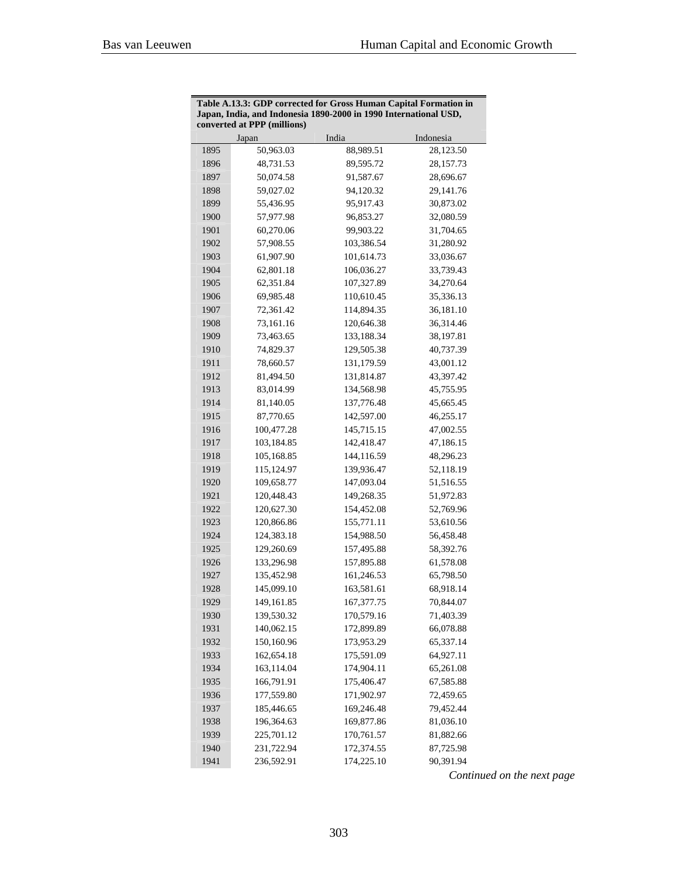| converted at PPP (millions)      |           |
|----------------------------------|-----------|
| India<br>Indonesia<br>Japan      |           |
| 1895<br>50,963.03<br>88,989.51   | 28,123.50 |
| 1896<br>48,731.53<br>89,595.72   | 28,157.73 |
| 1897<br>50,074.58<br>91,587.67   | 28,696.67 |
| 1898<br>59,027.02<br>94,120.32   | 29,141.76 |
| 1899<br>55,436.95<br>95,917.43   | 30,873.02 |
| 1900<br>96,853.27<br>57,977.98   | 32,080.59 |
| 1901<br>60,270.06<br>99,903.22   | 31,704.65 |
| 1902<br>57,908.55<br>103,386.54  | 31,280.92 |
| 1903<br>61,907.90<br>101,614.73  | 33,036.67 |
| 1904<br>62,801.18<br>106,036.27  | 33,739.43 |
| 1905<br>62,351.84<br>107,327.89  | 34,270.64 |
| 1906<br>69,985.48<br>110,610.45  | 35,336.13 |
| 1907<br>72,361.42<br>114,894.35  | 36,181.10 |
| 1908<br>73,161.16<br>120,646.38  | 36,314.46 |
| 1909<br>73,463.65<br>133,188.34  | 38,197.81 |
| 1910<br>129,505.38<br>74,829.37  | 40,737.39 |
| 1911<br>78,660.57<br>131,179.59  | 43,001.12 |
| 1912<br>131,814.87<br>81,494.50  | 43,397.42 |
| 1913<br>83,014.99<br>134,568.98  | 45,755.95 |
| 1914<br>81,140.05<br>137,776.48  | 45,665.45 |
| 1915<br>87,770.65<br>142,597.00  | 46,255.17 |
| 1916<br>145,715.15<br>100,477.28 | 47,002.55 |
| 1917<br>103,184.85<br>142,418.47 | 47,186.15 |
| 1918<br>105,168.85<br>144,116.59 | 48,296.23 |
| 1919<br>115,124.97<br>139,936.47 | 52,118.19 |
| 1920<br>109,658.77<br>147,093.04 | 51,516.55 |
| 1921<br>120,448.43<br>149,268.35 | 51,972.83 |
| 1922<br>120,627.30<br>154,452.08 | 52,769.96 |
| 1923<br>120,866.86<br>155,771.11 | 53,610.56 |
| 1924<br>124,383.18<br>154,988.50 | 56,458.48 |
| 1925<br>129,260.69<br>157,495.88 | 58,392.76 |
| 1926<br>133,296.98<br>157,895.88 | 61,578.08 |
| 1927<br>135,452.98<br>161,246.53 | 65,798.50 |
| 145,099.10<br>163,581.61<br>1928 | 68,918.14 |
| 1929<br>167,377.75<br>149,161.85 | 70,844.07 |
| 170,579.16<br>1930<br>139,530.32 | 71,403.39 |
| 1931<br>140,062.15<br>172,899.89 | 66,078.88 |
| 1932<br>150,160.96<br>173,953.29 | 65,337.14 |
| 1933<br>162,654.18<br>175,591.09 | 64,927.11 |
| 1934<br>163,114.04<br>174,904.11 | 65,261.08 |
| 1935<br>166,791.91<br>175,406.47 | 67,585.88 |
| 1936<br>177,559.80<br>171,902.97 | 72,459.65 |
| 1937<br>185,446.65<br>169,246.48 | 79,452.44 |
| 1938<br>196,364.63<br>169,877.86 | 81,036.10 |
| 1939<br>225,701.12<br>170,761.57 | 81,882.66 |
| 1940<br>231,722.94<br>172,374.55 | 87,725.98 |
| 1941<br>236,592.91<br>174,225.10 | 90,391.94 |

| Table A.13.3: GDP corrected for Gross Human Capital Formation in |
|------------------------------------------------------------------|
| Japan, India, and Indonesia 1890-2000 in 1990 International USD, |
| converted at PPP (millions)                                      |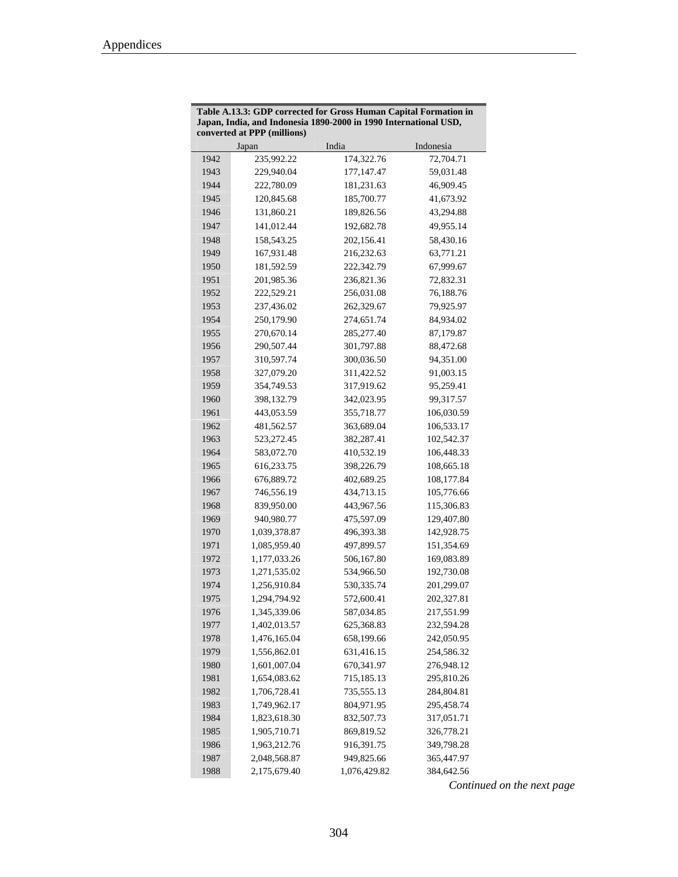| India<br>Indonesia<br>Japan<br>235,992.22<br>174,322.76<br>1942<br>72,704.71<br>1943<br>229,940.04<br>59,031.48<br>177, 147. 47<br>1944<br>222,780.09<br>181,231.63<br>46,909.45<br>120,845.68<br>41,673.92<br>1945<br>185,700.77<br>1946<br>131,860.21<br>189,826.56<br>43,294.88<br>1947<br>141,012.44<br>192,682.78<br>49,955.14<br>1948<br>158,543.25<br>202,156.41<br>58,430.16<br>1949<br>167,931.48<br>216,232.63<br>63,771.21<br>1950<br>181,592.59<br>222,342.79<br>67,999.67<br>1951<br>201,985.36<br>236,821.36<br>72,832.31<br>1952<br>222,529.21<br>256,031.08<br>76,188.76<br>1953<br>262,329.67<br>237,436.02<br>79,925.97<br>1954<br>250,179.90<br>274,651.74<br>84,934.02<br>1955<br>270,670.14<br>285,277.40<br>87,179.87<br>1956<br>290,507.44<br>301,797.88<br>88,472.68<br>1957<br>300,036.50<br>310,597.74<br>94,351.00<br>1958<br>311,422.52<br>91,003.15<br>327,079.20<br>1959<br>354,749.53<br>317,919.62<br>95,259.41<br>1960<br>398,132.79<br>342,023.95<br>99,317.57<br>1961<br>443,053.59<br>355,718.77<br>106,030.59<br>1962<br>363,689.04<br>481,562.57<br>106,533.17<br>1963<br>523,272.45<br>382,287.41<br>102,542.37<br>1964<br>410,532.19<br>583,072.70<br>106,448.33<br>1965<br>616,233.75<br>108,665.18<br>398,226.79<br>1966<br>676,889.72<br>402,689.25<br>108,177.84<br>1967<br>746,556.19<br>434,713.15<br>105,776.66<br>1968<br>839,950.00<br>443,967.56<br>115,306.83<br>1969<br>940,980.77<br>475,597.09<br>129,407.80<br>1970<br>496,393.38<br>1,039,378.87<br>142,928.75<br>1971<br>1,085,959.40<br>497,899.57<br>151,354.69<br>1972<br>506,167.80<br>169,083.89<br>1,177,033.26<br>1973<br>1,271,535.02<br>534,966.50<br>192,730.08<br>1974<br>1,256,910.84<br>530, 335.74<br>201,299.07<br>1975<br>1,294,794.92<br>572,600.41<br>202,327.81<br>1976<br>1,345,339.06<br>587,034.85<br>217,551.99<br>1977<br>1,402,013.57<br>625,368.83<br>232,594.28<br>1,476,165.04<br>1978<br>658,199.66<br>242,050.95<br>1979<br>631,416.15<br>254,586.32<br>1,556,862.01<br>1980<br>1,601,007.04<br>670,341.97<br>276,948.12<br>1981<br>1,654,083.62<br>715,185.13<br>295,810.26<br>1982<br>1,706,728.41<br>735,555.13<br>284,804.81<br>1983<br>804,971.95<br>1,749,962.17<br>295,458.74<br>1984<br>1,823,618.30<br>832,507.73<br>317,051.71<br>1985<br>1,905,710.71<br>869,819.52<br>326,778.21<br>1986<br>1,963,212.76<br>916,391.75<br>349,798.28<br>1987<br>2,048,568.87<br>949,825.66<br>365,447.97 |      | converted at PPP (millions) |              |            |
|---------------------------------------------------------------------------------------------------------------------------------------------------------------------------------------------------------------------------------------------------------------------------------------------------------------------------------------------------------------------------------------------------------------------------------------------------------------------------------------------------------------------------------------------------------------------------------------------------------------------------------------------------------------------------------------------------------------------------------------------------------------------------------------------------------------------------------------------------------------------------------------------------------------------------------------------------------------------------------------------------------------------------------------------------------------------------------------------------------------------------------------------------------------------------------------------------------------------------------------------------------------------------------------------------------------------------------------------------------------------------------------------------------------------------------------------------------------------------------------------------------------------------------------------------------------------------------------------------------------------------------------------------------------------------------------------------------------------------------------------------------------------------------------------------------------------------------------------------------------------------------------------------------------------------------------------------------------------------------------------------------------------------------------------------------------------------------------------------------------------------------------------------------------------------------------------------------------------------------------------------------------------------------------------------------------------------------------------------------------------------------------------------------------------------------------------|------|-----------------------------|--------------|------------|
|                                                                                                                                                                                                                                                                                                                                                                                                                                                                                                                                                                                                                                                                                                                                                                                                                                                                                                                                                                                                                                                                                                                                                                                                                                                                                                                                                                                                                                                                                                                                                                                                                                                                                                                                                                                                                                                                                                                                                                                                                                                                                                                                                                                                                                                                                                                                                                                                                                             |      |                             |              |            |
|                                                                                                                                                                                                                                                                                                                                                                                                                                                                                                                                                                                                                                                                                                                                                                                                                                                                                                                                                                                                                                                                                                                                                                                                                                                                                                                                                                                                                                                                                                                                                                                                                                                                                                                                                                                                                                                                                                                                                                                                                                                                                                                                                                                                                                                                                                                                                                                                                                             |      |                             |              |            |
|                                                                                                                                                                                                                                                                                                                                                                                                                                                                                                                                                                                                                                                                                                                                                                                                                                                                                                                                                                                                                                                                                                                                                                                                                                                                                                                                                                                                                                                                                                                                                                                                                                                                                                                                                                                                                                                                                                                                                                                                                                                                                                                                                                                                                                                                                                                                                                                                                                             |      |                             |              |            |
|                                                                                                                                                                                                                                                                                                                                                                                                                                                                                                                                                                                                                                                                                                                                                                                                                                                                                                                                                                                                                                                                                                                                                                                                                                                                                                                                                                                                                                                                                                                                                                                                                                                                                                                                                                                                                                                                                                                                                                                                                                                                                                                                                                                                                                                                                                                                                                                                                                             |      |                             |              |            |
|                                                                                                                                                                                                                                                                                                                                                                                                                                                                                                                                                                                                                                                                                                                                                                                                                                                                                                                                                                                                                                                                                                                                                                                                                                                                                                                                                                                                                                                                                                                                                                                                                                                                                                                                                                                                                                                                                                                                                                                                                                                                                                                                                                                                                                                                                                                                                                                                                                             |      |                             |              |            |
|                                                                                                                                                                                                                                                                                                                                                                                                                                                                                                                                                                                                                                                                                                                                                                                                                                                                                                                                                                                                                                                                                                                                                                                                                                                                                                                                                                                                                                                                                                                                                                                                                                                                                                                                                                                                                                                                                                                                                                                                                                                                                                                                                                                                                                                                                                                                                                                                                                             |      |                             |              |            |
|                                                                                                                                                                                                                                                                                                                                                                                                                                                                                                                                                                                                                                                                                                                                                                                                                                                                                                                                                                                                                                                                                                                                                                                                                                                                                                                                                                                                                                                                                                                                                                                                                                                                                                                                                                                                                                                                                                                                                                                                                                                                                                                                                                                                                                                                                                                                                                                                                                             |      |                             |              |            |
|                                                                                                                                                                                                                                                                                                                                                                                                                                                                                                                                                                                                                                                                                                                                                                                                                                                                                                                                                                                                                                                                                                                                                                                                                                                                                                                                                                                                                                                                                                                                                                                                                                                                                                                                                                                                                                                                                                                                                                                                                                                                                                                                                                                                                                                                                                                                                                                                                                             |      |                             |              |            |
|                                                                                                                                                                                                                                                                                                                                                                                                                                                                                                                                                                                                                                                                                                                                                                                                                                                                                                                                                                                                                                                                                                                                                                                                                                                                                                                                                                                                                                                                                                                                                                                                                                                                                                                                                                                                                                                                                                                                                                                                                                                                                                                                                                                                                                                                                                                                                                                                                                             |      |                             |              |            |
|                                                                                                                                                                                                                                                                                                                                                                                                                                                                                                                                                                                                                                                                                                                                                                                                                                                                                                                                                                                                                                                                                                                                                                                                                                                                                                                                                                                                                                                                                                                                                                                                                                                                                                                                                                                                                                                                                                                                                                                                                                                                                                                                                                                                                                                                                                                                                                                                                                             |      |                             |              |            |
|                                                                                                                                                                                                                                                                                                                                                                                                                                                                                                                                                                                                                                                                                                                                                                                                                                                                                                                                                                                                                                                                                                                                                                                                                                                                                                                                                                                                                                                                                                                                                                                                                                                                                                                                                                                                                                                                                                                                                                                                                                                                                                                                                                                                                                                                                                                                                                                                                                             |      |                             |              |            |
|                                                                                                                                                                                                                                                                                                                                                                                                                                                                                                                                                                                                                                                                                                                                                                                                                                                                                                                                                                                                                                                                                                                                                                                                                                                                                                                                                                                                                                                                                                                                                                                                                                                                                                                                                                                                                                                                                                                                                                                                                                                                                                                                                                                                                                                                                                                                                                                                                                             |      |                             |              |            |
|                                                                                                                                                                                                                                                                                                                                                                                                                                                                                                                                                                                                                                                                                                                                                                                                                                                                                                                                                                                                                                                                                                                                                                                                                                                                                                                                                                                                                                                                                                                                                                                                                                                                                                                                                                                                                                                                                                                                                                                                                                                                                                                                                                                                                                                                                                                                                                                                                                             |      |                             |              |            |
|                                                                                                                                                                                                                                                                                                                                                                                                                                                                                                                                                                                                                                                                                                                                                                                                                                                                                                                                                                                                                                                                                                                                                                                                                                                                                                                                                                                                                                                                                                                                                                                                                                                                                                                                                                                                                                                                                                                                                                                                                                                                                                                                                                                                                                                                                                                                                                                                                                             |      |                             |              |            |
|                                                                                                                                                                                                                                                                                                                                                                                                                                                                                                                                                                                                                                                                                                                                                                                                                                                                                                                                                                                                                                                                                                                                                                                                                                                                                                                                                                                                                                                                                                                                                                                                                                                                                                                                                                                                                                                                                                                                                                                                                                                                                                                                                                                                                                                                                                                                                                                                                                             |      |                             |              |            |
|                                                                                                                                                                                                                                                                                                                                                                                                                                                                                                                                                                                                                                                                                                                                                                                                                                                                                                                                                                                                                                                                                                                                                                                                                                                                                                                                                                                                                                                                                                                                                                                                                                                                                                                                                                                                                                                                                                                                                                                                                                                                                                                                                                                                                                                                                                                                                                                                                                             |      |                             |              |            |
|                                                                                                                                                                                                                                                                                                                                                                                                                                                                                                                                                                                                                                                                                                                                                                                                                                                                                                                                                                                                                                                                                                                                                                                                                                                                                                                                                                                                                                                                                                                                                                                                                                                                                                                                                                                                                                                                                                                                                                                                                                                                                                                                                                                                                                                                                                                                                                                                                                             |      |                             |              |            |
|                                                                                                                                                                                                                                                                                                                                                                                                                                                                                                                                                                                                                                                                                                                                                                                                                                                                                                                                                                                                                                                                                                                                                                                                                                                                                                                                                                                                                                                                                                                                                                                                                                                                                                                                                                                                                                                                                                                                                                                                                                                                                                                                                                                                                                                                                                                                                                                                                                             |      |                             |              |            |
|                                                                                                                                                                                                                                                                                                                                                                                                                                                                                                                                                                                                                                                                                                                                                                                                                                                                                                                                                                                                                                                                                                                                                                                                                                                                                                                                                                                                                                                                                                                                                                                                                                                                                                                                                                                                                                                                                                                                                                                                                                                                                                                                                                                                                                                                                                                                                                                                                                             |      |                             |              |            |
|                                                                                                                                                                                                                                                                                                                                                                                                                                                                                                                                                                                                                                                                                                                                                                                                                                                                                                                                                                                                                                                                                                                                                                                                                                                                                                                                                                                                                                                                                                                                                                                                                                                                                                                                                                                                                                                                                                                                                                                                                                                                                                                                                                                                                                                                                                                                                                                                                                             |      |                             |              |            |
|                                                                                                                                                                                                                                                                                                                                                                                                                                                                                                                                                                                                                                                                                                                                                                                                                                                                                                                                                                                                                                                                                                                                                                                                                                                                                                                                                                                                                                                                                                                                                                                                                                                                                                                                                                                                                                                                                                                                                                                                                                                                                                                                                                                                                                                                                                                                                                                                                                             |      |                             |              |            |
|                                                                                                                                                                                                                                                                                                                                                                                                                                                                                                                                                                                                                                                                                                                                                                                                                                                                                                                                                                                                                                                                                                                                                                                                                                                                                                                                                                                                                                                                                                                                                                                                                                                                                                                                                                                                                                                                                                                                                                                                                                                                                                                                                                                                                                                                                                                                                                                                                                             |      |                             |              |            |
|                                                                                                                                                                                                                                                                                                                                                                                                                                                                                                                                                                                                                                                                                                                                                                                                                                                                                                                                                                                                                                                                                                                                                                                                                                                                                                                                                                                                                                                                                                                                                                                                                                                                                                                                                                                                                                                                                                                                                                                                                                                                                                                                                                                                                                                                                                                                                                                                                                             |      |                             |              |            |
|                                                                                                                                                                                                                                                                                                                                                                                                                                                                                                                                                                                                                                                                                                                                                                                                                                                                                                                                                                                                                                                                                                                                                                                                                                                                                                                                                                                                                                                                                                                                                                                                                                                                                                                                                                                                                                                                                                                                                                                                                                                                                                                                                                                                                                                                                                                                                                                                                                             |      |                             |              |            |
|                                                                                                                                                                                                                                                                                                                                                                                                                                                                                                                                                                                                                                                                                                                                                                                                                                                                                                                                                                                                                                                                                                                                                                                                                                                                                                                                                                                                                                                                                                                                                                                                                                                                                                                                                                                                                                                                                                                                                                                                                                                                                                                                                                                                                                                                                                                                                                                                                                             |      |                             |              |            |
|                                                                                                                                                                                                                                                                                                                                                                                                                                                                                                                                                                                                                                                                                                                                                                                                                                                                                                                                                                                                                                                                                                                                                                                                                                                                                                                                                                                                                                                                                                                                                                                                                                                                                                                                                                                                                                                                                                                                                                                                                                                                                                                                                                                                                                                                                                                                                                                                                                             |      |                             |              |            |
|                                                                                                                                                                                                                                                                                                                                                                                                                                                                                                                                                                                                                                                                                                                                                                                                                                                                                                                                                                                                                                                                                                                                                                                                                                                                                                                                                                                                                                                                                                                                                                                                                                                                                                                                                                                                                                                                                                                                                                                                                                                                                                                                                                                                                                                                                                                                                                                                                                             |      |                             |              |            |
|                                                                                                                                                                                                                                                                                                                                                                                                                                                                                                                                                                                                                                                                                                                                                                                                                                                                                                                                                                                                                                                                                                                                                                                                                                                                                                                                                                                                                                                                                                                                                                                                                                                                                                                                                                                                                                                                                                                                                                                                                                                                                                                                                                                                                                                                                                                                                                                                                                             |      |                             |              |            |
|                                                                                                                                                                                                                                                                                                                                                                                                                                                                                                                                                                                                                                                                                                                                                                                                                                                                                                                                                                                                                                                                                                                                                                                                                                                                                                                                                                                                                                                                                                                                                                                                                                                                                                                                                                                                                                                                                                                                                                                                                                                                                                                                                                                                                                                                                                                                                                                                                                             |      |                             |              |            |
|                                                                                                                                                                                                                                                                                                                                                                                                                                                                                                                                                                                                                                                                                                                                                                                                                                                                                                                                                                                                                                                                                                                                                                                                                                                                                                                                                                                                                                                                                                                                                                                                                                                                                                                                                                                                                                                                                                                                                                                                                                                                                                                                                                                                                                                                                                                                                                                                                                             |      |                             |              |            |
|                                                                                                                                                                                                                                                                                                                                                                                                                                                                                                                                                                                                                                                                                                                                                                                                                                                                                                                                                                                                                                                                                                                                                                                                                                                                                                                                                                                                                                                                                                                                                                                                                                                                                                                                                                                                                                                                                                                                                                                                                                                                                                                                                                                                                                                                                                                                                                                                                                             |      |                             |              |            |
|                                                                                                                                                                                                                                                                                                                                                                                                                                                                                                                                                                                                                                                                                                                                                                                                                                                                                                                                                                                                                                                                                                                                                                                                                                                                                                                                                                                                                                                                                                                                                                                                                                                                                                                                                                                                                                                                                                                                                                                                                                                                                                                                                                                                                                                                                                                                                                                                                                             |      |                             |              |            |
|                                                                                                                                                                                                                                                                                                                                                                                                                                                                                                                                                                                                                                                                                                                                                                                                                                                                                                                                                                                                                                                                                                                                                                                                                                                                                                                                                                                                                                                                                                                                                                                                                                                                                                                                                                                                                                                                                                                                                                                                                                                                                                                                                                                                                                                                                                                                                                                                                                             |      |                             |              |            |
|                                                                                                                                                                                                                                                                                                                                                                                                                                                                                                                                                                                                                                                                                                                                                                                                                                                                                                                                                                                                                                                                                                                                                                                                                                                                                                                                                                                                                                                                                                                                                                                                                                                                                                                                                                                                                                                                                                                                                                                                                                                                                                                                                                                                                                                                                                                                                                                                                                             |      |                             |              |            |
|                                                                                                                                                                                                                                                                                                                                                                                                                                                                                                                                                                                                                                                                                                                                                                                                                                                                                                                                                                                                                                                                                                                                                                                                                                                                                                                                                                                                                                                                                                                                                                                                                                                                                                                                                                                                                                                                                                                                                                                                                                                                                                                                                                                                                                                                                                                                                                                                                                             |      |                             |              |            |
|                                                                                                                                                                                                                                                                                                                                                                                                                                                                                                                                                                                                                                                                                                                                                                                                                                                                                                                                                                                                                                                                                                                                                                                                                                                                                                                                                                                                                                                                                                                                                                                                                                                                                                                                                                                                                                                                                                                                                                                                                                                                                                                                                                                                                                                                                                                                                                                                                                             |      |                             |              |            |
|                                                                                                                                                                                                                                                                                                                                                                                                                                                                                                                                                                                                                                                                                                                                                                                                                                                                                                                                                                                                                                                                                                                                                                                                                                                                                                                                                                                                                                                                                                                                                                                                                                                                                                                                                                                                                                                                                                                                                                                                                                                                                                                                                                                                                                                                                                                                                                                                                                             |      |                             |              |            |
|                                                                                                                                                                                                                                                                                                                                                                                                                                                                                                                                                                                                                                                                                                                                                                                                                                                                                                                                                                                                                                                                                                                                                                                                                                                                                                                                                                                                                                                                                                                                                                                                                                                                                                                                                                                                                                                                                                                                                                                                                                                                                                                                                                                                                                                                                                                                                                                                                                             |      |                             |              |            |
|                                                                                                                                                                                                                                                                                                                                                                                                                                                                                                                                                                                                                                                                                                                                                                                                                                                                                                                                                                                                                                                                                                                                                                                                                                                                                                                                                                                                                                                                                                                                                                                                                                                                                                                                                                                                                                                                                                                                                                                                                                                                                                                                                                                                                                                                                                                                                                                                                                             |      |                             |              |            |
|                                                                                                                                                                                                                                                                                                                                                                                                                                                                                                                                                                                                                                                                                                                                                                                                                                                                                                                                                                                                                                                                                                                                                                                                                                                                                                                                                                                                                                                                                                                                                                                                                                                                                                                                                                                                                                                                                                                                                                                                                                                                                                                                                                                                                                                                                                                                                                                                                                             |      |                             |              |            |
|                                                                                                                                                                                                                                                                                                                                                                                                                                                                                                                                                                                                                                                                                                                                                                                                                                                                                                                                                                                                                                                                                                                                                                                                                                                                                                                                                                                                                                                                                                                                                                                                                                                                                                                                                                                                                                                                                                                                                                                                                                                                                                                                                                                                                                                                                                                                                                                                                                             |      |                             |              |            |
|                                                                                                                                                                                                                                                                                                                                                                                                                                                                                                                                                                                                                                                                                                                                                                                                                                                                                                                                                                                                                                                                                                                                                                                                                                                                                                                                                                                                                                                                                                                                                                                                                                                                                                                                                                                                                                                                                                                                                                                                                                                                                                                                                                                                                                                                                                                                                                                                                                             |      |                             |              |            |
|                                                                                                                                                                                                                                                                                                                                                                                                                                                                                                                                                                                                                                                                                                                                                                                                                                                                                                                                                                                                                                                                                                                                                                                                                                                                                                                                                                                                                                                                                                                                                                                                                                                                                                                                                                                                                                                                                                                                                                                                                                                                                                                                                                                                                                                                                                                                                                                                                                             |      |                             |              |            |
|                                                                                                                                                                                                                                                                                                                                                                                                                                                                                                                                                                                                                                                                                                                                                                                                                                                                                                                                                                                                                                                                                                                                                                                                                                                                                                                                                                                                                                                                                                                                                                                                                                                                                                                                                                                                                                                                                                                                                                                                                                                                                                                                                                                                                                                                                                                                                                                                                                             |      |                             |              |            |
|                                                                                                                                                                                                                                                                                                                                                                                                                                                                                                                                                                                                                                                                                                                                                                                                                                                                                                                                                                                                                                                                                                                                                                                                                                                                                                                                                                                                                                                                                                                                                                                                                                                                                                                                                                                                                                                                                                                                                                                                                                                                                                                                                                                                                                                                                                                                                                                                                                             |      |                             |              |            |
|                                                                                                                                                                                                                                                                                                                                                                                                                                                                                                                                                                                                                                                                                                                                                                                                                                                                                                                                                                                                                                                                                                                                                                                                                                                                                                                                                                                                                                                                                                                                                                                                                                                                                                                                                                                                                                                                                                                                                                                                                                                                                                                                                                                                                                                                                                                                                                                                                                             |      |                             |              |            |
|                                                                                                                                                                                                                                                                                                                                                                                                                                                                                                                                                                                                                                                                                                                                                                                                                                                                                                                                                                                                                                                                                                                                                                                                                                                                                                                                                                                                                                                                                                                                                                                                                                                                                                                                                                                                                                                                                                                                                                                                                                                                                                                                                                                                                                                                                                                                                                                                                                             |      |                             |              |            |
|                                                                                                                                                                                                                                                                                                                                                                                                                                                                                                                                                                                                                                                                                                                                                                                                                                                                                                                                                                                                                                                                                                                                                                                                                                                                                                                                                                                                                                                                                                                                                                                                                                                                                                                                                                                                                                                                                                                                                                                                                                                                                                                                                                                                                                                                                                                                                                                                                                             | 1988 | 2,175,679.40                | 1,076,429.82 | 384,642.56 |

**Table A.13.3: GDP corrected for Gross Human Capital Formation in Japan, India, and Indonesia 1890-2000 in 1990 International USD,**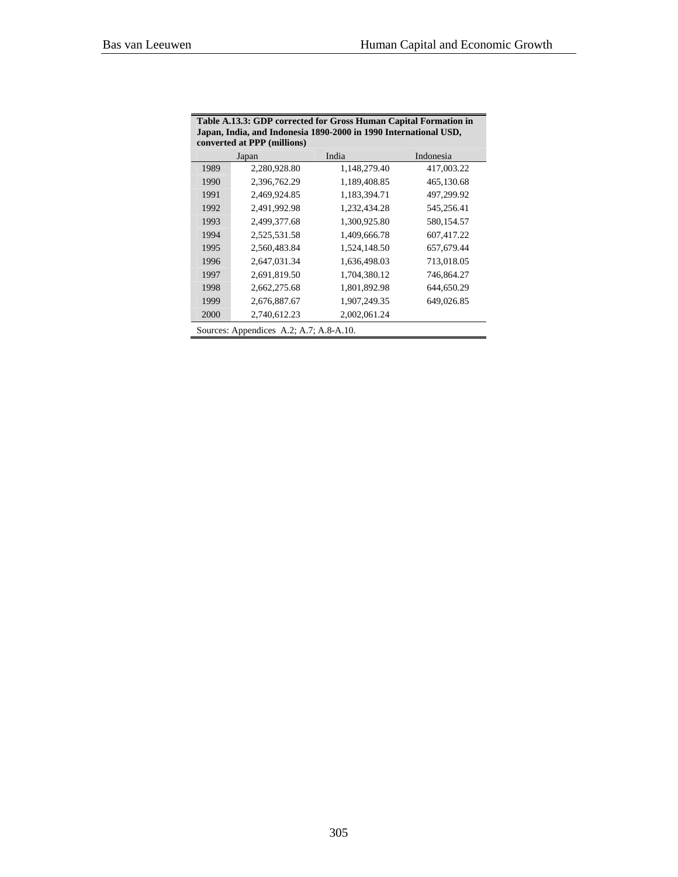| converted at PPP (millions)             |              |              |            |  |  |
|-----------------------------------------|--------------|--------------|------------|--|--|
|                                         | Japan        | India        | Indonesia  |  |  |
| 1989                                    | 2,280,928.80 | 1,148,279.40 | 417,003.22 |  |  |
| 1990                                    | 2,396,762.29 | 1,189,408.85 | 465,130.68 |  |  |
| 1991                                    | 2,469,924.85 | 1,183,394.71 | 497,299.92 |  |  |
| 1992                                    | 2,491,992.98 | 1,232,434.28 | 545,256.41 |  |  |
| 1993                                    | 2,499,377.68 | 1,300,925.80 | 580,154.57 |  |  |
| 1994                                    | 2,525,531.58 | 1,409,666.78 | 607,417.22 |  |  |
| 1995                                    | 2,560,483.84 | 1,524,148.50 | 657,679.44 |  |  |
| 1996                                    | 2.647.031.34 | 1,636,498.03 | 713,018.05 |  |  |
| 1997                                    | 2,691,819.50 | 1,704,380.12 | 746,864.27 |  |  |
| 1998                                    | 2,662,275.68 | 1,801,892.98 | 644,650.29 |  |  |
| 1999                                    | 2,676,887.67 | 1,907,249.35 | 649,026.85 |  |  |
| 2000                                    | 2,740,612.23 | 2,002,061.24 |            |  |  |
| Sources: Appendices A.2; A.7; A.8-A.10. |              |              |            |  |  |

**Table A.13.3: GDP corrected for Gross Human Capital Formation in Japan, India, and Indonesia 1890-2000 in 1990 International USD,**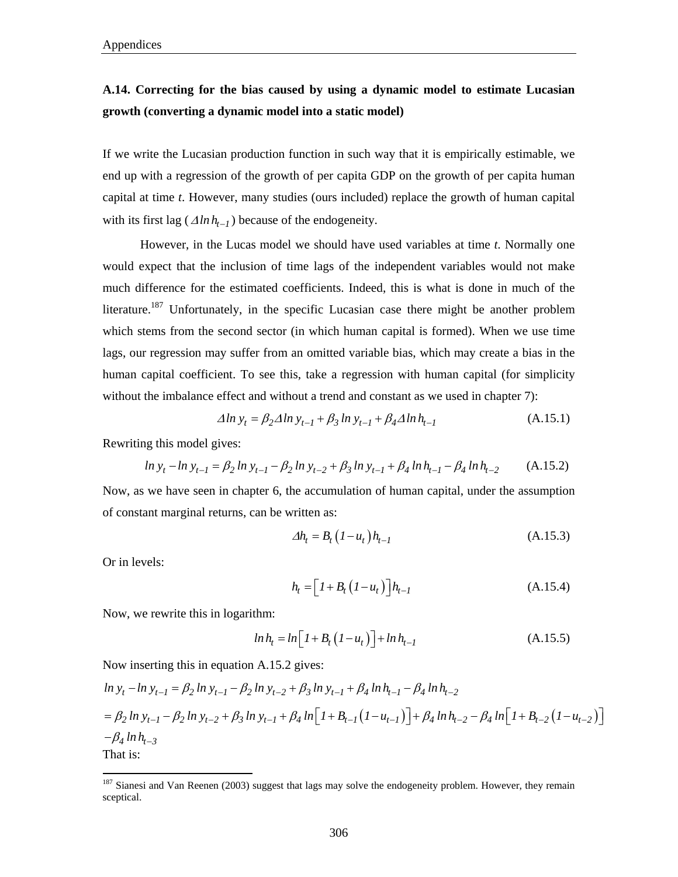#### **A.14. Correcting for the bias caused by using a dynamic model to estimate Lucasian growth (converting a dynamic model into a static model)**

If we write the Lucasian production function in such way that it is empirically estimable, we end up with a regression of the growth of per capita GDP on the growth of per capita human capital at time *t*. However, many studies (ours included) replace the growth of human capital with its first lag ( $\Delta ln h_{t-1}$ ) because of the endogeneity.

However, in the Lucas model we should have used variables at time *t*. Normally one would expect that the inclusion of time lags of the independent variables would not make much difference for the estimated coefficients. Indeed, this is what is done in much of the literature.<sup>187</sup> Unfortunately, in the specific Lucasian case there might be another problem which stems from the second sector (in which human capital is formed). When we use time lags, our regression may suffer from an omitted variable bias, which may create a bias in the human capital coefficient. To see this, take a regression with human capital (for simplicity without the imbalance effect and without a trend and constant as we used in chapter 7):

$$
\Delta \ln y_t = \beta_2 \Delta \ln y_{t-1} + \beta_3 \ln y_{t-1} + \beta_4 \Delta \ln h_{t-1}
$$
 (A.15.1)

Rewriting this model gives:

$$
\ln y_t - \ln y_{t-1} = \beta_2 \ln y_{t-1} - \beta_2 \ln y_{t-2} + \beta_3 \ln y_{t-1} + \beta_4 \ln h_{t-1} - \beta_4 \ln h_{t-2}
$$
 (A.15.2)

Now, as we have seen in chapter 6, the accumulation of human capital, under the assumption of constant marginal returns, can be written as:

$$
\Delta h_t = B_t \left( I - u_t \right) h_{t-1} \tag{A.15.3}
$$

Or in levels:

 $\overline{a}$ 

$$
h_t = \left[I + B_t\left(I - u_t\right)\right]h_{t-1} \tag{A.15.4}
$$

Now, we rewrite this in logarithm:

$$
ln h_t = ln [I + B_t (I - u_t)] + ln h_{t-1}
$$
 (A.15.5)

Now inserting this in equation A.15.2 gives:

$$
\ln y_t - \ln y_{t-1} = \beta_2 \ln y_{t-1} - \beta_2 \ln y_{t-2} + \beta_3 \ln y_{t-1} + \beta_4 \ln h_{t-1} - \beta_4 \ln h_{t-2}
$$
  
=  $\beta_2 \ln y_{t-1} - \beta_2 \ln y_{t-2} + \beta_3 \ln y_{t-1} + \beta_4 \ln \left[ 1 + B_{t-1} (1 - u_{t-1}) \right] + \beta_4 \ln h_{t-2} - \beta_4 \ln \left[ 1 + B_{t-2} (1 - u_{t-2}) \right]$   
- $\beta_4 \ln h_{t-3}$   
That is:

<sup>&</sup>lt;sup>187</sup> Sianesi and Van Reenen (2003) suggest that lags may solve the endogeneity problem. However, they remain sceptical.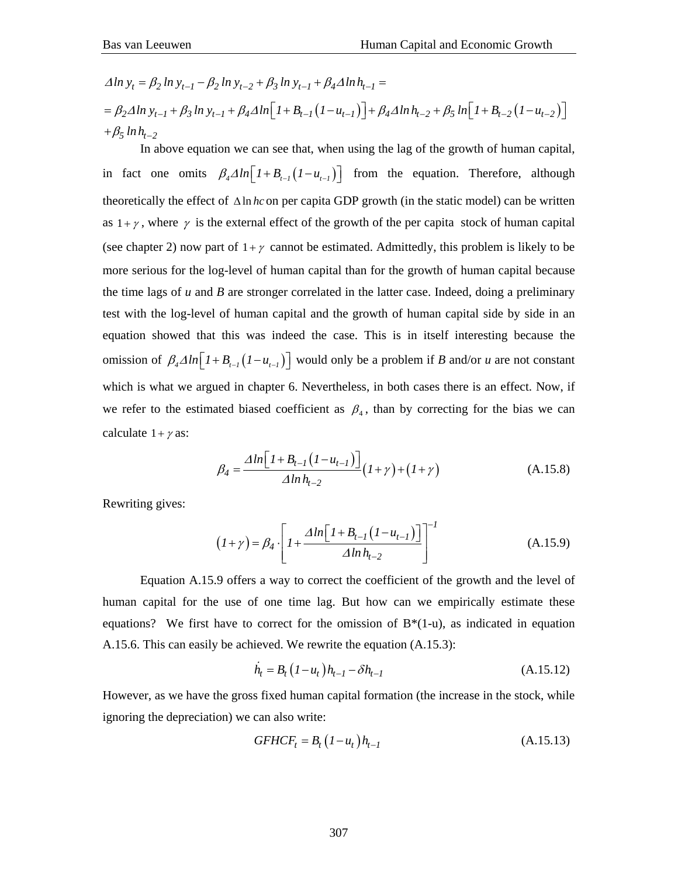$$
\Delta \ln y_t = \beta_2 \ln y_{t-1} - \beta_2 \ln y_{t-2} + \beta_3 \ln y_{t-1} + \beta_4 \Delta \ln h_{t-1} =
$$
  
=  $\beta_2 \Delta \ln y_{t-1} + \beta_3 \ln y_{t-1} + \beta_4 \Delta \ln \left[ 1 + B_{t-1} (1 - u_{t-1}) \right] + \beta_4 \Delta \ln h_{t-2} + \beta_5 \ln \left[ 1 + B_{t-2} (1 - u_{t-2}) \right]$   
+  $\beta_5 \ln h_{t-2}$ 

 In above equation we can see that, when using the lag of the growth of human capital, in fact one omits  $\beta_4 \Delta ln \left[ 1 + B_{t-1} (1 - u_{t-1}) \right]$  from the equation. Therefore, although theoretically the effect of Δln *hc* on per capita GDP growth (in the static model) can be written as  $1+\gamma$ , where  $\gamma$  is the external effect of the growth of the per capita stock of human capital (see chapter 2) now part of  $1+\gamma$  cannot be estimated. Admittedly, this problem is likely to be more serious for the log-level of human capital than for the growth of human capital because the time lags of *u* and *B* are stronger correlated in the latter case. Indeed, doing a preliminary test with the log-level of human capital and the growth of human capital side by side in an equation showed that this was indeed the case. This is in itself interesting because the omission of  $\beta_4 \Delta ln \left[ 1 + B_{t-1} (1 - u_{t-1}) \right]$  would only be a problem if *B* and/or *u* are not constant which is what we argued in chapter 6. Nevertheless, in both cases there is an effect. Now, if we refer to the estimated biased coefficient as  $\beta_4$ , than by correcting for the bias we can calculate  $1 + \gamma$  as:

$$
\beta_4 = \frac{\Delta \ln \left[ 1 + B_{t-1} \left( 1 - u_{t-1} \right) \right]}{\Delta \ln h_{t-2}} (1 + \gamma) + (1 + \gamma) \tag{A.15.8}
$$

Rewriting gives:

$$
(I + \gamma) = \beta_4 \cdot \left[ I + \frac{\Delta \ln \left[ I + B_{t-1} \left( I - u_{t-1} \right) \right]}{\Delta \ln h_{t-2}} \right]^{-1} \tag{A.15.9}
$$

 Equation A.15.9 offers a way to correct the coefficient of the growth and the level of human capital for the use of one time lag. But how can we empirically estimate these equations? We first have to correct for the omission of  $B^*(1-u)$ , as indicated in equation A.15.6. This can easily be achieved. We rewrite the equation (A.15.3):

$$
\dot{h}_t = B_t (1 - u_t) h_{t-1} - \delta h_{t-1}
$$
\n(A.15.12)

However, as we have the gross fixed human capital formation (the increase in the stock, while ignoring the depreciation) we can also write:

$$
GFHCF_t = B_t (1 - u_t) h_{t-1}
$$
\n
$$
(A.15.13)
$$